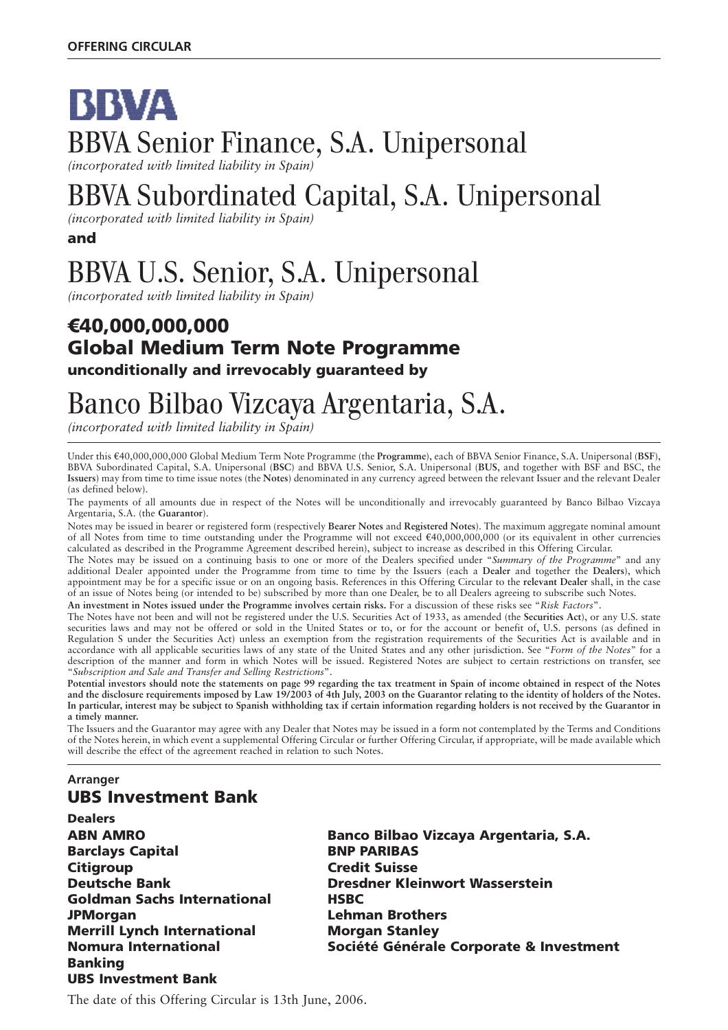# BBVA BBVA Senior Finance, S.A. Unipersonal *(incorporated with limited liability in Spain)*

# BBVA Subordinated Capital, S.A. Unipersonal

*(incorporated with limited liability in Spain)*

**and**

# BBVA U.S. Senior, S.A. Unipersonal

*(incorporated with limited liability in Spain)*

### 7**40,000,000,000 Global Medium Term Note Programme unconditionally and irrevocably guaranteed by**

# Banco Bilbao Vizcaya Argentaria, S.A.

*(incorporated with limited liability in Spain)*

Under this  $\epsilon$ 40,000,000,000 Global Medium Term Note Programme (the **Programme**), each of BBVA Senior Finance, S.A. Unipersonal (BSF), BBVA Subordinated Capital, S.A. Unipersonal (**BSC**) and BBVA U.S. Senior, S.A. Unipersonal (**BUS**, and together with BSF and BSC, the **Issuers**) may from time to time issue notes (the **Notes**) denominated in any currency agreed between the relevant Issuer and the relevant Dealer (as defined below).

The payments of all amounts due in respect of the Notes will be unconditionally and irrevocably guaranteed by Banco Bilbao Vizcaya Argentaria, S.A. (the **Guarantor**).

Notes may be issued in bearer or registered form (respectively **Bearer Notes** and **Registered Notes**). The maximum aggregate nominal amount of all Notes from time to time outstanding under the Programme will not exceed  $\epsilon$ 40,000,000,000 (or its equivalent in other currencies calculated as described in the Programme Agreement described herein), subject to increase as described in this Offering Circular.

The Notes may be issued on a continuing basis to one or more of the Dealers specified under "*Summary of the Programme*" and any additional Dealer appointed under the Programme from time to time by the Issuers (each a **Dealer** and together the **Dealers**), which appointment may be for a specific issue or on an ongoing basis. References in this Offering Circular to the **relevant Dealer** shall, in the case of an issue of Notes being (or intended to be) subscribed by more than one Dealer, be to all Dealers agreeing to subscribe such Notes.

**An investment in Notes issued under the Programme involves certain risks.** For a discussion of these risks see "*Risk Factors*".

The Notes have not been and will not be registered under the U.S. Securities Act of 1933, as amended (the **Securities Act**), or any U.S. state securities laws and may not be offered or sold in the United States or to, or for the account or benefit of, U.S. persons (as defined in Regulation S under the Securities Act) unless an exemption from the registration requirements of the Securities Act is available and in accordance with all applicable securities laws of any state of the United States and any other jurisdiction. See "*Form of the Notes*" for a description of the manner and form in which Notes will be issued. Registered Notes are subject to certain restrictions on transfer, see "*Subscription and Sale and Transfer and Selling Restrictions*".

**Potential investors should note the statements on page 99 regarding the tax treatment in Spain of income obtained in respect of the Notes and the disclosure requirements imposed by Law 19/2003 of 4th July, 2003 on the Guarantor relating to the identity of holders of the Notes. In particular, interest may be subject to Spanish withholding tax if certain information regarding holders is not received by the Guarantor in a timely manner.**

The Issuers and the Guarantor may agree with any Dealer that Notes may be issued in a form not contemplated by the Terms and Conditions of the Notes herein, in which event a supplemental Offering Circular or further Offering Circular, if appropriate, will be made available which will describe the effect of the agreement reached in relation to such Notes.

#### **Arranger UBS Investment Bank**

- **Dealers Barclays Capital BNP PARIBAS Citigroup Credit Suisse Goldman Sachs International HSBC JPMorgan Lehman Brothers Merrill Lynch International Morgan Stanley Banking UBS Investment Bank**
- **ABN AMRO Banco Bilbao Vizcaya Argentaria, S.A. Deutsche Bank Dresdner Kleinwort Wasserstein Nomura International Société Générale Corporate & Investment**

The date of this Offering Circular is 13th June, 2006.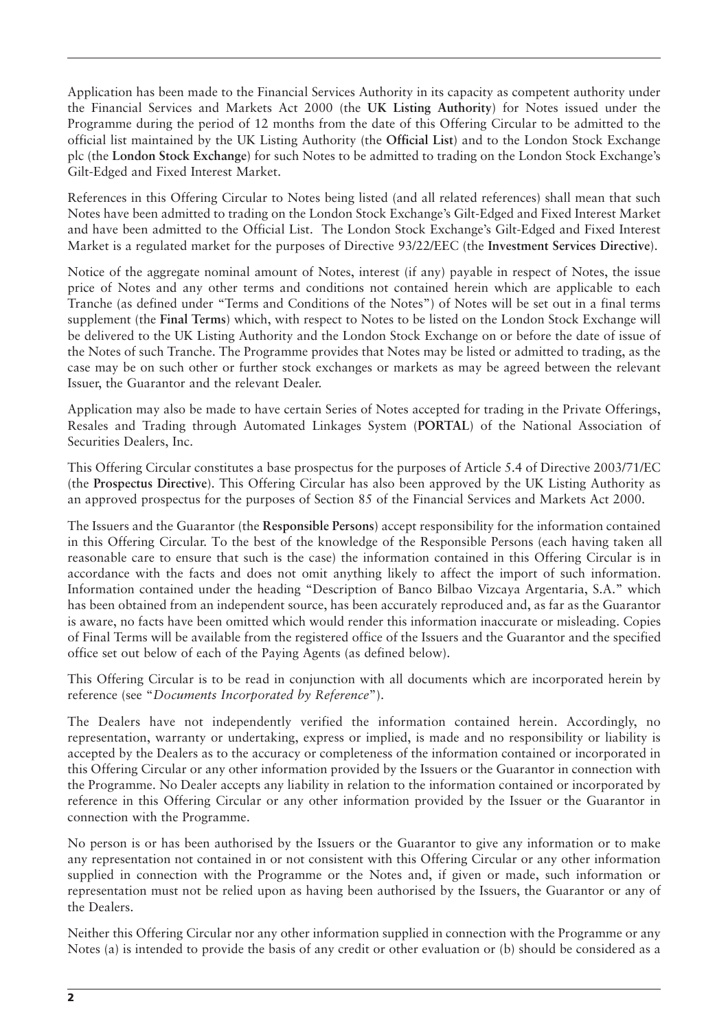Application has been made to the Financial Services Authority in its capacity as competent authority under the Financial Services and Markets Act 2000 (the **UK Listing Authority**) for Notes issued under the Programme during the period of 12 months from the date of this Offering Circular to be admitted to the official list maintained by the UK Listing Authority (the **Official List**) and to the London Stock Exchange plc (the **London Stock Exchange**) for such Notes to be admitted to trading on the London Stock Exchange's Gilt-Edged and Fixed Interest Market.

References in this Offering Circular to Notes being listed (and all related references) shall mean that such Notes have been admitted to trading on the London Stock Exchange's Gilt-Edged and Fixed Interest Market and have been admitted to the Official List. The London Stock Exchange's Gilt-Edged and Fixed Interest Market is a regulated market for the purposes of Directive 93/22/EEC (the **Investment Services Directive**).

Notice of the aggregate nominal amount of Notes, interest (if any) payable in respect of Notes, the issue price of Notes and any other terms and conditions not contained herein which are applicable to each Tranche (as defined under "Terms and Conditions of the Notes") of Notes will be set out in a final terms supplement (the **Final Terms**) which, with respect to Notes to be listed on the London Stock Exchange will be delivered to the UK Listing Authority and the London Stock Exchange on or before the date of issue of the Notes of such Tranche. The Programme provides that Notes may be listed or admitted to trading, as the case may be on such other or further stock exchanges or markets as may be agreed between the relevant Issuer, the Guarantor and the relevant Dealer.

Application may also be made to have certain Series of Notes accepted for trading in the Private Offerings, Resales and Trading through Automated Linkages System (**PORTAL**) of the National Association of Securities Dealers, Inc.

This Offering Circular constitutes a base prospectus for the purposes of Article 5.4 of Directive 2003/71/EC (the **Prospectus Directive**). This Offering Circular has also been approved by the UK Listing Authority as an approved prospectus for the purposes of Section 85 of the Financial Services and Markets Act 2000.

The Issuers and the Guarantor (the **Responsible Persons**) accept responsibility for the information contained in this Offering Circular. To the best of the knowledge of the Responsible Persons (each having taken all reasonable care to ensure that such is the case) the information contained in this Offering Circular is in accordance with the facts and does not omit anything likely to affect the import of such information. Information contained under the heading "Description of Banco Bilbao Vizcaya Argentaria, S.A." which has been obtained from an independent source, has been accurately reproduced and, as far as the Guarantor is aware, no facts have been omitted which would render this information inaccurate or misleading. Copies of Final Terms will be available from the registered office of the Issuers and the Guarantor and the specified office set out below of each of the Paying Agents (as defined below).

This Offering Circular is to be read in conjunction with all documents which are incorporated herein by reference (see "*Documents Incorporated by Reference*").

The Dealers have not independently verified the information contained herein. Accordingly, no representation, warranty or undertaking, express or implied, is made and no responsibility or liability is accepted by the Dealers as to the accuracy or completeness of the information contained or incorporated in this Offering Circular or any other information provided by the Issuers or the Guarantor in connection with the Programme. No Dealer accepts any liability in relation to the information contained or incorporated by reference in this Offering Circular or any other information provided by the Issuer or the Guarantor in connection with the Programme.

No person is or has been authorised by the Issuers or the Guarantor to give any information or to make any representation not contained in or not consistent with this Offering Circular or any other information supplied in connection with the Programme or the Notes and, if given or made, such information or representation must not be relied upon as having been authorised by the Issuers, the Guarantor or any of the Dealers.

Neither this Offering Circular nor any other information supplied in connection with the Programme or any Notes (a) is intended to provide the basis of any credit or other evaluation or (b) should be considered as a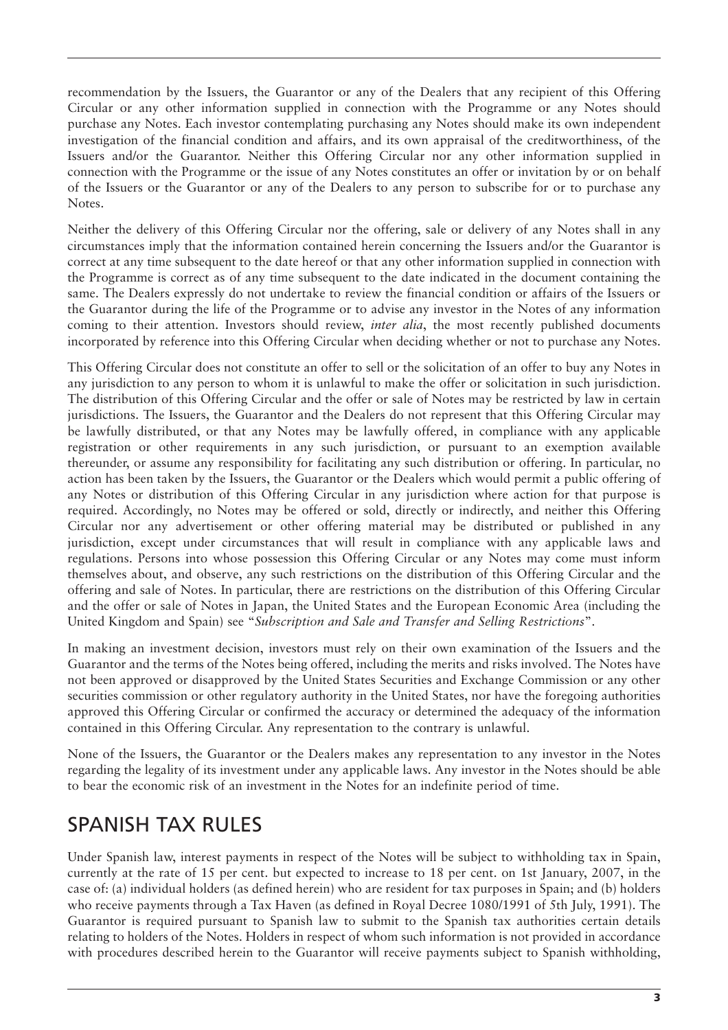recommendation by the Issuers, the Guarantor or any of the Dealers that any recipient of this Offering Circular or any other information supplied in connection with the Programme or any Notes should purchase any Notes. Each investor contemplating purchasing any Notes should make its own independent investigation of the financial condition and affairs, and its own appraisal of the creditworthiness, of the Issuers and/or the Guarantor. Neither this Offering Circular nor any other information supplied in connection with the Programme or the issue of any Notes constitutes an offer or invitation by or on behalf of the Issuers or the Guarantor or any of the Dealers to any person to subscribe for or to purchase any Notes.

Neither the delivery of this Offering Circular nor the offering, sale or delivery of any Notes shall in any circumstances imply that the information contained herein concerning the Issuers and/or the Guarantor is correct at any time subsequent to the date hereof or that any other information supplied in connection with the Programme is correct as of any time subsequent to the date indicated in the document containing the same. The Dealers expressly do not undertake to review the financial condition or affairs of the Issuers or the Guarantor during the life of the Programme or to advise any investor in the Notes of any information coming to their attention. Investors should review, *inter alia*, the most recently published documents incorporated by reference into this Offering Circular when deciding whether or not to purchase any Notes.

This Offering Circular does not constitute an offer to sell or the solicitation of an offer to buy any Notes in any jurisdiction to any person to whom it is unlawful to make the offer or solicitation in such jurisdiction. The distribution of this Offering Circular and the offer or sale of Notes may be restricted by law in certain jurisdictions. The Issuers, the Guarantor and the Dealers do not represent that this Offering Circular may be lawfully distributed, or that any Notes may be lawfully offered, in compliance with any applicable registration or other requirements in any such jurisdiction, or pursuant to an exemption available thereunder, or assume any responsibility for facilitating any such distribution or offering. In particular, no action has been taken by the Issuers, the Guarantor or the Dealers which would permit a public offering of any Notes or distribution of this Offering Circular in any jurisdiction where action for that purpose is required. Accordingly, no Notes may be offered or sold, directly or indirectly, and neither this Offering Circular nor any advertisement or other offering material may be distributed or published in any jurisdiction, except under circumstances that will result in compliance with any applicable laws and regulations. Persons into whose possession this Offering Circular or any Notes may come must inform themselves about, and observe, any such restrictions on the distribution of this Offering Circular and the offering and sale of Notes. In particular, there are restrictions on the distribution of this Offering Circular and the offer or sale of Notes in Japan, the United States and the European Economic Area (including the United Kingdom and Spain) see "*Subscription and Sale and Transfer and Selling Restrictions*".

In making an investment decision, investors must rely on their own examination of the Issuers and the Guarantor and the terms of the Notes being offered, including the merits and risks involved. The Notes have not been approved or disapproved by the United States Securities and Exchange Commission or any other securities commission or other regulatory authority in the United States, nor have the foregoing authorities approved this Offering Circular or confirmed the accuracy or determined the adequacy of the information contained in this Offering Circular. Any representation to the contrary is unlawful.

None of the Issuers, the Guarantor or the Dealers makes any representation to any investor in the Notes regarding the legality of its investment under any applicable laws. Any investor in the Notes should be able to bear the economic risk of an investment in the Notes for an indefinite period of time.

### SPANISH TAX RULES

Under Spanish law, interest payments in respect of the Notes will be subject to withholding tax in Spain, currently at the rate of 15 per cent. but expected to increase to 18 per cent. on 1st January, 2007, in the case of: (a) individual holders (as defined herein) who are resident for tax purposes in Spain; and (b) holders who receive payments through a Tax Haven (as defined in Royal Decree 1080/1991 of 5th July, 1991). The Guarantor is required pursuant to Spanish law to submit to the Spanish tax authorities certain details relating to holders of the Notes. Holders in respect of whom such information is not provided in accordance with procedures described herein to the Guarantor will receive payments subject to Spanish withholding,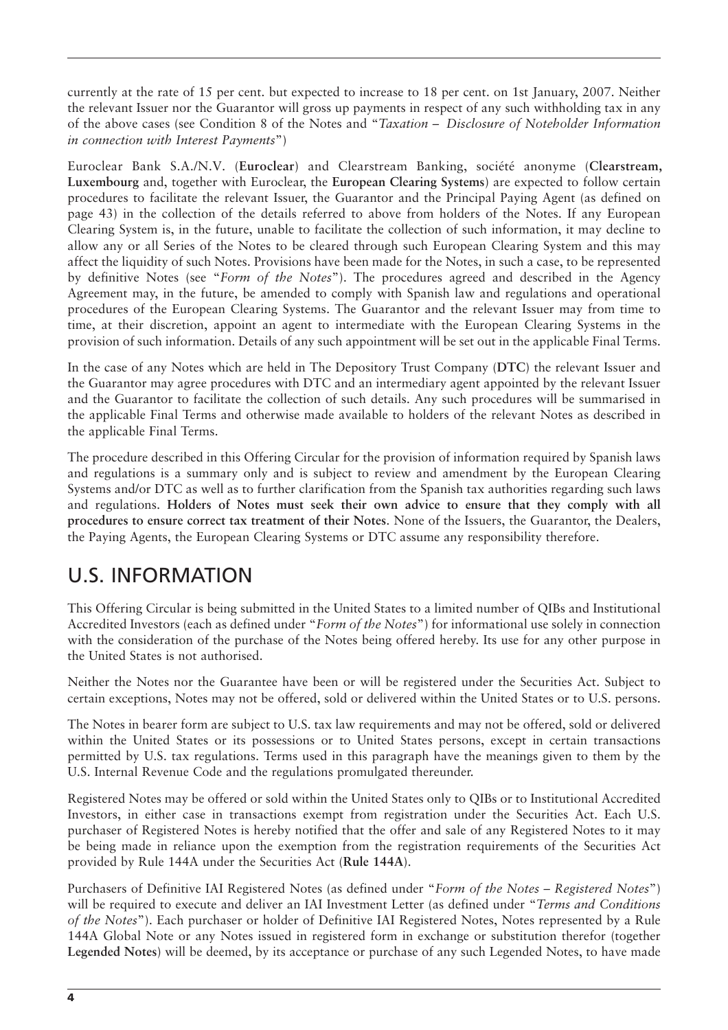currently at the rate of 15 per cent. but expected to increase to 18 per cent. on 1st January, 2007. Neither the relevant Issuer nor the Guarantor will gross up payments in respect of any such withholding tax in any of the above cases (see Condition 8 of the Notes and "*Taxation – Disclosure of Noteholder Information in connection with Interest Payments*")

Euroclear Bank S.A./N.V. (**Euroclear**) and Clearstream Banking, société anonyme (**Clearstream, Luxembourg** and, together with Euroclear, the **European Clearing Systems**) are expected to follow certain procedures to facilitate the relevant Issuer, the Guarantor and the Principal Paying Agent (as defined on page 43) in the collection of the details referred to above from holders of the Notes. If any European Clearing System is, in the future, unable to facilitate the collection of such information, it may decline to allow any or all Series of the Notes to be cleared through such European Clearing System and this may affect the liquidity of such Notes. Provisions have been made for the Notes, in such a case, to be represented by definitive Notes (see "*Form of the Notes*"). The procedures agreed and described in the Agency Agreement may, in the future, be amended to comply with Spanish law and regulations and operational procedures of the European Clearing Systems. The Guarantor and the relevant Issuer may from time to time, at their discretion, appoint an agent to intermediate with the European Clearing Systems in the provision of such information. Details of any such appointment will be set out in the applicable Final Terms.

In the case of any Notes which are held in The Depository Trust Company (**DTC**) the relevant Issuer and the Guarantor may agree procedures with DTC and an intermediary agent appointed by the relevant Issuer and the Guarantor to facilitate the collection of such details. Any such procedures will be summarised in the applicable Final Terms and otherwise made available to holders of the relevant Notes as described in the applicable Final Terms.

The procedure described in this Offering Circular for the provision of information required by Spanish laws and regulations is a summary only and is subject to review and amendment by the European Clearing Systems and/or DTC as well as to further clarification from the Spanish tax authorities regarding such laws and regulations. **Holders of Notes must seek their own advice to ensure that they comply with all procedures to ensure correct tax treatment of their Notes**. None of the Issuers, the Guarantor, the Dealers, the Paying Agents, the European Clearing Systems or DTC assume any responsibility therefore.

### U.S. INFORMATION

This Offering Circular is being submitted in the United States to a limited number of QIBs and Institutional Accredited Investors (each as defined under "*Form of the Notes*") for informational use solely in connection with the consideration of the purchase of the Notes being offered hereby. Its use for any other purpose in the United States is not authorised.

Neither the Notes nor the Guarantee have been or will be registered under the Securities Act. Subject to certain exceptions, Notes may not be offered, sold or delivered within the United States or to U.S. persons.

The Notes in bearer form are subject to U.S. tax law requirements and may not be offered, sold or delivered within the United States or its possessions or to United States persons, except in certain transactions permitted by U.S. tax regulations. Terms used in this paragraph have the meanings given to them by the U.S. Internal Revenue Code and the regulations promulgated thereunder.

Registered Notes may be offered or sold within the United States only to QIBs or to Institutional Accredited Investors, in either case in transactions exempt from registration under the Securities Act. Each U.S. purchaser of Registered Notes is hereby notified that the offer and sale of any Registered Notes to it may be being made in reliance upon the exemption from the registration requirements of the Securities Act provided by Rule 144A under the Securities Act (**Rule 144A**).

Purchasers of Definitive IAI Registered Notes (as defined under "*Form of the Notes – Registered Notes*") will be required to execute and deliver an IAI Investment Letter (as defined under "*Terms and Conditions of the Notes*"). Each purchaser or holder of Definitive IAI Registered Notes, Notes represented by a Rule 144A Global Note or any Notes issued in registered form in exchange or substitution therefor (together **Legended Notes**) will be deemed, by its acceptance or purchase of any such Legended Notes, to have made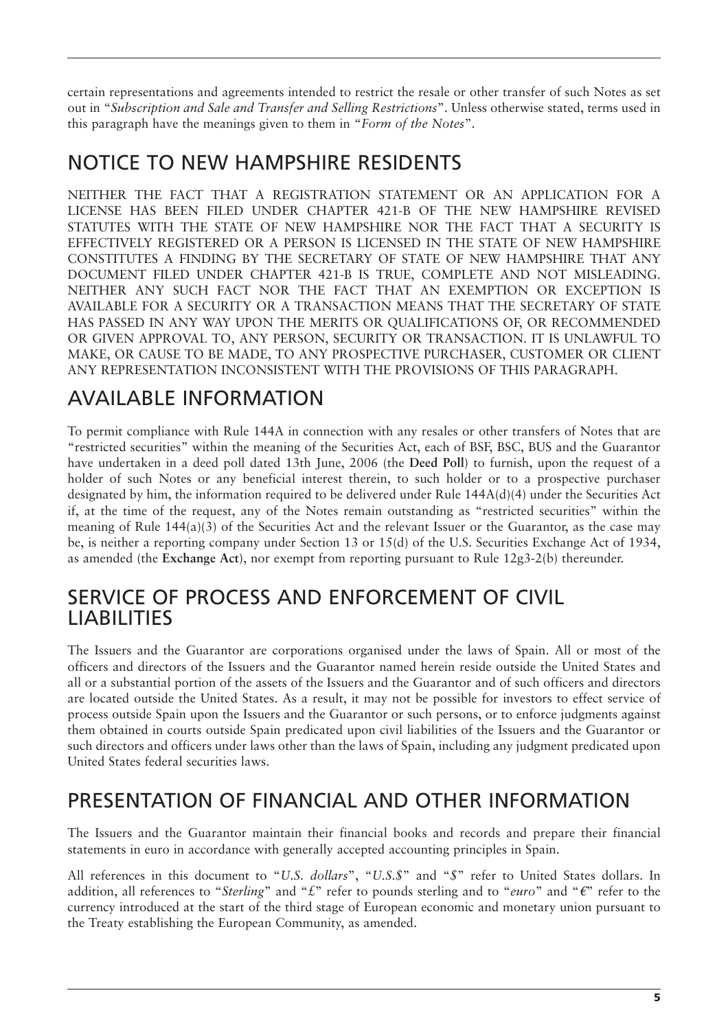certain representations and agreements intended to restrict the resale or other transfer of such Notes as set out in "*Subscription and Sale and Transfer and Selling Restrictions*". Unless otherwise stated, terms used in this paragraph have the meanings given to them in "*Form of the Notes*".

### NOTICE TO NEW HAMPSHIRE RESIDENTS

NEITHER THE FACT THAT A REGISTRATION STATEMENT OR AN APPLICATION FOR A LICENSE HAS BEEN FILED UNDER CHAPTER 421-B OF THE NEW HAMPSHIRE REVISED STATUTES WITH THE STATE OF NEW HAMPSHIRE NOR THE FACT THAT A SECURITY IS EFFECTIVELY REGISTERED OR A PERSON IS LICENSED IN THE STATE OF NEW HAMPSHIRE CONSTITUTES A FINDING BY THE SECRETARY OF STATE OF NEW HAMPSHIRE THAT ANY DOCUMENT FILED UNDER CHAPTER 421-B IS TRUE, COMPLETE AND NOT MISLEADING. NEITHER ANY SUCH FACT NOR THE FACT THAT AN EXEMPTION OR EXCEPTION IS AVAILABLE FOR A SECURITY OR A TRANSACTION MEANS THAT THE SECRETARY OF STATE HAS PASSED IN ANY WAY UPON THE MERITS OR QUALIFICATIONS OF, OR RECOMMENDED OR GIVEN APPROVAL TO, ANY PERSON, SECURITY OR TRANSACTION. IT IS UNLAWFUL TO MAKE, OR CAUSE TO BE MADE, TO ANY PROSPECTIVE PURCHASER, CUSTOMER OR CLIENT ANY REPRESENTATION INCONSISTENT WITH THE PROVISIONS OF THIS PARAGRAPH.

### AVAILABLE INFORMATION

To permit compliance with Rule 144A in connection with any resales or other transfers of Notes that are "restricted securities" within the meaning of the Securities Act, each of BSF, BSC, BUS and the Guarantor have undertaken in a deed poll dated 13th June, 2006 (the **Deed Poll**) to furnish, upon the request of a holder of such Notes or any beneficial interest therein, to such holder or to a prospective purchaser designated by him, the information required to be delivered under Rule 144A(d)(4) under the Securities Act if, at the time of the request, any of the Notes remain outstanding as "restricted securities" within the meaning of Rule 144(a)(3) of the Securities Act and the relevant Issuer or the Guarantor, as the case may be, is neither a reporting company under Section 13 or 15(d) of the U.S. Securities Exchange Act of 1934, as amended (the **Exchange Act**), nor exempt from reporting pursuant to Rule 12g3-2(b) thereunder.

### SERVICE OF PROCESS AND ENFORCEMENT OF CIVIL LIABILITIES

The Issuers and the Guarantor are corporations organised under the laws of Spain. All or most of the officers and directors of the Issuers and the Guarantor named herein reside outside the United States and all or a substantial portion of the assets of the Issuers and the Guarantor and of such officers and directors are located outside the United States. As a result, it may not be possible for investors to effect service of process outside Spain upon the Issuers and the Guarantor or such persons, or to enforce judgments against them obtained in courts outside Spain predicated upon civil liabilities of the Issuers and the Guarantor or such directors and officers under laws other than the laws of Spain, including any judgment predicated upon United States federal securities laws.

## PRESENTATION OF FINANCIAL AND OTHER INFORMATION

The Issuers and the Guarantor maintain their financial books and records and prepare their financial statements in euro in accordance with generally accepted accounting principles in Spain.

All references in this document to "*U.S. dollars*", "*U.S.\$*" and "*\$*" refer to United States dollars. In addition, all references to "*Sterling*" and "£" refer to pounds sterling and to "euro" and "€" refer to the currency introduced at the start of the third stage of European economic and monetary union pursuant to the Treaty establishing the European Community, as amended.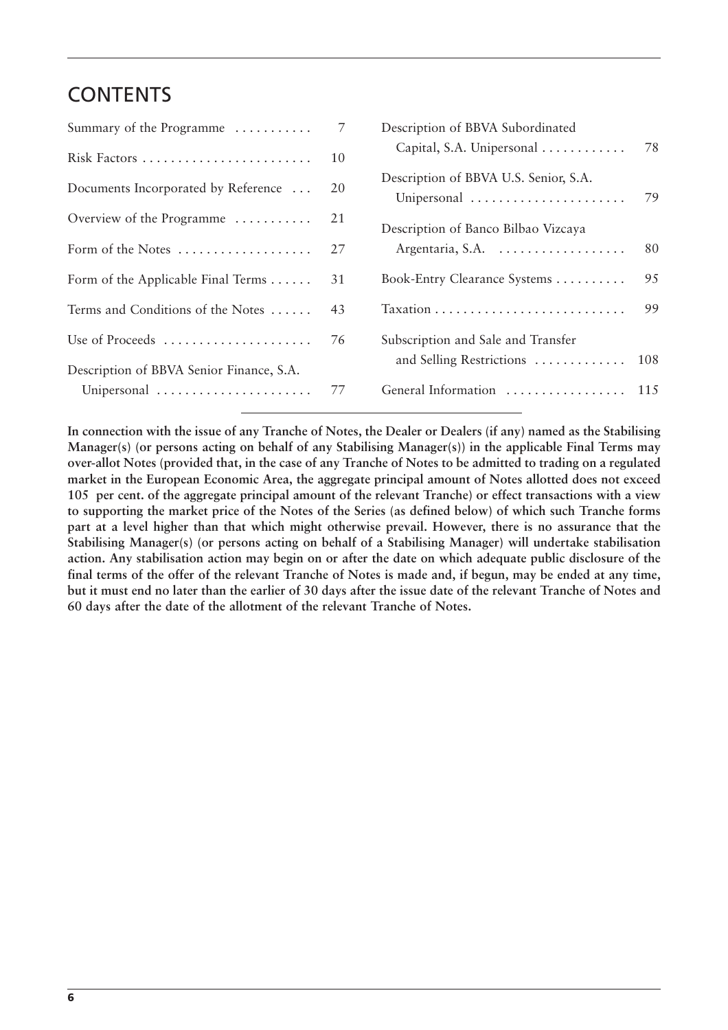### **CONTENTS**

| Summary of the Programme                     | 7  | Description of BBVA Subordinated                     |     |
|----------------------------------------------|----|------------------------------------------------------|-----|
| Risk Factors                                 | 10 | Capital, S.A. Unipersonal                            | 78  |
| Documents Incorporated by Reference          | 20 | Description of BBVA U.S. Senior, S.A.<br>Unipersonal | 79  |
| Overview of the Programme                    | 21 | Description of Banco Bilbao Vizcaya                  |     |
| Form of the Notes                            | 27 | Argentaria, S.A.                                     | 80  |
| Form of the Applicable Final Terms $\dots$ . | 31 | Book-Entry Clearance Systems                         | 95  |
| Terms and Conditions of the Notes            | 43 |                                                      | 99  |
| Use of Proceeds                              | 76 | Subscription and Sale and Transfer                   |     |
| Description of BBVA Senior Finance, S.A.     |    | and Selling Restrictions                             | 108 |
| Unipersonal                                  | 77 | General Information                                  | 115 |
|                                              |    |                                                      |     |

**In connection with the issue of any Tranche of Notes, the Dealer or Dealers (if any) named as the Stabilising Manager(s) (or persons acting on behalf of any Stabilising Manager(s)) in the applicable Final Terms may over-allot Notes (provided that, in the case of any Tranche of Notes to be admitted to trading on a regulated market in the European Economic Area, the aggregate principal amount of Notes allotted does not exceed 105 per cent. of the aggregate principal amount of the relevant Tranche) or effect transactions with a view to supporting the market price of the Notes of the Series (as defined below) of which such Tranche forms part at a level higher than that which might otherwise prevail. However, there is no assurance that the Stabilising Manager(s) (or persons acting on behalf of a Stabilising Manager) will undertake stabilisation action. Any stabilisation action may begin on or after the date on which adequate public disclosure of the final terms of the offer of the relevant Tranche of Notes is made and, if begun, may be ended at any time, but it must end no later than the earlier of 30 days after the issue date of the relevant Tranche of Notes and 60 days after the date of the allotment of the relevant Tranche of Notes.**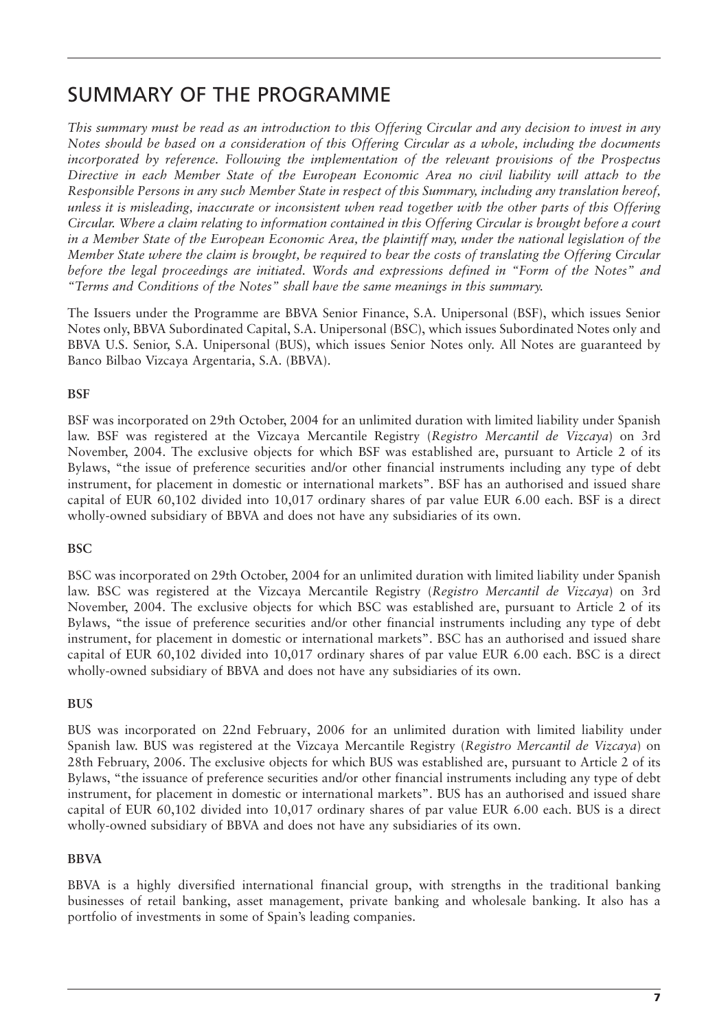### SUMMARY OF THE PROGRAMME

*This summary must be read as an introduction to this Offering Circular and any decision to invest in any Notes should be based on a consideration of this Offering Circular as a whole, including the documents incorporated by reference. Following the implementation of the relevant provisions of the Prospectus Directive in each Member State of the European Economic Area no civil liability will attach to the Responsible Persons in any such Member State in respect of this Summary, including any translation hereof, unless it is misleading, inaccurate or inconsistent when read together with the other parts of this Offering Circular. Where a claim relating to information contained in this Offering Circular is brought before a court in a Member State of the European Economic Area, the plaintiff may, under the national legislation of the Member State where the claim is brought, be required to bear the costs of translating the Offering Circular before the legal proceedings are initiated. Words and expressions defined in "Form of the Notes" and "Terms and Conditions of the Notes" shall have the same meanings in this summary.*

The Issuers under the Programme are BBVA Senior Finance, S.A. Unipersonal (BSF), which issues Senior Notes only, BBVA Subordinated Capital, S.A. Unipersonal (BSC), which issues Subordinated Notes only and BBVA U.S. Senior, S.A. Unipersonal (BUS), which issues Senior Notes only. All Notes are guaranteed by Banco Bilbao Vizcaya Argentaria, S.A. (BBVA).

#### **BSF**

BSF was incorporated on 29th October, 2004 for an unlimited duration with limited liability under Spanish law. BSF was registered at the Vizcaya Mercantile Registry (*Registro Mercantil de Vizcaya*) on 3rd November, 2004. The exclusive objects for which BSF was established are, pursuant to Article 2 of its Bylaws, "the issue of preference securities and/or other financial instruments including any type of debt instrument, for placement in domestic or international markets". BSF has an authorised and issued share capital of EUR 60,102 divided into 10,017 ordinary shares of par value EUR 6.00 each. BSF is a direct wholly-owned subsidiary of BBVA and does not have any subsidiaries of its own.

#### **BSC**

BSC was incorporated on 29th October, 2004 for an unlimited duration with limited liability under Spanish law. BSC was registered at the Vizcaya Mercantile Registry (*Registro Mercantil de Vizcaya*) on 3rd November, 2004. The exclusive objects for which BSC was established are, pursuant to Article 2 of its Bylaws, "the issue of preference securities and/or other financial instruments including any type of debt instrument, for placement in domestic or international markets". BSC has an authorised and issued share capital of EUR 60,102 divided into 10,017 ordinary shares of par value EUR 6.00 each. BSC is a direct wholly-owned subsidiary of BBVA and does not have any subsidiaries of its own.

#### **BUS**

BUS was incorporated on 22nd February, 2006 for an unlimited duration with limited liability under Spanish law. BUS was registered at the Vizcaya Mercantile Registry (*Registro Mercantil de Vizcaya*) on 28th February, 2006. The exclusive objects for which BUS was established are, pursuant to Article 2 of its Bylaws, "the issuance of preference securities and/or other financial instruments including any type of debt instrument, for placement in domestic or international markets". BUS has an authorised and issued share capital of EUR 60,102 divided into 10,017 ordinary shares of par value EUR 6.00 each. BUS is a direct wholly-owned subsidiary of BBVA and does not have any subsidiaries of its own.

#### **BBVA**

BBVA is a highly diversified international financial group, with strengths in the traditional banking businesses of retail banking, asset management, private banking and wholesale banking. It also has a portfolio of investments in some of Spain's leading companies.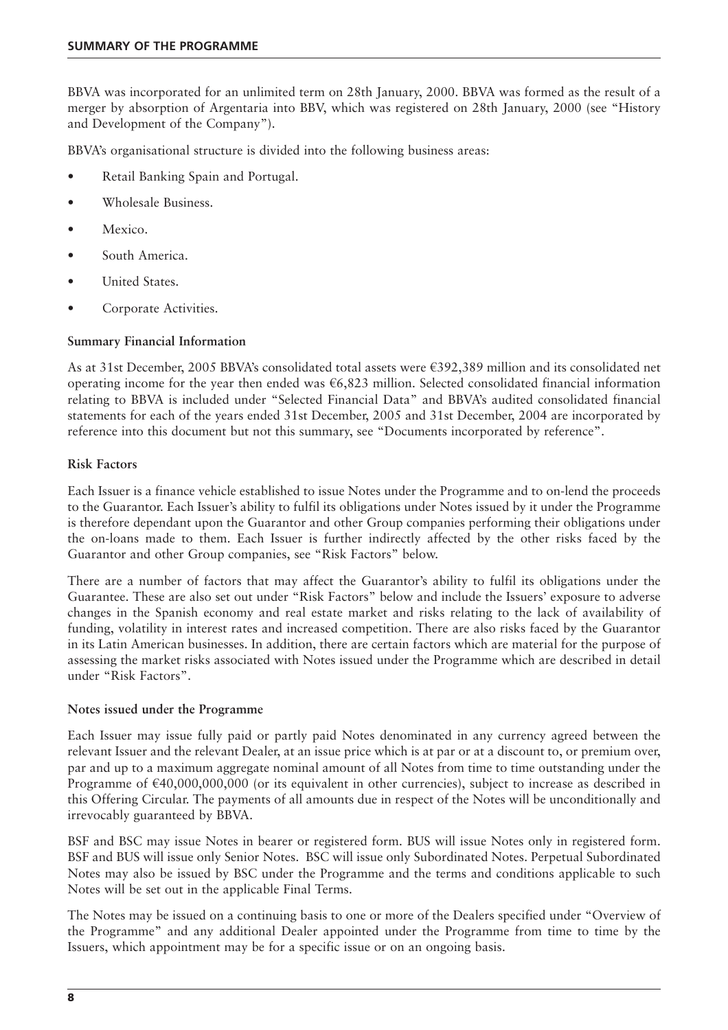BBVA was incorporated for an unlimited term on 28th January, 2000. BBVA was formed as the result of a merger by absorption of Argentaria into BBV, which was registered on 28th January, 2000 (see "History and Development of the Company").

BBVA's organisational structure is divided into the following business areas:

- Retail Banking Spain and Portugal.
- Wholesale Business.
- Mexico.
- South America.
- United States.
- Corporate Activities.

#### **Summary Financial Information**

As at 31st December, 2005 BBVA's consolidated total assets were €392,389 million and its consolidated net operating income for the year then ended was  $\epsilon$ 6,823 million. Selected consolidated financial information relating to BBVA is included under "Selected Financial Data" and BBVA's audited consolidated financial statements for each of the years ended 31st December, 2005 and 31st December, 2004 are incorporated by reference into this document but not this summary, see "Documents incorporated by reference".

#### **Risk Factors**

Each Issuer is a finance vehicle established to issue Notes under the Programme and to on-lend the proceeds to the Guarantor. Each Issuer's ability to fulfil its obligations under Notes issued by it under the Programme is therefore dependant upon the Guarantor and other Group companies performing their obligations under the on-loans made to them. Each Issuer is further indirectly affected by the other risks faced by the Guarantor and other Group companies, see "Risk Factors" below.

There are a number of factors that may affect the Guarantor's ability to fulfil its obligations under the Guarantee. These are also set out under "Risk Factors" below and include the Issuers' exposure to adverse changes in the Spanish economy and real estate market and risks relating to the lack of availability of funding, volatility in interest rates and increased competition. There are also risks faced by the Guarantor in its Latin American businesses. In addition, there are certain factors which are material for the purpose of assessing the market risks associated with Notes issued under the Programme which are described in detail under "Risk Factors".

#### **Notes issued under the Programme**

Each Issuer may issue fully paid or partly paid Notes denominated in any currency agreed between the relevant Issuer and the relevant Dealer, at an issue price which is at par or at a discount to, or premium over, par and up to a maximum aggregate nominal amount of all Notes from time to time outstanding under the Programme of €40,000,000,000 (or its equivalent in other currencies), subject to increase as described in this Offering Circular. The payments of all amounts due in respect of the Notes will be unconditionally and irrevocably guaranteed by BBVA.

BSF and BSC may issue Notes in bearer or registered form. BUS will issue Notes only in registered form. BSF and BUS will issue only Senior Notes. BSC will issue only Subordinated Notes. Perpetual Subordinated Notes may also be issued by BSC under the Programme and the terms and conditions applicable to such Notes will be set out in the applicable Final Terms.

The Notes may be issued on a continuing basis to one or more of the Dealers specified under "Overview of the Programme" and any additional Dealer appointed under the Programme from time to time by the Issuers, which appointment may be for a specific issue or on an ongoing basis.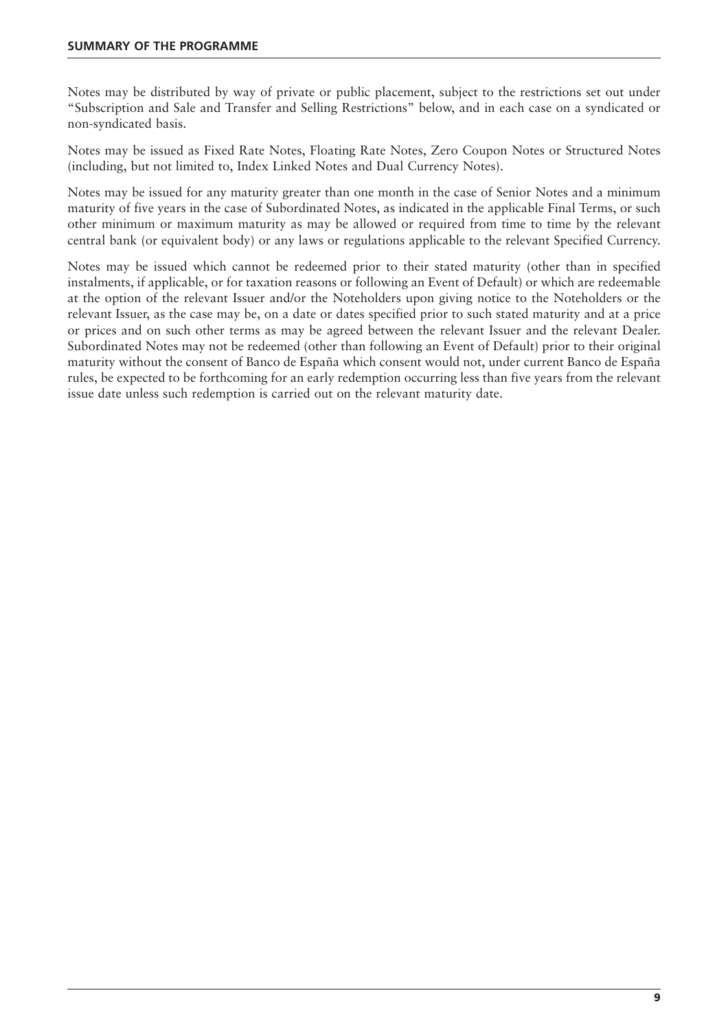Notes may be distributed by way of private or public placement, subject to the restrictions set out under "Subscription and Sale and Transfer and Selling Restrictions" below, and in each case on a syndicated or non-syndicated basis.

Notes may be issued as Fixed Rate Notes, Floating Rate Notes, Zero Coupon Notes or Structured Notes (including, but not limited to, Index Linked Notes and Dual Currency Notes).

Notes may be issued for any maturity greater than one month in the case of Senior Notes and a minimum maturity of five years in the case of Subordinated Notes, as indicated in the applicable Final Terms, or such other minimum or maximum maturity as may be allowed or required from time to time by the relevant central bank (or equivalent body) or any laws or regulations applicable to the relevant Specified Currency.

Notes may be issued which cannot be redeemed prior to their stated maturity (other than in specified instalments, if applicable, or for taxation reasons or following an Event of Default) or which are redeemable at the option of the relevant Issuer and/or the Noteholders upon giving notice to the Noteholders or the relevant Issuer, as the case may be, on a date or dates specified prior to such stated maturity and at a price or prices and on such other terms as may be agreed between the relevant Issuer and the relevant Dealer. Subordinated Notes may not be redeemed (other than following an Event of Default) prior to their original maturity without the consent of Banco de España which consent would not, under current Banco de España rules, be expected to be forthcoming for an early redemption occurring less than five years from the relevant issue date unless such redemption is carried out on the relevant maturity date.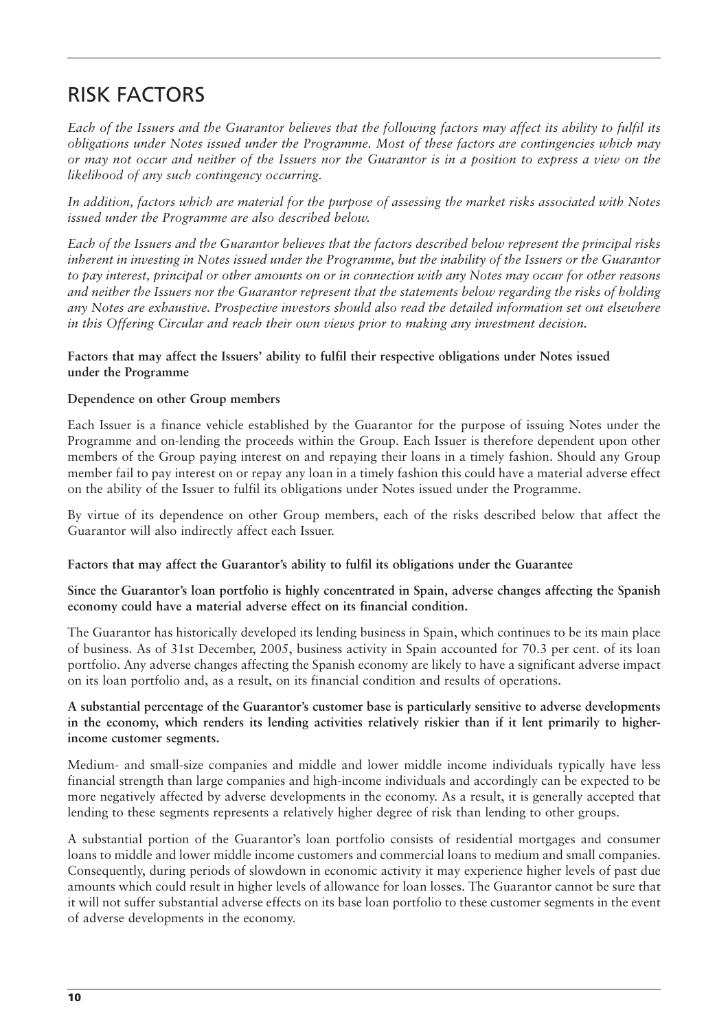### RISK FACTORS

*Each of the Issuers and the Guarantor believes that the following factors may affect its ability to fulfil its obligations under Notes issued under the Programme. Most of these factors are contingencies which may or may not occur and neither of the Issuers nor the Guarantor is in a position to express a view on the likelihood of any such contingency occurring.*

*In addition, factors which are material for the purpose of assessing the market risks associated with Notes issued under the Programme are also described below.*

*Each of the Issuers and the Guarantor believes that the factors described below represent the principal risks inherent in investing in Notes issued under the Programme, but the inability of the Issuers or the Guarantor to pay interest, principal or other amounts on or in connection with any Notes may occur for other reasons and neither the Issuers nor the Guarantor represent that the statements below regarding the risks of holding any Notes are exhaustive. Prospective investors should also read the detailed information set out elsewhere in this Offering Circular and reach their own views prior to making any investment decision.*

#### **Factors that may affect the Issuers' ability to fulfil their respective obligations under Notes issued under the Programme**

#### **Dependence on other Group members**

Each Issuer is a finance vehicle established by the Guarantor for the purpose of issuing Notes under the Programme and on-lending the proceeds within the Group. Each Issuer is therefore dependent upon other members of the Group paying interest on and repaying their loans in a timely fashion. Should any Group member fail to pay interest on or repay any loan in a timely fashion this could have a material adverse effect on the ability of the Issuer to fulfil its obligations under Notes issued under the Programme.

By virtue of its dependence on other Group members, each of the risks described below that affect the Guarantor will also indirectly affect each Issuer.

#### **Factors that may affect the Guarantor's ability to fulfil its obligations under the Guarantee**

**Since the Guarantor's loan portfolio is highly concentrated in Spain, adverse changes affecting the Spanish economy could have a material adverse effect on its financial condition.** 

The Guarantor has historically developed its lending business in Spain, which continues to be its main place of business. As of 31st December, 2005, business activity in Spain accounted for 70.3 per cent. of its loan portfolio. Any adverse changes affecting the Spanish economy are likely to have a significant adverse impact on its loan portfolio and, as a result, on its financial condition and results of operations.

#### **A substantial percentage of the Guarantor's customer base is particularly sensitive to adverse developments in the economy, which renders its lending activities relatively riskier than if it lent primarily to higherincome customer segments.**

Medium- and small-size companies and middle and lower middle income individuals typically have less financial strength than large companies and high-income individuals and accordingly can be expected to be more negatively affected by adverse developments in the economy. As a result, it is generally accepted that lending to these segments represents a relatively higher degree of risk than lending to other groups.

A substantial portion of the Guarantor's loan portfolio consists of residential mortgages and consumer loans to middle and lower middle income customers and commercial loans to medium and small companies. Consequently, during periods of slowdown in economic activity it may experience higher levels of past due amounts which could result in higher levels of allowance for loan losses. The Guarantor cannot be sure that it will not suffer substantial adverse effects on its base loan portfolio to these customer segments in the event of adverse developments in the economy.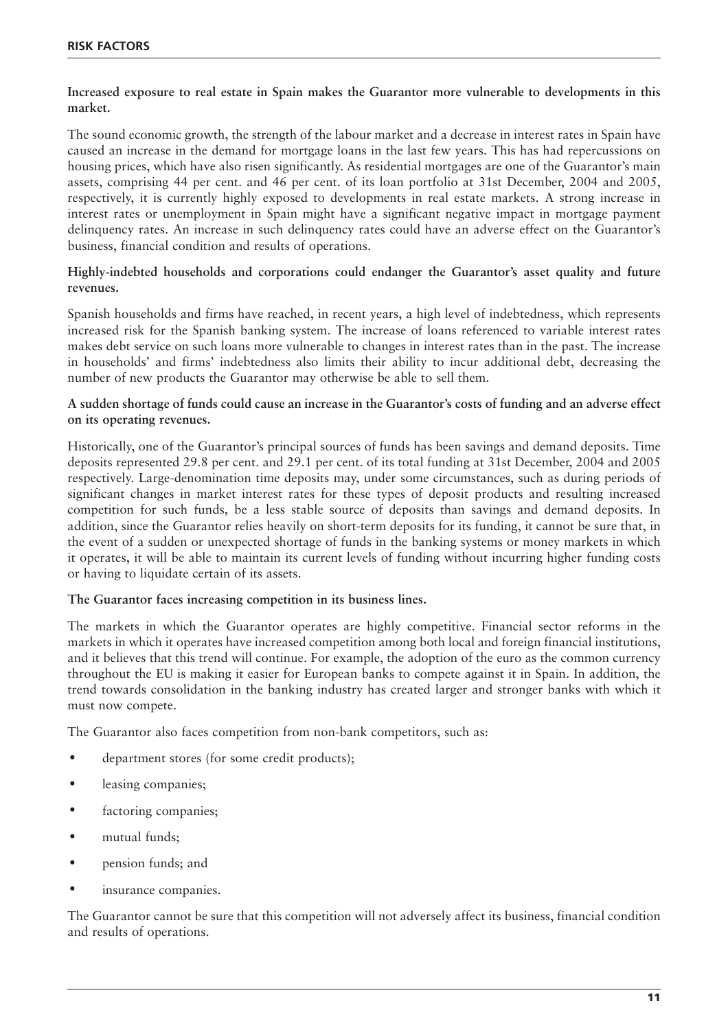#### **Increased exposure to real estate in Spain makes the Guarantor more vulnerable to developments in this market.**

The sound economic growth, the strength of the labour market and a decrease in interest rates in Spain have caused an increase in the demand for mortgage loans in the last few years. This has had repercussions on housing prices, which have also risen significantly. As residential mortgages are one of the Guarantor's main assets, comprising 44 per cent. and 46 per cent. of its loan portfolio at 31st December, 2004 and 2005, respectively, it is currently highly exposed to developments in real estate markets. A strong increase in interest rates or unemployment in Spain might have a significant negative impact in mortgage payment delinquency rates. An increase in such delinquency rates could have an adverse effect on the Guarantor's business, financial condition and results of operations.

#### **Highly-indebted households and corporations could endanger the Guarantor's asset quality and future revenues.**

Spanish households and firms have reached, in recent years, a high level of indebtedness, which represents increased risk for the Spanish banking system. The increase of loans referenced to variable interest rates makes debt service on such loans more vulnerable to changes in interest rates than in the past. The increase in households' and firms' indebtedness also limits their ability to incur additional debt, decreasing the number of new products the Guarantor may otherwise be able to sell them.

#### **A sudden shortage of funds could cause an increase in the Guarantor's costs of funding and an adverse effect on its operating revenues.**

Historically, one of the Guarantor's principal sources of funds has been savings and demand deposits. Time deposits represented 29.8 per cent. and 29.1 per cent. of its total funding at 31st December, 2004 and 2005 respectively. Large-denomination time deposits may, under some circumstances, such as during periods of significant changes in market interest rates for these types of deposit products and resulting increased competition for such funds, be a less stable source of deposits than savings and demand deposits. In addition, since the Guarantor relies heavily on short-term deposits for its funding, it cannot be sure that, in the event of a sudden or unexpected shortage of funds in the banking systems or money markets in which it operates, it will be able to maintain its current levels of funding without incurring higher funding costs or having to liquidate certain of its assets.

#### **The Guarantor faces increasing competition in its business lines.**

The markets in which the Guarantor operates are highly competitive. Financial sector reforms in the markets in which it operates have increased competition among both local and foreign financial institutions, and it believes that this trend will continue. For example, the adoption of the euro as the common currency throughout the EU is making it easier for European banks to compete against it in Spain. In addition, the trend towards consolidation in the banking industry has created larger and stronger banks with which it must now compete.

The Guarantor also faces competition from non-bank competitors, such as:

- department stores (for some credit products);
- leasing companies;
- factoring companies;
- mutual funds;
- pension funds; and
- insurance companies.

The Guarantor cannot be sure that this competition will not adversely affect its business, financial condition and results of operations.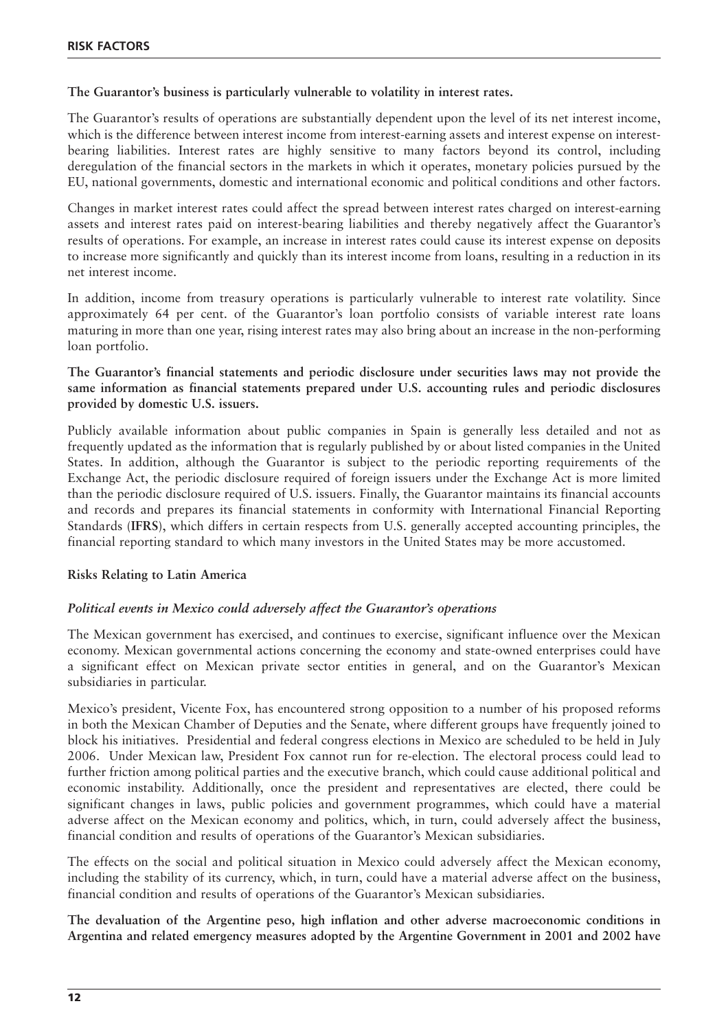#### **The Guarantor's business is particularly vulnerable to volatility in interest rates.**

The Guarantor's results of operations are substantially dependent upon the level of its net interest income, which is the difference between interest income from interest-earning assets and interest expense on interestbearing liabilities. Interest rates are highly sensitive to many factors beyond its control, including deregulation of the financial sectors in the markets in which it operates, monetary policies pursued by the EU, national governments, domestic and international economic and political conditions and other factors.

Changes in market interest rates could affect the spread between interest rates charged on interest-earning assets and interest rates paid on interest-bearing liabilities and thereby negatively affect the Guarantor's results of operations. For example, an increase in interest rates could cause its interest expense on deposits to increase more significantly and quickly than its interest income from loans, resulting in a reduction in its net interest income.

In addition, income from treasury operations is particularly vulnerable to interest rate volatility. Since approximately 64 per cent. of the Guarantor's loan portfolio consists of variable interest rate loans maturing in more than one year, rising interest rates may also bring about an increase in the non-performing loan portfolio.

#### **The Guarantor's financial statements and periodic disclosure under securities laws may not provide the same information as financial statements prepared under U.S. accounting rules and periodic disclosures provided by domestic U.S. issuers.**

Publicly available information about public companies in Spain is generally less detailed and not as frequently updated as the information that is regularly published by or about listed companies in the United States. In addition, although the Guarantor is subject to the periodic reporting requirements of the Exchange Act, the periodic disclosure required of foreign issuers under the Exchange Act is more limited than the periodic disclosure required of U.S. issuers. Finally, the Guarantor maintains its financial accounts and records and prepares its financial statements in conformity with International Financial Reporting Standards (**IFRS**), which differs in certain respects from U.S. generally accepted accounting principles, the financial reporting standard to which many investors in the United States may be more accustomed.

#### **Risks Relating to Latin America**

#### *Political events in Mexico could adversely affect the Guarantor's operations*

The Mexican government has exercised, and continues to exercise, significant influence over the Mexican economy. Mexican governmental actions concerning the economy and state-owned enterprises could have a significant effect on Mexican private sector entities in general, and on the Guarantor's Mexican subsidiaries in particular.

Mexico's president, Vicente Fox, has encountered strong opposition to a number of his proposed reforms in both the Mexican Chamber of Deputies and the Senate, where different groups have frequently joined to block his initiatives. Presidential and federal congress elections in Mexico are scheduled to be held in July 2006. Under Mexican law, President Fox cannot run for re-election. The electoral process could lead to further friction among political parties and the executive branch, which could cause additional political and economic instability. Additionally, once the president and representatives are elected, there could be significant changes in laws, public policies and government programmes, which could have a material adverse affect on the Mexican economy and politics, which, in turn, could adversely affect the business, financial condition and results of operations of the Guarantor's Mexican subsidiaries.

The effects on the social and political situation in Mexico could adversely affect the Mexican economy, including the stability of its currency, which, in turn, could have a material adverse affect on the business, financial condition and results of operations of the Guarantor's Mexican subsidiaries.

**The devaluation of the Argentine peso, high inflation and other adverse macroeconomic conditions in Argentina and related emergency measures adopted by the Argentine Government in 2001 and 2002 have**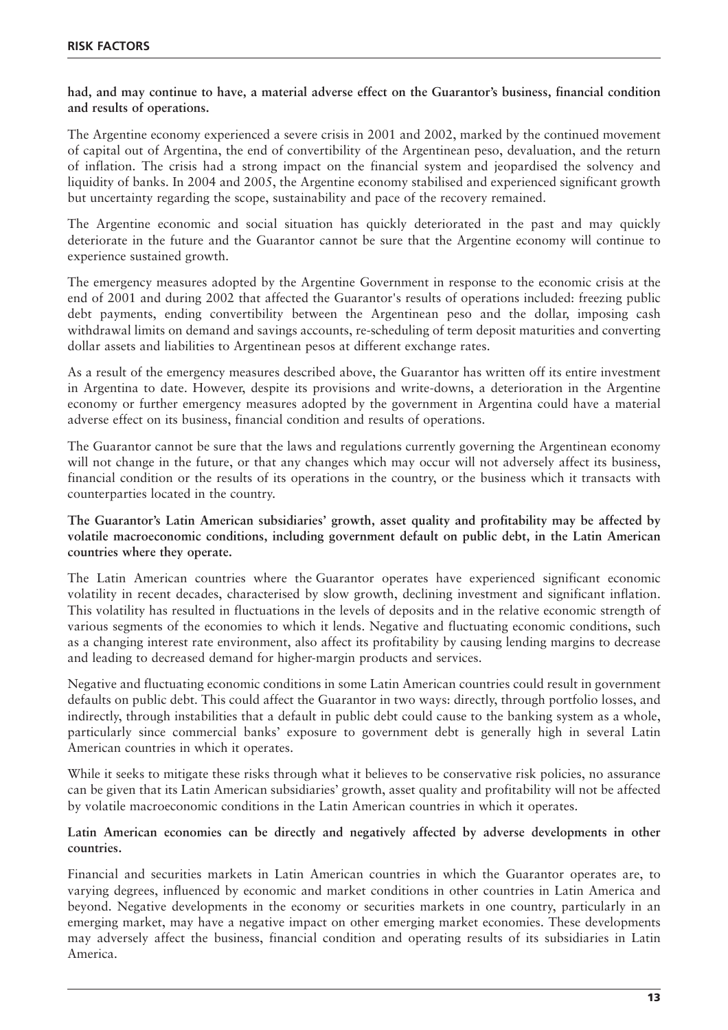#### **had, and may continue to have, a material adverse effect on the Guarantor's business, financial condition and results of operations.**

The Argentine economy experienced a severe crisis in 2001 and 2002, marked by the continued movement of capital out of Argentina, the end of convertibility of the Argentinean peso, devaluation, and the return of inflation. The crisis had a strong impact on the financial system and jeopardised the solvency and liquidity of banks. In 2004 and 2005, the Argentine economy stabilised and experienced significant growth but uncertainty regarding the scope, sustainability and pace of the recovery remained.

The Argentine economic and social situation has quickly deteriorated in the past and may quickly deteriorate in the future and the Guarantor cannot be sure that the Argentine economy will continue to experience sustained growth.

The emergency measures adopted by the Argentine Government in response to the economic crisis at the end of 2001 and during 2002 that affected the Guarantor's results of operations included: freezing public debt payments, ending convertibility between the Argentinean peso and the dollar, imposing cash withdrawal limits on demand and savings accounts, re-scheduling of term deposit maturities and converting dollar assets and liabilities to Argentinean pesos at different exchange rates.

As a result of the emergency measures described above, the Guarantor has written off its entire investment in Argentina to date. However, despite its provisions and write-downs, a deterioration in the Argentine economy or further emergency measures adopted by the government in Argentina could have a material adverse effect on its business, financial condition and results of operations.

The Guarantor cannot be sure that the laws and regulations currently governing the Argentinean economy will not change in the future, or that any changes which may occur will not adversely affect its business, financial condition or the results of its operations in the country, or the business which it transacts with counterparties located in the country.

**The Guarantor's Latin American subsidiaries' growth, asset quality and profitability may be affected by volatile macroeconomic conditions, including government default on public debt, in the Latin American countries where they operate.** 

The Latin American countries where the Guarantor operates have experienced significant economic volatility in recent decades, characterised by slow growth, declining investment and significant inflation. This volatility has resulted in fluctuations in the levels of deposits and in the relative economic strength of various segments of the economies to which it lends. Negative and fluctuating economic conditions, such as a changing interest rate environment, also affect its profitability by causing lending margins to decrease and leading to decreased demand for higher-margin products and services.

Negative and fluctuating economic conditions in some Latin American countries could result in government defaults on public debt. This could affect the Guarantor in two ways: directly, through portfolio losses, and indirectly, through instabilities that a default in public debt could cause to the banking system as a whole, particularly since commercial banks' exposure to government debt is generally high in several Latin American countries in which it operates.

While it seeks to mitigate these risks through what it believes to be conservative risk policies, no assurance can be given that its Latin American subsidiaries' growth, asset quality and profitability will not be affected by volatile macroeconomic conditions in the Latin American countries in which it operates.

#### **Latin American economies can be directly and negatively affected by adverse developments in other countries.**

Financial and securities markets in Latin American countries in which the Guarantor operates are, to varying degrees, influenced by economic and market conditions in other countries in Latin America and beyond. Negative developments in the economy or securities markets in one country, particularly in an emerging market, may have a negative impact on other emerging market economies. These developments may adversely affect the business, financial condition and operating results of its subsidiaries in Latin America.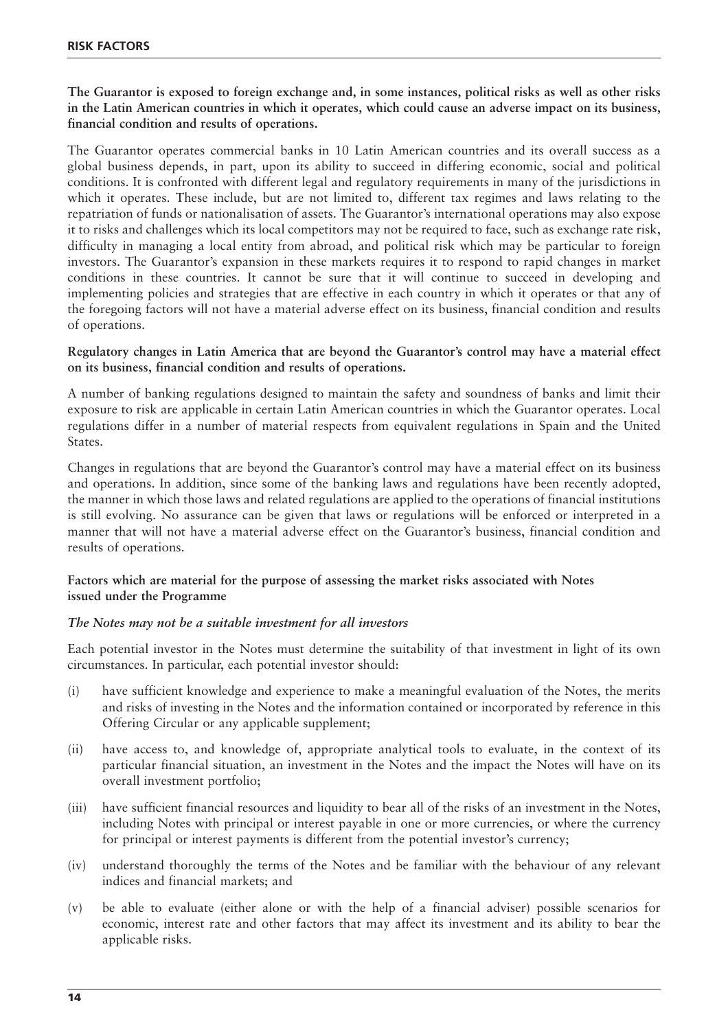**The Guarantor is exposed to foreign exchange and, in some instances, political risks as well as other risks in the Latin American countries in which it operates, which could cause an adverse impact on its business, financial condition and results of operations.** 

The Guarantor operates commercial banks in 10 Latin American countries and its overall success as a global business depends, in part, upon its ability to succeed in differing economic, social and political conditions. It is confronted with different legal and regulatory requirements in many of the jurisdictions in which it operates. These include, but are not limited to, different tax regimes and laws relating to the repatriation of funds or nationalisation of assets. The Guarantor's international operations may also expose it to risks and challenges which its local competitors may not be required to face, such as exchange rate risk, difficulty in managing a local entity from abroad, and political risk which may be particular to foreign investors. The Guarantor's expansion in these markets requires it to respond to rapid changes in market conditions in these countries. It cannot be sure that it will continue to succeed in developing and implementing policies and strategies that are effective in each country in which it operates or that any of the foregoing factors will not have a material adverse effect on its business, financial condition and results of operations.

#### **Regulatory changes in Latin America that are beyond the Guarantor's control may have a material effect on its business, financial condition and results of operations.**

A number of banking regulations designed to maintain the safety and soundness of banks and limit their exposure to risk are applicable in certain Latin American countries in which the Guarantor operates. Local regulations differ in a number of material respects from equivalent regulations in Spain and the United States.

Changes in regulations that are beyond the Guarantor's control may have a material effect on its business and operations. In addition, since some of the banking laws and regulations have been recently adopted, the manner in which those laws and related regulations are applied to the operations of financial institutions is still evolving. No assurance can be given that laws or regulations will be enforced or interpreted in a manner that will not have a material adverse effect on the Guarantor's business, financial condition and results of operations.

#### **Factors which are material for the purpose of assessing the market risks associated with Notes issued under the Programme**

#### *The Notes may not be a suitable investment for all investors*

Each potential investor in the Notes must determine the suitability of that investment in light of its own circumstances. In particular, each potential investor should:

- (i) have sufficient knowledge and experience to make a meaningful evaluation of the Notes, the merits and risks of investing in the Notes and the information contained or incorporated by reference in this Offering Circular or any applicable supplement;
- (ii) have access to, and knowledge of, appropriate analytical tools to evaluate, in the context of its particular financial situation, an investment in the Notes and the impact the Notes will have on its overall investment portfolio;
- (iii) have sufficient financial resources and liquidity to bear all of the risks of an investment in the Notes, including Notes with principal or interest payable in one or more currencies, or where the currency for principal or interest payments is different from the potential investor's currency;
- (iv) understand thoroughly the terms of the Notes and be familiar with the behaviour of any relevant indices and financial markets; and
- (v) be able to evaluate (either alone or with the help of a financial adviser) possible scenarios for economic, interest rate and other factors that may affect its investment and its ability to bear the applicable risks.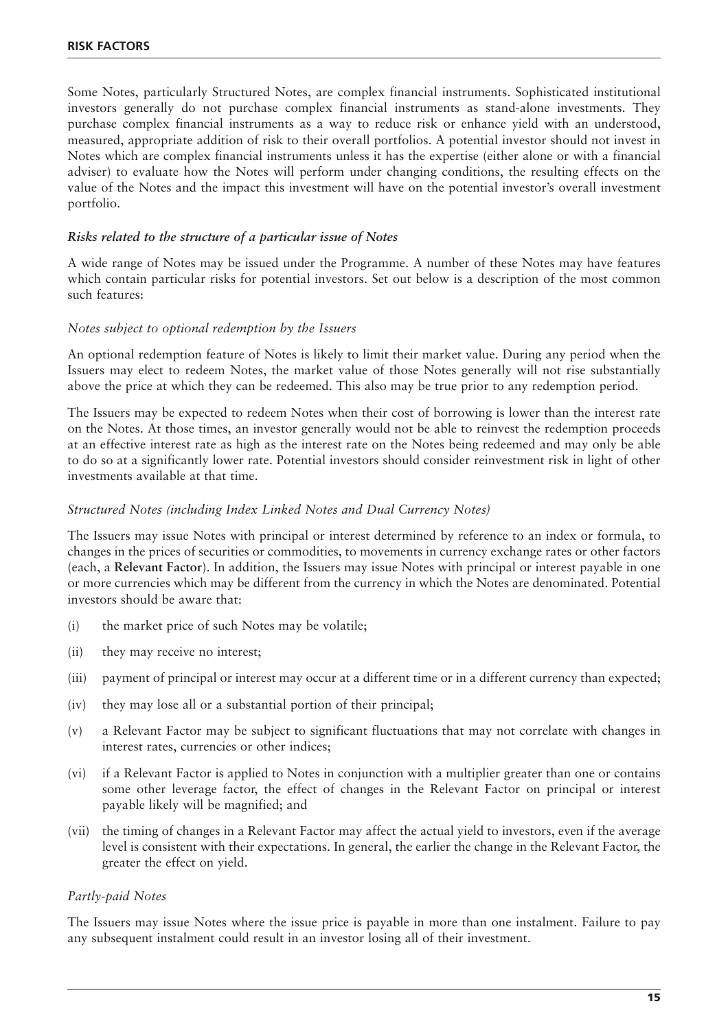Some Notes, particularly Structured Notes, are complex financial instruments. Sophisticated institutional investors generally do not purchase complex financial instruments as stand-alone investments. They purchase complex financial instruments as a way to reduce risk or enhance yield with an understood, measured, appropriate addition of risk to their overall portfolios. A potential investor should not invest in Notes which are complex financial instruments unless it has the expertise (either alone or with a financial adviser) to evaluate how the Notes will perform under changing conditions, the resulting effects on the value of the Notes and the impact this investment will have on the potential investor's overall investment portfolio.

#### *Risks related to the structure of a particular issue of Notes*

A wide range of Notes may be issued under the Programme. A number of these Notes may have features which contain particular risks for potential investors. Set out below is a description of the most common such features:

#### *Notes subject to optional redemption by the Issuers*

An optional redemption feature of Notes is likely to limit their market value. During any period when the Issuers may elect to redeem Notes, the market value of those Notes generally will not rise substantially above the price at which they can be redeemed. This also may be true prior to any redemption period.

The Issuers may be expected to redeem Notes when their cost of borrowing is lower than the interest rate on the Notes. At those times, an investor generally would not be able to reinvest the redemption proceeds at an effective interest rate as high as the interest rate on the Notes being redeemed and may only be able to do so at a significantly lower rate. Potential investors should consider reinvestment risk in light of other investments available at that time.

#### *Structured Notes (including Index Linked Notes and Dual Currency Notes)*

The Issuers may issue Notes with principal or interest determined by reference to an index or formula, to changes in the prices of securities or commodities, to movements in currency exchange rates or other factors (each, a **Relevant Factor**). In addition, the Issuers may issue Notes with principal or interest payable in one or more currencies which may be different from the currency in which the Notes are denominated. Potential investors should be aware that:

- (i) the market price of such Notes may be volatile;
- (ii) they may receive no interest;
- (iii) payment of principal or interest may occur at a different time or in a different currency than expected;
- (iv) they may lose all or a substantial portion of their principal;
- (v) a Relevant Factor may be subject to significant fluctuations that may not correlate with changes in interest rates, currencies or other indices;
- (vi) if a Relevant Factor is applied to Notes in conjunction with a multiplier greater than one or contains some other leverage factor, the effect of changes in the Relevant Factor on principal or interest payable likely will be magnified; and
- (vii) the timing of changes in a Relevant Factor may affect the actual yield to investors, even if the average level is consistent with their expectations. In general, the earlier the change in the Relevant Factor, the greater the effect on yield.

#### *Partly-paid Notes*

The Issuers may issue Notes where the issue price is payable in more than one instalment. Failure to pay any subsequent instalment could result in an investor losing all of their investment.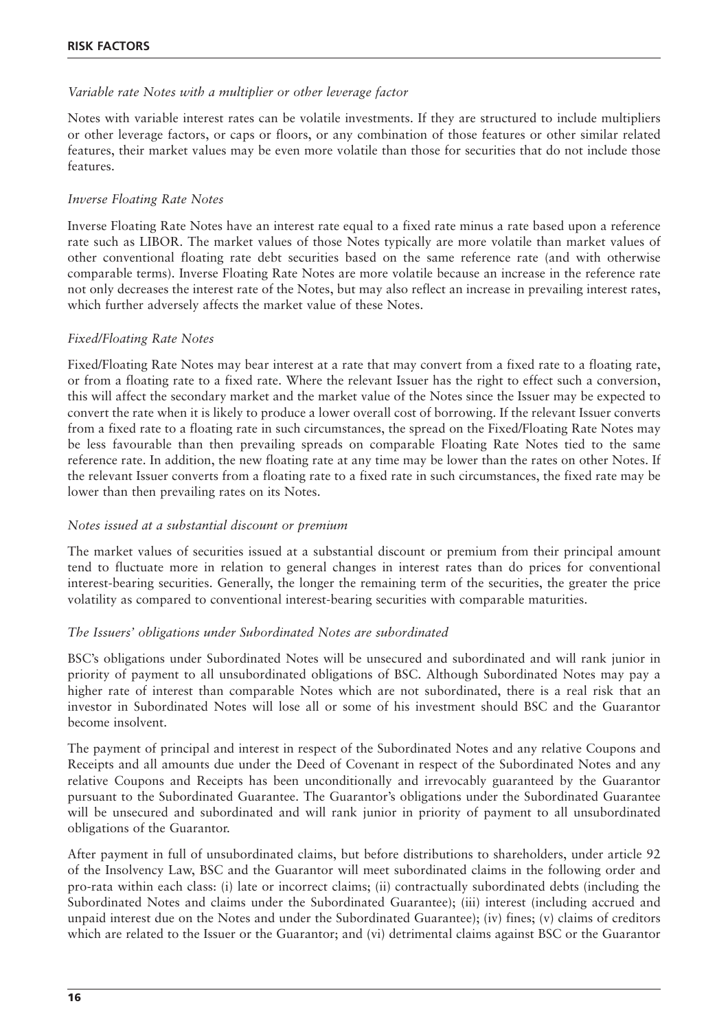#### *Variable rate Notes with a multiplier or other leverage factor*

Notes with variable interest rates can be volatile investments. If they are structured to include multipliers or other leverage factors, or caps or floors, or any combination of those features or other similar related features, their market values may be even more volatile than those for securities that do not include those features.

#### *Inverse Floating Rate Notes*

Inverse Floating Rate Notes have an interest rate equal to a fixed rate minus a rate based upon a reference rate such as LIBOR. The market values of those Notes typically are more volatile than market values of other conventional floating rate debt securities based on the same reference rate (and with otherwise comparable terms). Inverse Floating Rate Notes are more volatile because an increase in the reference rate not only decreases the interest rate of the Notes, but may also reflect an increase in prevailing interest rates, which further adversely affects the market value of these Notes.

#### *Fixed/Floating Rate Notes*

Fixed/Floating Rate Notes may bear interest at a rate that may convert from a fixed rate to a floating rate, or from a floating rate to a fixed rate. Where the relevant Issuer has the right to effect such a conversion, this will affect the secondary market and the market value of the Notes since the Issuer may be expected to convert the rate when it is likely to produce a lower overall cost of borrowing. If the relevant Issuer converts from a fixed rate to a floating rate in such circumstances, the spread on the Fixed/Floating Rate Notes may be less favourable than then prevailing spreads on comparable Floating Rate Notes tied to the same reference rate. In addition, the new floating rate at any time may be lower than the rates on other Notes. If the relevant Issuer converts from a floating rate to a fixed rate in such circumstances, the fixed rate may be lower than then prevailing rates on its Notes.

#### *Notes issued at a substantial discount or premium*

The market values of securities issued at a substantial discount or premium from their principal amount tend to fluctuate more in relation to general changes in interest rates than do prices for conventional interest-bearing securities. Generally, the longer the remaining term of the securities, the greater the price volatility as compared to conventional interest-bearing securities with comparable maturities.

#### *The Issuers' obligations under Subordinated Notes are subordinated*

BSC's obligations under Subordinated Notes will be unsecured and subordinated and will rank junior in priority of payment to all unsubordinated obligations of BSC. Although Subordinated Notes may pay a higher rate of interest than comparable Notes which are not subordinated, there is a real risk that an investor in Subordinated Notes will lose all or some of his investment should BSC and the Guarantor become insolvent.

The payment of principal and interest in respect of the Subordinated Notes and any relative Coupons and Receipts and all amounts due under the Deed of Covenant in respect of the Subordinated Notes and any relative Coupons and Receipts has been unconditionally and irrevocably guaranteed by the Guarantor pursuant to the Subordinated Guarantee. The Guarantor's obligations under the Subordinated Guarantee will be unsecured and subordinated and will rank junior in priority of payment to all unsubordinated obligations of the Guarantor.

After payment in full of unsubordinated claims, but before distributions to shareholders, under article 92 of the Insolvency Law, BSC and the Guarantor will meet subordinated claims in the following order and pro-rata within each class: (i) late or incorrect claims; (ii) contractually subordinated debts (including the Subordinated Notes and claims under the Subordinated Guarantee); (iii) interest (including accrued and unpaid interest due on the Notes and under the Subordinated Guarantee); (iv) fines; (v) claims of creditors which are related to the Issuer or the Guarantor; and (vi) detrimental claims against BSC or the Guarantor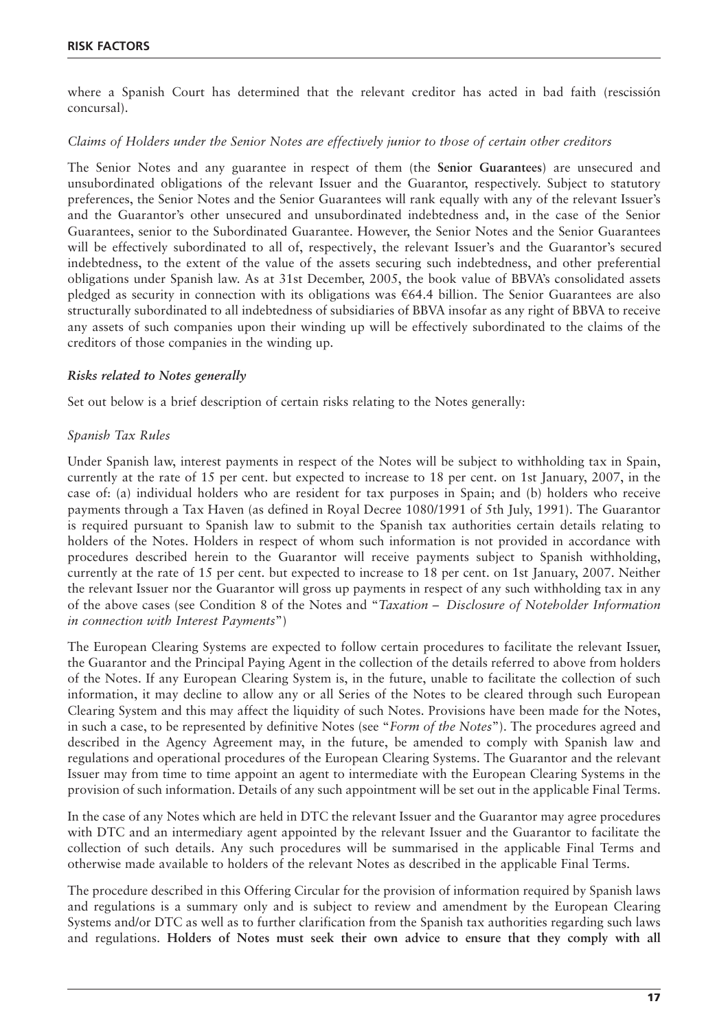#### **RISK FACTORS**

where a Spanish Court has determined that the relevant creditor has acted in bad faith (rescissión concursal).

#### *Claims of Holders under the Senior Notes are effectively junior to those of certain other creditors*

The Senior Notes and any guarantee in respect of them (the **Senior Guarantees**) are unsecured and unsubordinated obligations of the relevant Issuer and the Guarantor, respectively. Subject to statutory preferences, the Senior Notes and the Senior Guarantees will rank equally with any of the relevant Issuer's and the Guarantor's other unsecured and unsubordinated indebtedness and, in the case of the Senior Guarantees, senior to the Subordinated Guarantee. However, the Senior Notes and the Senior Guarantees will be effectively subordinated to all of, respectively, the relevant Issuer's and the Guarantor's secured indebtedness, to the extent of the value of the assets securing such indebtedness, and other preferential obligations under Spanish law. As at 31st December, 2005, the book value of BBVA's consolidated assets pledged as security in connection with its obligations was  $\epsilon$ 64.4 billion. The Senior Guarantees are also structurally subordinated to all indebtedness of subsidiaries of BBVA insofar as any right of BBVA to receive any assets of such companies upon their winding up will be effectively subordinated to the claims of the creditors of those companies in the winding up.

#### *Risks related to Notes generally*

Set out below is a brief description of certain risks relating to the Notes generally:

#### *Spanish Tax Rules*

Under Spanish law, interest payments in respect of the Notes will be subject to withholding tax in Spain, currently at the rate of 15 per cent. but expected to increase to 18 per cent. on 1st January, 2007, in the case of: (a) individual holders who are resident for tax purposes in Spain; and (b) holders who receive payments through a Tax Haven (as defined in Royal Decree 1080/1991 of 5th July, 1991). The Guarantor is required pursuant to Spanish law to submit to the Spanish tax authorities certain details relating to holders of the Notes. Holders in respect of whom such information is not provided in accordance with procedures described herein to the Guarantor will receive payments subject to Spanish withholding, currently at the rate of 15 per cent. but expected to increase to 18 per cent. on 1st January, 2007. Neither the relevant Issuer nor the Guarantor will gross up payments in respect of any such withholding tax in any of the above cases (see Condition 8 of the Notes and "*Taxation – Disclosure of Noteholder Information in connection with Interest Payments*")

The European Clearing Systems are expected to follow certain procedures to facilitate the relevant Issuer, the Guarantor and the Principal Paying Agent in the collection of the details referred to above from holders of the Notes. If any European Clearing System is, in the future, unable to facilitate the collection of such information, it may decline to allow any or all Series of the Notes to be cleared through such European Clearing System and this may affect the liquidity of such Notes. Provisions have been made for the Notes, in such a case, to be represented by definitive Notes (see "*Form of the Notes*"). The procedures agreed and described in the Agency Agreement may, in the future, be amended to comply with Spanish law and regulations and operational procedures of the European Clearing Systems. The Guarantor and the relevant Issuer may from time to time appoint an agent to intermediate with the European Clearing Systems in the provision of such information. Details of any such appointment will be set out in the applicable Final Terms.

In the case of any Notes which are held in DTC the relevant Issuer and the Guarantor may agree procedures with DTC and an intermediary agent appointed by the relevant Issuer and the Guarantor to facilitate the collection of such details. Any such procedures will be summarised in the applicable Final Terms and otherwise made available to holders of the relevant Notes as described in the applicable Final Terms.

The procedure described in this Offering Circular for the provision of information required by Spanish laws and regulations is a summary only and is subject to review and amendment by the European Clearing Systems and/or DTC as well as to further clarification from the Spanish tax authorities regarding such laws and regulations. **Holders of Notes must seek their own advice to ensure that they comply with all**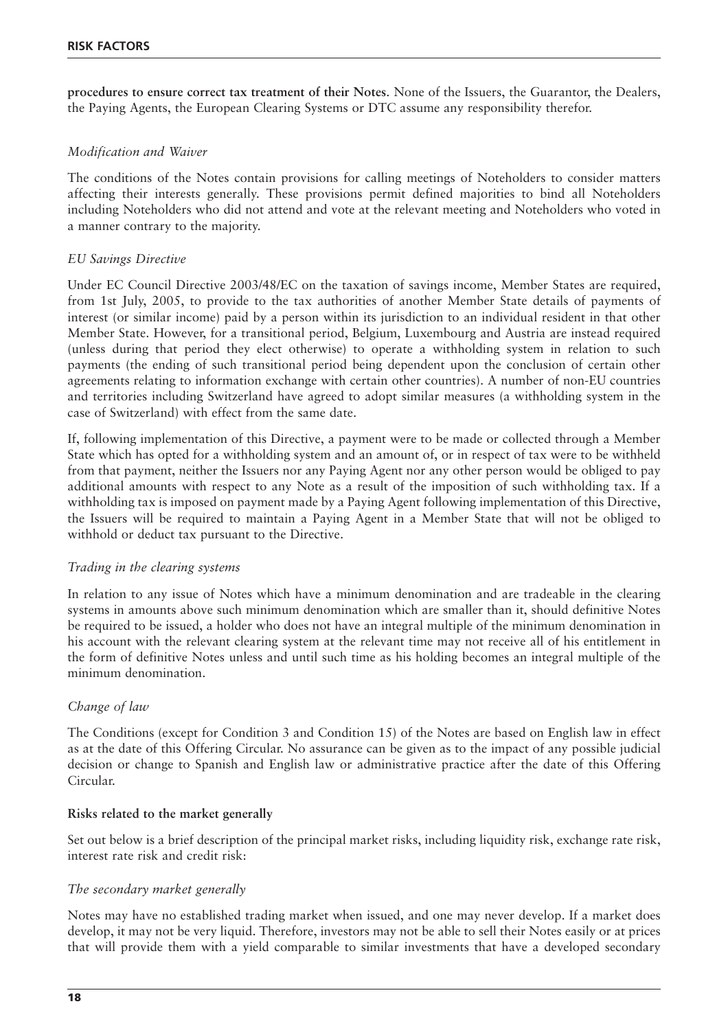**procedures to ensure correct tax treatment of their Notes**. None of the Issuers, the Guarantor, the Dealers, the Paying Agents, the European Clearing Systems or DTC assume any responsibility therefor.

#### *Modification and Waiver*

The conditions of the Notes contain provisions for calling meetings of Noteholders to consider matters affecting their interests generally. These provisions permit defined majorities to bind all Noteholders including Noteholders who did not attend and vote at the relevant meeting and Noteholders who voted in a manner contrary to the majority.

#### *EU Savings Directive*

Under EC Council Directive 2003/48/EC on the taxation of savings income, Member States are required, from 1st July, 2005, to provide to the tax authorities of another Member State details of payments of interest (or similar income) paid by a person within its jurisdiction to an individual resident in that other Member State. However, for a transitional period, Belgium, Luxembourg and Austria are instead required (unless during that period they elect otherwise) to operate a withholding system in relation to such payments (the ending of such transitional period being dependent upon the conclusion of certain other agreements relating to information exchange with certain other countries). A number of non-EU countries and territories including Switzerland have agreed to adopt similar measures (a withholding system in the case of Switzerland) with effect from the same date.

If, following implementation of this Directive, a payment were to be made or collected through a Member State which has opted for a withholding system and an amount of, or in respect of tax were to be withheld from that payment, neither the Issuers nor any Paying Agent nor any other person would be obliged to pay additional amounts with respect to any Note as a result of the imposition of such withholding tax. If a withholding tax is imposed on payment made by a Paying Agent following implementation of this Directive, the Issuers will be required to maintain a Paying Agent in a Member State that will not be obliged to withhold or deduct tax pursuant to the Directive.

#### *Trading in the clearing systems*

In relation to any issue of Notes which have a minimum denomination and are tradeable in the clearing systems in amounts above such minimum denomination which are smaller than it, should definitive Notes be required to be issued, a holder who does not have an integral multiple of the minimum denomination in his account with the relevant clearing system at the relevant time may not receive all of his entitlement in the form of definitive Notes unless and until such time as his holding becomes an integral multiple of the minimum denomination.

#### *Change of law*

The Conditions (except for Condition 3 and Condition 15) of the Notes are based on English law in effect as at the date of this Offering Circular. No assurance can be given as to the impact of any possible judicial decision or change to Spanish and English law or administrative practice after the date of this Offering Circular.

#### **Risks related to the market generally**

Set out below is a brief description of the principal market risks, including liquidity risk, exchange rate risk, interest rate risk and credit risk:

#### *The secondary market generally*

Notes may have no established trading market when issued, and one may never develop. If a market does develop, it may not be very liquid. Therefore, investors may not be able to sell their Notes easily or at prices that will provide them with a yield comparable to similar investments that have a developed secondary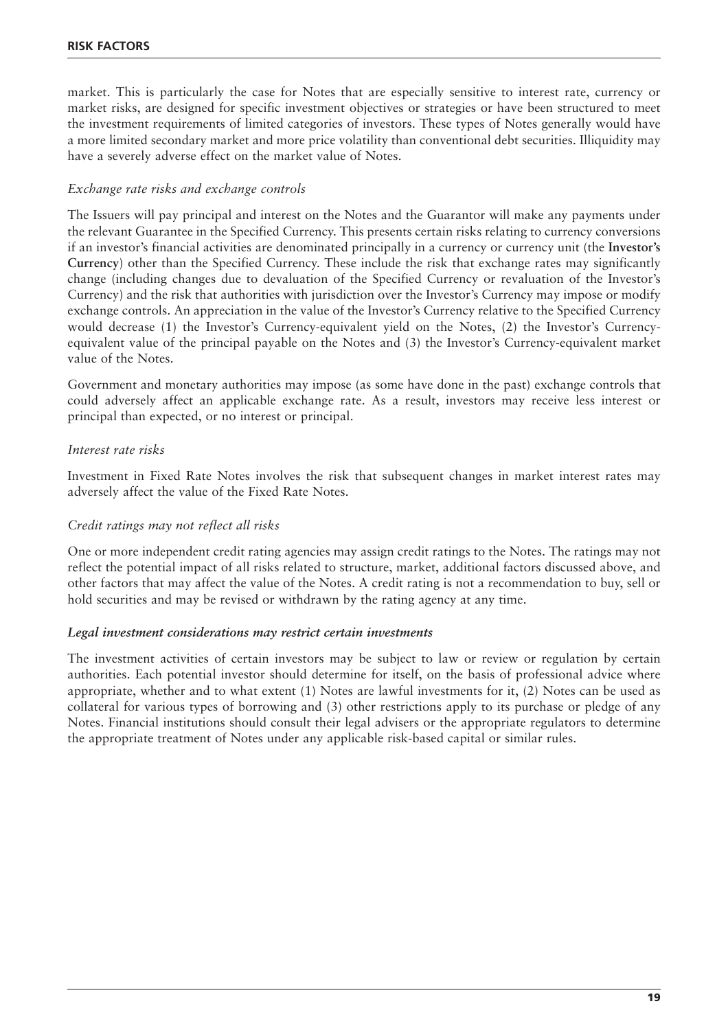market. This is particularly the case for Notes that are especially sensitive to interest rate, currency or market risks, are designed for specific investment objectives or strategies or have been structured to meet the investment requirements of limited categories of investors. These types of Notes generally would have a more limited secondary market and more price volatility than conventional debt securities. Illiquidity may have a severely adverse effect on the market value of Notes.

#### *Exchange rate risks and exchange controls*

The Issuers will pay principal and interest on the Notes and the Guarantor will make any payments under the relevant Guarantee in the Specified Currency. This presents certain risks relating to currency conversions if an investor's financial activities are denominated principally in a currency or currency unit (the **Investor's Currency**) other than the Specified Currency. These include the risk that exchange rates may significantly change (including changes due to devaluation of the Specified Currency or revaluation of the Investor's Currency) and the risk that authorities with jurisdiction over the Investor's Currency may impose or modify exchange controls. An appreciation in the value of the Investor's Currency relative to the Specified Currency would decrease (1) the Investor's Currency-equivalent yield on the Notes, (2) the Investor's Currencyequivalent value of the principal payable on the Notes and (3) the Investor's Currency-equivalent market value of the Notes.

Government and monetary authorities may impose (as some have done in the past) exchange controls that could adversely affect an applicable exchange rate. As a result, investors may receive less interest or principal than expected, or no interest or principal.

#### *Interest rate risks*

Investment in Fixed Rate Notes involves the risk that subsequent changes in market interest rates may adversely affect the value of the Fixed Rate Notes.

#### *Credit ratings may not reflect all risks*

One or more independent credit rating agencies may assign credit ratings to the Notes. The ratings may not reflect the potential impact of all risks related to structure, market, additional factors discussed above, and other factors that may affect the value of the Notes. A credit rating is not a recommendation to buy, sell or hold securities and may be revised or withdrawn by the rating agency at any time.

#### *Legal investment considerations may restrict certain investments*

The investment activities of certain investors may be subject to law or review or regulation by certain authorities. Each potential investor should determine for itself, on the basis of professional advice where appropriate, whether and to what extent (1) Notes are lawful investments for it, (2) Notes can be used as collateral for various types of borrowing and (3) other restrictions apply to its purchase or pledge of any Notes. Financial institutions should consult their legal advisers or the appropriate regulators to determine the appropriate treatment of Notes under any applicable risk-based capital or similar rules.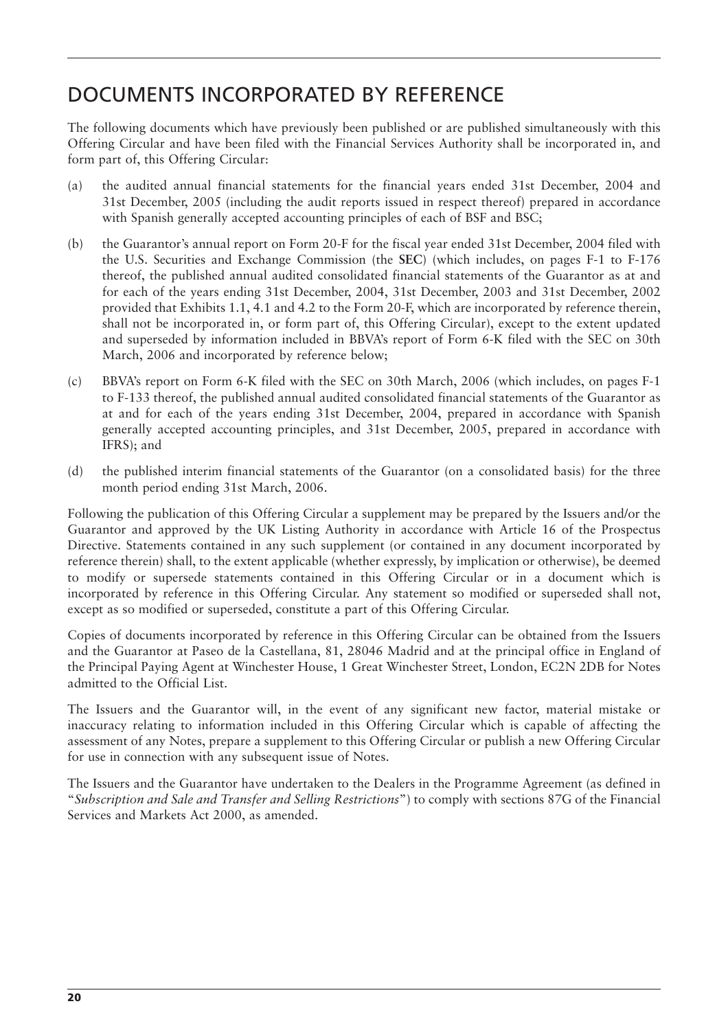### DOCUMENTS INCORPORATED BY REFERENCE

The following documents which have previously been published or are published simultaneously with this Offering Circular and have been filed with the Financial Services Authority shall be incorporated in, and form part of, this Offering Circular:

- (a) the audited annual financial statements for the financial years ended 31st December, 2004 and 31st December, 2005 (including the audit reports issued in respect thereof) prepared in accordance with Spanish generally accepted accounting principles of each of BSF and BSC;
- (b) the Guarantor's annual report on Form 20-F for the fiscal year ended 31st December, 2004 filed with the U.S. Securities and Exchange Commission (the **SEC**) (which includes, on pages F-1 to F-176 thereof, the published annual audited consolidated financial statements of the Guarantor as at and for each of the years ending 31st December, 2004, 31st December, 2003 and 31st December, 2002 provided that Exhibits 1.1, 4.1 and 4.2 to the Form 20-F, which are incorporated by reference therein, shall not be incorporated in, or form part of, this Offering Circular), except to the extent updated and superseded by information included in BBVA's report of Form 6-K filed with the SEC on 30th March, 2006 and incorporated by reference below;
- (c) BBVA's report on Form 6-K filed with the SEC on 30th March, 2006 (which includes, on pages F-1 to F-133 thereof, the published annual audited consolidated financial statements of the Guarantor as at and for each of the years ending 31st December, 2004, prepared in accordance with Spanish generally accepted accounting principles, and 31st December, 2005, prepared in accordance with IFRS); and
- (d) the published interim financial statements of the Guarantor (on a consolidated basis) for the three month period ending 31st March, 2006.

Following the publication of this Offering Circular a supplement may be prepared by the Issuers and/or the Guarantor and approved by the UK Listing Authority in accordance with Article 16 of the Prospectus Directive. Statements contained in any such supplement (or contained in any document incorporated by reference therein) shall, to the extent applicable (whether expressly, by implication or otherwise), be deemed to modify or supersede statements contained in this Offering Circular or in a document which is incorporated by reference in this Offering Circular. Any statement so modified or superseded shall not, except as so modified or superseded, constitute a part of this Offering Circular.

Copies of documents incorporated by reference in this Offering Circular can be obtained from the Issuers and the Guarantor at Paseo de la Castellana, 81, 28046 Madrid and at the principal office in England of the Principal Paying Agent at Winchester House, 1 Great Winchester Street, London, EC2N 2DB for Notes admitted to the Official List.

The Issuers and the Guarantor will, in the event of any significant new factor, material mistake or inaccuracy relating to information included in this Offering Circular which is capable of affecting the assessment of any Notes, prepare a supplement to this Offering Circular or publish a new Offering Circular for use in connection with any subsequent issue of Notes.

The Issuers and the Guarantor have undertaken to the Dealers in the Programme Agreement (as defined in "*Subscription and Sale and Transfer and Selling Restrictions*") to comply with sections 87G of the Financial Services and Markets Act 2000, as amended.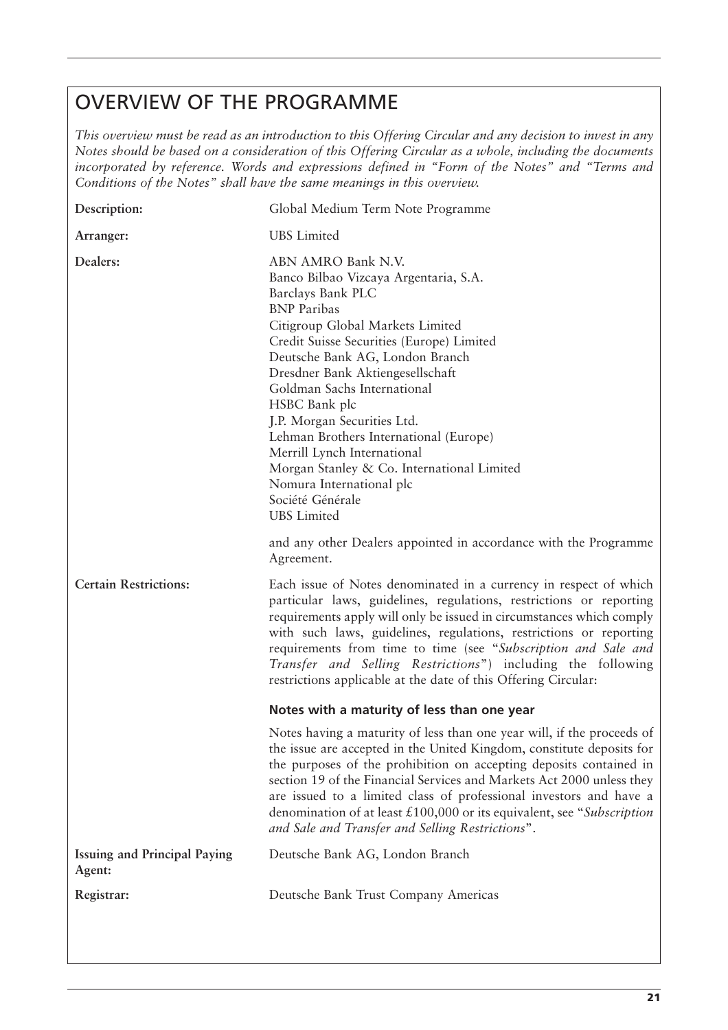### OVERVIEW OF THE PROGRAMME

*This overview must be read as an introduction to this Offering Circular and any decision to invest in any Notes should be based on a consideration of this Offering Circular as a whole, including the documents incorporated by reference. Words and expressions defined in "Form of the Notes" and "Terms and Conditions of the Notes" shall have the same meanings in this overview.*

| Description:                                  | Global Medium Term Note Programme                                                                                                                                                                                                                                                                                                                                                                                                                                                                                                          |
|-----------------------------------------------|--------------------------------------------------------------------------------------------------------------------------------------------------------------------------------------------------------------------------------------------------------------------------------------------------------------------------------------------------------------------------------------------------------------------------------------------------------------------------------------------------------------------------------------------|
| Arranger:                                     | <b>UBS</b> Limited                                                                                                                                                                                                                                                                                                                                                                                                                                                                                                                         |
| Dealers:                                      | ABN AMRO Bank N.V.<br>Banco Bilbao Vizcaya Argentaria, S.A.<br>Barclays Bank PLC<br><b>BNP</b> Paribas<br>Citigroup Global Markets Limited<br>Credit Suisse Securities (Europe) Limited<br>Deutsche Bank AG, London Branch<br>Dresdner Bank Aktiengesellschaft<br>Goldman Sachs International<br>HSBC Bank plc<br>J.P. Morgan Securities Ltd.<br>Lehman Brothers International (Europe)<br>Merrill Lynch International<br>Morgan Stanley & Co. International Limited<br>Nomura International plc<br>Société Générale<br><b>UBS</b> Limited |
|                                               | and any other Dealers appointed in accordance with the Programme<br>Agreement.                                                                                                                                                                                                                                                                                                                                                                                                                                                             |
| <b>Certain Restrictions:</b>                  | Each issue of Notes denominated in a currency in respect of which<br>particular laws, guidelines, regulations, restrictions or reporting<br>requirements apply will only be issued in circumstances which comply<br>with such laws, guidelines, regulations, restrictions or reporting<br>requirements from time to time (see "Subscription and Sale and<br>Transfer and Selling Restrictions") including the following<br>restrictions applicable at the date of this Offering Circular:                                                  |
|                                               | Notes with a maturity of less than one year                                                                                                                                                                                                                                                                                                                                                                                                                                                                                                |
|                                               | Notes having a maturity of less than one year will, if the proceeds of<br>the issue are accepted in the United Kingdom, constitute deposits for<br>the purposes of the prohibition on accepting deposits contained in<br>section 19 of the Financial Services and Markets Act 2000 unless they<br>are issued to a limited class of professional investors and have a<br>denomination of at least $£100,000$ or its equivalent, see "Subscription"<br>and Sale and Transfer and Selling Restrictions".                                      |
| <b>Issuing and Principal Paying</b><br>Agent: | Deutsche Bank AG, London Branch                                                                                                                                                                                                                                                                                                                                                                                                                                                                                                            |
| Registrar:                                    | Deutsche Bank Trust Company Americas                                                                                                                                                                                                                                                                                                                                                                                                                                                                                                       |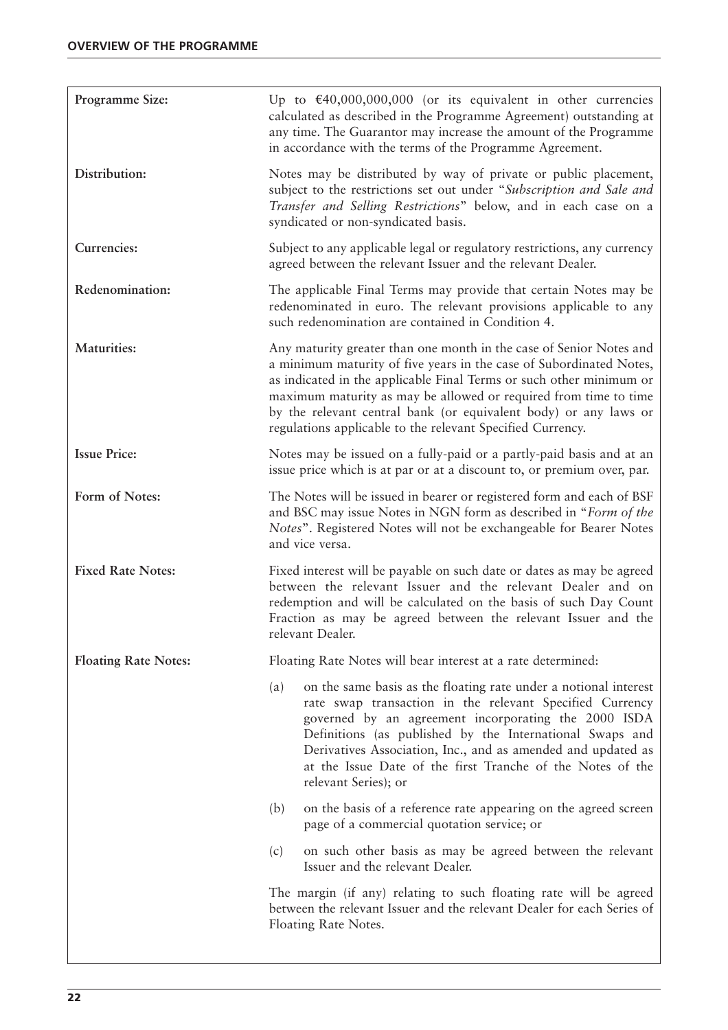| Programme Size:             | Up to $\text{\textsterling}40,000,000,000$ (or its equivalent in other currencies<br>calculated as described in the Programme Agreement) outstanding at<br>any time. The Guarantor may increase the amount of the Programme<br>in accordance with the terms of the Programme Agreement.                                                                                                                                 |  |
|-----------------------------|-------------------------------------------------------------------------------------------------------------------------------------------------------------------------------------------------------------------------------------------------------------------------------------------------------------------------------------------------------------------------------------------------------------------------|--|
| Distribution:               | Notes may be distributed by way of private or public placement,<br>subject to the restrictions set out under "Subscription and Sale and<br>Transfer and Selling Restrictions" below, and in each case on a<br>syndicated or non-syndicated basis.                                                                                                                                                                       |  |
| Currencies:                 | Subject to any applicable legal or regulatory restrictions, any currency<br>agreed between the relevant Issuer and the relevant Dealer.                                                                                                                                                                                                                                                                                 |  |
| Redenomination:             | The applicable Final Terms may provide that certain Notes may be<br>redenominated in euro. The relevant provisions applicable to any<br>such redenomination are contained in Condition 4.                                                                                                                                                                                                                               |  |
| <b>Maturities:</b>          | Any maturity greater than one month in the case of Senior Notes and<br>a minimum maturity of five years in the case of Subordinated Notes,<br>as indicated in the applicable Final Terms or such other minimum or<br>maximum maturity as may be allowed or required from time to time<br>by the relevant central bank (or equivalent body) or any laws or<br>regulations applicable to the relevant Specified Currency. |  |
| <b>Issue Price:</b>         | Notes may be issued on a fully-paid or a partly-paid basis and at an<br>issue price which is at par or at a discount to, or premium over, par.                                                                                                                                                                                                                                                                          |  |
| Form of Notes:              | The Notes will be issued in bearer or registered form and each of BSF<br>and BSC may issue Notes in NGN form as described in "Form of the<br>Notes". Registered Notes will not be exchangeable for Bearer Notes<br>and vice versa.                                                                                                                                                                                      |  |
| <b>Fixed Rate Notes:</b>    | Fixed interest will be payable on such date or dates as may be agreed<br>between the relevant Issuer and the relevant Dealer and on<br>redemption and will be calculated on the basis of such Day Count<br>Fraction as may be agreed between the relevant Issuer and the<br>relevant Dealer.                                                                                                                            |  |
| <b>Floating Rate Notes:</b> | Floating Rate Notes will bear interest at a rate determined:                                                                                                                                                                                                                                                                                                                                                            |  |
|                             | on the same basis as the floating rate under a notional interest<br>(a)<br>rate swap transaction in the relevant Specified Currency<br>governed by an agreement incorporating the 2000 ISDA<br>Definitions (as published by the International Swaps and<br>Derivatives Association, Inc., and as amended and updated as<br>at the Issue Date of the first Tranche of the Notes of the<br>relevant Series); or           |  |
|                             | on the basis of a reference rate appearing on the agreed screen<br>(b)<br>page of a commercial quotation service; or                                                                                                                                                                                                                                                                                                    |  |
|                             | on such other basis as may be agreed between the relevant<br>(c)<br>Issuer and the relevant Dealer.                                                                                                                                                                                                                                                                                                                     |  |
|                             | The margin (if any) relating to such floating rate will be agreed<br>between the relevant Issuer and the relevant Dealer for each Series of<br>Floating Rate Notes.                                                                                                                                                                                                                                                     |  |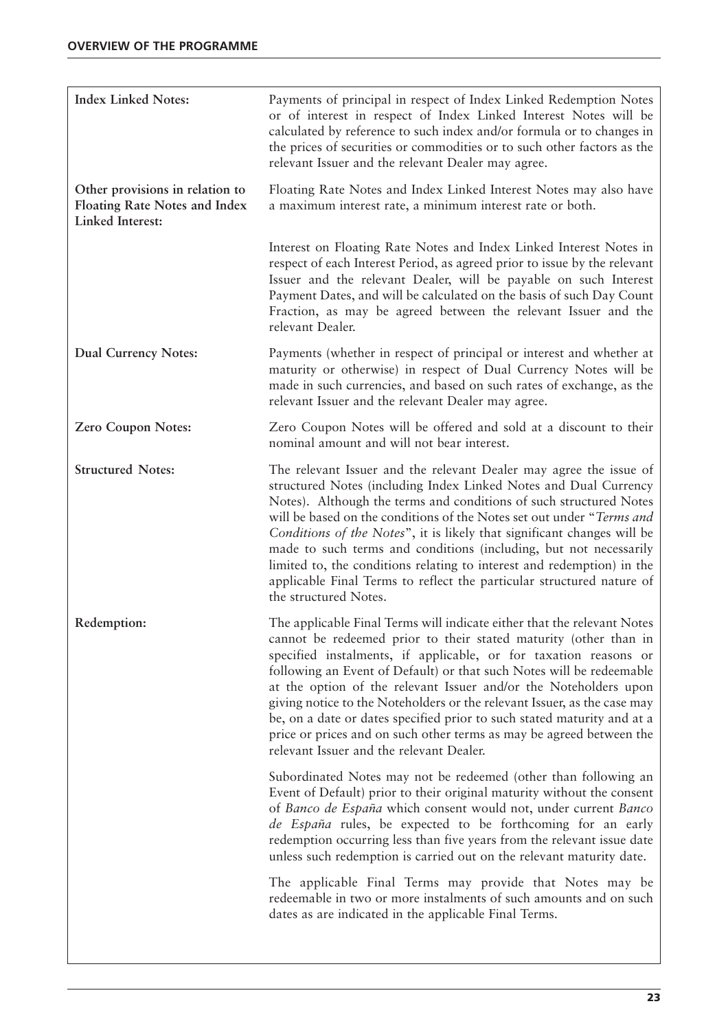| <b>Index Linked Notes:</b>                                                                  | Payments of principal in respect of Index Linked Redemption Notes<br>or of interest in respect of Index Linked Interest Notes will be<br>calculated by reference to such index and/or formula or to changes in<br>the prices of securities or commodities or to such other factors as the<br>relevant Issuer and the relevant Dealer may agree.                                                                                                                                                                                                                                                                                        |
|---------------------------------------------------------------------------------------------|----------------------------------------------------------------------------------------------------------------------------------------------------------------------------------------------------------------------------------------------------------------------------------------------------------------------------------------------------------------------------------------------------------------------------------------------------------------------------------------------------------------------------------------------------------------------------------------------------------------------------------------|
| Other provisions in relation to<br><b>Floating Rate Notes and Index</b><br>Linked Interest: | Floating Rate Notes and Index Linked Interest Notes may also have<br>a maximum interest rate, a minimum interest rate or both.                                                                                                                                                                                                                                                                                                                                                                                                                                                                                                         |
|                                                                                             | Interest on Floating Rate Notes and Index Linked Interest Notes in<br>respect of each Interest Period, as agreed prior to issue by the relevant<br>Issuer and the relevant Dealer, will be payable on such Interest<br>Payment Dates, and will be calculated on the basis of such Day Count<br>Fraction, as may be agreed between the relevant Issuer and the<br>relevant Dealer.                                                                                                                                                                                                                                                      |
| <b>Dual Currency Notes:</b>                                                                 | Payments (whether in respect of principal or interest and whether at<br>maturity or otherwise) in respect of Dual Currency Notes will be<br>made in such currencies, and based on such rates of exchange, as the<br>relevant Issuer and the relevant Dealer may agree.                                                                                                                                                                                                                                                                                                                                                                 |
| <b>Zero Coupon Notes:</b>                                                                   | Zero Coupon Notes will be offered and sold at a discount to their<br>nominal amount and will not bear interest.                                                                                                                                                                                                                                                                                                                                                                                                                                                                                                                        |
| <b>Structured Notes:</b>                                                                    | The relevant Issuer and the relevant Dealer may agree the issue of<br>structured Notes (including Index Linked Notes and Dual Currency<br>Notes). Although the terms and conditions of such structured Notes<br>will be based on the conditions of the Notes set out under "Terms and<br>Conditions of the Notes", it is likely that significant changes will be<br>made to such terms and conditions (including, but not necessarily<br>limited to, the conditions relating to interest and redemption) in the<br>applicable Final Terms to reflect the particular structured nature of<br>the structured Notes.                      |
| Redemption:                                                                                 | The applicable Final Terms will indicate either that the relevant Notes<br>cannot be redeemed prior to their stated maturity (other than in<br>specified instalments, if applicable, or for taxation reasons or<br>following an Event of Default) or that such Notes will be redeemable<br>at the option of the relevant Issuer and/or the Noteholders upon<br>giving notice to the Noteholders or the relevant Issuer, as the case may<br>be, on a date or dates specified prior to such stated maturity and at a<br>price or prices and on such other terms as may be agreed between the<br>relevant Issuer and the relevant Dealer. |
|                                                                                             | Subordinated Notes may not be redeemed (other than following an<br>Event of Default) prior to their original maturity without the consent<br>of Banco de España which consent would not, under current Banco<br>de España rules, be expected to be forthcoming for an early<br>redemption occurring less than five years from the relevant issue date<br>unless such redemption is carried out on the relevant maturity date.                                                                                                                                                                                                          |
|                                                                                             | The applicable Final Terms may provide that Notes may be<br>redeemable in two or more instalments of such amounts and on such<br>dates as are indicated in the applicable Final Terms.                                                                                                                                                                                                                                                                                                                                                                                                                                                 |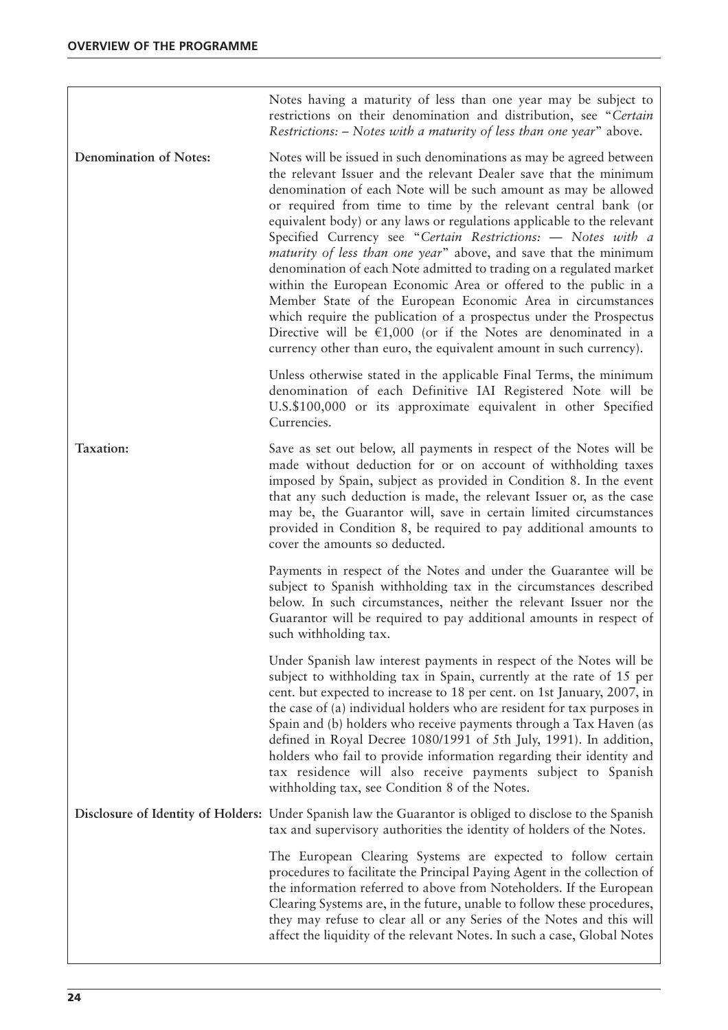$\sqrt{ }$ 

|                               | Notes having a maturity of less than one year may be subject to<br>restrictions on their denomination and distribution, see "Certain<br>Restrictions: – Notes with a maturity of less than one year" above.                                                                                                                                                                                                                                                                                                                                                                                                                                                                                                                                                                                                                                                                                                                          |
|-------------------------------|--------------------------------------------------------------------------------------------------------------------------------------------------------------------------------------------------------------------------------------------------------------------------------------------------------------------------------------------------------------------------------------------------------------------------------------------------------------------------------------------------------------------------------------------------------------------------------------------------------------------------------------------------------------------------------------------------------------------------------------------------------------------------------------------------------------------------------------------------------------------------------------------------------------------------------------|
| <b>Denomination of Notes:</b> | Notes will be issued in such denominations as may be agreed between<br>the relevant Issuer and the relevant Dealer save that the minimum<br>denomination of each Note will be such amount as may be allowed<br>or required from time to time by the relevant central bank (or<br>equivalent body) or any laws or regulations applicable to the relevant<br>Specified Currency see "Certain Restrictions: - Notes with a<br><i>maturity of less than one year</i> " above, and save that the minimum<br>denomination of each Note admitted to trading on a regulated market<br>within the European Economic Area or offered to the public in a<br>Member State of the European Economic Area in circumstances<br>which require the publication of a prospectus under the Prospectus<br>Directive will be $\epsilon$ 1,000 (or if the Notes are denominated in a<br>currency other than euro, the equivalent amount in such currency). |
|                               | Unless otherwise stated in the applicable Final Terms, the minimum<br>denomination of each Definitive IAI Registered Note will be<br>U.S.\$100,000 or its approximate equivalent in other Specified<br>Currencies.                                                                                                                                                                                                                                                                                                                                                                                                                                                                                                                                                                                                                                                                                                                   |
| Taxation:                     | Save as set out below, all payments in respect of the Notes will be<br>made without deduction for or on account of withholding taxes<br>imposed by Spain, subject as provided in Condition 8. In the event<br>that any such deduction is made, the relevant Issuer or, as the case<br>may be, the Guarantor will, save in certain limited circumstances<br>provided in Condition 8, be required to pay additional amounts to<br>cover the amounts so deducted.                                                                                                                                                                                                                                                                                                                                                                                                                                                                       |
|                               | Payments in respect of the Notes and under the Guarantee will be<br>subject to Spanish withholding tax in the circumstances described<br>below. In such circumstances, neither the relevant Issuer nor the<br>Guarantor will be required to pay additional amounts in respect of<br>such withholding tax.                                                                                                                                                                                                                                                                                                                                                                                                                                                                                                                                                                                                                            |
|                               | Under Spanish law interest payments in respect of the Notes will be<br>subject to withholding tax in Spain, currently at the rate of 15 per<br>cent. but expected to increase to 18 per cent. on 1st January, 2007, in<br>the case of (a) individual holders who are resident for tax purposes in<br>Spain and (b) holders who receive payments through a Tax Haven (as<br>defined in Royal Decree 1080/1991 of 5th July, 1991). In addition,<br>holders who fail to provide information regarding their identity and<br>tax residence will also receive payments subject to Spanish<br>withholding tax, see Condition 8 of the Notes.                                                                                                                                                                                                                                                                                               |
|                               | Disclosure of Identity of Holders: Under Spanish law the Guarantor is obliged to disclose to the Spanish<br>tax and supervisory authorities the identity of holders of the Notes.                                                                                                                                                                                                                                                                                                                                                                                                                                                                                                                                                                                                                                                                                                                                                    |
|                               | The European Clearing Systems are expected to follow certain<br>procedures to facilitate the Principal Paying Agent in the collection of<br>the information referred to above from Noteholders. If the European<br>Clearing Systems are, in the future, unable to follow these procedures,<br>they may refuse to clear all or any Series of the Notes and this will<br>affect the liquidity of the relevant Notes. In such a case, Global Notes                                                                                                                                                                                                                                                                                                                                                                                                                                                                                      |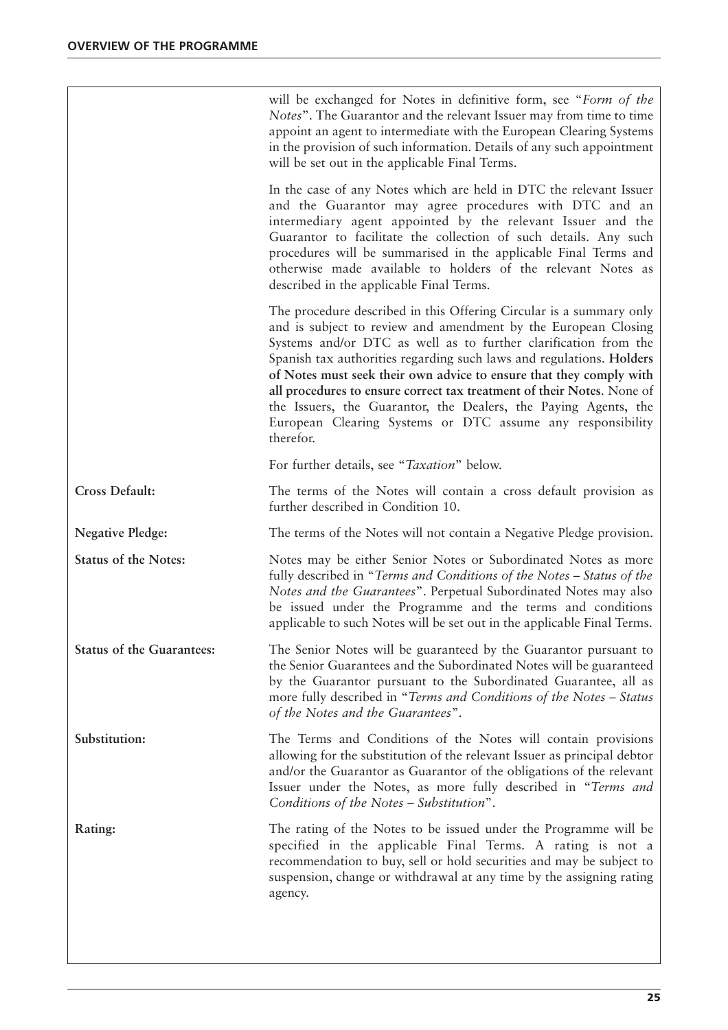|                                  | will be exchanged for Notes in definitive form, see "Form of the<br>Notes". The Guarantor and the relevant Issuer may from time to time<br>appoint an agent to intermediate with the European Clearing Systems<br>in the provision of such information. Details of any such appointment<br>will be set out in the applicable Final Terms.                                                                                                                                                                                                                                       |
|----------------------------------|---------------------------------------------------------------------------------------------------------------------------------------------------------------------------------------------------------------------------------------------------------------------------------------------------------------------------------------------------------------------------------------------------------------------------------------------------------------------------------------------------------------------------------------------------------------------------------|
|                                  | In the case of any Notes which are held in DTC the relevant Issuer<br>and the Guarantor may agree procedures with DTC and an<br>intermediary agent appointed by the relevant Issuer and the<br>Guarantor to facilitate the collection of such details. Any such<br>procedures will be summarised in the applicable Final Terms and<br>otherwise made available to holders of the relevant Notes as<br>described in the applicable Final Terms.                                                                                                                                  |
|                                  | The procedure described in this Offering Circular is a summary only<br>and is subject to review and amendment by the European Closing<br>Systems and/or DTC as well as to further clarification from the<br>Spanish tax authorities regarding such laws and regulations. Holders<br>of Notes must seek their own advice to ensure that they comply with<br>all procedures to ensure correct tax treatment of their Notes. None of<br>the Issuers, the Guarantor, the Dealers, the Paying Agents, the<br>European Clearing Systems or DTC assume any responsibility<br>therefor. |
|                                  | For further details, see "Taxation" below.                                                                                                                                                                                                                                                                                                                                                                                                                                                                                                                                      |
| <b>Cross Default:</b>            | The terms of the Notes will contain a cross default provision as<br>further described in Condition 10.                                                                                                                                                                                                                                                                                                                                                                                                                                                                          |
| <b>Negative Pledge:</b>          | The terms of the Notes will not contain a Negative Pledge provision.                                                                                                                                                                                                                                                                                                                                                                                                                                                                                                            |
| <b>Status of the Notes:</b>      | Notes may be either Senior Notes or Subordinated Notes as more<br>fully described in "Terms and Conditions of the Notes - Status of the<br>Notes and the Guarantees". Perpetual Subordinated Notes may also<br>be issued under the Programme and the terms and conditions<br>applicable to such Notes will be set out in the applicable Final Terms.                                                                                                                                                                                                                            |
| <b>Status of the Guarantees:</b> | The Senior Notes will be guaranteed by the Guarantor pursuant to<br>the Senior Guarantees and the Subordinated Notes will be guaranteed<br>by the Guarantor pursuant to the Subordinated Guarantee, all as<br>more fully described in "Terms and Conditions of the Notes - Status<br>of the Notes and the Guarantees".                                                                                                                                                                                                                                                          |
| Substitution:                    | The Terms and Conditions of the Notes will contain provisions<br>allowing for the substitution of the relevant Issuer as principal debtor<br>and/or the Guarantor as Guarantor of the obligations of the relevant<br>Issuer under the Notes, as more fully described in "Terms and<br>Conditions of the Notes - Substitution".                                                                                                                                                                                                                                                  |
| Rating:                          | The rating of the Notes to be issued under the Programme will be<br>specified in the applicable Final Terms. A rating is not a<br>recommendation to buy, sell or hold securities and may be subject to<br>suspension, change or withdrawal at any time by the assigning rating<br>agency.                                                                                                                                                                                                                                                                                       |
|                                  |                                                                                                                                                                                                                                                                                                                                                                                                                                                                                                                                                                                 |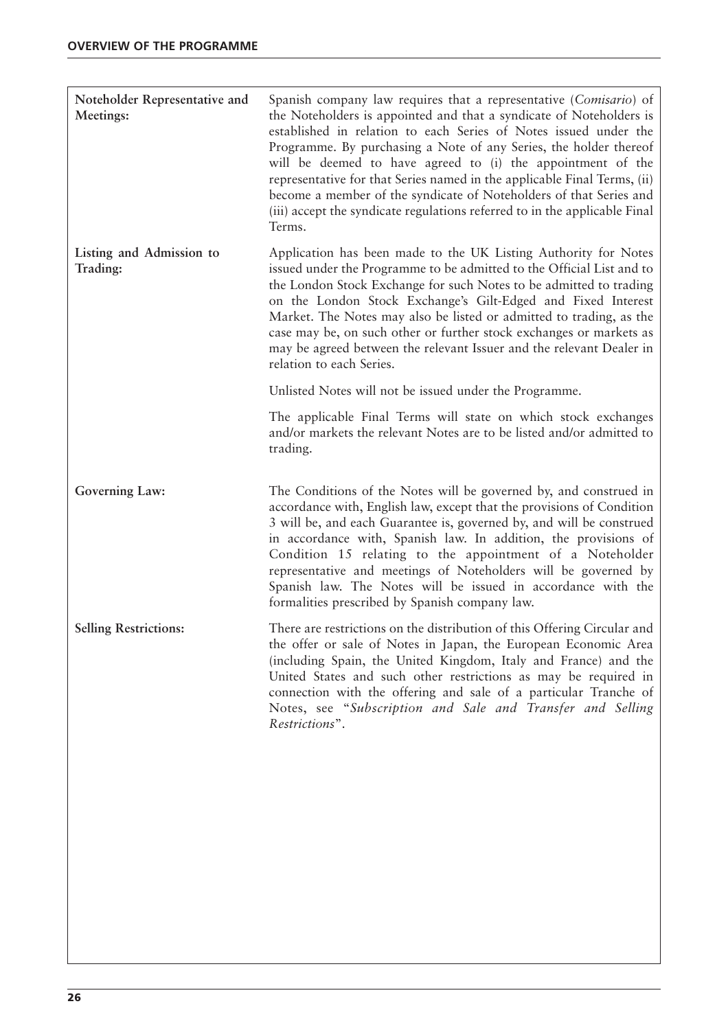| Noteholder Representative and<br>Meetings: | Spanish company law requires that a representative (Comisario) of<br>the Noteholders is appointed and that a syndicate of Noteholders is<br>established in relation to each Series of Notes issued under the<br>Programme. By purchasing a Note of any Series, the holder thereof<br>will be deemed to have agreed to (i) the appointment of the<br>representative for that Series named in the applicable Final Terms, (ii)<br>become a member of the syndicate of Noteholders of that Series and<br>(iii) accept the syndicate regulations referred to in the applicable Final<br>Terms. |
|--------------------------------------------|--------------------------------------------------------------------------------------------------------------------------------------------------------------------------------------------------------------------------------------------------------------------------------------------------------------------------------------------------------------------------------------------------------------------------------------------------------------------------------------------------------------------------------------------------------------------------------------------|
| Listing and Admission to<br>Trading:       | Application has been made to the UK Listing Authority for Notes<br>issued under the Programme to be admitted to the Official List and to<br>the London Stock Exchange for such Notes to be admitted to trading<br>on the London Stock Exchange's Gilt-Edged and Fixed Interest<br>Market. The Notes may also be listed or admitted to trading, as the<br>case may be, on such other or further stock exchanges or markets as<br>may be agreed between the relevant Issuer and the relevant Dealer in<br>relation to each Series.                                                           |
|                                            | Unlisted Notes will not be issued under the Programme.                                                                                                                                                                                                                                                                                                                                                                                                                                                                                                                                     |
|                                            | The applicable Final Terms will state on which stock exchanges<br>and/or markets the relevant Notes are to be listed and/or admitted to<br>trading.                                                                                                                                                                                                                                                                                                                                                                                                                                        |
| Governing Law:                             | The Conditions of the Notes will be governed by, and construed in<br>accordance with, English law, except that the provisions of Condition<br>3 will be, and each Guarantee is, governed by, and will be construed<br>in accordance with, Spanish law. In addition, the provisions of<br>Condition 15 relating to the appointment of a Noteholder<br>representative and meetings of Noteholders will be governed by<br>Spanish law. The Notes will be issued in accordance with the<br>formalities prescribed by Spanish company law.                                                      |
| <b>Selling Restrictions:</b>               | There are restrictions on the distribution of this Offering Circular and<br>the offer or sale of Notes in Japan, the European Economic Area<br>(including Spain, the United Kingdom, Italy and France) and the<br>United States and such other restrictions as may be required in<br>connection with the offering and sale of a particular Tranche of<br>Notes, see "Subscription and Sale and Transfer and Selling<br>Restrictions".                                                                                                                                                      |
|                                            |                                                                                                                                                                                                                                                                                                                                                                                                                                                                                                                                                                                            |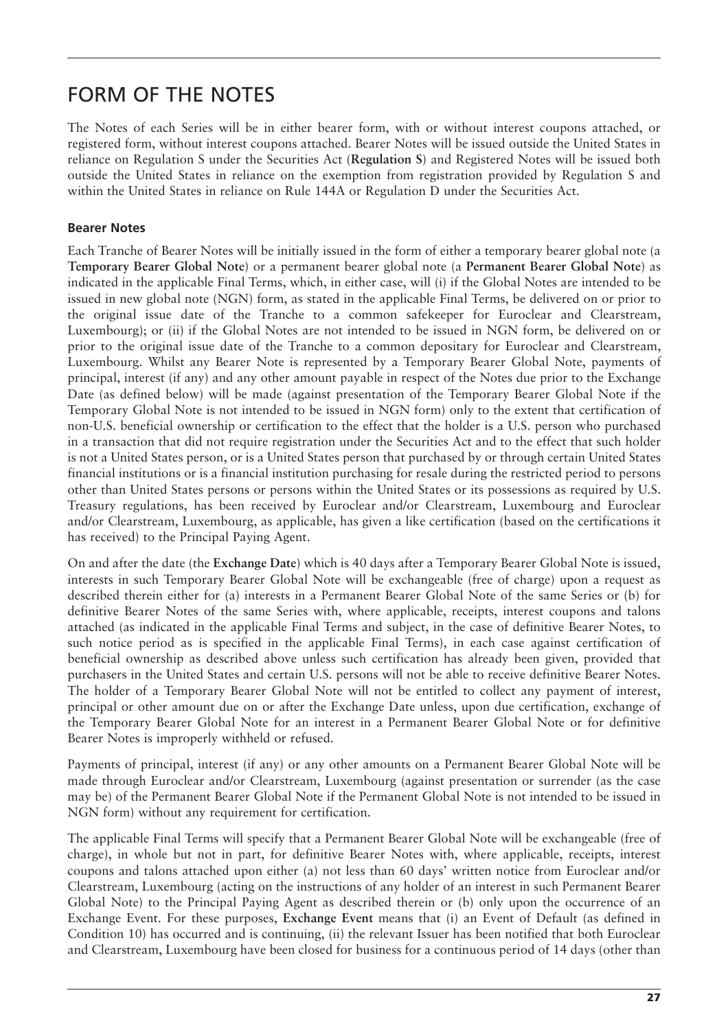### FORM OF THE NOTES

The Notes of each Series will be in either bearer form, with or without interest coupons attached, or registered form, without interest coupons attached. Bearer Notes will be issued outside the United States in reliance on Regulation S under the Securities Act (**Regulation S**) and Registered Notes will be issued both outside the United States in reliance on the exemption from registration provided by Regulation S and within the United States in reliance on Rule 144A or Regulation D under the Securities Act.

#### **Bearer Notes**

Each Tranche of Bearer Notes will be initially issued in the form of either a temporary bearer global note (a **Temporary Bearer Global Note**) or a permanent bearer global note (a **Permanent Bearer Global Note**) as indicated in the applicable Final Terms, which, in either case, will (i) if the Global Notes are intended to be issued in new global note (NGN) form, as stated in the applicable Final Terms, be delivered on or prior to the original issue date of the Tranche to a common safekeeper for Euroclear and Clearstream, Luxembourg); or (ii) if the Global Notes are not intended to be issued in NGN form, be delivered on or prior to the original issue date of the Tranche to a common depositary for Euroclear and Clearstream, Luxembourg. Whilst any Bearer Note is represented by a Temporary Bearer Global Note, payments of principal, interest (if any) and any other amount payable in respect of the Notes due prior to the Exchange Date (as defined below) will be made (against presentation of the Temporary Bearer Global Note if the Temporary Global Note is not intended to be issued in NGN form) only to the extent that certification of non-U.S. beneficial ownership or certification to the effect that the holder is a U.S. person who purchased in a transaction that did not require registration under the Securities Act and to the effect that such holder is not a United States person, or is a United States person that purchased by or through certain United States financial institutions or is a financial institution purchasing for resale during the restricted period to persons other than United States persons or persons within the United States or its possessions as required by U.S. Treasury regulations, has been received by Euroclear and/or Clearstream, Luxembourg and Euroclear and/or Clearstream, Luxembourg, as applicable, has given a like certification (based on the certifications it has received) to the Principal Paying Agent.

On and after the date (the **Exchange Date**) which is 40 days after a Temporary Bearer Global Note is issued, interests in such Temporary Bearer Global Note will be exchangeable (free of charge) upon a request as described therein either for (a) interests in a Permanent Bearer Global Note of the same Series or (b) for definitive Bearer Notes of the same Series with, where applicable, receipts, interest coupons and talons attached (as indicated in the applicable Final Terms and subject, in the case of definitive Bearer Notes, to such notice period as is specified in the applicable Final Terms), in each case against certification of beneficial ownership as described above unless such certification has already been given, provided that purchasers in the United States and certain U.S. persons will not be able to receive definitive Bearer Notes. The holder of a Temporary Bearer Global Note will not be entitled to collect any payment of interest, principal or other amount due on or after the Exchange Date unless, upon due certification, exchange of the Temporary Bearer Global Note for an interest in a Permanent Bearer Global Note or for definitive Bearer Notes is improperly withheld or refused.

Payments of principal, interest (if any) or any other amounts on a Permanent Bearer Global Note will be made through Euroclear and/or Clearstream, Luxembourg (against presentation or surrender (as the case may be) of the Permanent Bearer Global Note if the Permanent Global Note is not intended to be issued in NGN form) without any requirement for certification.

The applicable Final Terms will specify that a Permanent Bearer Global Note will be exchangeable (free of charge), in whole but not in part, for definitive Bearer Notes with, where applicable, receipts, interest coupons and talons attached upon either (a) not less than 60 days' written notice from Euroclear and/or Clearstream, Luxembourg (acting on the instructions of any holder of an interest in such Permanent Bearer Global Note) to the Principal Paying Agent as described therein or (b) only upon the occurrence of an Exchange Event. For these purposes, **Exchange Event** means that (i) an Event of Default (as defined in Condition 10) has occurred and is continuing, (ii) the relevant Issuer has been notified that both Euroclear and Clearstream, Luxembourg have been closed for business for a continuous period of 14 days (other than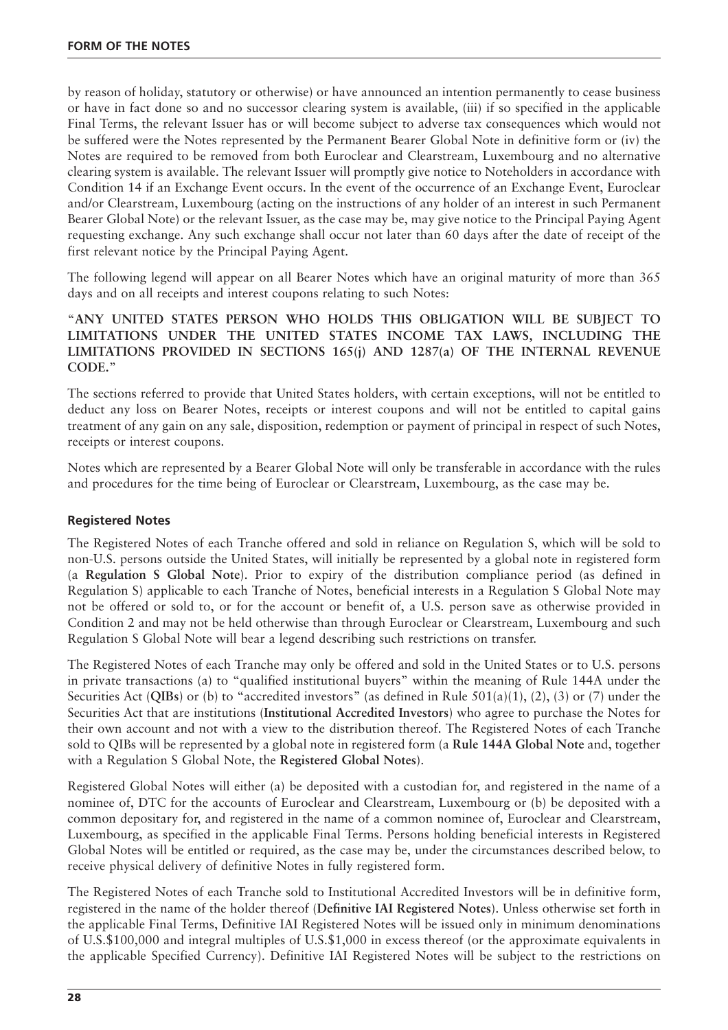by reason of holiday, statutory or otherwise) or have announced an intention permanently to cease business or have in fact done so and no successor clearing system is available, (iii) if so specified in the applicable Final Terms, the relevant Issuer has or will become subject to adverse tax consequences which would not be suffered were the Notes represented by the Permanent Bearer Global Note in definitive form or (iv) the Notes are required to be removed from both Euroclear and Clearstream, Luxembourg and no alternative clearing system is available. The relevant Issuer will promptly give notice to Noteholders in accordance with Condition 14 if an Exchange Event occurs. In the event of the occurrence of an Exchange Event, Euroclear and/or Clearstream, Luxembourg (acting on the instructions of any holder of an interest in such Permanent Bearer Global Note) or the relevant Issuer, as the case may be, may give notice to the Principal Paying Agent requesting exchange. Any such exchange shall occur not later than 60 days after the date of receipt of the first relevant notice by the Principal Paying Agent.

The following legend will appear on all Bearer Notes which have an original maturity of more than 365 days and on all receipts and interest coupons relating to such Notes:

"**ANY UNITED STATES PERSON WHO HOLDS THIS OBLIGATION WILL BE SUBJECT TO LIMITATIONS UNDER THE UNITED STATES INCOME TAX LAWS, INCLUDING THE LIMITATIONS PROVIDED IN SECTIONS 165(j) AND 1287(a) OF THE INTERNAL REVENUE CODE.**"

The sections referred to provide that United States holders, with certain exceptions, will not be entitled to deduct any loss on Bearer Notes, receipts or interest coupons and will not be entitled to capital gains treatment of any gain on any sale, disposition, redemption or payment of principal in respect of such Notes, receipts or interest coupons.

Notes which are represented by a Bearer Global Note will only be transferable in accordance with the rules and procedures for the time being of Euroclear or Clearstream, Luxembourg, as the case may be.

#### **Registered Notes**

The Registered Notes of each Tranche offered and sold in reliance on Regulation S, which will be sold to non-U.S. persons outside the United States, will initially be represented by a global note in registered form (a **Regulation S Global Note**). Prior to expiry of the distribution compliance period (as defined in Regulation S) applicable to each Tranche of Notes, beneficial interests in a Regulation S Global Note may not be offered or sold to, or for the account or benefit of, a U.S. person save as otherwise provided in Condition 2 and may not be held otherwise than through Euroclear or Clearstream, Luxembourg and such Regulation S Global Note will bear a legend describing such restrictions on transfer.

The Registered Notes of each Tranche may only be offered and sold in the United States or to U.S. persons in private transactions (a) to "qualified institutional buyers" within the meaning of Rule 144A under the Securities Act (**QIBs**) or (b) to "accredited investors" (as defined in Rule 501(a)(1), (2), (3) or (7) under the Securities Act that are institutions (**Institutional Accredited Investors**) who agree to purchase the Notes for their own account and not with a view to the distribution thereof. The Registered Notes of each Tranche sold to QIBs will be represented by a global note in registered form (a **Rule 144A Global Note** and, together with a Regulation S Global Note, the **Registered Global Notes**).

Registered Global Notes will either (a) be deposited with a custodian for, and registered in the name of a nominee of, DTC for the accounts of Euroclear and Clearstream, Luxembourg or (b) be deposited with a common depositary for, and registered in the name of a common nominee of, Euroclear and Clearstream, Luxembourg, as specified in the applicable Final Terms. Persons holding beneficial interests in Registered Global Notes will be entitled or required, as the case may be, under the circumstances described below, to receive physical delivery of definitive Notes in fully registered form.

The Registered Notes of each Tranche sold to Institutional Accredited Investors will be in definitive form, registered in the name of the holder thereof (**Definitive IAI Registered Notes**). Unless otherwise set forth in the applicable Final Terms, Definitive IAI Registered Notes will be issued only in minimum denominations of U.S.\$100,000 and integral multiples of U.S.\$1,000 in excess thereof (or the approximate equivalents in the applicable Specified Currency). Definitive IAI Registered Notes will be subject to the restrictions on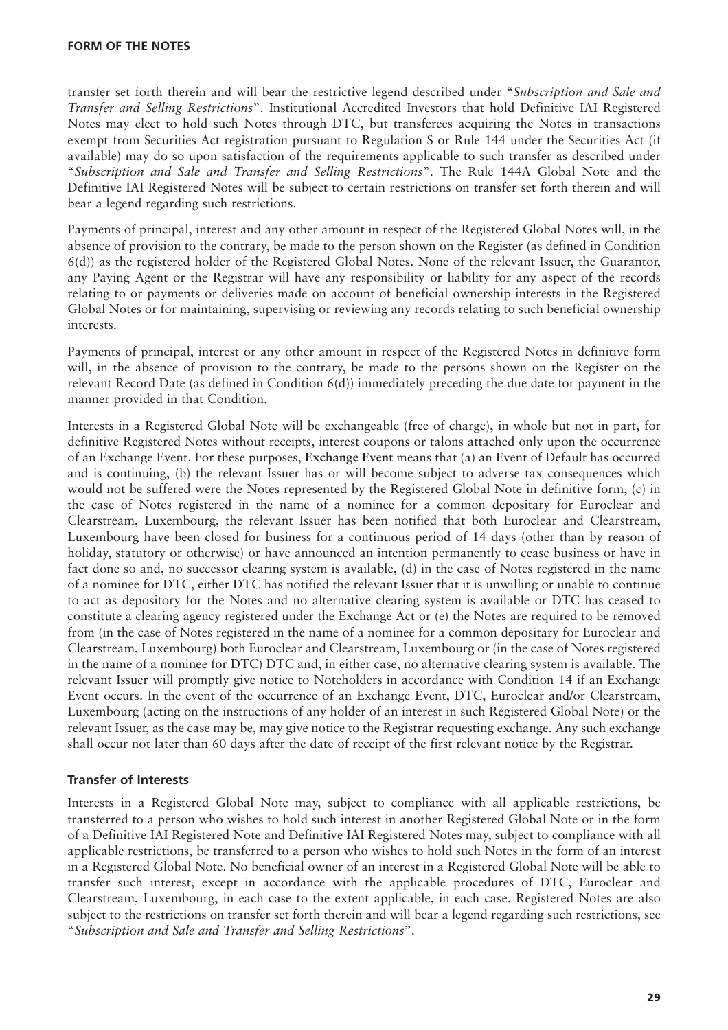transfer set forth therein and will bear the restrictive legend described under "*Subscription and Sale and Transfer and Selling Restrictions*". Institutional Accredited Investors that hold Definitive IAI Registered Notes may elect to hold such Notes through DTC, but transferees acquiring the Notes in transactions exempt from Securities Act registration pursuant to Regulation S or Rule 144 under the Securities Act (if available) may do so upon satisfaction of the requirements applicable to such transfer as described under "*Subscription and Sale and Transfer and Selling Restrictions*". The Rule 144A Global Note and the Definitive IAI Registered Notes will be subject to certain restrictions on transfer set forth therein and will bear a legend regarding such restrictions.

Payments of principal, interest and any other amount in respect of the Registered Global Notes will, in the absence of provision to the contrary, be made to the person shown on the Register (as defined in Condition 6(d)) as the registered holder of the Registered Global Notes. None of the relevant Issuer, the Guarantor, any Paying Agent or the Registrar will have any responsibility or liability for any aspect of the records relating to or payments or deliveries made on account of beneficial ownership interests in the Registered Global Notes or for maintaining, supervising or reviewing any records relating to such beneficial ownership interests.

Payments of principal, interest or any other amount in respect of the Registered Notes in definitive form will, in the absence of provision to the contrary, be made to the persons shown on the Register on the relevant Record Date (as defined in Condition 6(d)) immediately preceding the due date for payment in the manner provided in that Condition.

Interests in a Registered Global Note will be exchangeable (free of charge), in whole but not in part, for definitive Registered Notes without receipts, interest coupons or talons attached only upon the occurrence of an Exchange Event. For these purposes, **Exchange Event** means that (a) an Event of Default has occurred and is continuing, (b) the relevant Issuer has or will become subject to adverse tax consequences which would not be suffered were the Notes represented by the Registered Global Note in definitive form, (c) in the case of Notes registered in the name of a nominee for a common depositary for Euroclear and Clearstream, Luxembourg, the relevant Issuer has been notified that both Euroclear and Clearstream, Luxembourg have been closed for business for a continuous period of 14 days (other than by reason of holiday, statutory or otherwise) or have announced an intention permanently to cease business or have in fact done so and, no successor clearing system is available, (d) in the case of Notes registered in the name of a nominee for DTC, either DTC has notified the relevant Issuer that it is unwilling or unable to continue to act as depository for the Notes and no alternative clearing system is available or DTC has ceased to constitute a clearing agency registered under the Exchange Act or (e) the Notes are required to be removed from (in the case of Notes registered in the name of a nominee for a common depositary for Euroclear and Clearstream, Luxembourg) both Euroclear and Clearstream, Luxembourg or (in the case of Notes registered in the name of a nominee for DTC) DTC and, in either case, no alternative clearing system is available. The relevant Issuer will promptly give notice to Noteholders in accordance with Condition 14 if an Exchange Event occurs. In the event of the occurrence of an Exchange Event, DTC, Euroclear and/or Clearstream, Luxembourg (acting on the instructions of any holder of an interest in such Registered Global Note) or the relevant Issuer, as the case may be, may give notice to the Registrar requesting exchange. Any such exchange shall occur not later than 60 days after the date of receipt of the first relevant notice by the Registrar.

#### **Transfer of Interests**

Interests in a Registered Global Note may, subject to compliance with all applicable restrictions, be transferred to a person who wishes to hold such interest in another Registered Global Note or in the form of a Definitive IAI Registered Note and Definitive IAI Registered Notes may, subject to compliance with all applicable restrictions, be transferred to a person who wishes to hold such Notes in the form of an interest in a Registered Global Note. No beneficial owner of an interest in a Registered Global Note will be able to transfer such interest, except in accordance with the applicable procedures of DTC, Euroclear and Clearstream, Luxembourg, in each case to the extent applicable, in each case. Registered Notes are also subject to the restrictions on transfer set forth therein and will bear a legend regarding such restrictions, see "*Subscription and Sale and Transfer and Selling Restrictions*".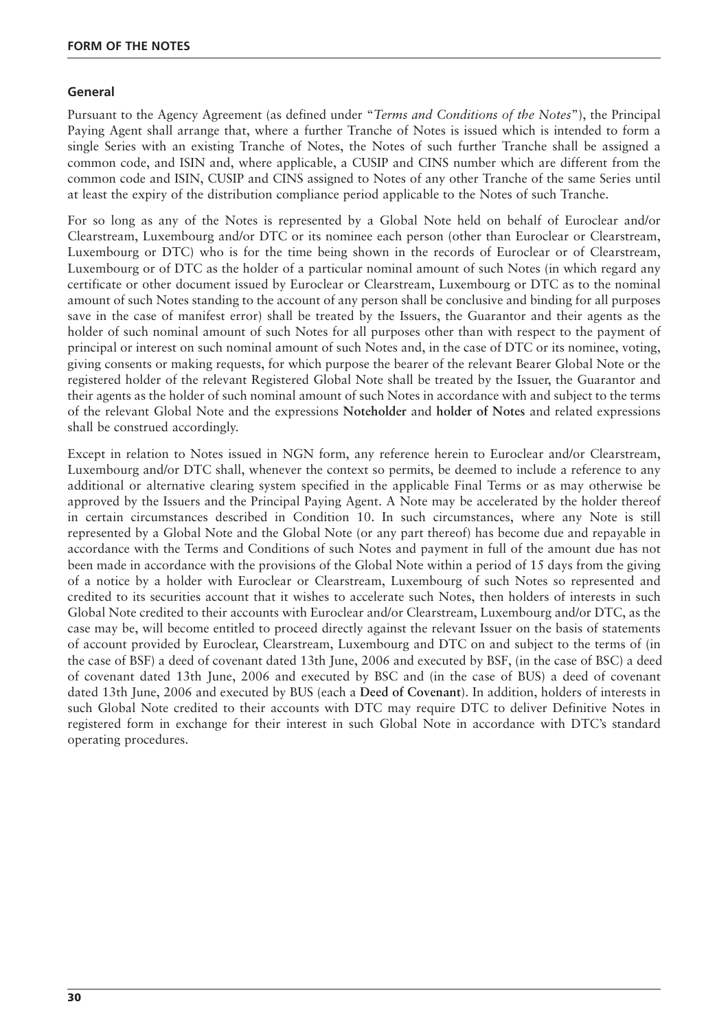#### **General**

Pursuant to the Agency Agreement (as defined under "*Terms and Conditions of the Notes*"), the Principal Paying Agent shall arrange that, where a further Tranche of Notes is issued which is intended to form a single Series with an existing Tranche of Notes, the Notes of such further Tranche shall be assigned a common code, and ISIN and, where applicable, a CUSIP and CINS number which are different from the common code and ISIN, CUSIP and CINS assigned to Notes of any other Tranche of the same Series until at least the expiry of the distribution compliance period applicable to the Notes of such Tranche.

For so long as any of the Notes is represented by a Global Note held on behalf of Euroclear and/or Clearstream, Luxembourg and/or DTC or its nominee each person (other than Euroclear or Clearstream, Luxembourg or DTC) who is for the time being shown in the records of Euroclear or of Clearstream, Luxembourg or of DTC as the holder of a particular nominal amount of such Notes (in which regard any certificate or other document issued by Euroclear or Clearstream, Luxembourg or DTC as to the nominal amount of such Notes standing to the account of any person shall be conclusive and binding for all purposes save in the case of manifest error) shall be treated by the Issuers, the Guarantor and their agents as the holder of such nominal amount of such Notes for all purposes other than with respect to the payment of principal or interest on such nominal amount of such Notes and, in the case of DTC or its nominee, voting, giving consents or making requests, for which purpose the bearer of the relevant Bearer Global Note or the registered holder of the relevant Registered Global Note shall be treated by the Issuer, the Guarantor and their agents as the holder of such nominal amount of such Notes in accordance with and subject to the terms of the relevant Global Note and the expressions **Noteholder** and **holder of Notes** and related expressions shall be construed accordingly.

Except in relation to Notes issued in NGN form, any reference herein to Euroclear and/or Clearstream, Luxembourg and/or DTC shall, whenever the context so permits, be deemed to include a reference to any additional or alternative clearing system specified in the applicable Final Terms or as may otherwise be approved by the Issuers and the Principal Paying Agent. A Note may be accelerated by the holder thereof in certain circumstances described in Condition 10. In such circumstances, where any Note is still represented by a Global Note and the Global Note (or any part thereof) has become due and repayable in accordance with the Terms and Conditions of such Notes and payment in full of the amount due has not been made in accordance with the provisions of the Global Note within a period of 15 days from the giving of a notice by a holder with Euroclear or Clearstream, Luxembourg of such Notes so represented and credited to its securities account that it wishes to accelerate such Notes, then holders of interests in such Global Note credited to their accounts with Euroclear and/or Clearstream, Luxembourg and/or DTC, as the case may be, will become entitled to proceed directly against the relevant Issuer on the basis of statements of account provided by Euroclear, Clearstream, Luxembourg and DTC on and subject to the terms of (in the case of BSF) a deed of covenant dated 13th June, 2006 and executed by BSF, (in the case of BSC) a deed of covenant dated 13th June, 2006 and executed by BSC and (in the case of BUS) a deed of covenant dated 13th June, 2006 and executed by BUS (each a **Deed of Covenant**). In addition, holders of interests in such Global Note credited to their accounts with DTC may require DTC to deliver Definitive Notes in registered form in exchange for their interest in such Global Note in accordance with DTC's standard operating procedures.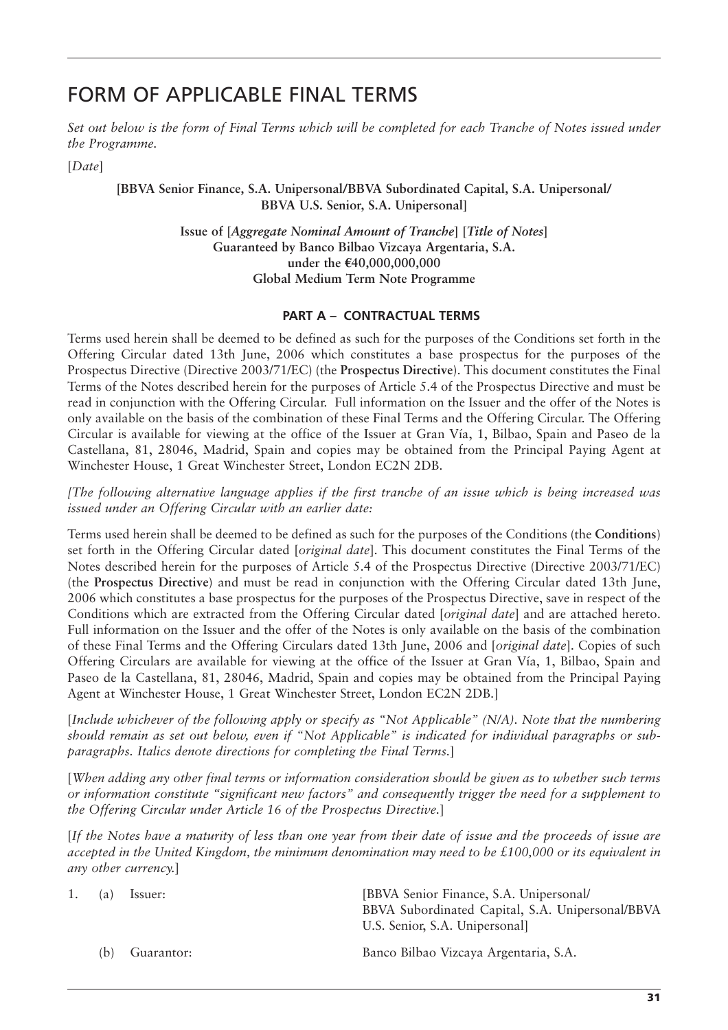### FORM OF APPLICABLE FINAL TERMS

*Set out below is the form of Final Terms which will be completed for each Tranche of Notes issued under the Programme.*

[*Date*]

**[BBVA Senior Finance, S.A. Unipersonal/BBVA Subordinated Capital, S.A. Unipersonal/ BBVA U.S. Senior, S.A. Unipersonal]**

> **Issue of [***Aggregate Nominal Amount of Tranche***] [***Title of Notes***] Guaranteed by Banco Bilbao Vizcaya Argentaria, S.A. under the** E**40,000,000,000 Global Medium Term Note Programme**

#### **PART A – CONTRACTUAL TERMS**

Terms used herein shall be deemed to be defined as such for the purposes of the Conditions set forth in the Offering Circular dated 13th June, 2006 which constitutes a base prospectus for the purposes of the Prospectus Directive (Directive 2003/71/EC) (the **Prospectus Directive**). This document constitutes the Final Terms of the Notes described herein for the purposes of Article 5.4 of the Prospectus Directive and must be read in conjunction with the Offering Circular. Full information on the Issuer and the offer of the Notes is only available on the basis of the combination of these Final Terms and the Offering Circular. The Offering Circular is available for viewing at the office of the Issuer at Gran Vía, 1, Bilbao, Spain and Paseo de la Castellana, 81, 28046, Madrid, Spain and copies may be obtained from the Principal Paying Agent at Winchester House, 1 Great Winchester Street, London EC2N 2DB.

*[The following alternative language applies if the first tranche of an issue which is being increased was issued under an Offering Circular with an earlier date:*

Terms used herein shall be deemed to be defined as such for the purposes of the Conditions (the **Conditions**) set forth in the Offering Circular dated [*original date*]. This document constitutes the Final Terms of the Notes described herein for the purposes of Article 5.4 of the Prospectus Directive (Directive 2003/71/EC) (the **Prospectus Directive**) and must be read in conjunction with the Offering Circular dated 13th June, 2006 which constitutes a base prospectus for the purposes of the Prospectus Directive, save in respect of the Conditions which are extracted from the Offering Circular dated [*original date*] and are attached hereto. Full information on the Issuer and the offer of the Notes is only available on the basis of the combination of these Final Terms and the Offering Circulars dated 13th June, 2006 and [*original date*]. Copies of such Offering Circulars are available for viewing at the office of the Issuer at Gran Vía, 1, Bilbao, Spain and Paseo de la Castellana, 81, 28046, Madrid, Spain and copies may be obtained from the Principal Paying Agent at Winchester House, 1 Great Winchester Street, London EC2N 2DB.]

[*Include whichever of the following apply or specify as "Not Applicable" (N/A). Note that the numbering should remain as set out below, even if "Not Applicable" is indicated for individual paragraphs or subparagraphs. Italics denote directions for completing the Final Terms.*]

[*When adding any other final terms or information consideration should be given as to whether such terms or information constitute "significant new factors" and consequently trigger the need for a supplement to the Offering Circular under Article 16 of the Prospectus Directive.*]

[*If the Notes have a maturity of less than one year from their date of issue and the proceeds of issue are accepted in the United Kingdom, the minimum denomination may need to be £100,000 or its equivalent in any other currency.*]

| 1. | (a) | Issuer:    | [BBVA Senior Finance, S.A. Unipersonal/<br>BBVA Subordinated Capital, S.A. Unipersonal/BBVA<br>U.S. Senior, S.A. Unipersonal |
|----|-----|------------|------------------------------------------------------------------------------------------------------------------------------|
|    | (h) | Guarantor: | Banco Bilbao Vizcaya Argentaria, S.A.                                                                                        |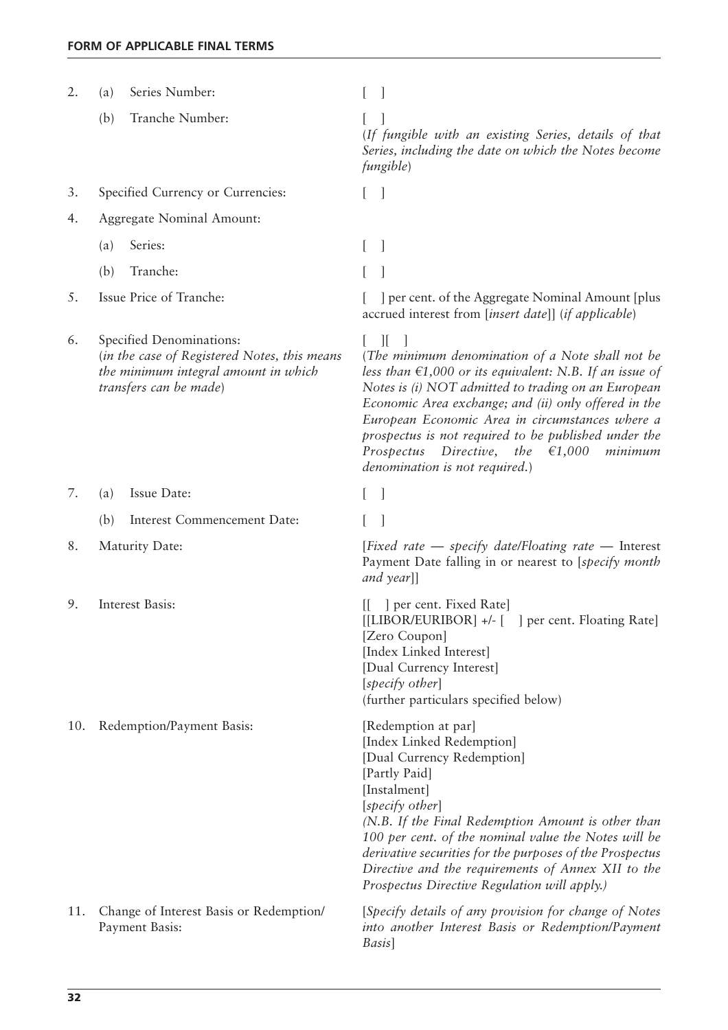| 2.  | Series Number:<br>(a)                                                                                                                      |                                                                                                                                                                                                                                                                                                                                                                                                                                                     |
|-----|--------------------------------------------------------------------------------------------------------------------------------------------|-----------------------------------------------------------------------------------------------------------------------------------------------------------------------------------------------------------------------------------------------------------------------------------------------------------------------------------------------------------------------------------------------------------------------------------------------------|
|     | Tranche Number:<br>(b)                                                                                                                     | (If fungible with an existing Series, details of that<br>Series, including the date on which the Notes become<br><i>fungible</i> )                                                                                                                                                                                                                                                                                                                  |
| 3.  | Specified Currency or Currencies:                                                                                                          |                                                                                                                                                                                                                                                                                                                                                                                                                                                     |
| 4.  | Aggregate Nominal Amount:                                                                                                                  |                                                                                                                                                                                                                                                                                                                                                                                                                                                     |
|     | Series:<br>(a)                                                                                                                             | $\overline{\phantom{a}}$                                                                                                                                                                                                                                                                                                                                                                                                                            |
|     | (b)<br>Tranche:                                                                                                                            |                                                                                                                                                                                                                                                                                                                                                                                                                                                     |
| 5.  | Issue Price of Tranche:                                                                                                                    | ] per cent. of the Aggregate Nominal Amount [plus]<br>accrued interest from [insert date]] (if applicable)                                                                                                                                                                                                                                                                                                                                          |
| 6.  | Specified Denominations:<br>(in the case of Registered Notes, this means<br>the minimum integral amount in which<br>transfers can be made) | $\mathbb{I}$<br>(The minimum denomination of a Note shall not be<br>less than $\epsilon$ 1,000 or its equivalent: N.B. If an issue of<br>Notes is (i) NOT admitted to trading on an European<br>Economic Area exchange; and (ii) only offered in the<br>European Economic Area in circumstances where a<br>prospectus is not required to be published under the<br>Prospectus Directive, the<br>€1,000<br>minimum<br>denomination is not required.) |
| 7.  | Issue Date:<br>(a)                                                                                                                         |                                                                                                                                                                                                                                                                                                                                                                                                                                                     |
|     | Interest Commencement Date:<br>(b)                                                                                                         |                                                                                                                                                                                                                                                                                                                                                                                                                                                     |
| 8.  | Maturity Date:                                                                                                                             | [Fixed rate – specify date/Floating rate – Interest<br>Payment Date falling in or nearest to [specify month<br>and year]]                                                                                                                                                                                                                                                                                                                           |
| 9.  | Interest Basis:                                                                                                                            | ] per cent. Fixed Rate]<br>[[LIBOR/EURIBOR] +/- [ ] per cent. Floating Rate]<br>[Zero Coupon]<br>[Index Linked Interest]<br>[Dual Currency Interest]<br>[specify other]<br>(further particulars specified below)                                                                                                                                                                                                                                    |
| 10. | Redemption/Payment Basis:                                                                                                                  | [Redemption at par]<br>[Index Linked Redemption]<br>[Dual Currency Redemption]<br>[Partly Paid]<br>[Instalment]<br>[specify other]<br>(N.B. If the Final Redemption Amount is other than<br>100 per cent. of the nominal value the Notes will be<br>derivative securities for the purposes of the Prospectus<br>Directive and the requirements of Annex XII to the<br>Prospectus Directive Regulation will apply.)                                  |
| 11. | Change of Interest Basis or Redemption/<br>Payment Basis:                                                                                  | [Specify details of any provision for change of Notes<br>into another Interest Basis or Redemption/Payment<br>Basis]                                                                                                                                                                                                                                                                                                                                |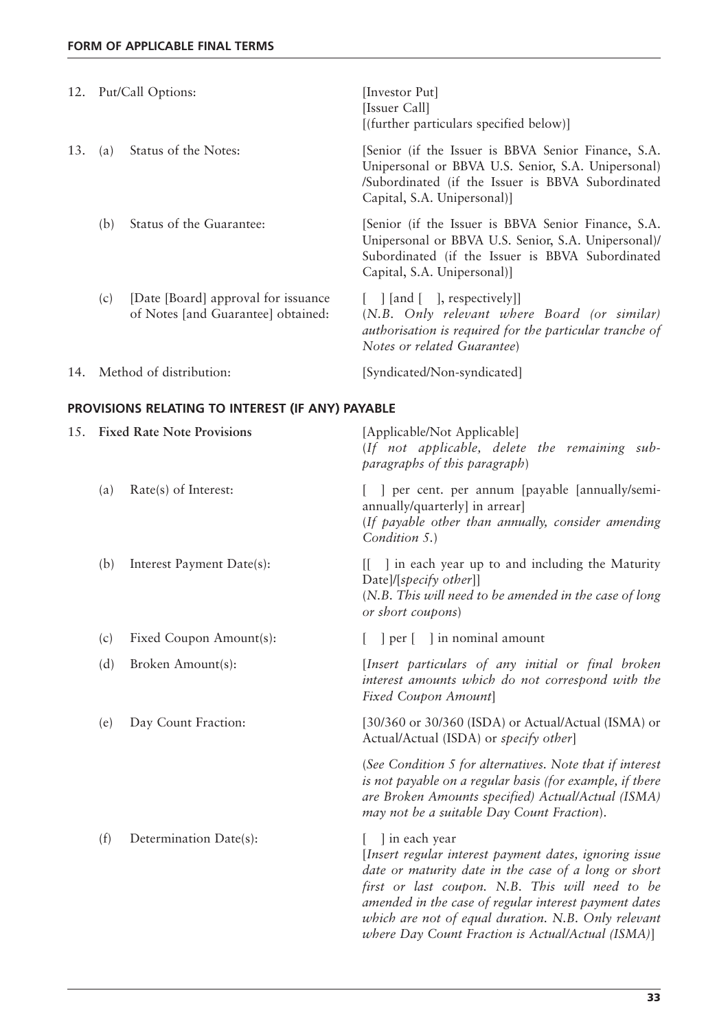|     |     | 12. Put/Call Options:                                                      | [Investor Put]<br>[Issuer Call]<br>[(further particulars specified below)]                                                                                                                    |
|-----|-----|----------------------------------------------------------------------------|-----------------------------------------------------------------------------------------------------------------------------------------------------------------------------------------------|
| 13. | (a) | Status of the Notes:                                                       | [Senior (if the Issuer is BBVA Senior Finance, S.A.<br>Unipersonal or BBVA U.S. Senior, S.A. Unipersonal)<br>/Subordinated (if the Issuer is BBVA Subordinated<br>Capital, S.A. Unipersonal)] |
|     | (b) | Status of the Guarantee:                                                   | [Senior (if the Issuer is BBVA Senior Finance, S.A.<br>Unipersonal or BBVA U.S. Senior, S.A. Unipersonal)/<br>Subordinated (if the Issuer is BBVA Subordinated<br>Capital, S.A. Unipersonal)] |
|     | (c) | [Date [Board] approval for issuance]<br>of Notes [and Guarantee] obtained: | $\lceil$   [and $\lceil$ ], respectively]<br>(N.B. Only relevant where Board (or similar)<br>authorisation is required for the particular tranche of<br>Notes or related Guarantee)           |
| 14. |     | Method of distribution:                                                    | [Syndicated/Non-syndicated]                                                                                                                                                                   |

### **PROVISIONS RELATING TO INTEREST (IF ANY) PAYABLE**

| 15. |     | <b>Fixed Rate Note Provisions</b> | [Applicable/Not Applicable]<br>(If not applicable, delete the remaining sub-<br>paragraphs of this paragraph)                                                                                                                                                                                                                                            |
|-----|-----|-----------------------------------|----------------------------------------------------------------------------------------------------------------------------------------------------------------------------------------------------------------------------------------------------------------------------------------------------------------------------------------------------------|
|     | (a) | Rate(s) of Interest:              | ] per cent. per annum [payable [annually/semi-<br>annually/quarterly] in arrear]<br>(If payable other than annually, consider amending<br>Condition 5.)                                                                                                                                                                                                  |
|     | (b) | Interest Payment Date(s):         | I in each year up to and including the Maturity<br>Ш.<br>$Date \mid \mid \text{specificity}$ other]]<br>$(N.B. This will need to be amended in the case of long$<br>or short coupons)                                                                                                                                                                    |
|     | (c) | Fixed Coupon Amount(s):           | per [ ] in nominal amount                                                                                                                                                                                                                                                                                                                                |
|     | (d) | Broken Amount(s):                 | [Insert particulars of any initial or final broken<br>interest amounts which do not correspond with the<br>Fixed Coupon Amount                                                                                                                                                                                                                           |
|     | (e) | Day Count Fraction:               | [30/360 or 30/360 (ISDA) or Actual/Actual (ISMA) or<br>Actual/Actual (ISDA) or specify other]                                                                                                                                                                                                                                                            |
|     |     |                                   | (See Condition 5 for alternatives. Note that if interest<br>is not payable on a regular basis (for example, if there<br>are Broken Amounts specified) Actual/Actual (ISMA)<br>may not be a suitable Day Count Fraction).                                                                                                                                 |
|     | (f) | Determination Date(s):            | l in each year<br>[Insert regular interest payment dates, ignoring issue<br>date or maturity date in the case of a long or short<br>first or last coupon. N.B. This will need to be<br>amended in the case of regular interest payment dates<br>which are not of equal duration. N.B. Only relevant<br>where Day Count Fraction is Actual/Actual (ISMA)] |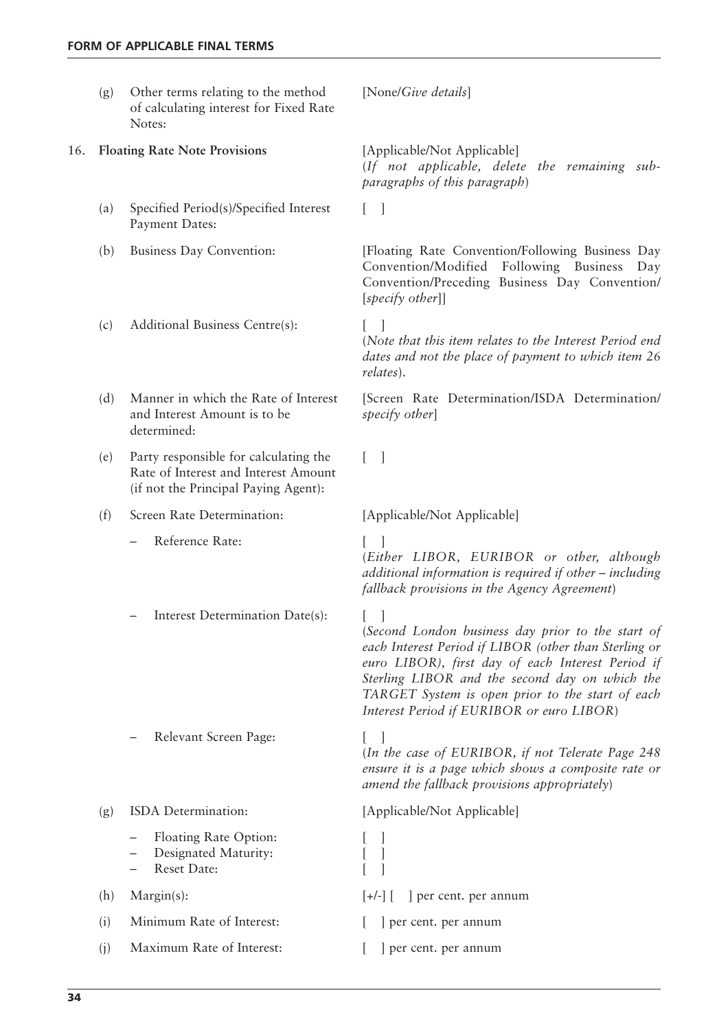- (g) Other terms relating to the method [None/*Give details*] of calculating interest for Fixed Rate Notes:
- 16. **Floating Rate Note Provisions** [Applicable/Not Applicable]
	- (a) Specified Period(s)/Specified Interest [ ] Payment Dates:
	-
	- $(c)$  Additional Business Centre $(s)$ :
	- Manner in which the Rate of Interest and Interest Amount is to be determined:
	- (e) Party responsible for calculating the  $\begin{bmatrix} \quad \end{bmatrix}$ Rate of Interest and Interest Amount (if not the Principal Paying Agent):

(f) Screen Rate Determination: [Applicable/Not Applicable]

Reference Rate:

Interest Determination Date(s): [ ]

Relevant Screen Page: [ ]

(*If not applicable, delete the remaining subparagraphs of this paragraph*)

(b) Business Day Convention: [Floating Rate Convention/Following Business Day Convention/Modified Following Business Day Convention/Preceding Business Day Convention/ [*specify other*]]

(*Note that this item relates to the Interest Period end dates and not the place of payment to which item 26 relates*).

(d) Manner in which the Rate of Interest [Screen Rate Determination/ISDA Determination/ *specify other*]

(*Either LIBOR, EURIBOR or other, although additional information is required if other – including fallback provisions in the Agency Agreement*)

(*Second London business day prior to the start of each Interest Period if LIBOR (other than Sterling or euro LIBOR), first day of each Interest Period if Sterling LIBOR and the second day on which the TARGET System is open prior to the start of each Interest Period if EURIBOR or euro LIBOR*)

(*In the case of EURIBOR, if not Telerate Page 248 ensure it is a page which shows a composite rate or amend the fallback provisions appropriately*)

(g) ISDA Determination: [Applicable/Not Applicable] Floating Rate Option: [ ] – Designated Maturity: [ ] – Reset Date: [ ] (h) Margin(s):  $[+/]-$  [ ] per cent. per annum (i) Minimum Rate of Interest:  $\begin{bmatrix} \cdot & \cdot & \cdot \\ \cdot & \cdot & \cdot \\ \cdot & \cdot & \cdot \end{bmatrix}$  per cent. per annum (j) Maximum Rate of Interest:  $\begin{bmatrix} \quad \end{bmatrix}$  per cent. per annum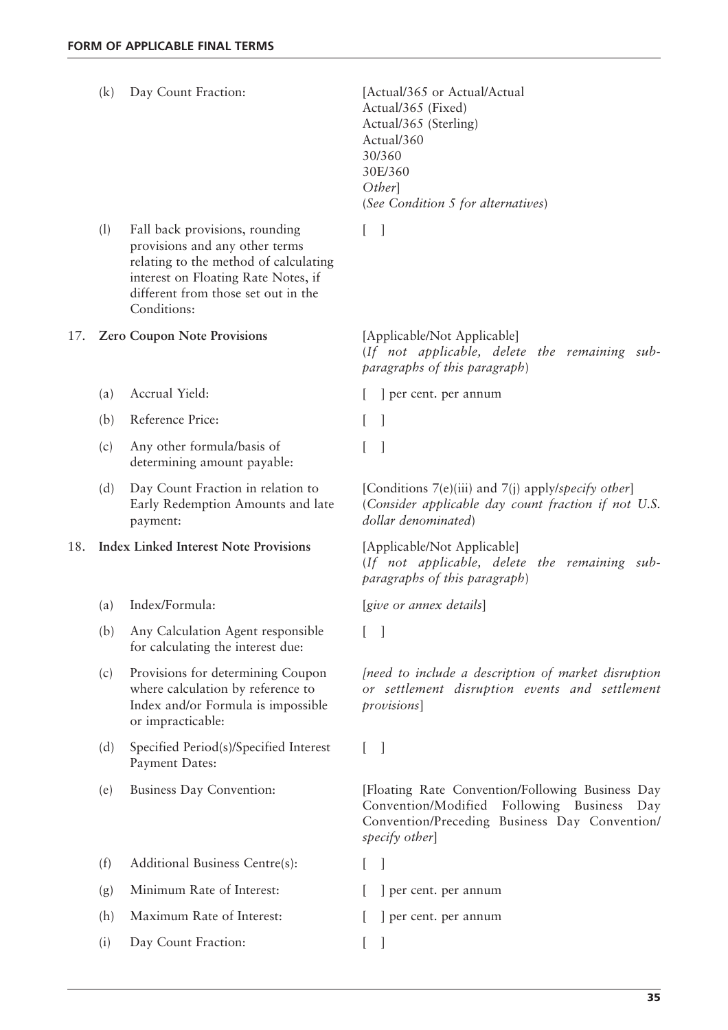|     | (k) | Day Count Fraction:                                                                                                                                                                                    | [Actual/365 or Actual/Actual]<br>Actual/365 (Fixed)<br>Actual/365 (Sterling)<br>Actual/360<br>30/360<br>30E/360<br>Other]<br>(See Condition 5 for alternatives)         |
|-----|-----|--------------------------------------------------------------------------------------------------------------------------------------------------------------------------------------------------------|-------------------------------------------------------------------------------------------------------------------------------------------------------------------------|
|     | (1) | Fall back provisions, rounding<br>provisions and any other terms<br>relating to the method of calculating<br>interest on Floating Rate Notes, if<br>different from those set out in the<br>Conditions: | $[\ ]$                                                                                                                                                                  |
| 17. |     | <b>Zero Coupon Note Provisions</b>                                                                                                                                                                     | [Applicable/Not Applicable]<br>(If not applicable, delete the remaining sub-<br>paragraphs of this paragraph)                                                           |
|     | (a) | Accrual Yield:                                                                                                                                                                                         | ] per cent. per annum                                                                                                                                                   |
|     | (b) | Reference Price:                                                                                                                                                                                       | $\overline{\phantom{a}}$<br>L                                                                                                                                           |
|     | (c) | Any other formula/basis of<br>determining amount payable:                                                                                                                                              | 1                                                                                                                                                                       |
|     | (d) | Day Count Fraction in relation to<br>Early Redemption Amounts and late<br>payment:                                                                                                                     | [Conditions $7(e)(iii)$ and $7(j)$ apply/specify other]<br>(Consider applicable day count fraction if not U.S.<br>dollar denominated)                                   |
| 18. |     | <b>Index Linked Interest Note Provisions</b>                                                                                                                                                           | [Applicable/Not Applicable]<br>(If not applicable, delete the remaining sub-<br>paragraphs of this paragraph)                                                           |
|     | (a) | Index/Formula:                                                                                                                                                                                         | [give or annex details]                                                                                                                                                 |
|     | (b) | Any Calculation Agent responsible<br>for calculating the interest due:                                                                                                                                 |                                                                                                                                                                         |
|     | (c) | Provisions for determining Coupon<br>where calculation by reference to<br>Index and/or Formula is impossible<br>or impracticable:                                                                      | [need to include a description of market disruption<br>or settlement disruption events and settlement<br>provisions]                                                    |
|     | (d) | Specified Period(s)/Specified Interest<br>Payment Dates:                                                                                                                                               | $\lceil$<br>L                                                                                                                                                           |
|     | (e) | Business Day Convention:                                                                                                                                                                               | [Floating Rate Convention/Following Business Day<br>Convention/Modified<br>Following Business<br>Day<br>Convention/Preceding Business Day Convention/<br>specify other] |
|     | (f) | Additional Business Centre(s):                                                                                                                                                                         |                                                                                                                                                                         |
|     | (g) | Minimum Rate of Interest:                                                                                                                                                                              | per cent. per annum                                                                                                                                                     |
|     | (h) | Maximum Rate of Interest:                                                                                                                                                                              | ] per cent. per annum                                                                                                                                                   |
|     | (i) | Day Count Fraction:                                                                                                                                                                                    |                                                                                                                                                                         |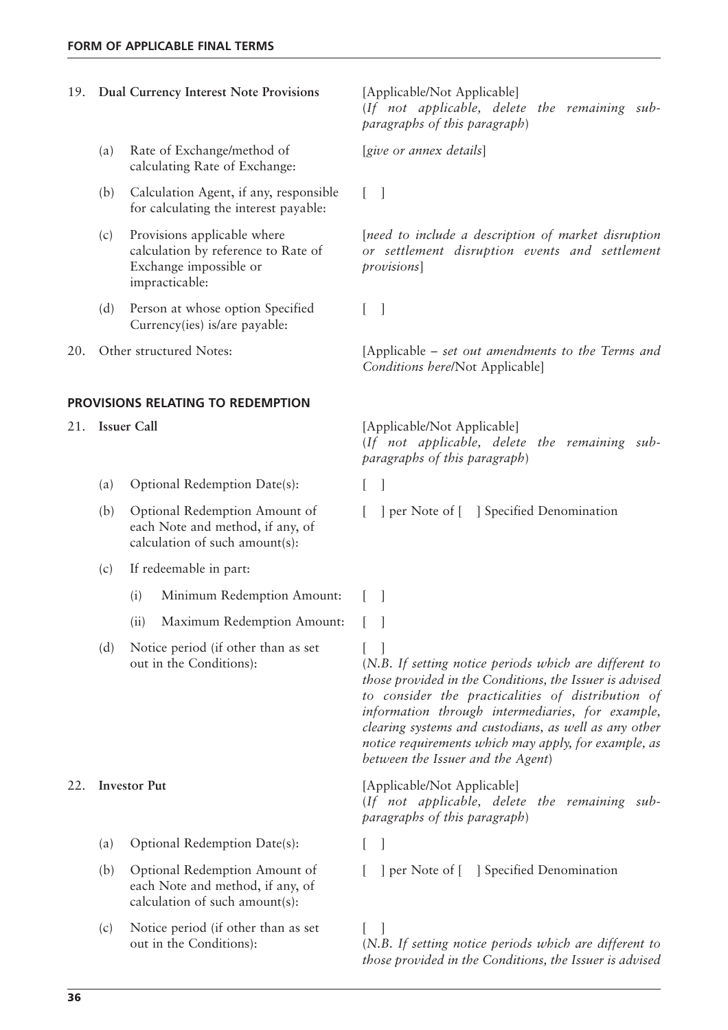calculating Rate of Exchange:

|     |                         | for calculating the interest payable:                                                                          |                                                                                                                      |
|-----|-------------------------|----------------------------------------------------------------------------------------------------------------|----------------------------------------------------------------------------------------------------------------------|
|     | (c)                     | Provisions applicable where<br>calculation by reference to Rate of<br>Exchange impossible or<br>impracticable: | [need to include a description of market disruption<br>or settlement disruption events and settlement<br>provisions] |
|     | (d)                     | Person at whose option Specified<br>Currency(ies) is/are payable:                                              | $\Box$<br>$\mathbf{L}$                                                                                               |
| 20. | Other structured Notes: |                                                                                                                | [Applicable – set out amendments to the Terms and<br>Conditions here/Not Applicable]                                 |
|     |                         | PROVISIONS RELATING TO REDEMPTION                                                                              |                                                                                                                      |
| 21. |                         | <b>Issuer Call</b>                                                                                             | [Applicable/Not Applicable]<br>(If not applicable, delete the remaining sub-<br>paragraphs of this paragraph)        |
|     | (a)                     | Optional Redemption Date(s):                                                                                   |                                                                                                                      |
|     | (b)                     | Optional Redemption Amount of<br>each Note and method, if any, of<br>calculation of such amount(s):            | ] per Note of [ ] Specified Denomination                                                                             |
|     | (c)                     | If redeemable in part:                                                                                         |                                                                                                                      |
|     |                         | (i)<br>Minimum Redemption Amount:                                                                              | $\Box$                                                                                                               |
|     |                         | Maximum Redemption Amount:<br>(ii)                                                                             |                                                                                                                      |
|     | (d)                     | Notice period (if other than as set<br>out in the Conditions):                                                 | (N.B. If setting notice periods which are different to                                                               |

- (a) Optional Redemption Date(s): [ ]
- Optional Redemption Amount of each Note and method, if any, of calculation of such amount(s):
- (c) Notice period (if other than as set  $[$ ] out in the Conditions):

19. **Dual Currency Interest Note Provisions** [Applicable/Not Applicable] (*If not applicable, delete the remaining subparagraphs of this paragraph*)

(a) [*give or annex details*] Rate of Exchange/method of

(b) Calculation Agent, if any, responsible [ ]

(*N.B. If setting notice periods which are different to those provided in the Conditions, the Issuer is advised to consider the practicalities of distribution of information through intermediaries, for example, clearing systems and custodians, as well as any other notice requirements which may apply, for example, as between the Issuer and the Agent*)

22. **Investor Put** [Applicable/Not Applicable] (*If not applicable, delete the remaining subparagraphs of this paragraph*)

(b) Optional Redemption Amount of [ ] per Note of [ ] Specified Denomination

(*N.B. If setting notice periods which are different to those provided in the Conditions, the Issuer is advised*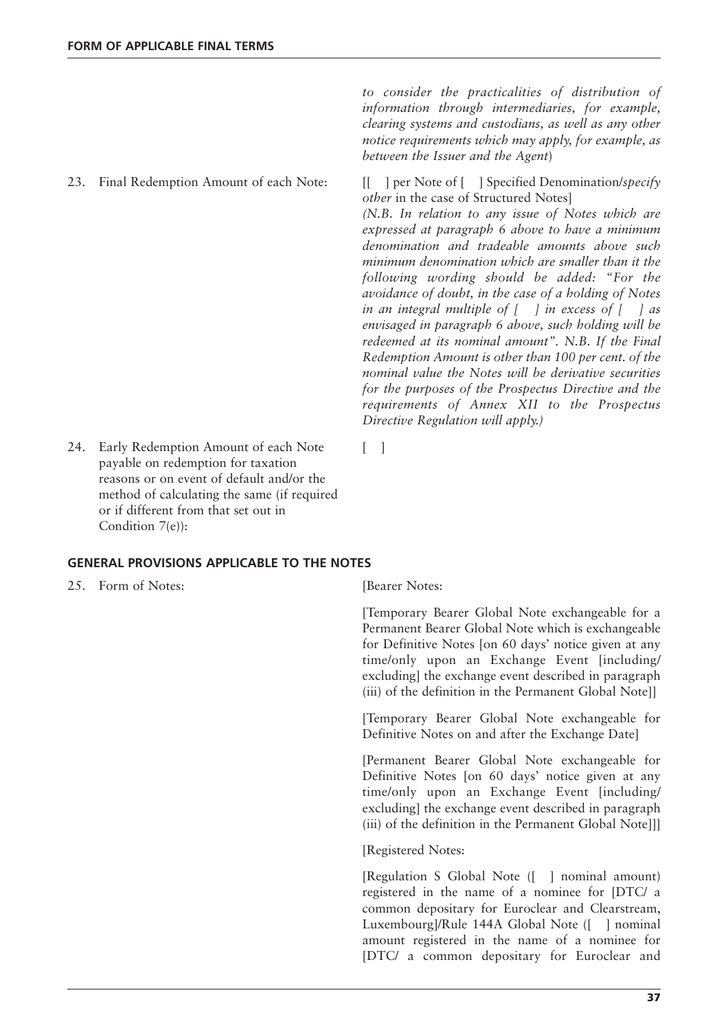23. Final Redemption Amount of each Note: [[ ] per Note of [ ] Specified Denomination/*specify*

*to consider the practicalities of distribution of information through intermediaries, for example, clearing systems and custodians, as well as any other notice requirements which may apply, for example, as between the Issuer and the Agent*)

*other* in the case of Structured Notes] *(N.B. In relation to any issue of Notes which are expressed at paragraph 6 above to have a minimum denomination and tradeable amounts above such minimum denomination which are smaller than it the following wording should be added: "For the avoidance of doubt, in the case of a holding of Notes in an integral multiple of [ ] in excess of [ ] as envisaged in paragraph 6 above, such holding will be redeemed at its nominal amount". N.B. If the Final Redemption Amount is other than 100 per cent. of the nominal value the Notes will be derivative securities for the purposes of the Prospectus Directive and the requirements of Annex XII to the Prospectus Directive Regulation will apply.)*

24. Early Redemption Amount of each Note [ ] payable on redemption for taxation reasons or on event of default and/or the method of calculating the same (if required or if different from that set out in Condition 7(e)):

**GENERAL PROVISIONS APPLICABLE TO THE NOTES**

25. Form of Notes: [Bearer Notes:

[Temporary Bearer Global Note exchangeable for a Permanent Bearer Global Note which is exchangeable for Definitive Notes [on 60 days' notice given at any time/only upon an Exchange Event [including/ excluding] the exchange event described in paragraph (iii) of the definition in the Permanent Global Note]]

[Temporary Bearer Global Note exchangeable for Definitive Notes on and after the Exchange Date]

[Permanent Bearer Global Note exchangeable for Definitive Notes [on 60 days' notice given at any time/only upon an Exchange Event [including/ excluding] the exchange event described in paragraph (iii) of the definition in the Permanent Global Note]]]

[Registered Notes:

[Regulation S Global Note ([ ] nominal amount) registered in the name of a nominee for [DTC/ a common depositary for Euroclear and Clearstream, Luxembourg]/Rule 144A Global Note ([ ] nominal amount registered in the name of a nominee for [DTC/ a common depositary for Euroclear and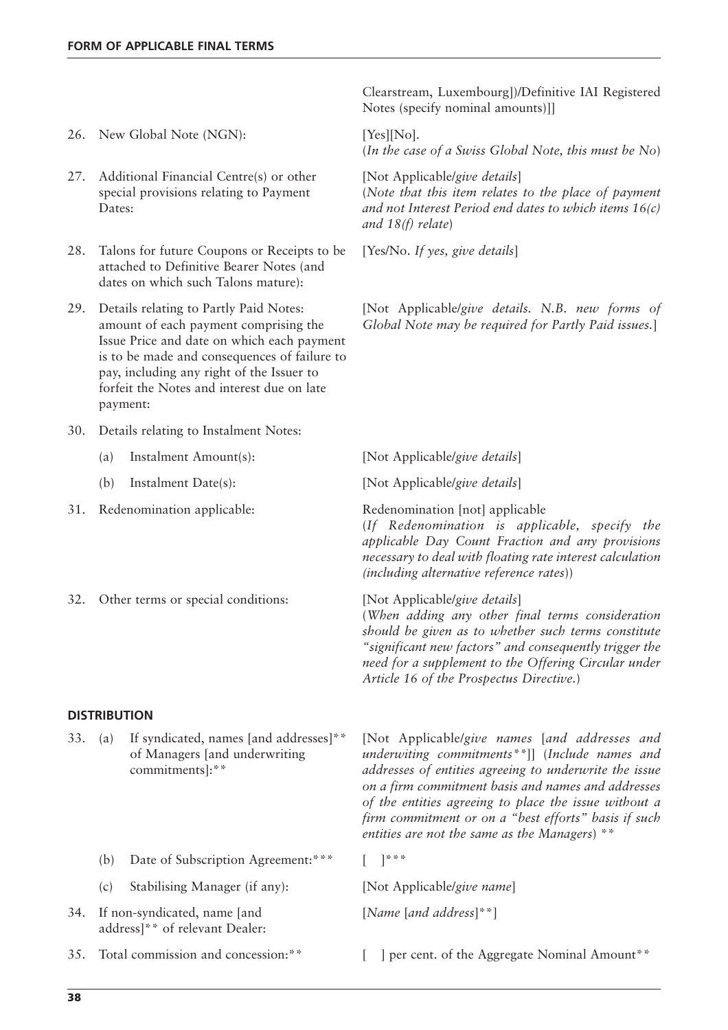- 26. New Global Note (NGN): [Yes][No].
- 27. Additional Financial Centre(s) or other [Not Applicable/give details] special provisions relating to Payment Dates:
- 28. Talons for future Coupons or Receipts to be [Yes/No. If yes, give details] attached to Definitive Bearer Notes (and dates on which such Talons mature):
- 29. Details relating to Partly Paid Notes: amount of each payment comprising the Issue Price and date on which each payment is to be made and consequences of failure to pay, including any right of the Issuer to forfeit the Notes and interest due on late payment:
- 30. Details relating to Instalment Notes:
- (a) Instalment Amount(s): [Not Applicable/*give details*] (b) Instalment Date(s): [Not Applicable/*give details*] 31. Redenomination applicable: Redenomination [not] applicable
- 32. Other terms or special conditions: [Not Applicable/*give details*]

#### **DISTRIBUTION**

- If syndicated, names [and addresses]\*\* of Managers [and underwriting commitments]:\*\*
	- (b) Date of Subscription Agreement:\*\*\* [ ]\*\*\*
	- (c) Stabilising Manager (if any): [Not Applicable/*give name*]
- 34. [*Name* [*and address*]\*\*] If non-syndicated, name [and address]\*\* of relevant Dealer:
- 

Clearstream, Luxembourg])/Definitive IAI Registered Notes (specify nominal amounts)]]

(*In the case of a Swiss Global Note, this must be No*)

(*Note that this item relates to the place of payment and not Interest Period end dates to which items 16(c) and 18(f) relate*)

29. [Not Applicable/*give details. N.B. new forms of Global Note may be required for Partly Paid issues.*]

(*If Redenomination is applicable, specify the applicable Day Count Fraction and any provisions necessary to deal with floating rate interest calculation (including alternative reference rates*))

(*When adding any other final terms consideration should be given as to whether such terms constitute "significant new factors" and consequently trigger the need for a supplement to the Offering Circular under Article 16 of the Prospectus Directive.*)

33. (a) [Not Applicable/*give names* [*and addresses and underwiting commitments\*\**]] (*Include names and addresses of entities agreeing to underwrite the issue on a firm commitment basis and names and addresses of the entities agreeing to place the issue without a firm commitment or on a "best efforts" basis if such entities are not the same as the Managers*) \*\*

35. Total commission and concession: \*\* [ ] per cent. of the Aggregate Nominal Amount \*\*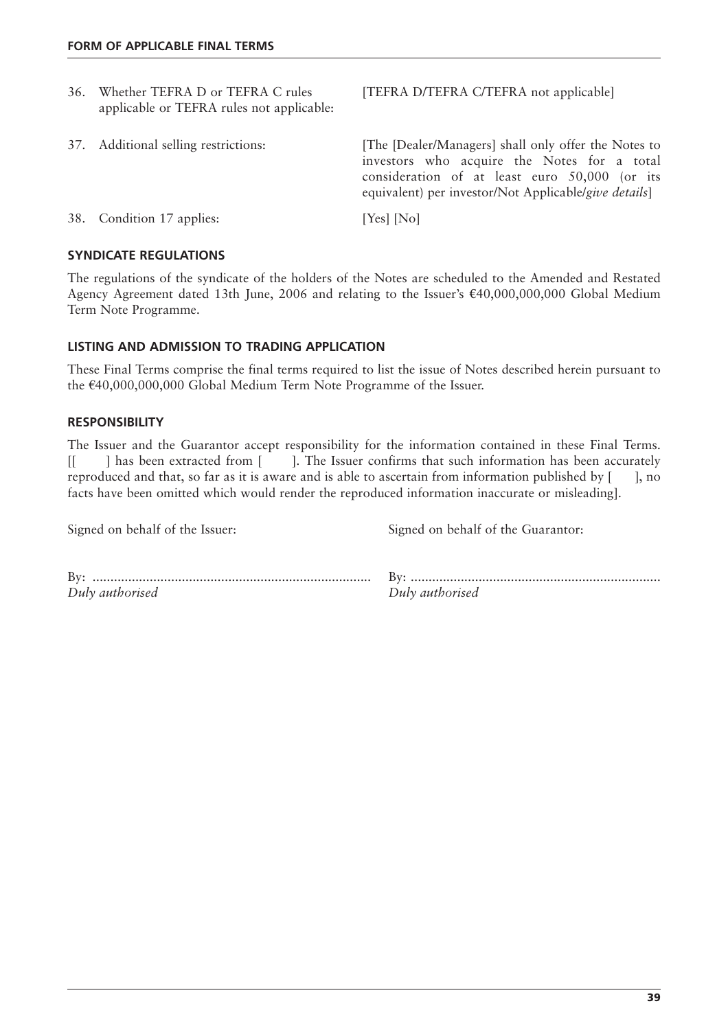| 37. Additional selling restrictions: | [The [Dealer/Managers] shall only offer the Notes to<br>investors who acquire the Notes for a total<br>consideration of at least euro 50,000 (or its<br>equivalent) per investor/Not Applicable/give details] |
|--------------------------------------|---------------------------------------------------------------------------------------------------------------------------------------------------------------------------------------------------------------|
| 38. Condition 17 applies:            | [Yes] [No]                                                                                                                                                                                                    |
|                                      | applicable or TEFRA rules not applicable:                                                                                                                                                                     |

# **SYNDICATE REGULATIONS**

The regulations of the syndicate of the holders of the Notes are scheduled to the Amended and Restated Agency Agreement dated 13th June, 2006 and relating to the Issuer's €40,000,000,000 Global Medium Term Note Programme.

## **LISTING AND ADMISSION TO TRADING APPLICATION**

These Final Terms comprise the final terms required to list the issue of Notes described herein pursuant to the  $£40,000,000,000$  Global Medium Term Note Programme of the Issuer.

## **RESPONSIBILITY**

The Issuer and the Guarantor accept responsibility for the information contained in these Final Terms. [[ ] has been extracted from [ ]. The Issuer confirms that such information has been accurately reproduced and that, so far as it is aware and is able to ascertain from information published by  $[$   $]$ , no facts have been omitted which would render the reproduced information inaccurate or misleading].

Signed on behalf of the Issuer: Signed on behalf of the Guarantor:

| Bv:             |                 |
|-----------------|-----------------|
| Duly authorised | Duly authorised |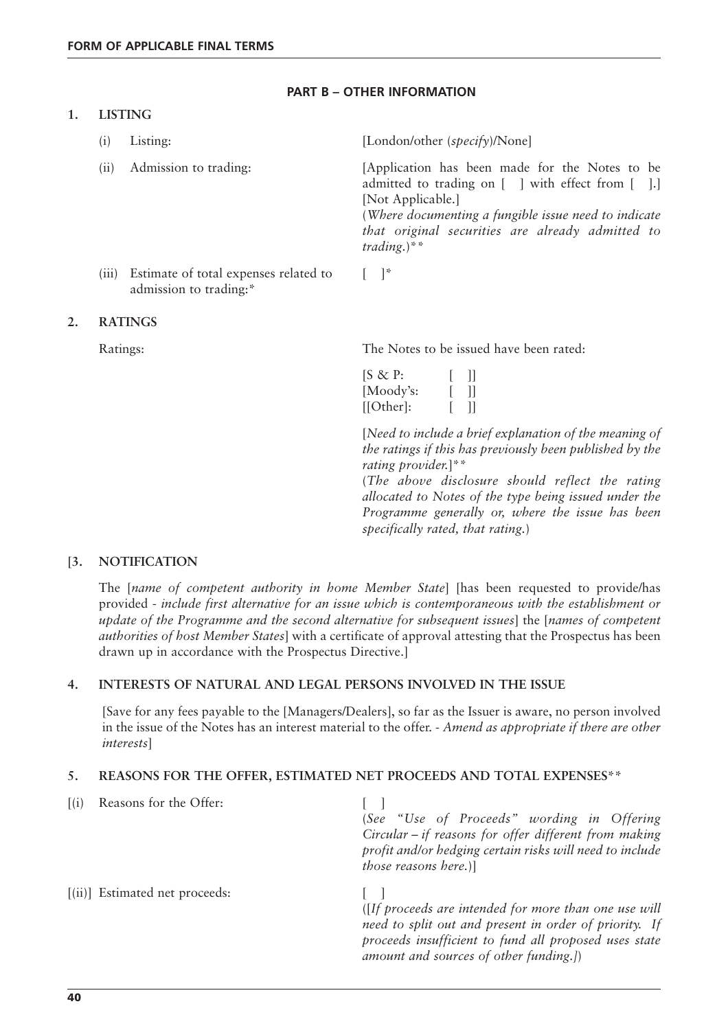# **PART B – OTHER INFORMATION**

# **1. LISTING**

| (1)   | Listing:                                                        | [London/other (specify)/None]                                                                                                                                                                                                                       |
|-------|-----------------------------------------------------------------|-----------------------------------------------------------------------------------------------------------------------------------------------------------------------------------------------------------------------------------------------------|
| (11)  | Admission to trading:                                           | [Application has been made for the Notes to be<br>admitted to trading on [ ] with effect from [ ].]<br>[Not Applicable.]<br>(Where documenting a fungible issue need to indicate<br>that original securities are already admitted to<br>trading.)** |
| (iii) | Estimate of total expenses related to<br>admission to trading:* | $\vert \vert^*$                                                                                                                                                                                                                                     |

#### **2. RATINGS**

Ratings: The Notes to be issued have been rated:

| $[S \& P:$ |              |
|------------|--------------|
| [Moody's:  | $\mathbf{I}$ |
| [[Other]:  | Ш            |

[*Need to include a brief explanation of the meaning of the ratings if this has previously been published by the rating provider.*]\*\*

(*The above disclosure should reflect the rating allocated to Notes of the type being issued under the Programme generally or, where the issue has been specifically rated, that rating.*)

# **[3. NOTIFICATION**

The [*name of competent authority in home Member State*] [has been requested to provide/has provided - *include first alternative for an issue which is contemporaneous with the establishment or update of the Programme and the second alternative for subsequent issues*] the [*names of competent authorities of host Member States*] with a certificate of approval attesting that the Prospectus has been drawn up in accordance with the Prospectus Directive.]

# **4. INTERESTS OF NATURAL AND LEGAL PERSONS INVOLVED IN THE ISSUE**

[Save for any fees payable to the [Managers/Dealers], so far as the Issuer is aware, no person involved in the issue of the Notes has an interest material to the offer. - *Amend as appropriate if there are other interests*]

# **5. REASONS FOR THE OFFER, ESTIMATED NET PROCEEDS AND TOTAL EXPENSES\*\***

| $\lceil$ (i) | Reasons for the Offer:         | (See "Use of Proceeds" wording in Offering<br>Circular $-i$ reasons for offer different from making<br>profit and/or hedging certain risks will need to include<br>those reasons here.)]                          |
|--------------|--------------------------------|-------------------------------------------------------------------------------------------------------------------------------------------------------------------------------------------------------------------|
|              | [(ii)] Estimated net proceeds: | (If proceeds are intended for more than one use will<br>need to split out and present in order of priority. If<br>proceeds insufficient to fund all proposed uses state<br>amount and sources of other funding.]) |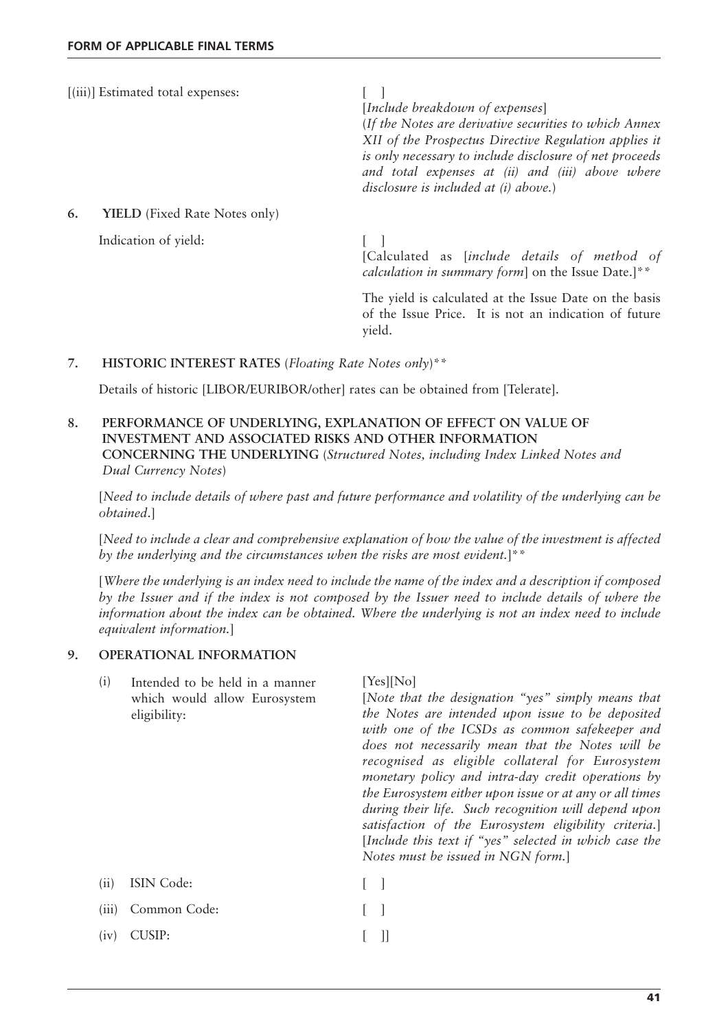[(iii)] Estimated total expenses: [ ]

[*Include breakdown of expenses*]

(*If the Notes are derivative securities to which Annex XII of the Prospectus Directive Regulation applies it is only necessary to include disclosure of net proceeds and total expenses at (ii) and (iii) above where disclosure is included at (i) above.*)

**6. YIELD** (Fixed Rate Notes only)

Indication of yield: [ ]

[Calculated as [*include details of method of calculation in summary form*] on the Issue Date.]\*\*

The yield is calculated at the Issue Date on the basis of the Issue Price. It is not an indication of future yield.

## **7. HISTORIC INTEREST RATES** (*Floating Rate Notes only*)\*\*

Details of historic [LIBOR/EURIBOR/other] rates can be obtained from [Telerate].

**8. PERFORMANCE OF UNDERLYING, EXPLANATION OF EFFECT ON VALUE OF INVESTMENT AND ASSOCIATED RISKS AND OTHER INFORMATION CONCERNING THE UNDERLYING** (*Structured Notes, including Index Linked Notes and Dual Currency Notes*)

[*Need to include details of where past and future performance and volatility of the underlying can be obtained*.]

[*Need to include a clear and comprehensive explanation of how the value of the investment is affected by the underlying and the circumstances when the risks are most evident.*]\*\*

[*Where the underlying is an index need to include the name of the index and a description if composed by the Issuer and if the index is not composed by the Issuer need to include details of where the information about the index can be obtained. Where the underlying is not an index need to include equivalent information.*]

#### **9. OPERATIONAL INFORMATION**

| (i)   | Intended to be held in a manner<br>which would allow Eurosystem<br>eligibility: | [Yes][No]<br>[Note that the designation "yes" simply means that<br>the Notes are intended upon issue to be deposited<br>with one of the ICSDs as common safekeeper and<br>does not necessarily mean that the Notes will be<br>recognised as eligible collateral for Eurosystem<br>monetary policy and intra-day credit operations by<br>the Eurosystem either upon issue or at any or all times<br>during their life. Such recognition will depend upon<br>satisfaction of the Eurosystem eligibility criteria.<br>[Include this text if "yes" selected in which case the<br>Notes must be issued in NGN form.] |
|-------|---------------------------------------------------------------------------------|-----------------------------------------------------------------------------------------------------------------------------------------------------------------------------------------------------------------------------------------------------------------------------------------------------------------------------------------------------------------------------------------------------------------------------------------------------------------------------------------------------------------------------------------------------------------------------------------------------------------|
| (ii)  | ISIN Code:                                                                      |                                                                                                                                                                                                                                                                                                                                                                                                                                                                                                                                                                                                                 |
| (iii) | Common Code:                                                                    |                                                                                                                                                                                                                                                                                                                                                                                                                                                                                                                                                                                                                 |
| (iv)  | CUSIP:                                                                          |                                                                                                                                                                                                                                                                                                                                                                                                                                                                                                                                                                                                                 |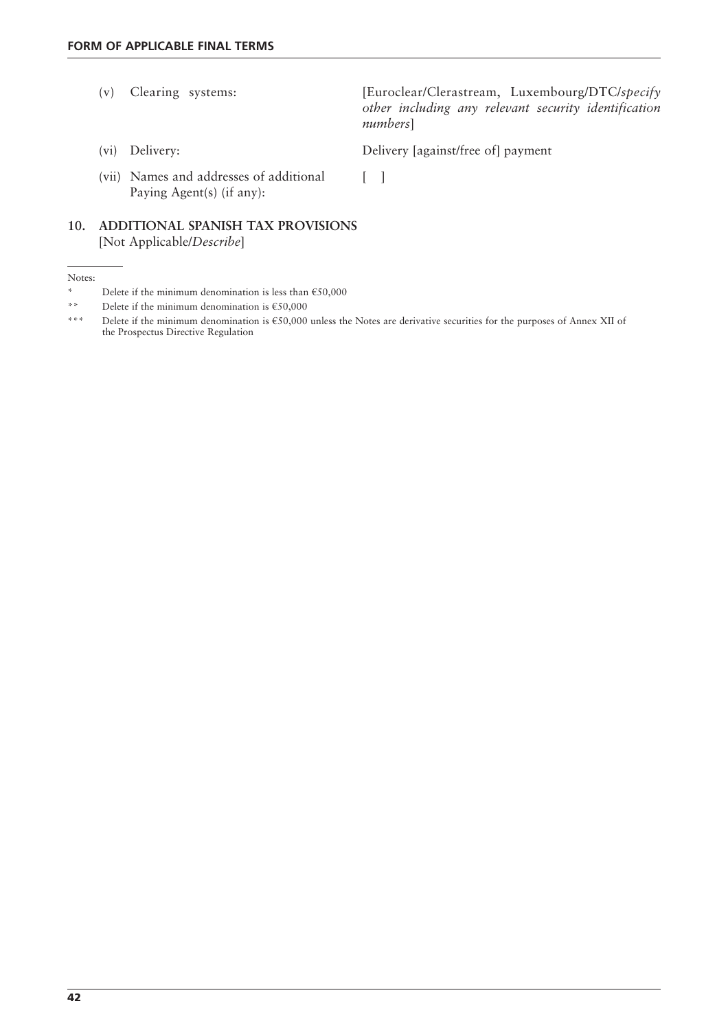- (v) Clearing systems: [Euroclear/Clerastream, Luxembourg/DTC/*specify other including any relevant security identification numbers*]
	-

(vi) Delivery: Delivery [against/free of] payment

(vii) Names and addresses of additional [ ] Paying Agent(s) (if any):

**10. ADDITIONAL SPANISH TAX PROVISIONS** [Not Applicable/*Describe*]

Notes:

<sup>\*</sup> Delete if the minimum denomination is less than €50,000

<sup>\*\*</sup> Delete if the minimum denomination is €50,000

<sup>\*\*\*</sup> Delete if the minimum denomination is €50,000 unless the Notes are derivative securities for the purposes of Annex XII of the Prospectus Directive Regulation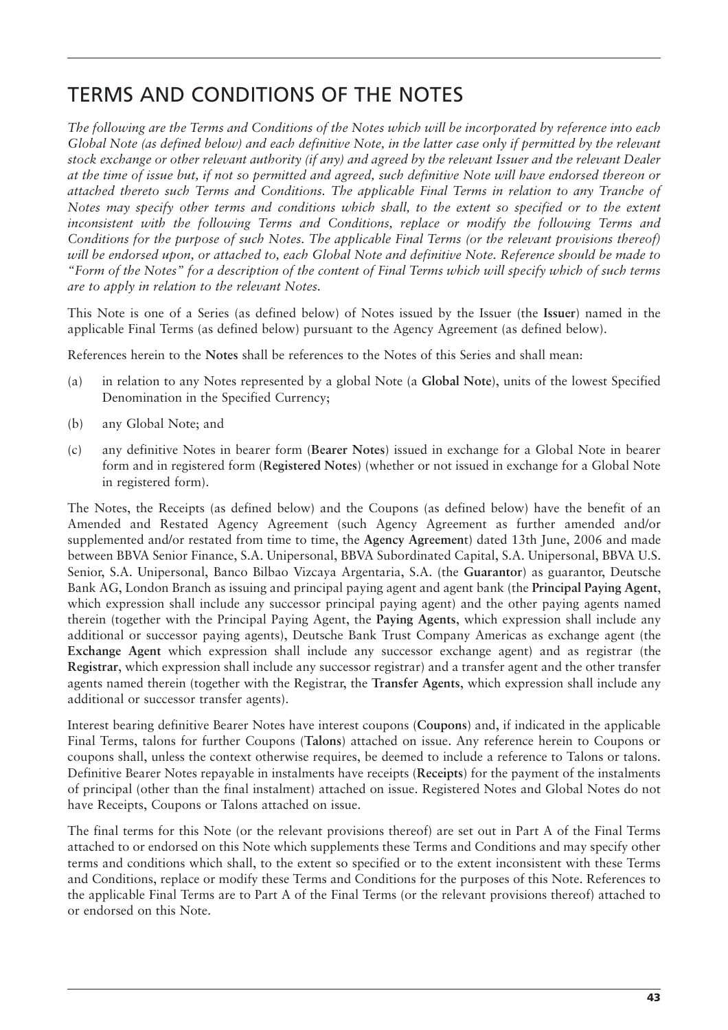# TERMS AND CONDITIONS OF THE NOTES

*The following are the Terms and Conditions of the Notes which will be incorporated by reference into each Global Note (as defined below) and each definitive Note, in the latter case only if permitted by the relevant stock exchange or other relevant authority (if any) and agreed by the relevant Issuer and the relevant Dealer at the time of issue but, if not so permitted and agreed, such definitive Note will have endorsed thereon or attached thereto such Terms and Conditions. The applicable Final Terms in relation to any Tranche of Notes may specify other terms and conditions which shall, to the extent so specified or to the extent inconsistent with the following Terms and Conditions, replace or modify the following Terms and Conditions for the purpose of such Notes. The applicable Final Terms (or the relevant provisions thereof) will be endorsed upon, or attached to, each Global Note and definitive Note. Reference should be made to "Form of the Notes" for a description of the content of Final Terms which will specify which of such terms are to apply in relation to the relevant Notes.*

This Note is one of a Series (as defined below) of Notes issued by the Issuer (the **Issuer**) named in the applicable Final Terms (as defined below) pursuant to the Agency Agreement (as defined below).

References herein to the **Notes** shall be references to the Notes of this Series and shall mean:

- (a) in relation to any Notes represented by a global Note (a **Global Note**), units of the lowest Specified Denomination in the Specified Currency;
- (b) any Global Note; and
- (c) any definitive Notes in bearer form (**Bearer Notes**) issued in exchange for a Global Note in bearer form and in registered form (**Registered Notes**) (whether or not issued in exchange for a Global Note in registered form).

The Notes, the Receipts (as defined below) and the Coupons (as defined below) have the benefit of an Amended and Restated Agency Agreement (such Agency Agreement as further amended and/or supplemented and/or restated from time to time, the **Agency Agreemen**t) dated 13th June, 2006 and made between BBVA Senior Finance, S.A. Unipersonal, BBVA Subordinated Capital, S.A. Unipersonal, BBVA U.S. Senior, S.A. Unipersonal, Banco Bilbao Vizcaya Argentaria, S.A. (the **Guarantor**) as guarantor, Deutsche Bank AG, London Branch as issuing and principal paying agent and agent bank (the **Principal Paying Agent**, which expression shall include any successor principal paying agent) and the other paying agents named therein (together with the Principal Paying Agent, the **Paying Agents**, which expression shall include any additional or successor paying agents), Deutsche Bank Trust Company Americas as exchange agent (the **Exchange Agent** which expression shall include any successor exchange agent) and as registrar (the **Registrar**, which expression shall include any successor registrar) and a transfer agent and the other transfer agents named therein (together with the Registrar, the **Transfer Agents**, which expression shall include any additional or successor transfer agents).

Interest bearing definitive Bearer Notes have interest coupons (**Coupons**) and, if indicated in the applicable Final Terms, talons for further Coupons (**Talons**) attached on issue. Any reference herein to Coupons or coupons shall, unless the context otherwise requires, be deemed to include a reference to Talons or talons. Definitive Bearer Notes repayable in instalments have receipts (**Receipts**) for the payment of the instalments of principal (other than the final instalment) attached on issue. Registered Notes and Global Notes do not have Receipts, Coupons or Talons attached on issue.

The final terms for this Note (or the relevant provisions thereof) are set out in Part A of the Final Terms attached to or endorsed on this Note which supplements these Terms and Conditions and may specify other terms and conditions which shall, to the extent so specified or to the extent inconsistent with these Terms and Conditions, replace or modify these Terms and Conditions for the purposes of this Note. References to the applicable Final Terms are to Part A of the Final Terms (or the relevant provisions thereof) attached to or endorsed on this Note.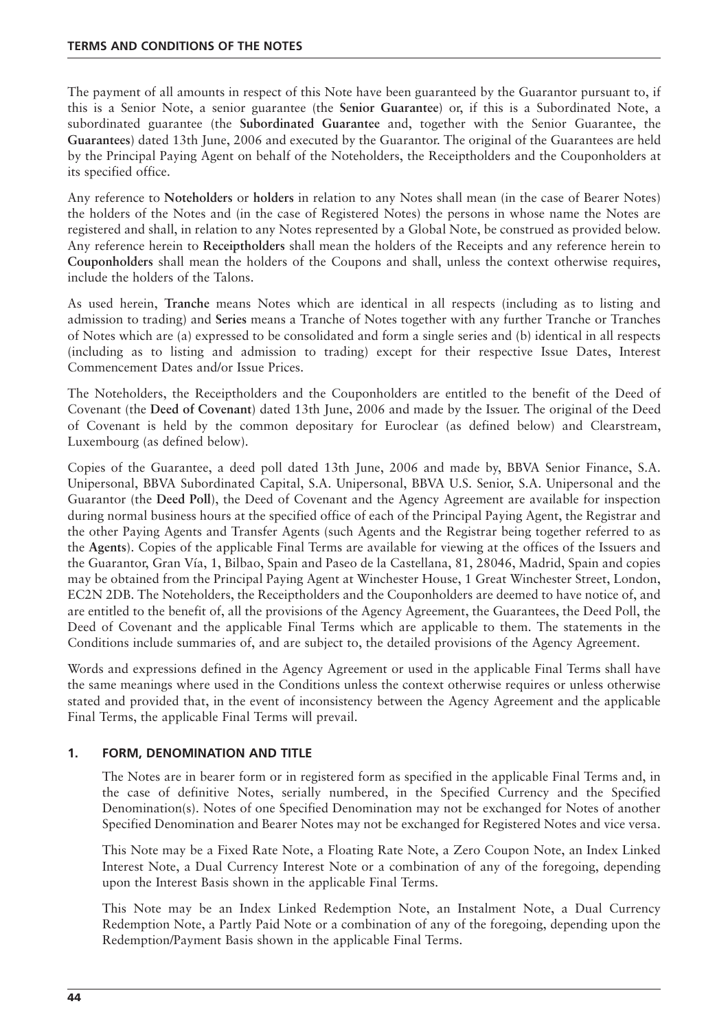The payment of all amounts in respect of this Note have been guaranteed by the Guarantor pursuant to, if this is a Senior Note, a senior guarantee (the **Senior Guarantee**) or, if this is a Subordinated Note, a subordinated guarantee (the **Subordinated Guarantee** and, together with the Senior Guarantee, the **Guarantees**) dated 13th June, 2006 and executed by the Guarantor. The original of the Guarantees are held by the Principal Paying Agent on behalf of the Noteholders, the Receiptholders and the Couponholders at its specified office.

Any reference to **Noteholders** or **holders** in relation to any Notes shall mean (in the case of Bearer Notes) the holders of the Notes and (in the case of Registered Notes) the persons in whose name the Notes are registered and shall, in relation to any Notes represented by a Global Note, be construed as provided below. Any reference herein to **Receiptholders** shall mean the holders of the Receipts and any reference herein to **Couponholders** shall mean the holders of the Coupons and shall, unless the context otherwise requires, include the holders of the Talons.

As used herein, **Tranche** means Notes which are identical in all respects (including as to listing and admission to trading) and **Series** means a Tranche of Notes together with any further Tranche or Tranches of Notes which are (a) expressed to be consolidated and form a single series and (b) identical in all respects (including as to listing and admission to trading) except for their respective Issue Dates, Interest Commencement Dates and/or Issue Prices.

The Noteholders, the Receiptholders and the Couponholders are entitled to the benefit of the Deed of Covenant (the **Deed of Covenant**) dated 13th June, 2006 and made by the Issuer. The original of the Deed of Covenant is held by the common depositary for Euroclear (as defined below) and Clearstream, Luxembourg (as defined below).

Copies of the Guarantee, a deed poll dated 13th June, 2006 and made by, BBVA Senior Finance, S.A. Unipersonal, BBVA Subordinated Capital, S.A. Unipersonal, BBVA U.S. Senior, S.A. Unipersonal and the Guarantor (the **Deed Poll**), the Deed of Covenant and the Agency Agreement are available for inspection during normal business hours at the specified office of each of the Principal Paying Agent, the Registrar and the other Paying Agents and Transfer Agents (such Agents and the Registrar being together referred to as the **Agents**). Copies of the applicable Final Terms are available for viewing at the offices of the Issuers and the Guarantor, Gran Vía, 1, Bilbao, Spain and Paseo de la Castellana, 81, 28046, Madrid, Spain and copies may be obtained from the Principal Paying Agent at Winchester House, 1 Great Winchester Street, London, EC2N 2DB. The Noteholders, the Receiptholders and the Couponholders are deemed to have notice of, and are entitled to the benefit of, all the provisions of the Agency Agreement, the Guarantees, the Deed Poll, the Deed of Covenant and the applicable Final Terms which are applicable to them. The statements in the Conditions include summaries of, and are subject to, the detailed provisions of the Agency Agreement.

Words and expressions defined in the Agency Agreement or used in the applicable Final Terms shall have the same meanings where used in the Conditions unless the context otherwise requires or unless otherwise stated and provided that, in the event of inconsistency between the Agency Agreement and the applicable Final Terms, the applicable Final Terms will prevail.

# **1. FORM, DENOMINATION AND TITLE**

The Notes are in bearer form or in registered form as specified in the applicable Final Terms and, in the case of definitive Notes, serially numbered, in the Specified Currency and the Specified Denomination(s). Notes of one Specified Denomination may not be exchanged for Notes of another Specified Denomination and Bearer Notes may not be exchanged for Registered Notes and vice versa.

This Note may be a Fixed Rate Note, a Floating Rate Note, a Zero Coupon Note, an Index Linked Interest Note, a Dual Currency Interest Note or a combination of any of the foregoing, depending upon the Interest Basis shown in the applicable Final Terms.

This Note may be an Index Linked Redemption Note, an Instalment Note, a Dual Currency Redemption Note, a Partly Paid Note or a combination of any of the foregoing, depending upon the Redemption/Payment Basis shown in the applicable Final Terms.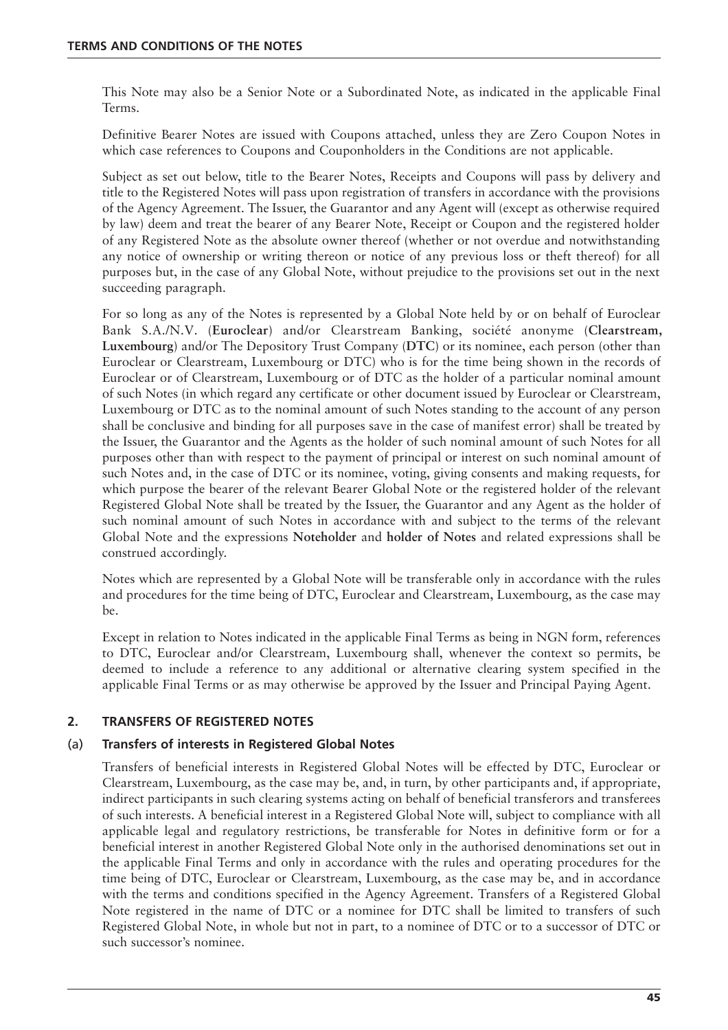This Note may also be a Senior Note or a Subordinated Note, as indicated in the applicable Final Terms.

Definitive Bearer Notes are issued with Coupons attached, unless they are Zero Coupon Notes in which case references to Coupons and Couponholders in the Conditions are not applicable.

Subject as set out below, title to the Bearer Notes, Receipts and Coupons will pass by delivery and title to the Registered Notes will pass upon registration of transfers in accordance with the provisions of the Agency Agreement. The Issuer, the Guarantor and any Agent will (except as otherwise required by law) deem and treat the bearer of any Bearer Note, Receipt or Coupon and the registered holder of any Registered Note as the absolute owner thereof (whether or not overdue and notwithstanding any notice of ownership or writing thereon or notice of any previous loss or theft thereof) for all purposes but, in the case of any Global Note, without prejudice to the provisions set out in the next succeeding paragraph.

For so long as any of the Notes is represented by a Global Note held by or on behalf of Euroclear Bank S.A./N.V. (**Euroclear**) and/or Clearstream Banking, société anonyme (**Clearstream, Luxembourg**) and/or The Depository Trust Company (**DTC**) or its nominee, each person (other than Euroclear or Clearstream, Luxembourg or DTC) who is for the time being shown in the records of Euroclear or of Clearstream, Luxembourg or of DTC as the holder of a particular nominal amount of such Notes (in which regard any certificate or other document issued by Euroclear or Clearstream, Luxembourg or DTC as to the nominal amount of such Notes standing to the account of any person shall be conclusive and binding for all purposes save in the case of manifest error) shall be treated by the Issuer, the Guarantor and the Agents as the holder of such nominal amount of such Notes for all purposes other than with respect to the payment of principal or interest on such nominal amount of such Notes and, in the case of DTC or its nominee, voting, giving consents and making requests, for which purpose the bearer of the relevant Bearer Global Note or the registered holder of the relevant Registered Global Note shall be treated by the Issuer, the Guarantor and any Agent as the holder of such nominal amount of such Notes in accordance with and subject to the terms of the relevant Global Note and the expressions **Noteholder** and **holder of Notes** and related expressions shall be construed accordingly.

Notes which are represented by a Global Note will be transferable only in accordance with the rules and procedures for the time being of DTC, Euroclear and Clearstream, Luxembourg, as the case may be.

Except in relation to Notes indicated in the applicable Final Terms as being in NGN form, references to DTC, Euroclear and/or Clearstream, Luxembourg shall, whenever the context so permits, be deemed to include a reference to any additional or alternative clearing system specified in the applicable Final Terms or as may otherwise be approved by the Issuer and Principal Paying Agent.

# **2. TRANSFERS OF REGISTERED NOTES**

# (a) **Transfers of interests in Registered Global Notes**

Transfers of beneficial interests in Registered Global Notes will be effected by DTC, Euroclear or Clearstream, Luxembourg, as the case may be, and, in turn, by other participants and, if appropriate, indirect participants in such clearing systems acting on behalf of beneficial transferors and transferees of such interests. A beneficial interest in a Registered Global Note will, subject to compliance with all applicable legal and regulatory restrictions, be transferable for Notes in definitive form or for a beneficial interest in another Registered Global Note only in the authorised denominations set out in the applicable Final Terms and only in accordance with the rules and operating procedures for the time being of DTC, Euroclear or Clearstream, Luxembourg, as the case may be, and in accordance with the terms and conditions specified in the Agency Agreement. Transfers of a Registered Global Note registered in the name of DTC or a nominee for DTC shall be limited to transfers of such Registered Global Note, in whole but not in part, to a nominee of DTC or to a successor of DTC or such successor's nominee.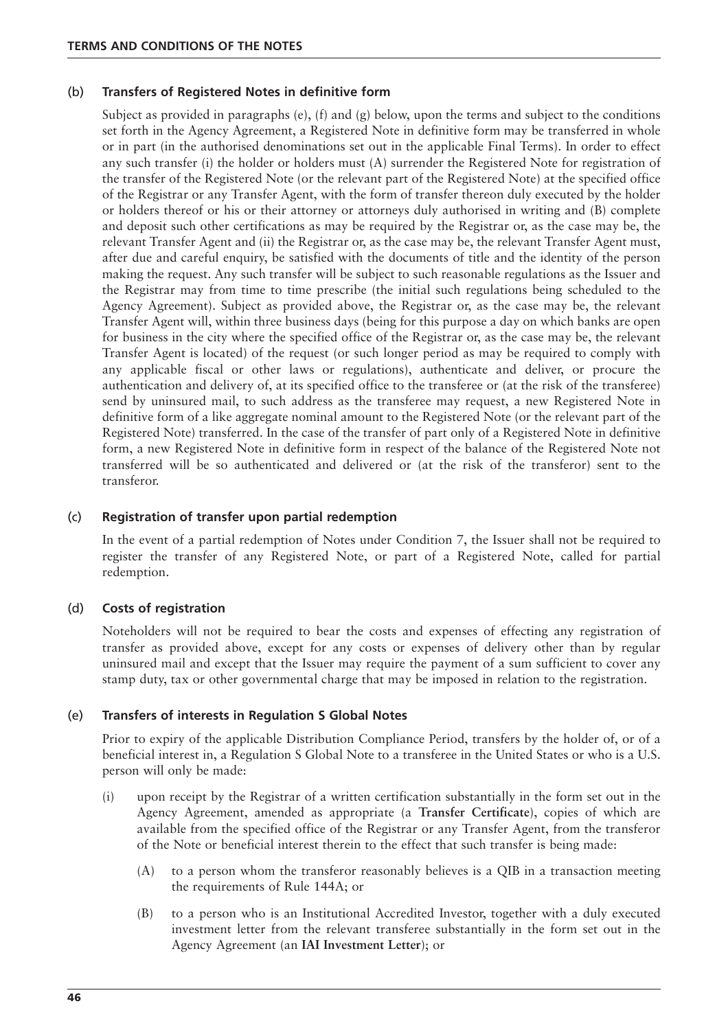#### (b) **Transfers of Registered Notes in definitive form**

Subject as provided in paragraphs (e), (f) and (g) below, upon the terms and subject to the conditions set forth in the Agency Agreement, a Registered Note in definitive form may be transferred in whole or in part (in the authorised denominations set out in the applicable Final Terms). In order to effect any such transfer (i) the holder or holders must (A) surrender the Registered Note for registration of the transfer of the Registered Note (or the relevant part of the Registered Note) at the specified office of the Registrar or any Transfer Agent, with the form of transfer thereon duly executed by the holder or holders thereof or his or their attorney or attorneys duly authorised in writing and (B) complete and deposit such other certifications as may be required by the Registrar or, as the case may be, the relevant Transfer Agent and (ii) the Registrar or, as the case may be, the relevant Transfer Agent must, after due and careful enquiry, be satisfied with the documents of title and the identity of the person making the request. Any such transfer will be subject to such reasonable regulations as the Issuer and the Registrar may from time to time prescribe (the initial such regulations being scheduled to the Agency Agreement). Subject as provided above, the Registrar or, as the case may be, the relevant Transfer Agent will, within three business days (being for this purpose a day on which banks are open for business in the city where the specified office of the Registrar or, as the case may be, the relevant Transfer Agent is located) of the request (or such longer period as may be required to comply with any applicable fiscal or other laws or regulations), authenticate and deliver, or procure the authentication and delivery of, at its specified office to the transferee or (at the risk of the transferee) send by uninsured mail, to such address as the transferee may request, a new Registered Note in definitive form of a like aggregate nominal amount to the Registered Note (or the relevant part of the Registered Note) transferred. In the case of the transfer of part only of a Registered Note in definitive form, a new Registered Note in definitive form in respect of the balance of the Registered Note not transferred will be so authenticated and delivered or (at the risk of the transferor) sent to the transferor.

#### (c) **Registration of transfer upon partial redemption**

In the event of a partial redemption of Notes under Condition 7, the Issuer shall not be required to register the transfer of any Registered Note, or part of a Registered Note, called for partial redemption.

#### (d) **Costs of registration**

Noteholders will not be required to bear the costs and expenses of effecting any registration of transfer as provided above, except for any costs or expenses of delivery other than by regular uninsured mail and except that the Issuer may require the payment of a sum sufficient to cover any stamp duty, tax or other governmental charge that may be imposed in relation to the registration.

#### (e) **Transfers of interests in Regulation S Global Notes**

Prior to expiry of the applicable Distribution Compliance Period, transfers by the holder of, or of a beneficial interest in, a Regulation S Global Note to a transferee in the United States or who is a U.S. person will only be made:

- (i) upon receipt by the Registrar of a written certification substantially in the form set out in the Agency Agreement, amended as appropriate (a **Transfer Certificate**), copies of which are available from the specified office of the Registrar or any Transfer Agent, from the transferor of the Note or beneficial interest therein to the effect that such transfer is being made:
	- (A) to a person whom the transferor reasonably believes is a QIB in a transaction meeting the requirements of Rule 144A; or
	- (B) to a person who is an Institutional Accredited Investor, together with a duly executed investment letter from the relevant transferee substantially in the form set out in the Agency Agreement (an **IAI Investment Letter**); or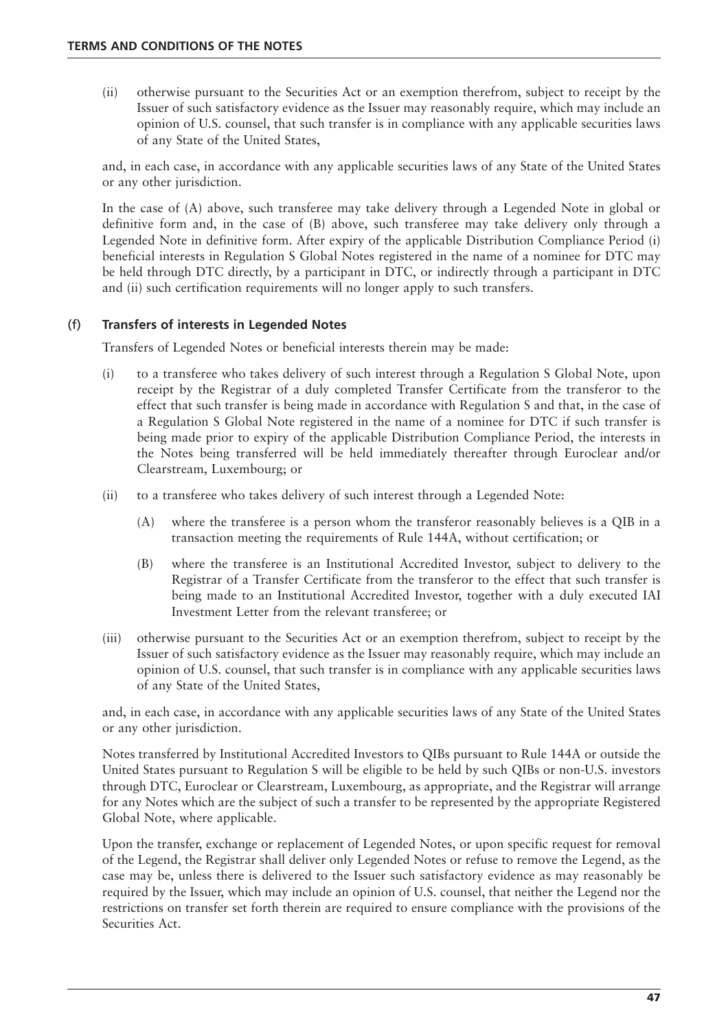(ii) otherwise pursuant to the Securities Act or an exemption therefrom, subject to receipt by the Issuer of such satisfactory evidence as the Issuer may reasonably require, which may include an opinion of U.S. counsel, that such transfer is in compliance with any applicable securities laws of any State of the United States,

and, in each case, in accordance with any applicable securities laws of any State of the United States or any other jurisdiction.

In the case of (A) above, such transferee may take delivery through a Legended Note in global or definitive form and, in the case of (B) above, such transferee may take delivery only through a Legended Note in definitive form. After expiry of the applicable Distribution Compliance Period (i) beneficial interests in Regulation S Global Notes registered in the name of a nominee for DTC may be held through DTC directly, by a participant in DTC, or indirectly through a participant in DTC and (ii) such certification requirements will no longer apply to such transfers.

# (f) **Transfers of interests in Legended Notes**

Transfers of Legended Notes or beneficial interests therein may be made:

- (i) to a transferee who takes delivery of such interest through a Regulation S Global Note, upon receipt by the Registrar of a duly completed Transfer Certificate from the transferor to the effect that such transfer is being made in accordance with Regulation S and that, in the case of a Regulation S Global Note registered in the name of a nominee for DTC if such transfer is being made prior to expiry of the applicable Distribution Compliance Period, the interests in the Notes being transferred will be held immediately thereafter through Euroclear and/or Clearstream, Luxembourg; or
- (ii) to a transferee who takes delivery of such interest through a Legended Note:
	- (A) where the transferee is a person whom the transferor reasonably believes is a QIB in a transaction meeting the requirements of Rule 144A, without certification; or
	- (B) where the transferee is an Institutional Accredited Investor, subject to delivery to the Registrar of a Transfer Certificate from the transferor to the effect that such transfer is being made to an Institutional Accredited Investor, together with a duly executed IAI Investment Letter from the relevant transferee; or
- (iii) otherwise pursuant to the Securities Act or an exemption therefrom, subject to receipt by the Issuer of such satisfactory evidence as the Issuer may reasonably require, which may include an opinion of U.S. counsel, that such transfer is in compliance with any applicable securities laws of any State of the United States,

and, in each case, in accordance with any applicable securities laws of any State of the United States or any other jurisdiction.

Notes transferred by Institutional Accredited Investors to QIBs pursuant to Rule 144A or outside the United States pursuant to Regulation S will be eligible to be held by such QIBs or non-U.S. investors through DTC, Euroclear or Clearstream, Luxembourg, as appropriate, and the Registrar will arrange for any Notes which are the subject of such a transfer to be represented by the appropriate Registered Global Note, where applicable.

Upon the transfer, exchange or replacement of Legended Notes, or upon specific request for removal of the Legend, the Registrar shall deliver only Legended Notes or refuse to remove the Legend, as the case may be, unless there is delivered to the Issuer such satisfactory evidence as may reasonably be required by the Issuer, which may include an opinion of U.S. counsel, that neither the Legend nor the restrictions on transfer set forth therein are required to ensure compliance with the provisions of the Securities Act.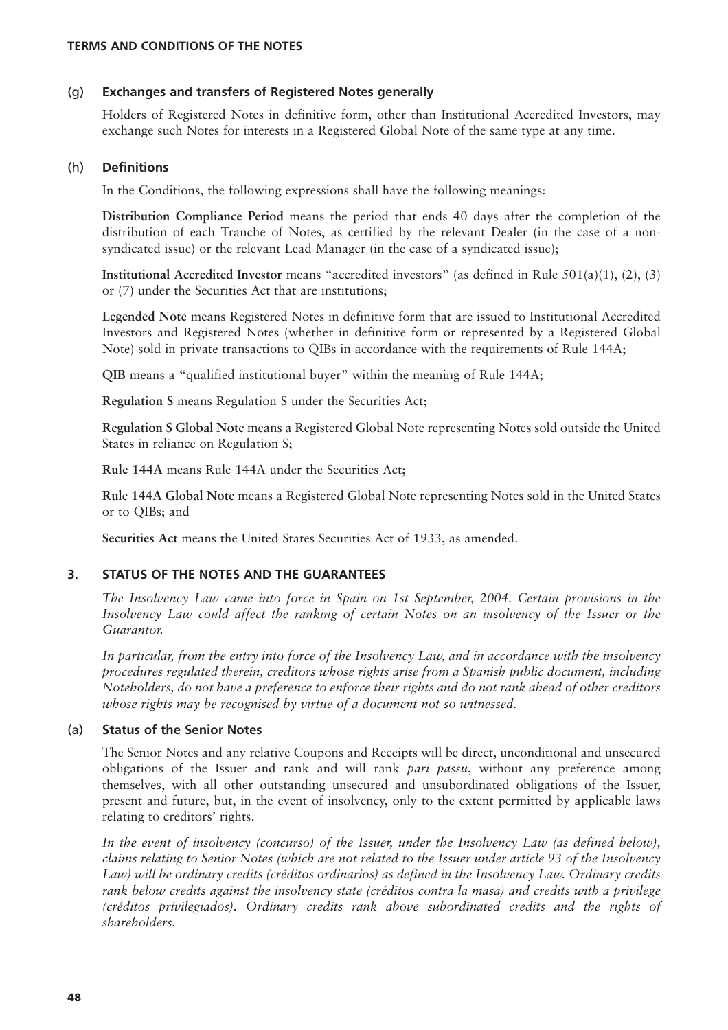## (g) **Exchanges and transfers of Registered Notes generally**

Holders of Registered Notes in definitive form, other than Institutional Accredited Investors, may exchange such Notes for interests in a Registered Global Note of the same type at any time.

#### (h) **Definitions**

In the Conditions, the following expressions shall have the following meanings:

**Distribution Compliance Period** means the period that ends 40 days after the completion of the distribution of each Tranche of Notes, as certified by the relevant Dealer (in the case of a nonsyndicated issue) or the relevant Lead Manager (in the case of a syndicated issue);

**Institutional Accredited Investor** means "accredited investors" (as defined in Rule 501(a)(1), (2), (3) or (7) under the Securities Act that are institutions;

**Legended Note** means Registered Notes in definitive form that are issued to Institutional Accredited Investors and Registered Notes (whether in definitive form or represented by a Registered Global Note) sold in private transactions to QIBs in accordance with the requirements of Rule 144A;

**QIB** means a "qualified institutional buyer" within the meaning of Rule 144A;

**Regulation S** means Regulation S under the Securities Act;

**Regulation S Global Note** means a Registered Global Note representing Notes sold outside the United States in reliance on Regulation S;

**Rule 144A** means Rule 144A under the Securities Act;

**Rule 144A Global Note** means a Registered Global Note representing Notes sold in the United States or to QIBs; and

**Securities Act** means the United States Securities Act of 1933, as amended.

# **3. STATUS OF THE NOTES AND THE GUARANTEES**

*The Insolvency Law came into force in Spain on 1st September, 2004. Certain provisions in the Insolvency Law could affect the ranking of certain Notes on an insolvency of the Issuer or the Guarantor.*

*In particular, from the entry into force of the Insolvency Law, and in accordance with the insolvency procedures regulated therein, creditors whose rights arise from a Spanish public document, including Noteholders, do not have a preference to enforce their rights and do not rank ahead of other creditors whose rights may be recognised by virtue of a document not so witnessed.*

#### (a) **Status of the Senior Notes**

The Senior Notes and any relative Coupons and Receipts will be direct, unconditional and unsecured obligations of the Issuer and rank and will rank *pari passu*, without any preference among themselves, with all other outstanding unsecured and unsubordinated obligations of the Issuer, present and future, but, in the event of insolvency, only to the extent permitted by applicable laws relating to creditors' rights.

*In the event of insolvency (concurso) of the Issuer, under the Insolvency Law (as defined below), claims relating to Senior Notes (which are not related to the Issuer under article 93 of the Insolvency Law) will be ordinary credits (créditos ordinarios) as defined in the Insolvency Law. Ordinary credits rank below credits against the insolvency state (créditos contra la masa) and credits with a privilege (créditos privilegiados). Ordinary credits rank above subordinated credits and the rights of shareholders.*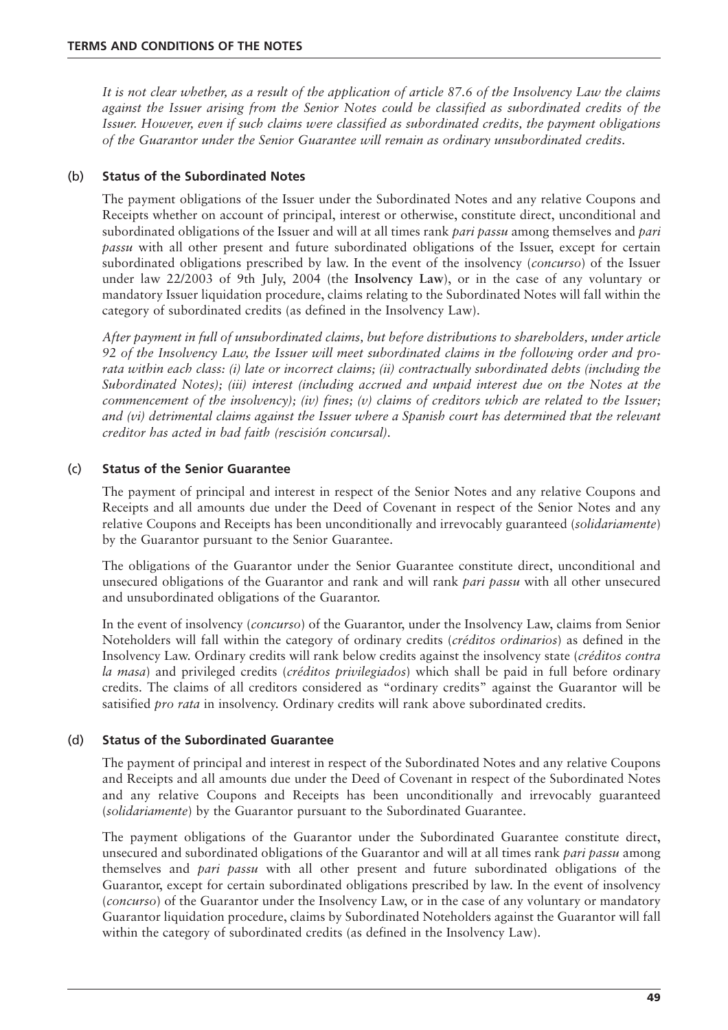*It is not clear whether, as a result of the application of article 87.6 of the Insolvency Law the claims against the Issuer arising from the Senior Notes could be classified as subordinated credits of the Issuer. However, even if such claims were classified as subordinated credits, the payment obligations of the Guarantor under the Senior Guarantee will remain as ordinary unsubordinated credits.*

# (b) **Status of the Subordinated Notes**

The payment obligations of the Issuer under the Subordinated Notes and any relative Coupons and Receipts whether on account of principal, interest or otherwise, constitute direct, unconditional and subordinated obligations of the Issuer and will at all times rank *pari passu* among themselves and *pari passu* with all other present and future subordinated obligations of the Issuer, except for certain subordinated obligations prescribed by law. In the event of the insolvency (*concurso*) of the Issuer under law 22/2003 of 9th July, 2004 (the **Insolvency Law**), or in the case of any voluntary or mandatory Issuer liquidation procedure, claims relating to the Subordinated Notes will fall within the category of subordinated credits (as defined in the Insolvency Law).

*After payment in full of unsubordinated claims, but before distributions to shareholders, under article 92 of the Insolvency Law, the Issuer will meet subordinated claims in the following order and prorata within each class: (i) late or incorrect claims; (ii) contractually subordinated debts (including the Subordinated Notes); (iii) interest (including accrued and unpaid interest due on the Notes at the commencement of the insolvency); (iv) fines; (v) claims of creditors which are related to the Issuer; and (vi) detrimental claims against the Issuer where a Spanish court has determined that the relevant creditor has acted in bad faith (rescisión concursal).*

# (c) **Status of the Senior Guarantee**

The payment of principal and interest in respect of the Senior Notes and any relative Coupons and Receipts and all amounts due under the Deed of Covenant in respect of the Senior Notes and any relative Coupons and Receipts has been unconditionally and irrevocably guaranteed (*solidariamente*) by the Guarantor pursuant to the Senior Guarantee.

The obligations of the Guarantor under the Senior Guarantee constitute direct, unconditional and unsecured obligations of the Guarantor and rank and will rank *pari passu* with all other unsecured and unsubordinated obligations of the Guarantor.

In the event of insolvency (*concurso*) of the Guarantor, under the Insolvency Law, claims from Senior Noteholders will fall within the category of ordinary credits (*créditos ordinarios*) as defined in the Insolvency Law. Ordinary credits will rank below credits against the insolvency state (*créditos contra la masa*) and privileged credits (*créditos privilegiados*) which shall be paid in full before ordinary credits. The claims of all creditors considered as "ordinary credits" against the Guarantor will be satisified *pro rata* in insolvency. Ordinary credits will rank above subordinated credits.

# (d) **Status of the Subordinated Guarantee**

The payment of principal and interest in respect of the Subordinated Notes and any relative Coupons and Receipts and all amounts due under the Deed of Covenant in respect of the Subordinated Notes and any relative Coupons and Receipts has been unconditionally and irrevocably guaranteed (*solidariamente*) by the Guarantor pursuant to the Subordinated Guarantee.

The payment obligations of the Guarantor under the Subordinated Guarantee constitute direct, unsecured and subordinated obligations of the Guarantor and will at all times rank *pari passu* among themselves and *pari passu* with all other present and future subordinated obligations of the Guarantor, except for certain subordinated obligations prescribed by law. In the event of insolvency (*concurso*) of the Guarantor under the Insolvency Law, or in the case of any voluntary or mandatory Guarantor liquidation procedure, claims by Subordinated Noteholders against the Guarantor will fall within the category of subordinated credits (as defined in the Insolvency Law).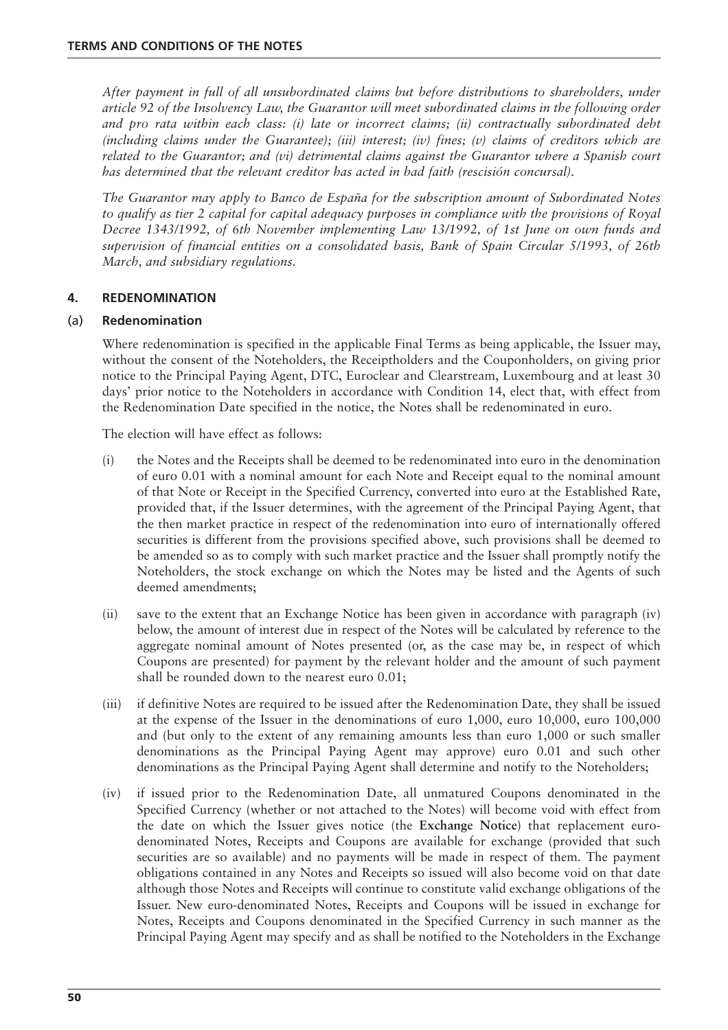*After payment in full of all unsubordinated claims but before distributions to shareholders, under article 92 of the Insolvency Law, the Guarantor will meet subordinated claims in the following order and pro rata within each class: (i) late or incorrect claims; (ii) contractually subordinated debt (including claims under the Guarantee); (iii) interest; (iv) fines; (v) claims of creditors which are related to the Guarantor; and (vi) detrimental claims against the Guarantor where a Spanish court has determined that the relevant creditor has acted in bad faith (rescisión concursal).* 

*The Guarantor may apply to Banco de España for the subscription amount of Subordinated Notes to qualify as tier 2 capital for capital adequacy purposes in compliance with the provisions of Royal Decree 1343/1992, of 6th November implementing Law 13/1992, of 1st June on own funds and supervision of financial entities on a consolidated basis, Bank of Spain Circular 5/1993, of 26th March, and subsidiary regulations.*

## **4. REDENOMINATION**

## (a) **Redenomination**

Where redenomination is specified in the applicable Final Terms as being applicable, the Issuer may, without the consent of the Noteholders, the Receiptholders and the Couponholders, on giving prior notice to the Principal Paying Agent, DTC, Euroclear and Clearstream, Luxembourg and at least 30 days' prior notice to the Noteholders in accordance with Condition 14, elect that, with effect from the Redenomination Date specified in the notice, the Notes shall be redenominated in euro.

The election will have effect as follows:

- (i) the Notes and the Receipts shall be deemed to be redenominated into euro in the denomination of euro 0.01 with a nominal amount for each Note and Receipt equal to the nominal amount of that Note or Receipt in the Specified Currency, converted into euro at the Established Rate, provided that, if the Issuer determines, with the agreement of the Principal Paying Agent, that the then market practice in respect of the redenomination into euro of internationally offered securities is different from the provisions specified above, such provisions shall be deemed to be amended so as to comply with such market practice and the Issuer shall promptly notify the Noteholders, the stock exchange on which the Notes may be listed and the Agents of such deemed amendments;
- (ii) save to the extent that an Exchange Notice has been given in accordance with paragraph (iv) below, the amount of interest due in respect of the Notes will be calculated by reference to the aggregate nominal amount of Notes presented (or, as the case may be, in respect of which Coupons are presented) for payment by the relevant holder and the amount of such payment shall be rounded down to the nearest euro 0.01;
- (iii) if definitive Notes are required to be issued after the Redenomination Date, they shall be issued at the expense of the Issuer in the denominations of euro 1,000, euro 10,000, euro 100,000 and (but only to the extent of any remaining amounts less than euro 1,000 or such smaller denominations as the Principal Paying Agent may approve) euro 0.01 and such other denominations as the Principal Paying Agent shall determine and notify to the Noteholders;
- (iv) if issued prior to the Redenomination Date, all unmatured Coupons denominated in the Specified Currency (whether or not attached to the Notes) will become void with effect from the date on which the Issuer gives notice (the **Exchange Notice**) that replacement eurodenominated Notes, Receipts and Coupons are available for exchange (provided that such securities are so available) and no payments will be made in respect of them. The payment obligations contained in any Notes and Receipts so issued will also become void on that date although those Notes and Receipts will continue to constitute valid exchange obligations of the Issuer. New euro-denominated Notes, Receipts and Coupons will be issued in exchange for Notes, Receipts and Coupons denominated in the Specified Currency in such manner as the Principal Paying Agent may specify and as shall be notified to the Noteholders in the Exchange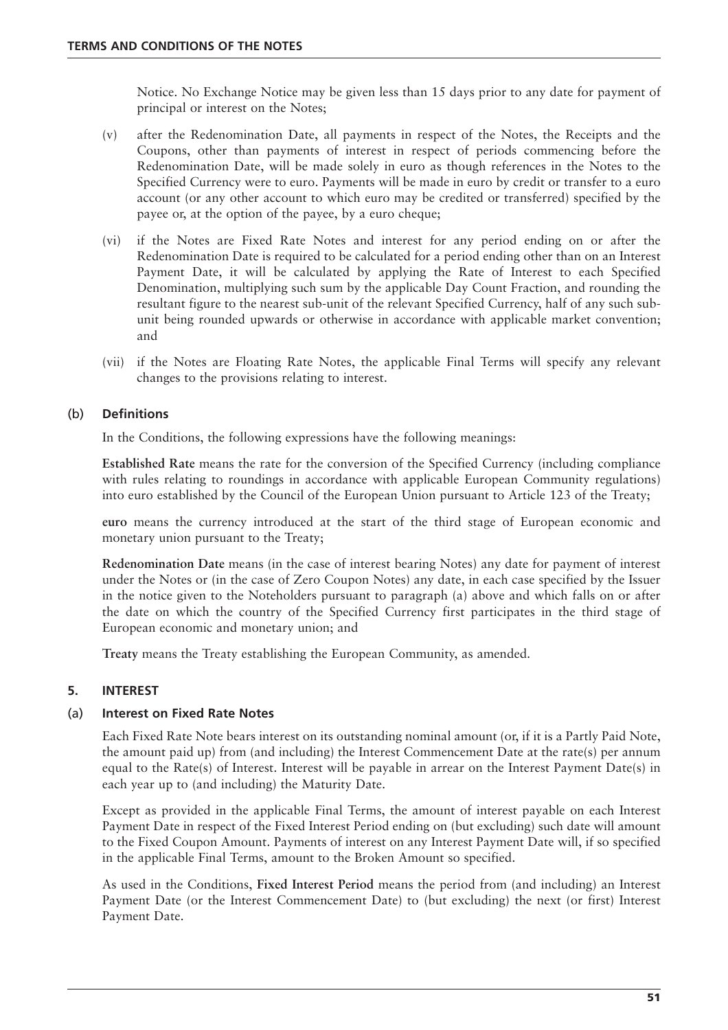Notice. No Exchange Notice may be given less than 15 days prior to any date for payment of principal or interest on the Notes;

- (v) after the Redenomination Date, all payments in respect of the Notes, the Receipts and the Coupons, other than payments of interest in respect of periods commencing before the Redenomination Date, will be made solely in euro as though references in the Notes to the Specified Currency were to euro. Payments will be made in euro by credit or transfer to a euro account (or any other account to which euro may be credited or transferred) specified by the payee or, at the option of the payee, by a euro cheque;
- (vi) if the Notes are Fixed Rate Notes and interest for any period ending on or after the Redenomination Date is required to be calculated for a period ending other than on an Interest Payment Date, it will be calculated by applying the Rate of Interest to each Specified Denomination, multiplying such sum by the applicable Day Count Fraction, and rounding the resultant figure to the nearest sub-unit of the relevant Specified Currency, half of any such subunit being rounded upwards or otherwise in accordance with applicable market convention; and
- (vii) if the Notes are Floating Rate Notes, the applicable Final Terms will specify any relevant changes to the provisions relating to interest.

# (b) **Definitions**

In the Conditions, the following expressions have the following meanings:

**Established Rate** means the rate for the conversion of the Specified Currency (including compliance with rules relating to roundings in accordance with applicable European Community regulations) into euro established by the Council of the European Union pursuant to Article 123 of the Treaty;

**euro** means the currency introduced at the start of the third stage of European economic and monetary union pursuant to the Treaty;

**Redenomination Date** means (in the case of interest bearing Notes) any date for payment of interest under the Notes or (in the case of Zero Coupon Notes) any date, in each case specified by the Issuer in the notice given to the Noteholders pursuant to paragraph (a) above and which falls on or after the date on which the country of the Specified Currency first participates in the third stage of European economic and monetary union; and

**Treaty** means the Treaty establishing the European Community, as amended.

# **5. INTEREST**

# (a) **Interest on Fixed Rate Notes**

Each Fixed Rate Note bears interest on its outstanding nominal amount (or, if it is a Partly Paid Note, the amount paid up) from (and including) the Interest Commencement Date at the rate(s) per annum equal to the Rate(s) of Interest. Interest will be payable in arrear on the Interest Payment Date(s) in each year up to (and including) the Maturity Date.

Except as provided in the applicable Final Terms, the amount of interest payable on each Interest Payment Date in respect of the Fixed Interest Period ending on (but excluding) such date will amount to the Fixed Coupon Amount. Payments of interest on any Interest Payment Date will, if so specified in the applicable Final Terms, amount to the Broken Amount so specified.

As used in the Conditions, **Fixed Interest Period** means the period from (and including) an Interest Payment Date (or the Interest Commencement Date) to (but excluding) the next (or first) Interest Payment Date.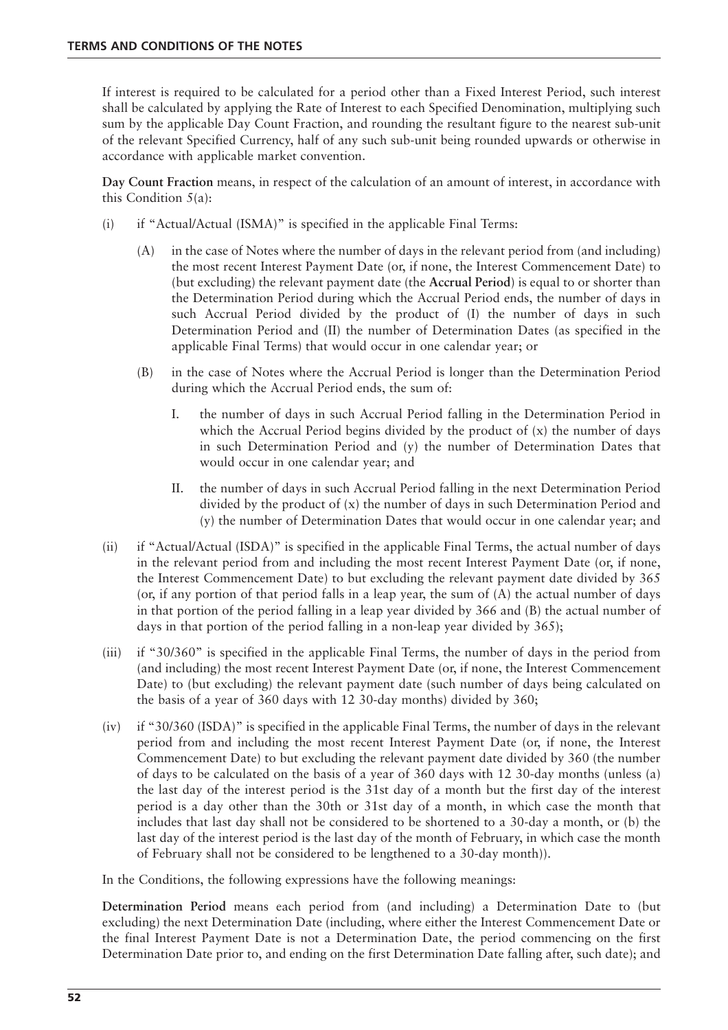If interest is required to be calculated for a period other than a Fixed Interest Period, such interest shall be calculated by applying the Rate of Interest to each Specified Denomination, multiplying such sum by the applicable Day Count Fraction, and rounding the resultant figure to the nearest sub-unit of the relevant Specified Currency, half of any such sub-unit being rounded upwards or otherwise in accordance with applicable market convention.

**Day Count Fraction** means, in respect of the calculation of an amount of interest, in accordance with this Condition  $5(a)$ :

- (i) if "Actual/Actual (ISMA)" is specified in the applicable Final Terms:
	- (A) in the case of Notes where the number of days in the relevant period from (and including) the most recent Interest Payment Date (or, if none, the Interest Commencement Date) to (but excluding) the relevant payment date (the **Accrual Period**) is equal to or shorter than the Determination Period during which the Accrual Period ends, the number of days in such Accrual Period divided by the product of (I) the number of days in such Determination Period and (II) the number of Determination Dates (as specified in the applicable Final Terms) that would occur in one calendar year; or
	- (B) in the case of Notes where the Accrual Period is longer than the Determination Period during which the Accrual Period ends, the sum of:
		- I. the number of days in such Accrual Period falling in the Determination Period in which the Accrual Period begins divided by the product of  $(x)$  the number of days in such Determination Period and (y) the number of Determination Dates that would occur in one calendar year; and
		- II. the number of days in such Accrual Period falling in the next Determination Period divided by the product of (x) the number of days in such Determination Period and (y) the number of Determination Dates that would occur in one calendar year; and
- (ii) if "Actual/Actual (ISDA)" is specified in the applicable Final Terms, the actual number of days in the relevant period from and including the most recent Interest Payment Date (or, if none, the Interest Commencement Date) to but excluding the relevant payment date divided by 365 (or, if any portion of that period falls in a leap year, the sum of (A) the actual number of days in that portion of the period falling in a leap year divided by 366 and (B) the actual number of days in that portion of the period falling in a non-leap year divided by 365);
- (iii) if "30/360" is specified in the applicable Final Terms, the number of days in the period from (and including) the most recent Interest Payment Date (or, if none, the Interest Commencement Date) to (but excluding) the relevant payment date (such number of days being calculated on the basis of a year of 360 days with 12 30-day months) divided by 360;
- (iv) if "30/360 (ISDA)" is specified in the applicable Final Terms, the number of days in the relevant period from and including the most recent Interest Payment Date (or, if none, the Interest Commencement Date) to but excluding the relevant payment date divided by 360 (the number of days to be calculated on the basis of a year of 360 days with 12 30-day months (unless (a) the last day of the interest period is the 31st day of a month but the first day of the interest period is a day other than the 30th or 31st day of a month, in which case the month that includes that last day shall not be considered to be shortened to a 30-day a month, or (b) the last day of the interest period is the last day of the month of February, in which case the month of February shall not be considered to be lengthened to a 30-day month)).

In the Conditions, the following expressions have the following meanings:

**Determination Period** means each period from (and including) a Determination Date to (but excluding) the next Determination Date (including, where either the Interest Commencement Date or the final Interest Payment Date is not a Determination Date, the period commencing on the first Determination Date prior to, and ending on the first Determination Date falling after, such date); and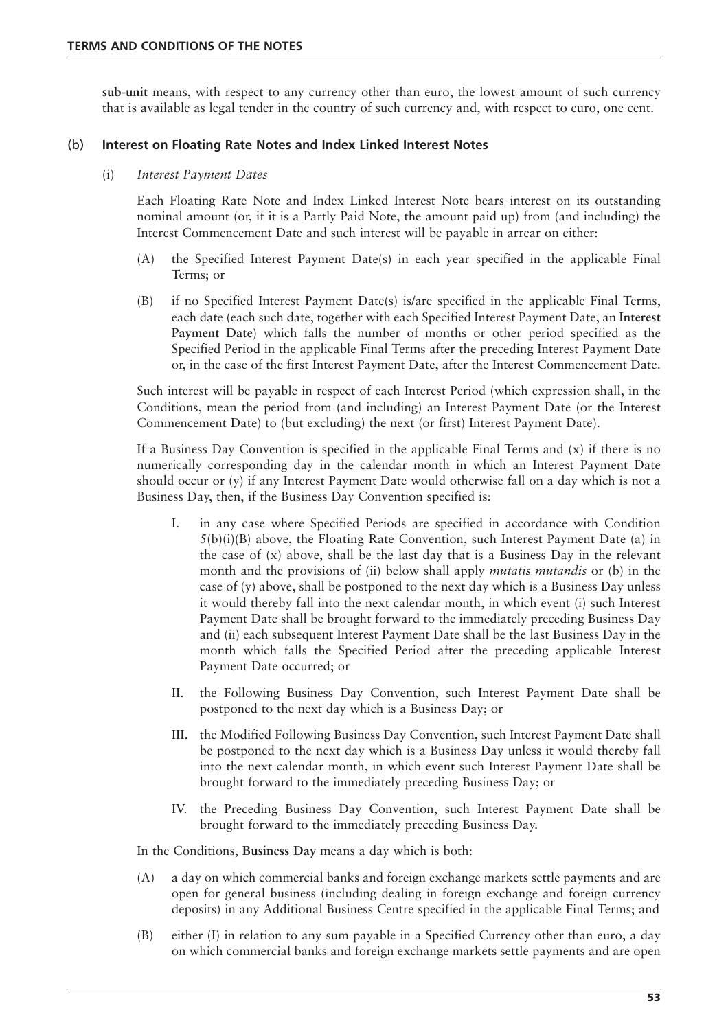**sub-unit** means, with respect to any currency other than euro, the lowest amount of such currency that is available as legal tender in the country of such currency and, with respect to euro, one cent.

## (b) **Interest on Floating Rate Notes and Index Linked Interest Notes**

#### (i) *Interest Payment Dates*

Each Floating Rate Note and Index Linked Interest Note bears interest on its outstanding nominal amount (or, if it is a Partly Paid Note, the amount paid up) from (and including) the Interest Commencement Date and such interest will be payable in arrear on either:

- (A) the Specified Interest Payment Date(s) in each year specified in the applicable Final Terms; or
- (B) if no Specified Interest Payment Date(s) is/are specified in the applicable Final Terms, each date (each such date, together with each Specified Interest Payment Date, an **Interest Payment Date**) which falls the number of months or other period specified as the Specified Period in the applicable Final Terms after the preceding Interest Payment Date or, in the case of the first Interest Payment Date, after the Interest Commencement Date.

Such interest will be payable in respect of each Interest Period (which expression shall, in the Conditions, mean the period from (and including) an Interest Payment Date (or the Interest Commencement Date) to (but excluding) the next (or first) Interest Payment Date).

If a Business Day Convention is specified in the applicable Final Terms and  $(x)$  if there is no numerically corresponding day in the calendar month in which an Interest Payment Date should occur or (y) if any Interest Payment Date would otherwise fall on a day which is not a Business Day, then, if the Business Day Convention specified is:

- I. in any case where Specified Periods are specified in accordance with Condition  $5(b)(i)(B)$  above, the Floating Rate Convention, such Interest Payment Date (a) in the case of  $(x)$  above, shall be the last day that is a Business Day in the relevant month and the provisions of (ii) below shall apply *mutatis mutandis* or (b) in the case of (y) above, shall be postponed to the next day which is a Business Day unless it would thereby fall into the next calendar month, in which event (i) such Interest Payment Date shall be brought forward to the immediately preceding Business Day and (ii) each subsequent Interest Payment Date shall be the last Business Day in the month which falls the Specified Period after the preceding applicable Interest Payment Date occurred; or
- II. the Following Business Day Convention, such Interest Payment Date shall be postponed to the next day which is a Business Day; or
- III. the Modified Following Business Day Convention, such Interest Payment Date shall be postponed to the next day which is a Business Day unless it would thereby fall into the next calendar month, in which event such Interest Payment Date shall be brought forward to the immediately preceding Business Day; or
- IV. the Preceding Business Day Convention, such Interest Payment Date shall be brought forward to the immediately preceding Business Day.

In the Conditions, **Business Day** means a day which is both:

- (A) a day on which commercial banks and foreign exchange markets settle payments and are open for general business (including dealing in foreign exchange and foreign currency deposits) in any Additional Business Centre specified in the applicable Final Terms; and
- (B) either (I) in relation to any sum payable in a Specified Currency other than euro, a day on which commercial banks and foreign exchange markets settle payments and are open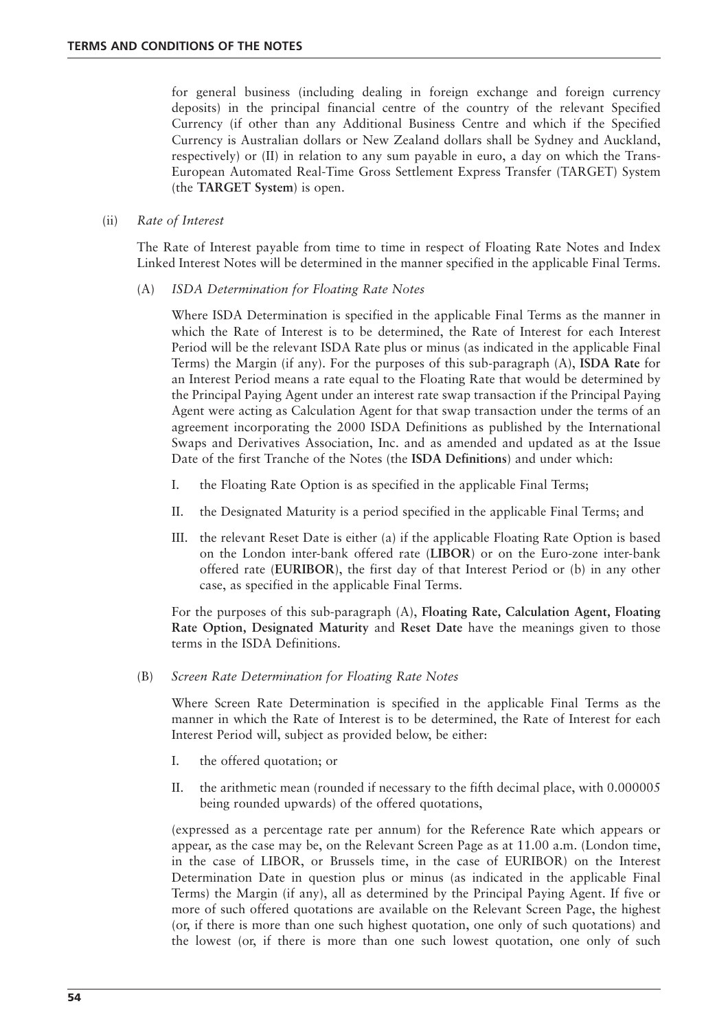for general business (including dealing in foreign exchange and foreign currency deposits) in the principal financial centre of the country of the relevant Specified Currency (if other than any Additional Business Centre and which if the Specified Currency is Australian dollars or New Zealand dollars shall be Sydney and Auckland, respectively) or (II) in relation to any sum payable in euro, a day on which the Trans-European Automated Real-Time Gross Settlement Express Transfer (TARGET) System (the **TARGET System**) is open.

#### (ii) *Rate of Interest*

The Rate of Interest payable from time to time in respect of Floating Rate Notes and Index Linked Interest Notes will be determined in the manner specified in the applicable Final Terms.

(A) *ISDA Determination for Floating Rate Notes*

Where ISDA Determination is specified in the applicable Final Terms as the manner in which the Rate of Interest is to be determined, the Rate of Interest for each Interest Period will be the relevant ISDA Rate plus or minus (as indicated in the applicable Final Terms) the Margin (if any). For the purposes of this sub-paragraph (A), **ISDA Rate** for an Interest Period means a rate equal to the Floating Rate that would be determined by the Principal Paying Agent under an interest rate swap transaction if the Principal Paying Agent were acting as Calculation Agent for that swap transaction under the terms of an agreement incorporating the 2000 ISDA Definitions as published by the International Swaps and Derivatives Association, Inc. and as amended and updated as at the Issue Date of the first Tranche of the Notes (the **ISDA Definitions**) and under which:

- I. the Floating Rate Option is as specified in the applicable Final Terms;
- II. the Designated Maturity is a period specified in the applicable Final Terms; and
- III. the relevant Reset Date is either (a) if the applicable Floating Rate Option is based on the London inter-bank offered rate (**LIBOR**) or on the Euro-zone inter-bank offered rate (**EURIBOR**), the first day of that Interest Period or (b) in any other case, as specified in the applicable Final Terms.

For the purposes of this sub-paragraph (A), **Floating Rate, Calculation Agent, Floating Rate Option, Designated Maturity** and **Reset Date** have the meanings given to those terms in the ISDA Definitions.

(B) *Screen Rate Determination for Floating Rate Notes*

Where Screen Rate Determination is specified in the applicable Final Terms as the manner in which the Rate of Interest is to be determined, the Rate of Interest for each Interest Period will, subject as provided below, be either:

- I. the offered quotation; or
- II. the arithmetic mean (rounded if necessary to the fifth decimal place, with 0.000005 being rounded upwards) of the offered quotations,

(expressed as a percentage rate per annum) for the Reference Rate which appears or appear, as the case may be, on the Relevant Screen Page as at 11.00 a.m. (London time, in the case of LIBOR, or Brussels time, in the case of EURIBOR) on the Interest Determination Date in question plus or minus (as indicated in the applicable Final Terms) the Margin (if any), all as determined by the Principal Paying Agent. If five or more of such offered quotations are available on the Relevant Screen Page, the highest (or, if there is more than one such highest quotation, one only of such quotations) and the lowest (or, if there is more than one such lowest quotation, one only of such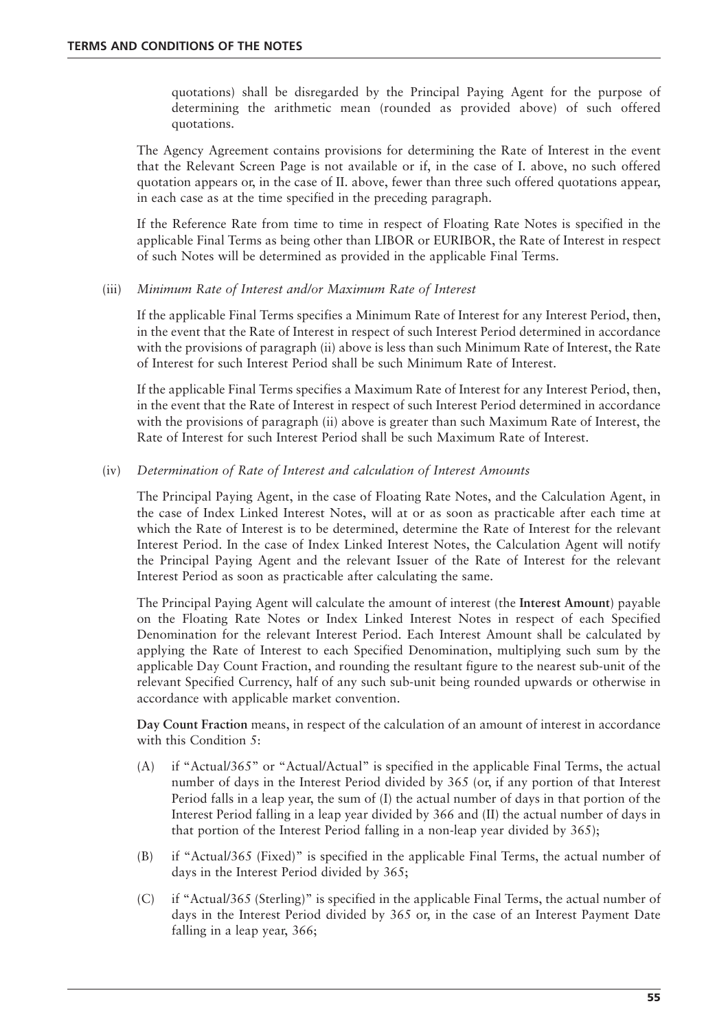quotations) shall be disregarded by the Principal Paying Agent for the purpose of determining the arithmetic mean (rounded as provided above) of such offered quotations.

The Agency Agreement contains provisions for determining the Rate of Interest in the event that the Relevant Screen Page is not available or if, in the case of I. above, no such offered quotation appears or, in the case of II. above, fewer than three such offered quotations appear, in each case as at the time specified in the preceding paragraph.

If the Reference Rate from time to time in respect of Floating Rate Notes is specified in the applicable Final Terms as being other than LIBOR or EURIBOR, the Rate of Interest in respect of such Notes will be determined as provided in the applicable Final Terms.

#### (iii) *Minimum Rate of Interest and/or Maximum Rate of Interest*

If the applicable Final Terms specifies a Minimum Rate of Interest for any Interest Period, then, in the event that the Rate of Interest in respect of such Interest Period determined in accordance with the provisions of paragraph (ii) above is less than such Minimum Rate of Interest, the Rate of Interest for such Interest Period shall be such Minimum Rate of Interest.

If the applicable Final Terms specifies a Maximum Rate of Interest for any Interest Period, then, in the event that the Rate of Interest in respect of such Interest Period determined in accordance with the provisions of paragraph (ii) above is greater than such Maximum Rate of Interest, the Rate of Interest for such Interest Period shall be such Maximum Rate of Interest.

## (iv) *Determination of Rate of Interest and calculation of Interest Amounts*

The Principal Paying Agent, in the case of Floating Rate Notes, and the Calculation Agent, in the case of Index Linked Interest Notes, will at or as soon as practicable after each time at which the Rate of Interest is to be determined, determine the Rate of Interest for the relevant Interest Period. In the case of Index Linked Interest Notes, the Calculation Agent will notify the Principal Paying Agent and the relevant Issuer of the Rate of Interest for the relevant Interest Period as soon as practicable after calculating the same.

The Principal Paying Agent will calculate the amount of interest (the **Interest Amount**) payable on the Floating Rate Notes or Index Linked Interest Notes in respect of each Specified Denomination for the relevant Interest Period. Each Interest Amount shall be calculated by applying the Rate of Interest to each Specified Denomination, multiplying such sum by the applicable Day Count Fraction, and rounding the resultant figure to the nearest sub-unit of the relevant Specified Currency, half of any such sub-unit being rounded upwards or otherwise in accordance with applicable market convention.

**Day Count Fraction** means, in respect of the calculation of an amount of interest in accordance with this Condition 5:

- (A) if "Actual/365" or "Actual/Actual" is specified in the applicable Final Terms, the actual number of days in the Interest Period divided by 365 (or, if any portion of that Interest Period falls in a leap year, the sum of (I) the actual number of days in that portion of the Interest Period falling in a leap year divided by 366 and (II) the actual number of days in that portion of the Interest Period falling in a non-leap year divided by 365);
- (B) if "Actual/365 (Fixed)" is specified in the applicable Final Terms, the actual number of days in the Interest Period divided by 365;
- (C) if "Actual/365 (Sterling)" is specified in the applicable Final Terms, the actual number of days in the Interest Period divided by 365 or, in the case of an Interest Payment Date falling in a leap year, 366;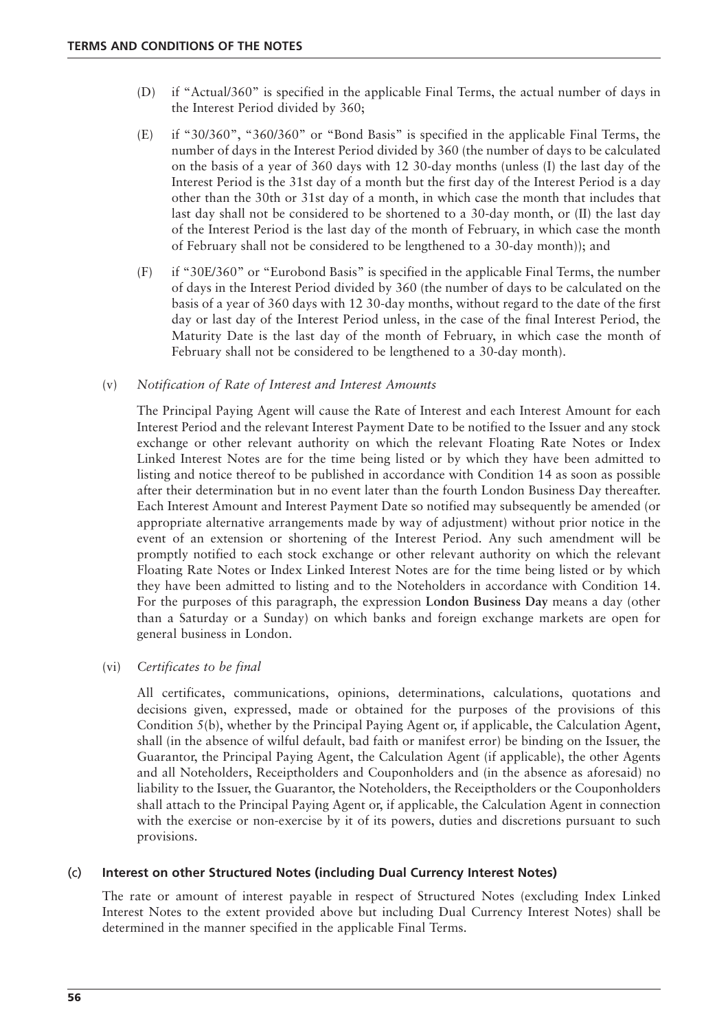- (D) if "Actual/360" is specified in the applicable Final Terms, the actual number of days in the Interest Period divided by 360;
- (E) if "30/360", "360/360" or "Bond Basis" is specified in the applicable Final Terms, the number of days in the Interest Period divided by 360 (the number of days to be calculated on the basis of a year of 360 days with 12 30-day months (unless (I) the last day of the Interest Period is the 31st day of a month but the first day of the Interest Period is a day other than the 30th or 31st day of a month, in which case the month that includes that last day shall not be considered to be shortened to a 30-day month, or (II) the last day of the Interest Period is the last day of the month of February, in which case the month of February shall not be considered to be lengthened to a 30-day month)); and
- (F) if "30E/360" or "Eurobond Basis" is specified in the applicable Final Terms, the number of days in the Interest Period divided by 360 (the number of days to be calculated on the basis of a year of 360 days with 12 30-day months, without regard to the date of the first day or last day of the Interest Period unless, in the case of the final Interest Period, the Maturity Date is the last day of the month of February, in which case the month of February shall not be considered to be lengthened to a 30-day month).

## (v) *Notification of Rate of Interest and Interest Amounts*

The Principal Paying Agent will cause the Rate of Interest and each Interest Amount for each Interest Period and the relevant Interest Payment Date to be notified to the Issuer and any stock exchange or other relevant authority on which the relevant Floating Rate Notes or Index Linked Interest Notes are for the time being listed or by which they have been admitted to listing and notice thereof to be published in accordance with Condition 14 as soon as possible after their determination but in no event later than the fourth London Business Day thereafter. Each Interest Amount and Interest Payment Date so notified may subsequently be amended (or appropriate alternative arrangements made by way of adjustment) without prior notice in the event of an extension or shortening of the Interest Period. Any such amendment will be promptly notified to each stock exchange or other relevant authority on which the relevant Floating Rate Notes or Index Linked Interest Notes are for the time being listed or by which they have been admitted to listing and to the Noteholders in accordance with Condition 14. For the purposes of this paragraph, the expression **London Business Day** means a day (other than a Saturday or a Sunday) on which banks and foreign exchange markets are open for general business in London.

#### (vi) *Certificates to be final*

All certificates, communications, opinions, determinations, calculations, quotations and decisions given, expressed, made or obtained for the purposes of the provisions of this Condition 5(b), whether by the Principal Paying Agent or, if applicable, the Calculation Agent, shall (in the absence of wilful default, bad faith or manifest error) be binding on the Issuer, the Guarantor, the Principal Paying Agent, the Calculation Agent (if applicable), the other Agents and all Noteholders, Receiptholders and Couponholders and (in the absence as aforesaid) no liability to the Issuer, the Guarantor, the Noteholders, the Receiptholders or the Couponholders shall attach to the Principal Paying Agent or, if applicable, the Calculation Agent in connection with the exercise or non-exercise by it of its powers, duties and discretions pursuant to such provisions.

# (c) **Interest on other Structured Notes (including Dual Currency Interest Notes)**

The rate or amount of interest payable in respect of Structured Notes (excluding Index Linked Interest Notes to the extent provided above but including Dual Currency Interest Notes) shall be determined in the manner specified in the applicable Final Terms.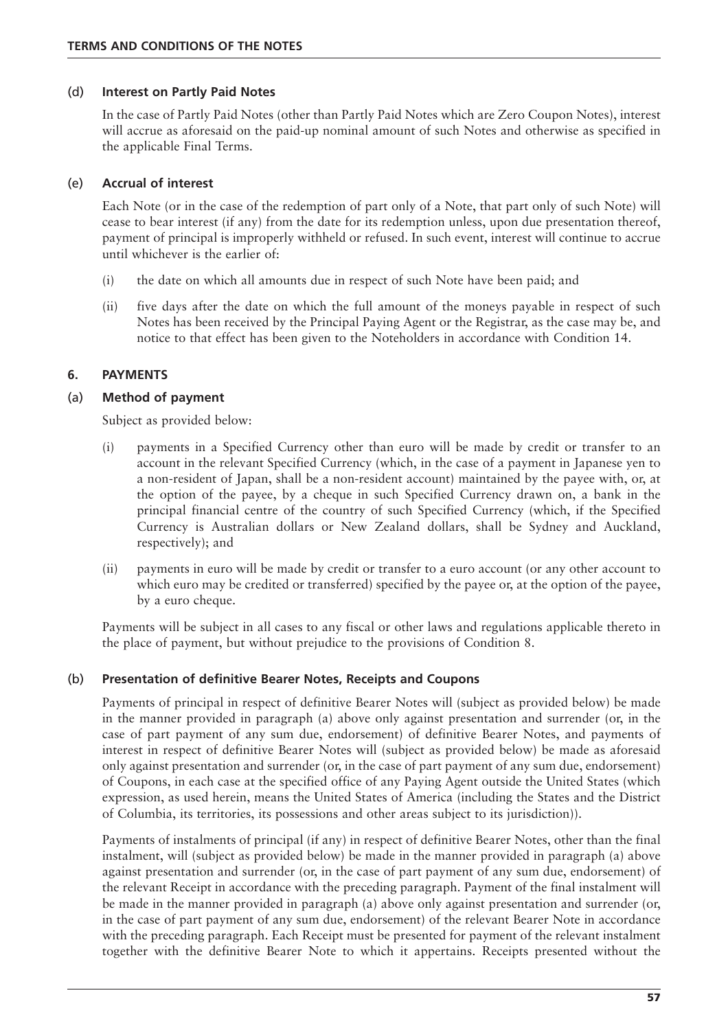#### (d) **Interest on Partly Paid Notes**

In the case of Partly Paid Notes (other than Partly Paid Notes which are Zero Coupon Notes), interest will accrue as aforesaid on the paid-up nominal amount of such Notes and otherwise as specified in the applicable Final Terms.

## (e) **Accrual of interest**

Each Note (or in the case of the redemption of part only of a Note, that part only of such Note) will cease to bear interest (if any) from the date for its redemption unless, upon due presentation thereof, payment of principal is improperly withheld or refused. In such event, interest will continue to accrue until whichever is the earlier of:

- (i) the date on which all amounts due in respect of such Note have been paid; and
- (ii) five days after the date on which the full amount of the moneys payable in respect of such Notes has been received by the Principal Paying Agent or the Registrar, as the case may be, and notice to that effect has been given to the Noteholders in accordance with Condition 14.

# **6. PAYMENTS**

## (a) **Method of payment**

Subject as provided below:

- (i) payments in a Specified Currency other than euro will be made by credit or transfer to an account in the relevant Specified Currency (which, in the case of a payment in Japanese yen to a non-resident of Japan, shall be a non-resident account) maintained by the payee with, or, at the option of the payee, by a cheque in such Specified Currency drawn on, a bank in the principal financial centre of the country of such Specified Currency (which, if the Specified Currency is Australian dollars or New Zealand dollars, shall be Sydney and Auckland, respectively); and
- (ii) payments in euro will be made by credit or transfer to a euro account (or any other account to which euro may be credited or transferred) specified by the payee or, at the option of the payee, by a euro cheque.

Payments will be subject in all cases to any fiscal or other laws and regulations applicable thereto in the place of payment, but without prejudice to the provisions of Condition 8.

#### (b) **Presentation of definitive Bearer Notes, Receipts and Coupons**

Payments of principal in respect of definitive Bearer Notes will (subject as provided below) be made in the manner provided in paragraph (a) above only against presentation and surrender (or, in the case of part payment of any sum due, endorsement) of definitive Bearer Notes, and payments of interest in respect of definitive Bearer Notes will (subject as provided below) be made as aforesaid only against presentation and surrender (or, in the case of part payment of any sum due, endorsement) of Coupons, in each case at the specified office of any Paying Agent outside the United States (which expression, as used herein, means the United States of America (including the States and the District of Columbia, its territories, its possessions and other areas subject to its jurisdiction)).

Payments of instalments of principal (if any) in respect of definitive Bearer Notes, other than the final instalment, will (subject as provided below) be made in the manner provided in paragraph (a) above against presentation and surrender (or, in the case of part payment of any sum due, endorsement) of the relevant Receipt in accordance with the preceding paragraph. Payment of the final instalment will be made in the manner provided in paragraph (a) above only against presentation and surrender (or, in the case of part payment of any sum due, endorsement) of the relevant Bearer Note in accordance with the preceding paragraph. Each Receipt must be presented for payment of the relevant instalment together with the definitive Bearer Note to which it appertains. Receipts presented without the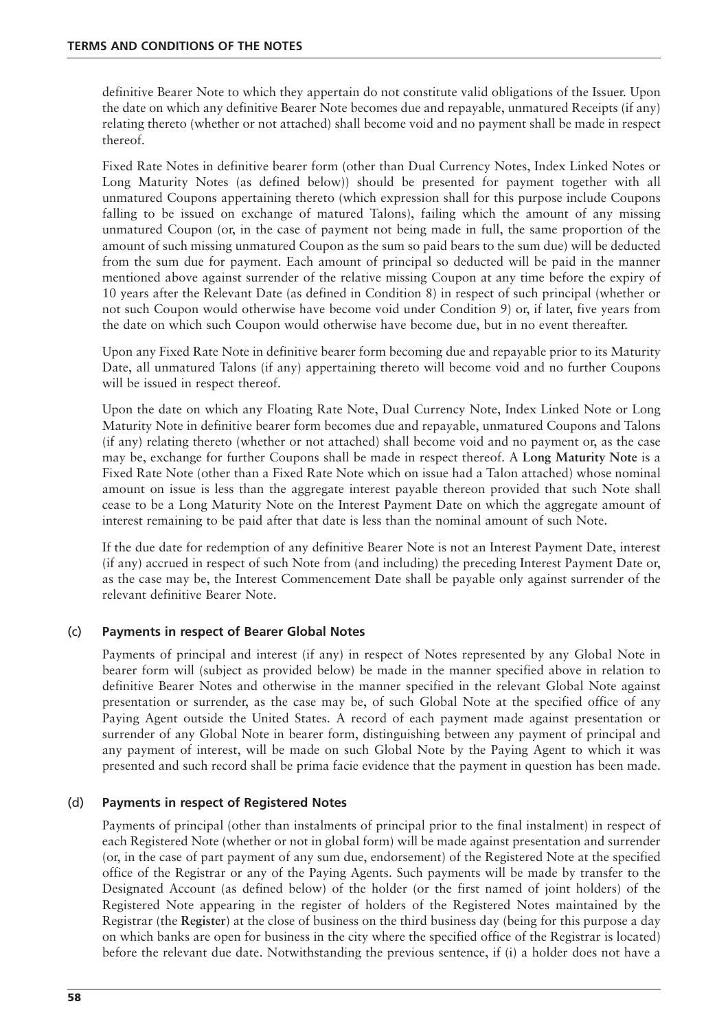definitive Bearer Note to which they appertain do not constitute valid obligations of the Issuer. Upon the date on which any definitive Bearer Note becomes due and repayable, unmatured Receipts (if any) relating thereto (whether or not attached) shall become void and no payment shall be made in respect thereof.

Fixed Rate Notes in definitive bearer form (other than Dual Currency Notes, Index Linked Notes or Long Maturity Notes (as defined below)) should be presented for payment together with all unmatured Coupons appertaining thereto (which expression shall for this purpose include Coupons falling to be issued on exchange of matured Talons), failing which the amount of any missing unmatured Coupon (or, in the case of payment not being made in full, the same proportion of the amount of such missing unmatured Coupon as the sum so paid bears to the sum due) will be deducted from the sum due for payment. Each amount of principal so deducted will be paid in the manner mentioned above against surrender of the relative missing Coupon at any time before the expiry of 10 years after the Relevant Date (as defined in Condition 8) in respect of such principal (whether or not such Coupon would otherwise have become void under Condition 9) or, if later, five years from the date on which such Coupon would otherwise have become due, but in no event thereafter.

Upon any Fixed Rate Note in definitive bearer form becoming due and repayable prior to its Maturity Date, all unmatured Talons (if any) appertaining thereto will become void and no further Coupons will be issued in respect thereof.

Upon the date on which any Floating Rate Note, Dual Currency Note, Index Linked Note or Long Maturity Note in definitive bearer form becomes due and repayable, unmatured Coupons and Talons (if any) relating thereto (whether or not attached) shall become void and no payment or, as the case may be, exchange for further Coupons shall be made in respect thereof. A **Long Maturity Note** is a Fixed Rate Note (other than a Fixed Rate Note which on issue had a Talon attached) whose nominal amount on issue is less than the aggregate interest payable thereon provided that such Note shall cease to be a Long Maturity Note on the Interest Payment Date on which the aggregate amount of interest remaining to be paid after that date is less than the nominal amount of such Note.

If the due date for redemption of any definitive Bearer Note is not an Interest Payment Date, interest (if any) accrued in respect of such Note from (and including) the preceding Interest Payment Date or, as the case may be, the Interest Commencement Date shall be payable only against surrender of the relevant definitive Bearer Note.

# (c) **Payments in respect of Bearer Global Notes**

Payments of principal and interest (if any) in respect of Notes represented by any Global Note in bearer form will (subject as provided below) be made in the manner specified above in relation to definitive Bearer Notes and otherwise in the manner specified in the relevant Global Note against presentation or surrender, as the case may be, of such Global Note at the specified office of any Paying Agent outside the United States. A record of each payment made against presentation or surrender of any Global Note in bearer form, distinguishing between any payment of principal and any payment of interest, will be made on such Global Note by the Paying Agent to which it was presented and such record shall be prima facie evidence that the payment in question has been made.

#### (d) **Payments in respect of Registered Notes**

Payments of principal (other than instalments of principal prior to the final instalment) in respect of each Registered Note (whether or not in global form) will be made against presentation and surrender (or, in the case of part payment of any sum due, endorsement) of the Registered Note at the specified office of the Registrar or any of the Paying Agents. Such payments will be made by transfer to the Designated Account (as defined below) of the holder (or the first named of joint holders) of the Registered Note appearing in the register of holders of the Registered Notes maintained by the Registrar (the **Register**) at the close of business on the third business day (being for this purpose a day on which banks are open for business in the city where the specified office of the Registrar is located) before the relevant due date. Notwithstanding the previous sentence, if (i) a holder does not have a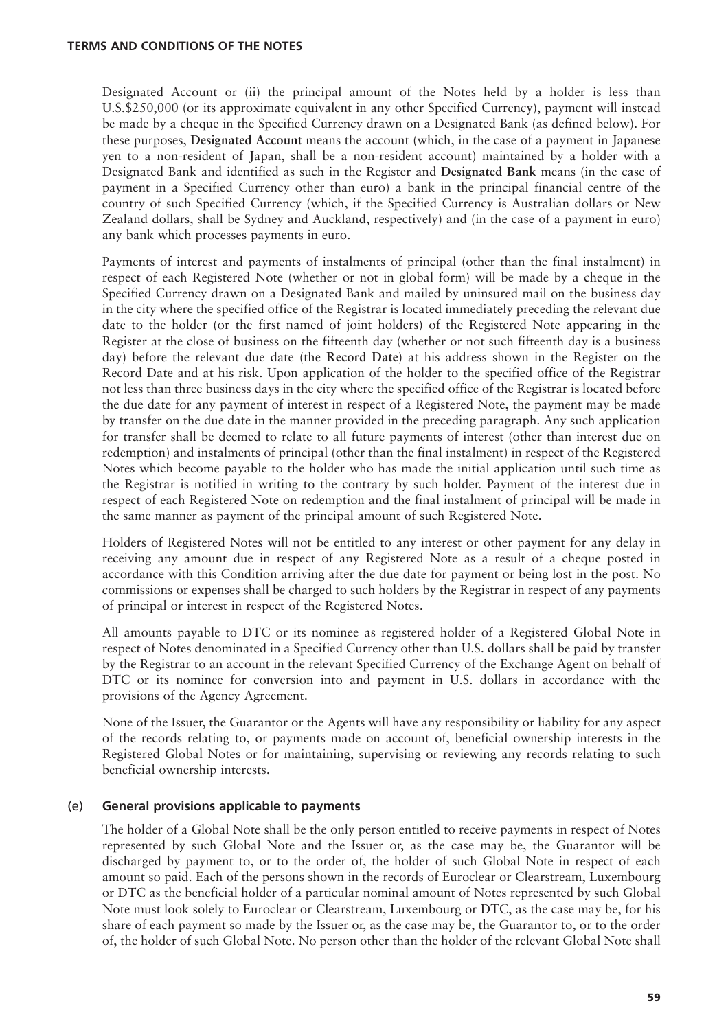Designated Account or (ii) the principal amount of the Notes held by a holder is less than U.S.\$250,000 (or its approximate equivalent in any other Specified Currency), payment will instead be made by a cheque in the Specified Currency drawn on a Designated Bank (as defined below). For these purposes, **Designated Account** means the account (which, in the case of a payment in Japanese yen to a non-resident of Japan, shall be a non-resident account) maintained by a holder with a Designated Bank and identified as such in the Register and **Designated Bank** means (in the case of payment in a Specified Currency other than euro) a bank in the principal financial centre of the country of such Specified Currency (which, if the Specified Currency is Australian dollars or New Zealand dollars, shall be Sydney and Auckland, respectively) and (in the case of a payment in euro) any bank which processes payments in euro.

Payments of interest and payments of instalments of principal (other than the final instalment) in respect of each Registered Note (whether or not in global form) will be made by a cheque in the Specified Currency drawn on a Designated Bank and mailed by uninsured mail on the business day in the city where the specified office of the Registrar is located immediately preceding the relevant due date to the holder (or the first named of joint holders) of the Registered Note appearing in the Register at the close of business on the fifteenth day (whether or not such fifteenth day is a business day) before the relevant due date (the **Record Date**) at his address shown in the Register on the Record Date and at his risk. Upon application of the holder to the specified office of the Registrar not less than three business days in the city where the specified office of the Registrar is located before the due date for any payment of interest in respect of a Registered Note, the payment may be made by transfer on the due date in the manner provided in the preceding paragraph. Any such application for transfer shall be deemed to relate to all future payments of interest (other than interest due on redemption) and instalments of principal (other than the final instalment) in respect of the Registered Notes which become payable to the holder who has made the initial application until such time as the Registrar is notified in writing to the contrary by such holder. Payment of the interest due in respect of each Registered Note on redemption and the final instalment of principal will be made in the same manner as payment of the principal amount of such Registered Note.

Holders of Registered Notes will not be entitled to any interest or other payment for any delay in receiving any amount due in respect of any Registered Note as a result of a cheque posted in accordance with this Condition arriving after the due date for payment or being lost in the post. No commissions or expenses shall be charged to such holders by the Registrar in respect of any payments of principal or interest in respect of the Registered Notes.

All amounts payable to DTC or its nominee as registered holder of a Registered Global Note in respect of Notes denominated in a Specified Currency other than U.S. dollars shall be paid by transfer by the Registrar to an account in the relevant Specified Currency of the Exchange Agent on behalf of DTC or its nominee for conversion into and payment in U.S. dollars in accordance with the provisions of the Agency Agreement.

None of the Issuer, the Guarantor or the Agents will have any responsibility or liability for any aspect of the records relating to, or payments made on account of, beneficial ownership interests in the Registered Global Notes or for maintaining, supervising or reviewing any records relating to such beneficial ownership interests.

# (e) **General provisions applicable to payments**

The holder of a Global Note shall be the only person entitled to receive payments in respect of Notes represented by such Global Note and the Issuer or, as the case may be, the Guarantor will be discharged by payment to, or to the order of, the holder of such Global Note in respect of each amount so paid. Each of the persons shown in the records of Euroclear or Clearstream, Luxembourg or DTC as the beneficial holder of a particular nominal amount of Notes represented by such Global Note must look solely to Euroclear or Clearstream, Luxembourg or DTC, as the case may be, for his share of each payment so made by the Issuer or, as the case may be, the Guarantor to, or to the order of, the holder of such Global Note. No person other than the holder of the relevant Global Note shall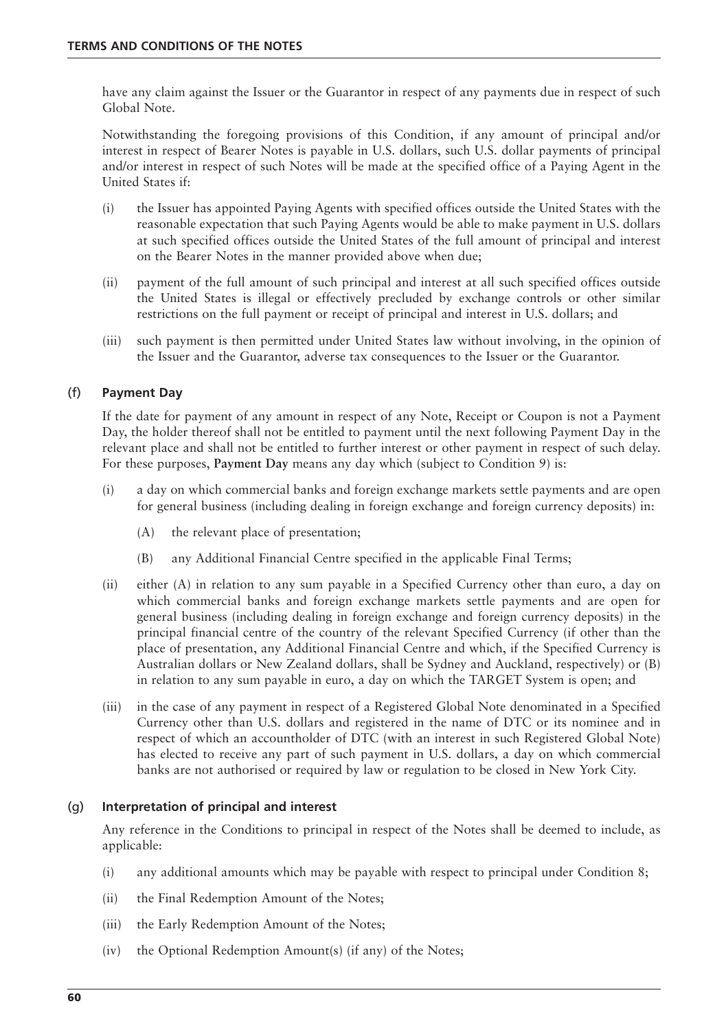have any claim against the Issuer or the Guarantor in respect of any payments due in respect of such Global Note.

Notwithstanding the foregoing provisions of this Condition, if any amount of principal and/or interest in respect of Bearer Notes is payable in U.S. dollars, such U.S. dollar payments of principal and/or interest in respect of such Notes will be made at the specified office of a Paying Agent in the United States if:

- (i) the Issuer has appointed Paying Agents with specified offices outside the United States with the reasonable expectation that such Paying Agents would be able to make payment in U.S. dollars at such specified offices outside the United States of the full amount of principal and interest on the Bearer Notes in the manner provided above when due;
- (ii) payment of the full amount of such principal and interest at all such specified offices outside the United States is illegal or effectively precluded by exchange controls or other similar restrictions on the full payment or receipt of principal and interest in U.S. dollars; and
- (iii) such payment is then permitted under United States law without involving, in the opinion of the Issuer and the Guarantor, adverse tax consequences to the Issuer or the Guarantor.

# (f) **Payment Day**

If the date for payment of any amount in respect of any Note, Receipt or Coupon is not a Payment Day, the holder thereof shall not be entitled to payment until the next following Payment Day in the relevant place and shall not be entitled to further interest or other payment in respect of such delay. For these purposes, **Payment Day** means any day which (subject to Condition 9) is:

- (i) a day on which commercial banks and foreign exchange markets settle payments and are open for general business (including dealing in foreign exchange and foreign currency deposits) in:
	- (A) the relevant place of presentation;
	- (B) any Additional Financial Centre specified in the applicable Final Terms;
- (ii) either (A) in relation to any sum payable in a Specified Currency other than euro, a day on which commercial banks and foreign exchange markets settle payments and are open for general business (including dealing in foreign exchange and foreign currency deposits) in the principal financial centre of the country of the relevant Specified Currency (if other than the place of presentation, any Additional Financial Centre and which, if the Specified Currency is Australian dollars or New Zealand dollars, shall be Sydney and Auckland, respectively) or (B) in relation to any sum payable in euro, a day on which the TARGET System is open; and
- (iii) in the case of any payment in respect of a Registered Global Note denominated in a Specified Currency other than U.S. dollars and registered in the name of DTC or its nominee and in respect of which an accountholder of DTC (with an interest in such Registered Global Note) has elected to receive any part of such payment in U.S. dollars, a day on which commercial banks are not authorised or required by law or regulation to be closed in New York City.

#### (g) **Interpretation of principal and interest**

Any reference in the Conditions to principal in respect of the Notes shall be deemed to include, as applicable:

- (i) any additional amounts which may be payable with respect to principal under Condition 8;
- (ii) the Final Redemption Amount of the Notes;
- (iii) the Early Redemption Amount of the Notes;
- (iv) the Optional Redemption Amount(s) (if any) of the Notes;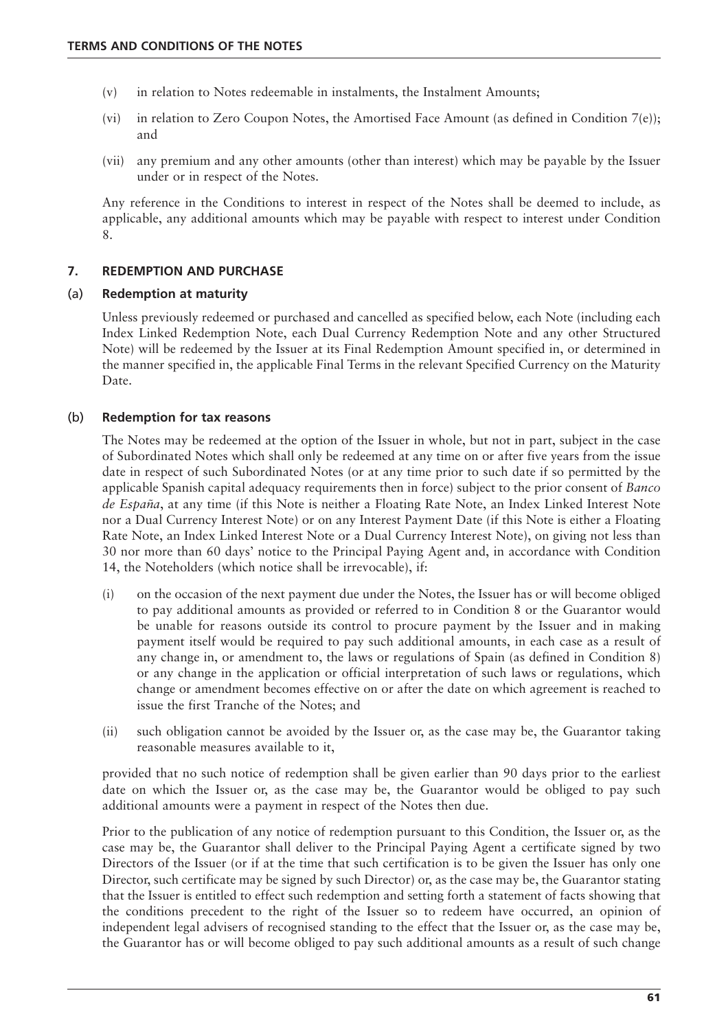- (v) in relation to Notes redeemable in instalments, the Instalment Amounts;
- (vi) in relation to Zero Coupon Notes, the Amortised Face Amount (as defined in Condition 7(e)); and
- (vii) any premium and any other amounts (other than interest) which may be payable by the Issuer under or in respect of the Notes.

Any reference in the Conditions to interest in respect of the Notes shall be deemed to include, as applicable, any additional amounts which may be payable with respect to interest under Condition 8.

# **7. REDEMPTION AND PURCHASE**

## (a) **Redemption at maturity**

Unless previously redeemed or purchased and cancelled as specified below, each Note (including each Index Linked Redemption Note, each Dual Currency Redemption Note and any other Structured Note) will be redeemed by the Issuer at its Final Redemption Amount specified in, or determined in the manner specified in, the applicable Final Terms in the relevant Specified Currency on the Maturity Date.

# (b) **Redemption for tax reasons**

The Notes may be redeemed at the option of the Issuer in whole, but not in part, subject in the case of Subordinated Notes which shall only be redeemed at any time on or after five years from the issue date in respect of such Subordinated Notes (or at any time prior to such date if so permitted by the applicable Spanish capital adequacy requirements then in force) subject to the prior consent of *Banco de España*, at any time (if this Note is neither a Floating Rate Note, an Index Linked Interest Note nor a Dual Currency Interest Note) or on any Interest Payment Date (if this Note is either a Floating Rate Note, an Index Linked Interest Note or a Dual Currency Interest Note), on giving not less than 30 nor more than 60 days' notice to the Principal Paying Agent and, in accordance with Condition 14, the Noteholders (which notice shall be irrevocable), if:

- (i) on the occasion of the next payment due under the Notes, the Issuer has or will become obliged to pay additional amounts as provided or referred to in Condition 8 or the Guarantor would be unable for reasons outside its control to procure payment by the Issuer and in making payment itself would be required to pay such additional amounts, in each case as a result of any change in, or amendment to, the laws or regulations of Spain (as defined in Condition 8) or any change in the application or official interpretation of such laws or regulations, which change or amendment becomes effective on or after the date on which agreement is reached to issue the first Tranche of the Notes; and
- (ii) such obligation cannot be avoided by the Issuer or, as the case may be, the Guarantor taking reasonable measures available to it,

provided that no such notice of redemption shall be given earlier than 90 days prior to the earliest date on which the Issuer or, as the case may be, the Guarantor would be obliged to pay such additional amounts were a payment in respect of the Notes then due.

Prior to the publication of any notice of redemption pursuant to this Condition, the Issuer or, as the case may be, the Guarantor shall deliver to the Principal Paying Agent a certificate signed by two Directors of the Issuer (or if at the time that such certification is to be given the Issuer has only one Director, such certificate may be signed by such Director) or, as the case may be, the Guarantor stating that the Issuer is entitled to effect such redemption and setting forth a statement of facts showing that the conditions precedent to the right of the Issuer so to redeem have occurred, an opinion of independent legal advisers of recognised standing to the effect that the Issuer or, as the case may be, the Guarantor has or will become obliged to pay such additional amounts as a result of such change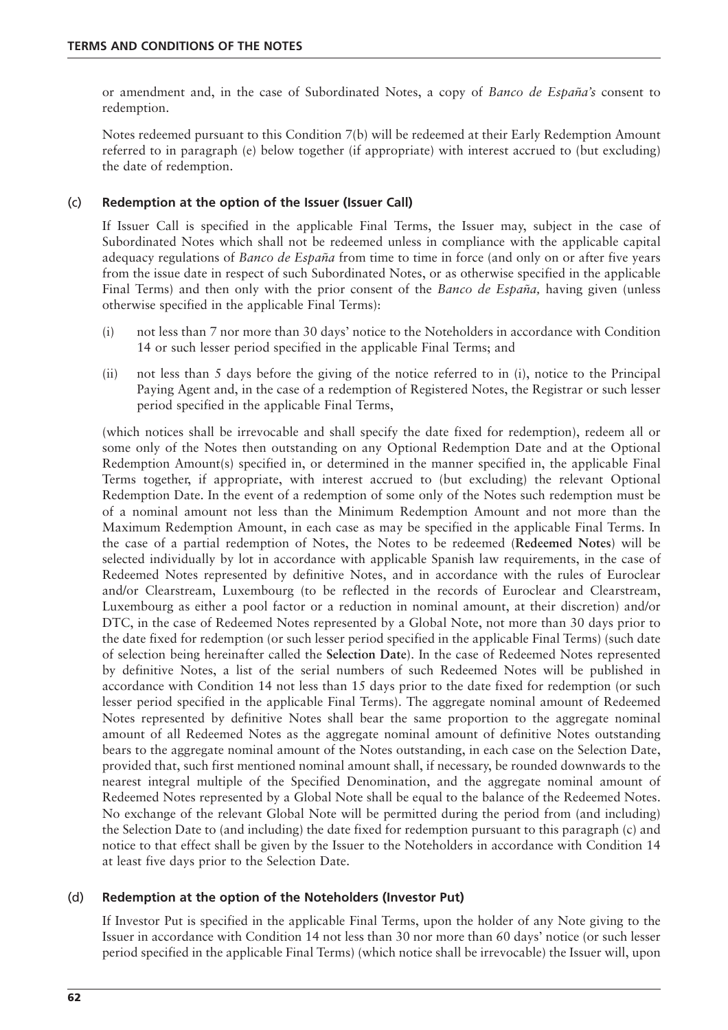or amendment and, in the case of Subordinated Notes, a copy of *Banco de España's* consent to redemption.

Notes redeemed pursuant to this Condition 7(b) will be redeemed at their Early Redemption Amount referred to in paragraph (e) below together (if appropriate) with interest accrued to (but excluding) the date of redemption.

# (c) **Redemption at the option of the Issuer (Issuer Call)**

If Issuer Call is specified in the applicable Final Terms, the Issuer may, subject in the case of Subordinated Notes which shall not be redeemed unless in compliance with the applicable capital adequacy regulations of *Banco de España* from time to time in force (and only on or after five years from the issue date in respect of such Subordinated Notes, or as otherwise specified in the applicable Final Terms) and then only with the prior consent of the *Banco de España,* having given (unless otherwise specified in the applicable Final Terms):

- (i) not less than 7 nor more than 30 days' notice to the Noteholders in accordance with Condition 14 or such lesser period specified in the applicable Final Terms; and
- (ii) not less than 5 days before the giving of the notice referred to in (i), notice to the Principal Paying Agent and, in the case of a redemption of Registered Notes, the Registrar or such lesser period specified in the applicable Final Terms,

(which notices shall be irrevocable and shall specify the date fixed for redemption), redeem all or some only of the Notes then outstanding on any Optional Redemption Date and at the Optional Redemption Amount(s) specified in, or determined in the manner specified in, the applicable Final Terms together, if appropriate, with interest accrued to (but excluding) the relevant Optional Redemption Date. In the event of a redemption of some only of the Notes such redemption must be of a nominal amount not less than the Minimum Redemption Amount and not more than the Maximum Redemption Amount, in each case as may be specified in the applicable Final Terms. In the case of a partial redemption of Notes, the Notes to be redeemed (**Redeemed Notes**) will be selected individually by lot in accordance with applicable Spanish law requirements, in the case of Redeemed Notes represented by definitive Notes, and in accordance with the rules of Euroclear and/or Clearstream, Luxembourg (to be reflected in the records of Euroclear and Clearstream, Luxembourg as either a pool factor or a reduction in nominal amount, at their discretion) and/or DTC, in the case of Redeemed Notes represented by a Global Note, not more than 30 days prior to the date fixed for redemption (or such lesser period specified in the applicable Final Terms) (such date of selection being hereinafter called the **Selection Date**). In the case of Redeemed Notes represented by definitive Notes, a list of the serial numbers of such Redeemed Notes will be published in accordance with Condition 14 not less than 15 days prior to the date fixed for redemption (or such lesser period specified in the applicable Final Terms). The aggregate nominal amount of Redeemed Notes represented by definitive Notes shall bear the same proportion to the aggregate nominal amount of all Redeemed Notes as the aggregate nominal amount of definitive Notes outstanding bears to the aggregate nominal amount of the Notes outstanding, in each case on the Selection Date, provided that, such first mentioned nominal amount shall, if necessary, be rounded downwards to the nearest integral multiple of the Specified Denomination, and the aggregate nominal amount of Redeemed Notes represented by a Global Note shall be equal to the balance of the Redeemed Notes. No exchange of the relevant Global Note will be permitted during the period from (and including) the Selection Date to (and including) the date fixed for redemption pursuant to this paragraph (c) and notice to that effect shall be given by the Issuer to the Noteholders in accordance with Condition 14 at least five days prior to the Selection Date.

# (d) **Redemption at the option of the Noteholders (Investor Put)**

If Investor Put is specified in the applicable Final Terms, upon the holder of any Note giving to the Issuer in accordance with Condition 14 not less than 30 nor more than 60 days' notice (or such lesser period specified in the applicable Final Terms) (which notice shall be irrevocable) the Issuer will, upon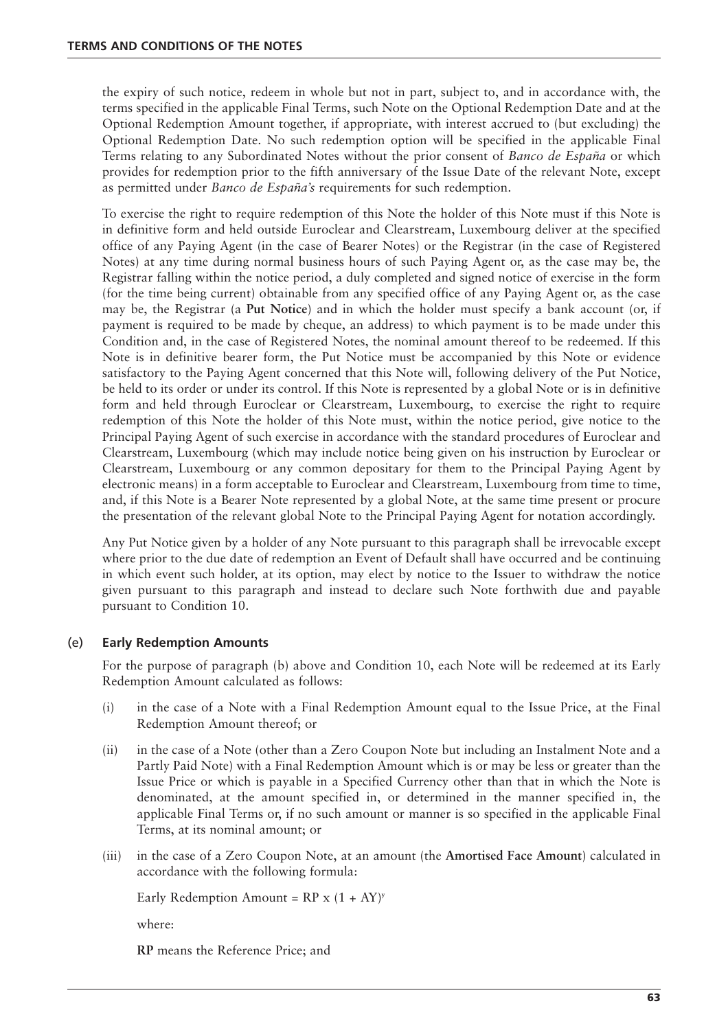the expiry of such notice, redeem in whole but not in part, subject to, and in accordance with, the terms specified in the applicable Final Terms, such Note on the Optional Redemption Date and at the Optional Redemption Amount together, if appropriate, with interest accrued to (but excluding) the Optional Redemption Date. No such redemption option will be specified in the applicable Final Terms relating to any Subordinated Notes without the prior consent of *Banco de España* or which provides for redemption prior to the fifth anniversary of the Issue Date of the relevant Note, except as permitted under *Banco de España's* requirements for such redemption.

To exercise the right to require redemption of this Note the holder of this Note must if this Note is in definitive form and held outside Euroclear and Clearstream, Luxembourg deliver at the specified office of any Paying Agent (in the case of Bearer Notes) or the Registrar (in the case of Registered Notes) at any time during normal business hours of such Paying Agent or, as the case may be, the Registrar falling within the notice period, a duly completed and signed notice of exercise in the form (for the time being current) obtainable from any specified office of any Paying Agent or, as the case may be, the Registrar (a **Put Notice**) and in which the holder must specify a bank account (or, if payment is required to be made by cheque, an address) to which payment is to be made under this Condition and, in the case of Registered Notes, the nominal amount thereof to be redeemed. If this Note is in definitive bearer form, the Put Notice must be accompanied by this Note or evidence satisfactory to the Paying Agent concerned that this Note will, following delivery of the Put Notice, be held to its order or under its control. If this Note is represented by a global Note or is in definitive form and held through Euroclear or Clearstream, Luxembourg, to exercise the right to require redemption of this Note the holder of this Note must, within the notice period, give notice to the Principal Paying Agent of such exercise in accordance with the standard procedures of Euroclear and Clearstream, Luxembourg (which may include notice being given on his instruction by Euroclear or Clearstream, Luxembourg or any common depositary for them to the Principal Paying Agent by electronic means) in a form acceptable to Euroclear and Clearstream, Luxembourg from time to time, and, if this Note is a Bearer Note represented by a global Note, at the same time present or procure the presentation of the relevant global Note to the Principal Paying Agent for notation accordingly.

Any Put Notice given by a holder of any Note pursuant to this paragraph shall be irrevocable except where prior to the due date of redemption an Event of Default shall have occurred and be continuing in which event such holder, at its option, may elect by notice to the Issuer to withdraw the notice given pursuant to this paragraph and instead to declare such Note forthwith due and payable pursuant to Condition 10.

# (e) **Early Redemption Amounts**

For the purpose of paragraph (b) above and Condition 10, each Note will be redeemed at its Early Redemption Amount calculated as follows:

- (i) in the case of a Note with a Final Redemption Amount equal to the Issue Price, at the Final Redemption Amount thereof; or
- (ii) in the case of a Note (other than a Zero Coupon Note but including an Instalment Note and a Partly Paid Note) with a Final Redemption Amount which is or may be less or greater than the Issue Price or which is payable in a Specified Currency other than that in which the Note is denominated, at the amount specified in, or determined in the manner specified in, the applicable Final Terms or, if no such amount or manner is so specified in the applicable Final Terms, at its nominal amount; or
- (iii) in the case of a Zero Coupon Note, at an amount (the **Amortised Face Amount**) calculated in accordance with the following formula:

Early Redemption Amount =  $RP \times (1 + AY)^y$ 

where:

**RP** means the Reference Price; and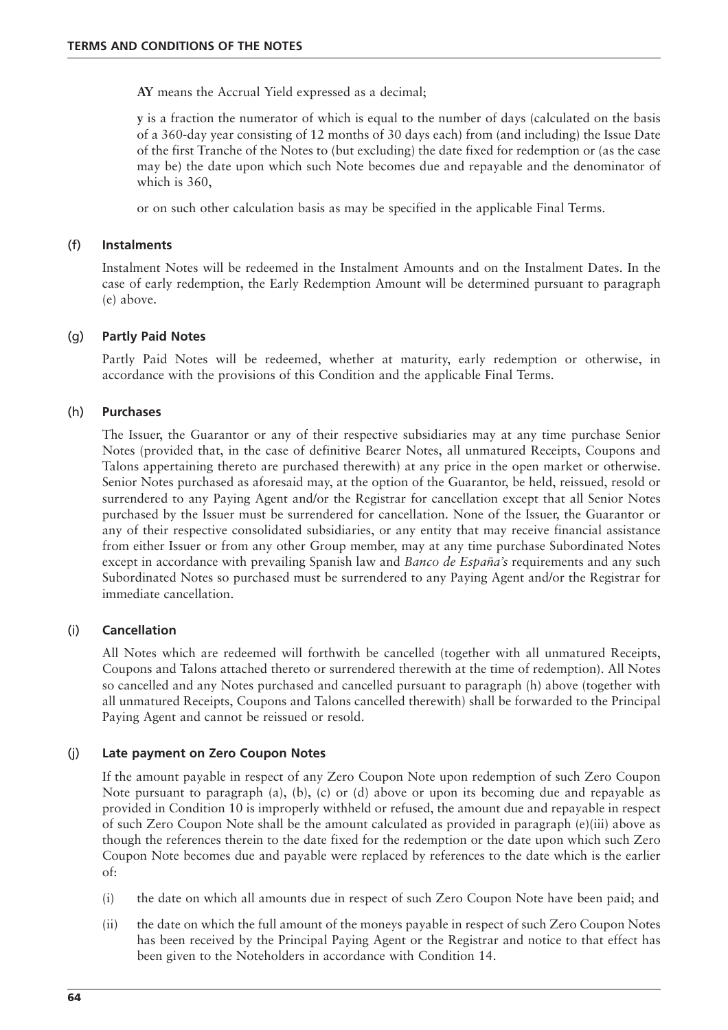**AY** means the Accrual Yield expressed as a decimal;

**y** is a fraction the numerator of which is equal to the number of days (calculated on the basis of a 360-day year consisting of 12 months of 30 days each) from (and including) the Issue Date of the first Tranche of the Notes to (but excluding) the date fixed for redemption or (as the case may be) the date upon which such Note becomes due and repayable and the denominator of which is 360,

or on such other calculation basis as may be specified in the applicable Final Terms.

## (f) **Instalments**

Instalment Notes will be redeemed in the Instalment Amounts and on the Instalment Dates. In the case of early redemption, the Early Redemption Amount will be determined pursuant to paragraph (e) above.

## (g) **Partly Paid Notes**

Partly Paid Notes will be redeemed, whether at maturity, early redemption or otherwise, in accordance with the provisions of this Condition and the applicable Final Terms.

## (h) **Purchases**

The Issuer, the Guarantor or any of their respective subsidiaries may at any time purchase Senior Notes (provided that, in the case of definitive Bearer Notes, all unmatured Receipts, Coupons and Talons appertaining thereto are purchased therewith) at any price in the open market or otherwise. Senior Notes purchased as aforesaid may, at the option of the Guarantor, be held, reissued, resold or surrendered to any Paying Agent and/or the Registrar for cancellation except that all Senior Notes purchased by the Issuer must be surrendered for cancellation. None of the Issuer, the Guarantor or any of their respective consolidated subsidiaries, or any entity that may receive financial assistance from either Issuer or from any other Group member, may at any time purchase Subordinated Notes except in accordance with prevailing Spanish law and *Banco de España's* requirements and any such Subordinated Notes so purchased must be surrendered to any Paying Agent and/or the Registrar for immediate cancellation.

#### (i) **Cancellation**

All Notes which are redeemed will forthwith be cancelled (together with all unmatured Receipts, Coupons and Talons attached thereto or surrendered therewith at the time of redemption). All Notes so cancelled and any Notes purchased and cancelled pursuant to paragraph (h) above (together with all unmatured Receipts, Coupons and Talons cancelled therewith) shall be forwarded to the Principal Paying Agent and cannot be reissued or resold.

# (j) **Late payment on Zero Coupon Notes**

If the amount payable in respect of any Zero Coupon Note upon redemption of such Zero Coupon Note pursuant to paragraph (a), (b), (c) or (d) above or upon its becoming due and repayable as provided in Condition 10 is improperly withheld or refused, the amount due and repayable in respect of such Zero Coupon Note shall be the amount calculated as provided in paragraph (e)(iii) above as though the references therein to the date fixed for the redemption or the date upon which such Zero Coupon Note becomes due and payable were replaced by references to the date which is the earlier of:

- (i) the date on which all amounts due in respect of such Zero Coupon Note have been paid; and
- (ii) the date on which the full amount of the moneys payable in respect of such Zero Coupon Notes has been received by the Principal Paying Agent or the Registrar and notice to that effect has been given to the Noteholders in accordance with Condition 14.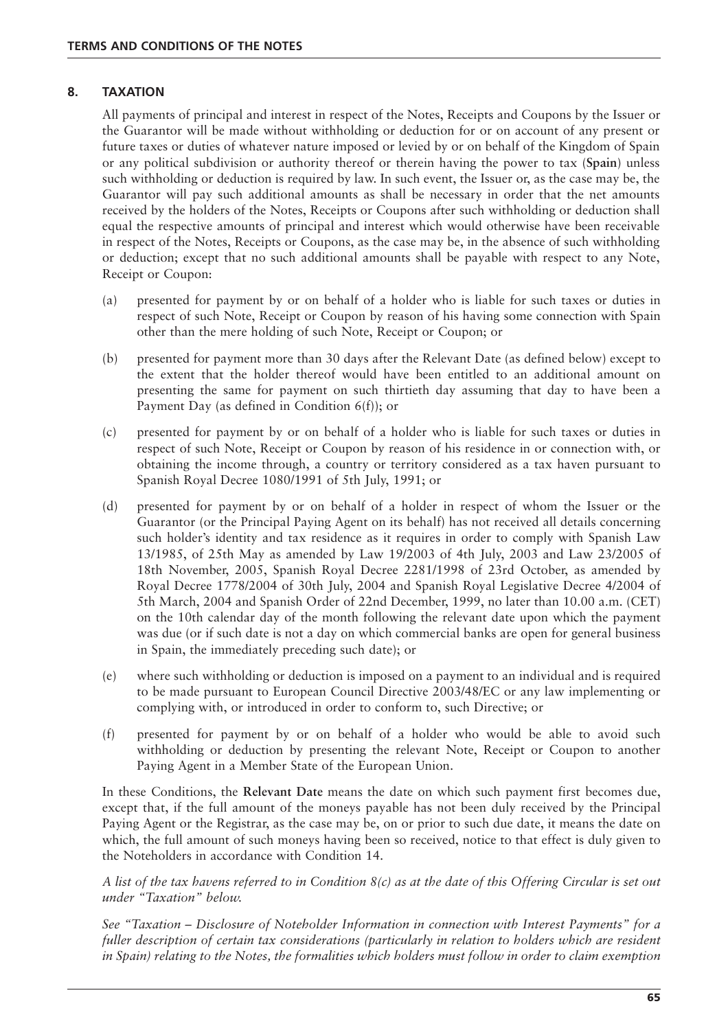## **8. TAXATION**

All payments of principal and interest in respect of the Notes, Receipts and Coupons by the Issuer or the Guarantor will be made without withholding or deduction for or on account of any present or future taxes or duties of whatever nature imposed or levied by or on behalf of the Kingdom of Spain or any political subdivision or authority thereof or therein having the power to tax (**Spain**) unless such withholding or deduction is required by law. In such event, the Issuer or, as the case may be, the Guarantor will pay such additional amounts as shall be necessary in order that the net amounts received by the holders of the Notes, Receipts or Coupons after such withholding or deduction shall equal the respective amounts of principal and interest which would otherwise have been receivable in respect of the Notes, Receipts or Coupons, as the case may be, in the absence of such withholding or deduction; except that no such additional amounts shall be payable with respect to any Note, Receipt or Coupon:

- (a) presented for payment by or on behalf of a holder who is liable for such taxes or duties in respect of such Note, Receipt or Coupon by reason of his having some connection with Spain other than the mere holding of such Note, Receipt or Coupon; or
- (b) presented for payment more than 30 days after the Relevant Date (as defined below) except to the extent that the holder thereof would have been entitled to an additional amount on presenting the same for payment on such thirtieth day assuming that day to have been a Payment Day (as defined in Condition 6(f)); or
- (c) presented for payment by or on behalf of a holder who is liable for such taxes or duties in respect of such Note, Receipt or Coupon by reason of his residence in or connection with, or obtaining the income through, a country or territory considered as a tax haven pursuant to Spanish Royal Decree 1080/1991 of 5th July, 1991; or
- (d) presented for payment by or on behalf of a holder in respect of whom the Issuer or the Guarantor (or the Principal Paying Agent on its behalf) has not received all details concerning such holder's identity and tax residence as it requires in order to comply with Spanish Law 13/1985, of 25th May as amended by Law 19/2003 of 4th July, 2003 and Law 23/2005 of 18th November, 2005, Spanish Royal Decree 2281/1998 of 23rd October, as amended by Royal Decree 1778/2004 of 30th July, 2004 and Spanish Royal Legislative Decree 4/2004 of 5th March, 2004 and Spanish Order of 22nd December, 1999, no later than 10.00 a.m. (CET) on the 10th calendar day of the month following the relevant date upon which the payment was due (or if such date is not a day on which commercial banks are open for general business in Spain, the immediately preceding such date); or
- (e) where such withholding or deduction is imposed on a payment to an individual and is required to be made pursuant to European Council Directive 2003/48/EC or any law implementing or complying with, or introduced in order to conform to, such Directive; or
- (f) presented for payment by or on behalf of a holder who would be able to avoid such withholding or deduction by presenting the relevant Note, Receipt or Coupon to another Paying Agent in a Member State of the European Union.

In these Conditions, the **Relevant Date** means the date on which such payment first becomes due, except that, if the full amount of the moneys payable has not been duly received by the Principal Paying Agent or the Registrar, as the case may be, on or prior to such due date, it means the date on which, the full amount of such moneys having been so received, notice to that effect is duly given to the Noteholders in accordance with Condition 14.

*A list of the tax havens referred to in Condition 8(c) as at the date of this Offering Circular is set out under "Taxation" below.*

*See "Taxation – Disclosure of Noteholder Information in connection with Interest Payments" for a fuller description of certain tax considerations (particularly in relation to holders which are resident in Spain) relating to the Notes, the formalities which holders must follow in order to claim exemption*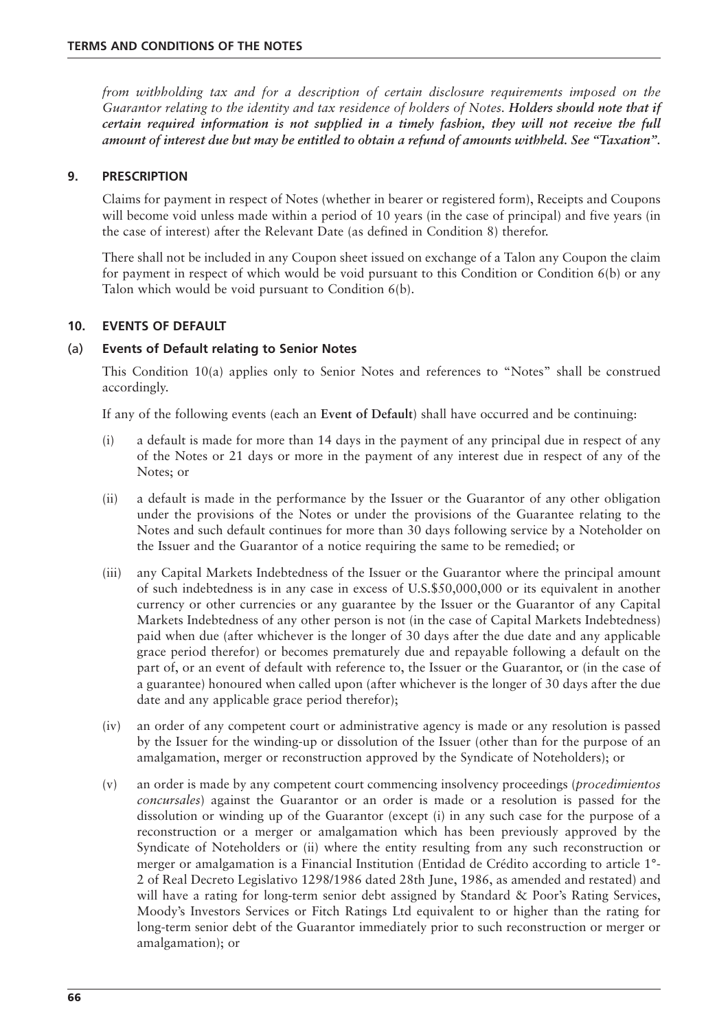*from withholding tax and for a description of certain disclosure requirements imposed on the Guarantor relating to the identity and tax residence of holders of Notes. Holders should note that if certain required information is not supplied in a timely fashion, they will not receive the full amount of interest due but may be entitled to obtain a refund of amounts withheld. See "Taxation".*

## **9. PRESCRIPTION**

Claims for payment in respect of Notes (whether in bearer or registered form), Receipts and Coupons will become void unless made within a period of 10 years (in the case of principal) and five years (in the case of interest) after the Relevant Date (as defined in Condition 8) therefor.

There shall not be included in any Coupon sheet issued on exchange of a Talon any Coupon the claim for payment in respect of which would be void pursuant to this Condition or Condition 6(b) or any Talon which would be void pursuant to Condition 6(b).

## **10. EVENTS OF DEFAULT**

## (a) **Events of Default relating to Senior Notes**

This Condition 10(a) applies only to Senior Notes and references to "Notes" shall be construed accordingly.

If any of the following events (each an **Event of Default**) shall have occurred and be continuing:

- (i) a default is made for more than 14 days in the payment of any principal due in respect of any of the Notes or 21 days or more in the payment of any interest due in respect of any of the Notes; or
- (ii) a default is made in the performance by the Issuer or the Guarantor of any other obligation under the provisions of the Notes or under the provisions of the Guarantee relating to the Notes and such default continues for more than 30 days following service by a Noteholder on the Issuer and the Guarantor of a notice requiring the same to be remedied; or
- (iii) any Capital Markets Indebtedness of the Issuer or the Guarantor where the principal amount of such indebtedness is in any case in excess of U.S.\$50,000,000 or its equivalent in another currency or other currencies or any guarantee by the Issuer or the Guarantor of any Capital Markets Indebtedness of any other person is not (in the case of Capital Markets Indebtedness) paid when due (after whichever is the longer of 30 days after the due date and any applicable grace period therefor) or becomes prematurely due and repayable following a default on the part of, or an event of default with reference to, the Issuer or the Guarantor, or (in the case of a guarantee) honoured when called upon (after whichever is the longer of 30 days after the due date and any applicable grace period therefor);
- (iv) an order of any competent court or administrative agency is made or any resolution is passed by the Issuer for the winding-up or dissolution of the Issuer (other than for the purpose of an amalgamation, merger or reconstruction approved by the Syndicate of Noteholders); or
- (v) an order is made by any competent court commencing insolvency proceedings (*procedimientos concursales*) against the Guarantor or an order is made or a resolution is passed for the dissolution or winding up of the Guarantor (except (i) in any such case for the purpose of a reconstruction or a merger or amalgamation which has been previously approved by the Syndicate of Noteholders or (ii) where the entity resulting from any such reconstruction or merger or amalgamation is a Financial Institution (Entidad de Crédito according to article 1°- 2 of Real Decreto Legislativo 1298/1986 dated 28th June, 1986, as amended and restated) and will have a rating for long-term senior debt assigned by Standard & Poor's Rating Services, Moody's Investors Services or Fitch Ratings Ltd equivalent to or higher than the rating for long-term senior debt of the Guarantor immediately prior to such reconstruction or merger or amalgamation); or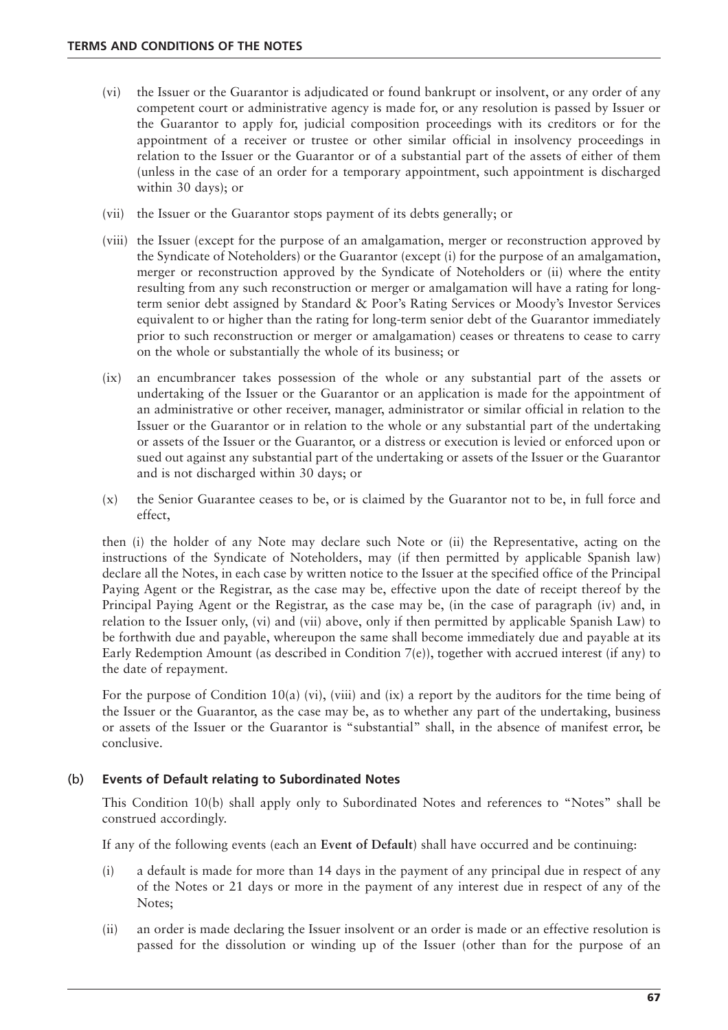- (vi) the Issuer or the Guarantor is adjudicated or found bankrupt or insolvent, or any order of any competent court or administrative agency is made for, or any resolution is passed by Issuer or the Guarantor to apply for, judicial composition proceedings with its creditors or for the appointment of a receiver or trustee or other similar official in insolvency proceedings in relation to the Issuer or the Guarantor or of a substantial part of the assets of either of them (unless in the case of an order for a temporary appointment, such appointment is discharged within 30 days); or
- (vii) the Issuer or the Guarantor stops payment of its debts generally; or
- (viii) the Issuer (except for the purpose of an amalgamation, merger or reconstruction approved by the Syndicate of Noteholders) or the Guarantor (except (i) for the purpose of an amalgamation, merger or reconstruction approved by the Syndicate of Noteholders or (ii) where the entity resulting from any such reconstruction or merger or amalgamation will have a rating for longterm senior debt assigned by Standard & Poor's Rating Services or Moody's Investor Services equivalent to or higher than the rating for long-term senior debt of the Guarantor immediately prior to such reconstruction or merger or amalgamation) ceases or threatens to cease to carry on the whole or substantially the whole of its business; or
- (ix) an encumbrancer takes possession of the whole or any substantial part of the assets or undertaking of the Issuer or the Guarantor or an application is made for the appointment of an administrative or other receiver, manager, administrator or similar official in relation to the Issuer or the Guarantor or in relation to the whole or any substantial part of the undertaking or assets of the Issuer or the Guarantor, or a distress or execution is levied or enforced upon or sued out against any substantial part of the undertaking or assets of the Issuer or the Guarantor and is not discharged within 30 days; or
- (x) the Senior Guarantee ceases to be, or is claimed by the Guarantor not to be, in full force and effect,

then (i) the holder of any Note may declare such Note or (ii) the Representative, acting on the instructions of the Syndicate of Noteholders, may (if then permitted by applicable Spanish law) declare all the Notes, in each case by written notice to the Issuer at the specified office of the Principal Paying Agent or the Registrar, as the case may be, effective upon the date of receipt thereof by the Principal Paying Agent or the Registrar, as the case may be, (in the case of paragraph (iv) and, in relation to the Issuer only, (vi) and (vii) above, only if then permitted by applicable Spanish Law) to be forthwith due and payable, whereupon the same shall become immediately due and payable at its Early Redemption Amount (as described in Condition 7(e)), together with accrued interest (if any) to the date of repayment.

For the purpose of Condition 10(a) (vi), (viii) and (ix) a report by the auditors for the time being of the Issuer or the Guarantor, as the case may be, as to whether any part of the undertaking, business or assets of the Issuer or the Guarantor is "substantial" shall, in the absence of manifest error, be conclusive.

# (b) **Events of Default relating to Subordinated Notes**

This Condition 10(b) shall apply only to Subordinated Notes and references to "Notes" shall be construed accordingly.

If any of the following events (each an **Event of Default**) shall have occurred and be continuing:

- (i) a default is made for more than 14 days in the payment of any principal due in respect of any of the Notes or 21 days or more in the payment of any interest due in respect of any of the Notes;
- (ii) an order is made declaring the Issuer insolvent or an order is made or an effective resolution is passed for the dissolution or winding up of the Issuer (other than for the purpose of an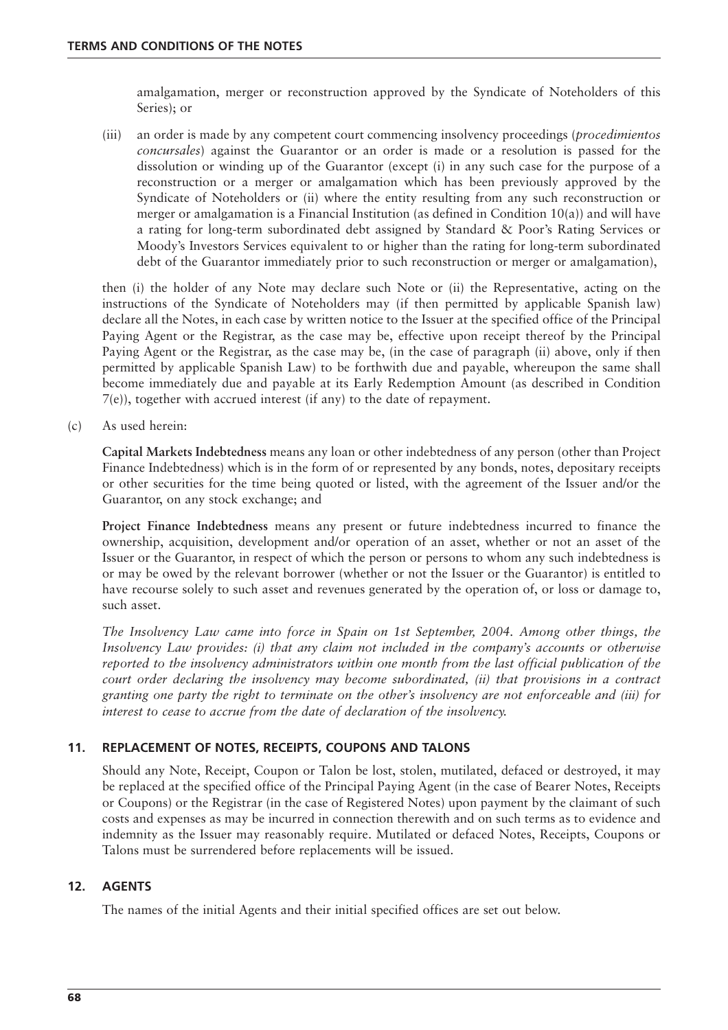amalgamation, merger or reconstruction approved by the Syndicate of Noteholders of this Series); or

(iii) an order is made by any competent court commencing insolvency proceedings (*procedimientos concursales*) against the Guarantor or an order is made or a resolution is passed for the dissolution or winding up of the Guarantor (except (i) in any such case for the purpose of a reconstruction or a merger or amalgamation which has been previously approved by the Syndicate of Noteholders or (ii) where the entity resulting from any such reconstruction or merger or amalgamation is a Financial Institution (as defined in Condition  $10(a)$ ) and will have a rating for long-term subordinated debt assigned by Standard & Poor's Rating Services or Moody's Investors Services equivalent to or higher than the rating for long-term subordinated debt of the Guarantor immediately prior to such reconstruction or merger or amalgamation),

then (i) the holder of any Note may declare such Note or (ii) the Representative, acting on the instructions of the Syndicate of Noteholders may (if then permitted by applicable Spanish law) declare all the Notes, in each case by written notice to the Issuer at the specified office of the Principal Paying Agent or the Registrar, as the case may be, effective upon receipt thereof by the Principal Paying Agent or the Registrar, as the case may be, (in the case of paragraph (ii) above, only if then permitted by applicable Spanish Law) to be forthwith due and payable, whereupon the same shall become immediately due and payable at its Early Redemption Amount (as described in Condition 7(e)), together with accrued interest (if any) to the date of repayment.

(c) As used herein:

**Capital Markets Indebtedness** means any loan or other indebtedness of any person (other than Project Finance Indebtedness) which is in the form of or represented by any bonds, notes, depositary receipts or other securities for the time being quoted or listed, with the agreement of the Issuer and/or the Guarantor, on any stock exchange; and

**Project Finance Indebtedness** means any present or future indebtedness incurred to finance the ownership, acquisition, development and/or operation of an asset, whether or not an asset of the Issuer or the Guarantor, in respect of which the person or persons to whom any such indebtedness is or may be owed by the relevant borrower (whether or not the Issuer or the Guarantor) is entitled to have recourse solely to such asset and revenues generated by the operation of, or loss or damage to, such asset.

*The Insolvency Law came into force in Spain on 1st September, 2004. Among other things, the Insolvency Law provides: (i) that any claim not included in the company's accounts or otherwise reported to the insolvency administrators within one month from the last official publication of the court order declaring the insolvency may become subordinated, (ii) that provisions in a contract granting one party the right to terminate on the other's insolvency are not enforceable and (iii) for interest to cease to accrue from the date of declaration of the insolvency.*

# **11. REPLACEMENT OF NOTES, RECEIPTS, COUPONS AND TALONS**

Should any Note, Receipt, Coupon or Talon be lost, stolen, mutilated, defaced or destroyed, it may be replaced at the specified office of the Principal Paying Agent (in the case of Bearer Notes, Receipts or Coupons) or the Registrar (in the case of Registered Notes) upon payment by the claimant of such costs and expenses as may be incurred in connection therewith and on such terms as to evidence and indemnity as the Issuer may reasonably require. Mutilated or defaced Notes, Receipts, Coupons or Talons must be surrendered before replacements will be issued.

# **12. AGENTS**

The names of the initial Agents and their initial specified offices are set out below.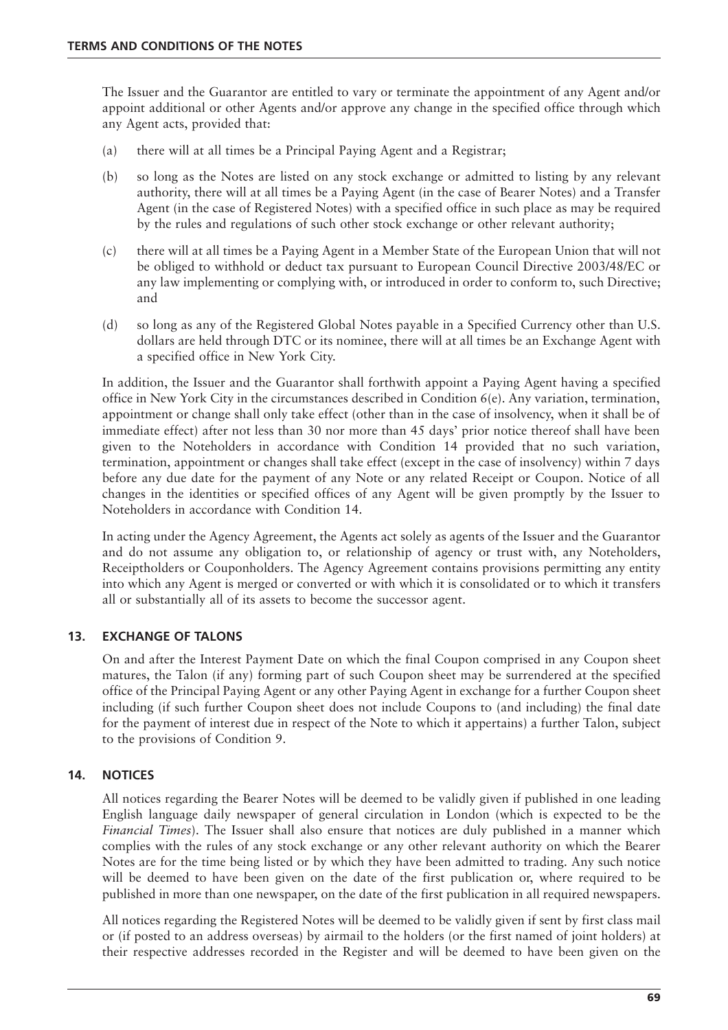The Issuer and the Guarantor are entitled to vary or terminate the appointment of any Agent and/or appoint additional or other Agents and/or approve any change in the specified office through which any Agent acts, provided that:

- (a) there will at all times be a Principal Paying Agent and a Registrar;
- (b) so long as the Notes are listed on any stock exchange or admitted to listing by any relevant authority, there will at all times be a Paying Agent (in the case of Bearer Notes) and a Transfer Agent (in the case of Registered Notes) with a specified office in such place as may be required by the rules and regulations of such other stock exchange or other relevant authority;
- (c) there will at all times be a Paying Agent in a Member State of the European Union that will not be obliged to withhold or deduct tax pursuant to European Council Directive 2003/48/EC or any law implementing or complying with, or introduced in order to conform to, such Directive; and
- (d) so long as any of the Registered Global Notes payable in a Specified Currency other than U.S. dollars are held through DTC or its nominee, there will at all times be an Exchange Agent with a specified office in New York City.

In addition, the Issuer and the Guarantor shall forthwith appoint a Paying Agent having a specified office in New York City in the circumstances described in Condition 6(e). Any variation, termination, appointment or change shall only take effect (other than in the case of insolvency, when it shall be of immediate effect) after not less than 30 nor more than 45 days' prior notice thereof shall have been given to the Noteholders in accordance with Condition 14 provided that no such variation, termination, appointment or changes shall take effect (except in the case of insolvency) within 7 days before any due date for the payment of any Note or any related Receipt or Coupon. Notice of all changes in the identities or specified offices of any Agent will be given promptly by the Issuer to Noteholders in accordance with Condition 14.

In acting under the Agency Agreement, the Agents act solely as agents of the Issuer and the Guarantor and do not assume any obligation to, or relationship of agency or trust with, any Noteholders, Receiptholders or Couponholders. The Agency Agreement contains provisions permitting any entity into which any Agent is merged or converted or with which it is consolidated or to which it transfers all or substantially all of its assets to become the successor agent.

# **13. EXCHANGE OF TALONS**

On and after the Interest Payment Date on which the final Coupon comprised in any Coupon sheet matures, the Talon (if any) forming part of such Coupon sheet may be surrendered at the specified office of the Principal Paying Agent or any other Paying Agent in exchange for a further Coupon sheet including (if such further Coupon sheet does not include Coupons to (and including) the final date for the payment of interest due in respect of the Note to which it appertains) a further Talon, subject to the provisions of Condition 9.

# **14. NOTICES**

All notices regarding the Bearer Notes will be deemed to be validly given if published in one leading English language daily newspaper of general circulation in London (which is expected to be the *Financial Times*). The Issuer shall also ensure that notices are duly published in a manner which complies with the rules of any stock exchange or any other relevant authority on which the Bearer Notes are for the time being listed or by which they have been admitted to trading. Any such notice will be deemed to have been given on the date of the first publication or, where required to be published in more than one newspaper, on the date of the first publication in all required newspapers.

All notices regarding the Registered Notes will be deemed to be validly given if sent by first class mail or (if posted to an address overseas) by airmail to the holders (or the first named of joint holders) at their respective addresses recorded in the Register and will be deemed to have been given on the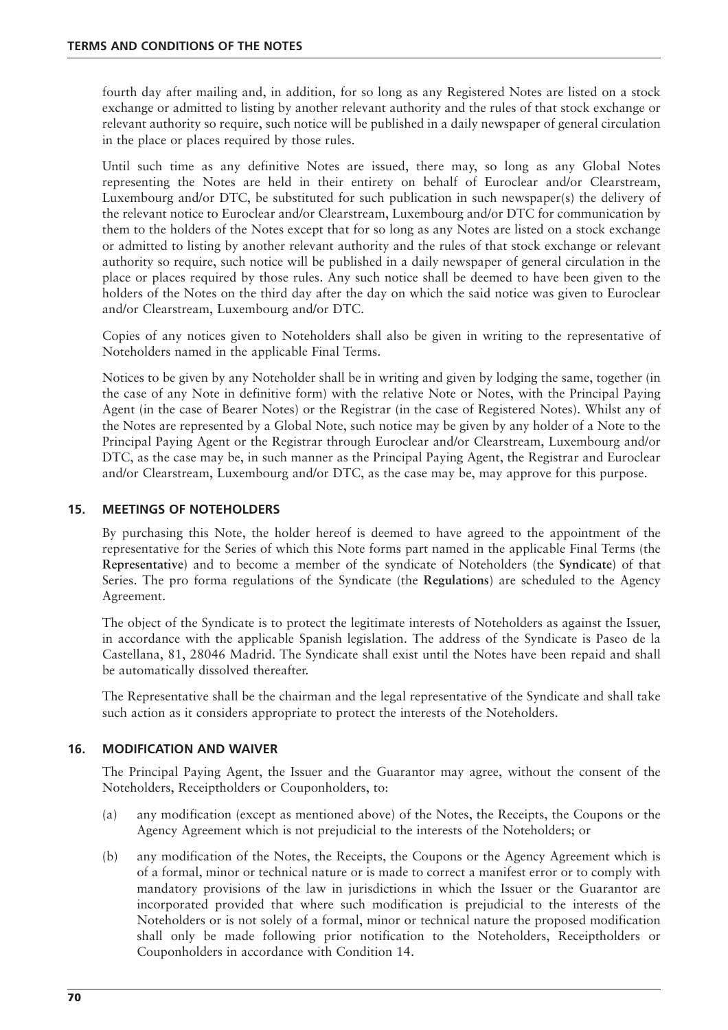fourth day after mailing and, in addition, for so long as any Registered Notes are listed on a stock exchange or admitted to listing by another relevant authority and the rules of that stock exchange or relevant authority so require, such notice will be published in a daily newspaper of general circulation in the place or places required by those rules.

Until such time as any definitive Notes are issued, there may, so long as any Global Notes representing the Notes are held in their entirety on behalf of Euroclear and/or Clearstream, Luxembourg and/or DTC, be substituted for such publication in such newspaper(s) the delivery of the relevant notice to Euroclear and/or Clearstream, Luxembourg and/or DTC for communication by them to the holders of the Notes except that for so long as any Notes are listed on a stock exchange or admitted to listing by another relevant authority and the rules of that stock exchange or relevant authority so require, such notice will be published in a daily newspaper of general circulation in the place or places required by those rules. Any such notice shall be deemed to have been given to the holders of the Notes on the third day after the day on which the said notice was given to Euroclear and/or Clearstream, Luxembourg and/or DTC.

Copies of any notices given to Noteholders shall also be given in writing to the representative of Noteholders named in the applicable Final Terms.

Notices to be given by any Noteholder shall be in writing and given by lodging the same, together (in the case of any Note in definitive form) with the relative Note or Notes, with the Principal Paying Agent (in the case of Bearer Notes) or the Registrar (in the case of Registered Notes). Whilst any of the Notes are represented by a Global Note, such notice may be given by any holder of a Note to the Principal Paying Agent or the Registrar through Euroclear and/or Clearstream, Luxembourg and/or DTC, as the case may be, in such manner as the Principal Paying Agent, the Registrar and Euroclear and/or Clearstream, Luxembourg and/or DTC, as the case may be, may approve for this purpose.

## **15. MEETINGS OF NOTEHOLDERS**

By purchasing this Note, the holder hereof is deemed to have agreed to the appointment of the representative for the Series of which this Note forms part named in the applicable Final Terms (the **Representative**) and to become a member of the syndicate of Noteholders (the **Syndicate**) of that Series. The pro forma regulations of the Syndicate (the **Regulations**) are scheduled to the Agency Agreement.

The object of the Syndicate is to protect the legitimate interests of Noteholders as against the Issuer, in accordance with the applicable Spanish legislation. The address of the Syndicate is Paseo de la Castellana, 81, 28046 Madrid. The Syndicate shall exist until the Notes have been repaid and shall be automatically dissolved thereafter.

The Representative shall be the chairman and the legal representative of the Syndicate and shall take such action as it considers appropriate to protect the interests of the Noteholders.

#### **16. MODIFICATION AND WAIVER**

The Principal Paying Agent, the Issuer and the Guarantor may agree, without the consent of the Noteholders, Receiptholders or Couponholders, to:

- (a) any modification (except as mentioned above) of the Notes, the Receipts, the Coupons or the Agency Agreement which is not prejudicial to the interests of the Noteholders; or
- (b) any modification of the Notes, the Receipts, the Coupons or the Agency Agreement which is of a formal, minor or technical nature or is made to correct a manifest error or to comply with mandatory provisions of the law in jurisdictions in which the Issuer or the Guarantor are incorporated provided that where such modification is prejudicial to the interests of the Noteholders or is not solely of a formal, minor or technical nature the proposed modification shall only be made following prior notification to the Noteholders, Receiptholders or Couponholders in accordance with Condition 14.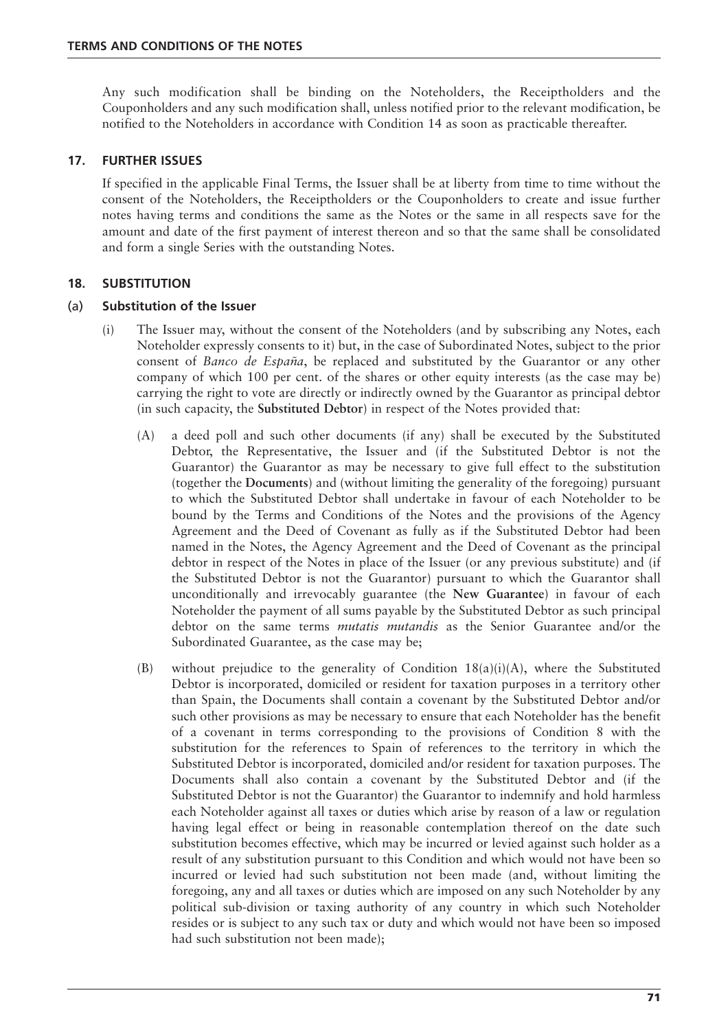Any such modification shall be binding on the Noteholders, the Receiptholders and the Couponholders and any such modification shall, unless notified prior to the relevant modification, be notified to the Noteholders in accordance with Condition 14 as soon as practicable thereafter.

## **17. FURTHER ISSUES**

If specified in the applicable Final Terms, the Issuer shall be at liberty from time to time without the consent of the Noteholders, the Receiptholders or the Couponholders to create and issue further notes having terms and conditions the same as the Notes or the same in all respects save for the amount and date of the first payment of interest thereon and so that the same shall be consolidated and form a single Series with the outstanding Notes.

## **18. SUBSTITUTION**

#### (a) **Substitution of the Issuer**

- (i) The Issuer may, without the consent of the Noteholders (and by subscribing any Notes, each Noteholder expressly consents to it) but, in the case of Subordinated Notes, subject to the prior consent of *Banco de España*, be replaced and substituted by the Guarantor or any other company of which 100 per cent. of the shares or other equity interests (as the case may be) carrying the right to vote are directly or indirectly owned by the Guarantor as principal debtor (in such capacity, the **Substituted Debtor**) in respect of the Notes provided that:
	- (A) a deed poll and such other documents (if any) shall be executed by the Substituted Debtor, the Representative, the Issuer and (if the Substituted Debtor is not the Guarantor) the Guarantor as may be necessary to give full effect to the substitution (together the **Documents**) and (without limiting the generality of the foregoing) pursuant to which the Substituted Debtor shall undertake in favour of each Noteholder to be bound by the Terms and Conditions of the Notes and the provisions of the Agency Agreement and the Deed of Covenant as fully as if the Substituted Debtor had been named in the Notes, the Agency Agreement and the Deed of Covenant as the principal debtor in respect of the Notes in place of the Issuer (or any previous substitute) and (if the Substituted Debtor is not the Guarantor) pursuant to which the Guarantor shall unconditionally and irrevocably guarantee (the **New Guarantee**) in favour of each Noteholder the payment of all sums payable by the Substituted Debtor as such principal debtor on the same terms *mutatis mutandis* as the Senior Guarantee and/or the Subordinated Guarantee, as the case may be;
	- (B) without prejudice to the generality of Condition  $18(a)(i)(A)$ , where the Substituted Debtor is incorporated, domiciled or resident for taxation purposes in a territory other than Spain, the Documents shall contain a covenant by the Substituted Debtor and/or such other provisions as may be necessary to ensure that each Noteholder has the benefit of a covenant in terms corresponding to the provisions of Condition 8 with the substitution for the references to Spain of references to the territory in which the Substituted Debtor is incorporated, domiciled and/or resident for taxation purposes. The Documents shall also contain a covenant by the Substituted Debtor and (if the Substituted Debtor is not the Guarantor) the Guarantor to indemnify and hold harmless each Noteholder against all taxes or duties which arise by reason of a law or regulation having legal effect or being in reasonable contemplation thereof on the date such substitution becomes effective, which may be incurred or levied against such holder as a result of any substitution pursuant to this Condition and which would not have been so incurred or levied had such substitution not been made (and, without limiting the foregoing, any and all taxes or duties which are imposed on any such Noteholder by any political sub-division or taxing authority of any country in which such Noteholder resides or is subject to any such tax or duty and which would not have been so imposed had such substitution not been made);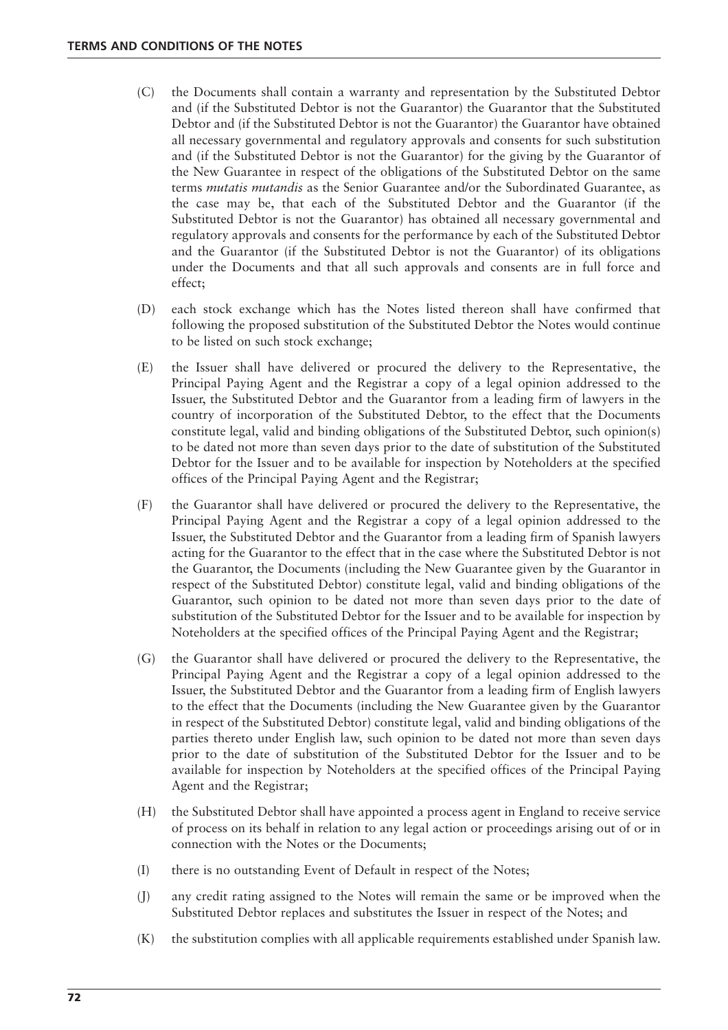- (C) the Documents shall contain a warranty and representation by the Substituted Debtor and (if the Substituted Debtor is not the Guarantor) the Guarantor that the Substituted Debtor and (if the Substituted Debtor is not the Guarantor) the Guarantor have obtained all necessary governmental and regulatory approvals and consents for such substitution and (if the Substituted Debtor is not the Guarantor) for the giving by the Guarantor of the New Guarantee in respect of the obligations of the Substituted Debtor on the same terms *mutatis mutandis* as the Senior Guarantee and/or the Subordinated Guarantee, as the case may be, that each of the Substituted Debtor and the Guarantor (if the Substituted Debtor is not the Guarantor) has obtained all necessary governmental and regulatory approvals and consents for the performance by each of the Substituted Debtor and the Guarantor (if the Substituted Debtor is not the Guarantor) of its obligations under the Documents and that all such approvals and consents are in full force and effect;
- (D) each stock exchange which has the Notes listed thereon shall have confirmed that following the proposed substitution of the Substituted Debtor the Notes would continue to be listed on such stock exchange;
- (E) the Issuer shall have delivered or procured the delivery to the Representative, the Principal Paying Agent and the Registrar a copy of a legal opinion addressed to the Issuer, the Substituted Debtor and the Guarantor from a leading firm of lawyers in the country of incorporation of the Substituted Debtor, to the effect that the Documents constitute legal, valid and binding obligations of the Substituted Debtor, such opinion(s) to be dated not more than seven days prior to the date of substitution of the Substituted Debtor for the Issuer and to be available for inspection by Noteholders at the specified offices of the Principal Paying Agent and the Registrar;
- (F) the Guarantor shall have delivered or procured the delivery to the Representative, the Principal Paying Agent and the Registrar a copy of a legal opinion addressed to the Issuer, the Substituted Debtor and the Guarantor from a leading firm of Spanish lawyers acting for the Guarantor to the effect that in the case where the Substituted Debtor is not the Guarantor, the Documents (including the New Guarantee given by the Guarantor in respect of the Substituted Debtor) constitute legal, valid and binding obligations of the Guarantor, such opinion to be dated not more than seven days prior to the date of substitution of the Substituted Debtor for the Issuer and to be available for inspection by Noteholders at the specified offices of the Principal Paying Agent and the Registrar;
- (G) the Guarantor shall have delivered or procured the delivery to the Representative, the Principal Paying Agent and the Registrar a copy of a legal opinion addressed to the Issuer, the Substituted Debtor and the Guarantor from a leading firm of English lawyers to the effect that the Documents (including the New Guarantee given by the Guarantor in respect of the Substituted Debtor) constitute legal, valid and binding obligations of the parties thereto under English law, such opinion to be dated not more than seven days prior to the date of substitution of the Substituted Debtor for the Issuer and to be available for inspection by Noteholders at the specified offices of the Principal Paying Agent and the Registrar;
- (H) the Substituted Debtor shall have appointed a process agent in England to receive service of process on its behalf in relation to any legal action or proceedings arising out of or in connection with the Notes or the Documents;
- (I) there is no outstanding Event of Default in respect of the Notes;
- (J) any credit rating assigned to the Notes will remain the same or be improved when the Substituted Debtor replaces and substitutes the Issuer in respect of the Notes; and
- (K) the substitution complies with all applicable requirements established under Spanish law.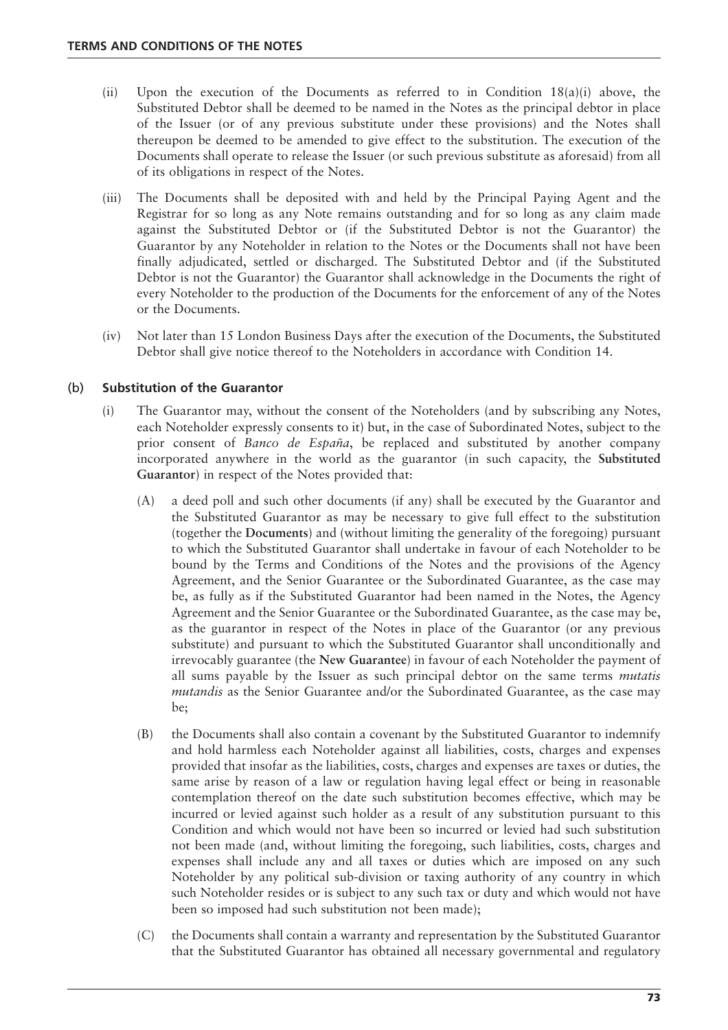- (ii) Upon the execution of the Documents as referred to in Condition 18(a)(i) above, the Substituted Debtor shall be deemed to be named in the Notes as the principal debtor in place of the Issuer (or of any previous substitute under these provisions) and the Notes shall thereupon be deemed to be amended to give effect to the substitution. The execution of the Documents shall operate to release the Issuer (or such previous substitute as aforesaid) from all of its obligations in respect of the Notes.
- (iii) The Documents shall be deposited with and held by the Principal Paying Agent and the Registrar for so long as any Note remains outstanding and for so long as any claim made against the Substituted Debtor or (if the Substituted Debtor is not the Guarantor) the Guarantor by any Noteholder in relation to the Notes or the Documents shall not have been finally adjudicated, settled or discharged. The Substituted Debtor and (if the Substituted Debtor is not the Guarantor) the Guarantor shall acknowledge in the Documents the right of every Noteholder to the production of the Documents for the enforcement of any of the Notes or the Documents.
- (iv) Not later than 15 London Business Days after the execution of the Documents, the Substituted Debtor shall give notice thereof to the Noteholders in accordance with Condition 14.

## (b) **Substitution of the Guarantor**

- (i) The Guarantor may, without the consent of the Noteholders (and by subscribing any Notes, each Noteholder expressly consents to it) but, in the case of Subordinated Notes, subject to the prior consent of *Banco de España*, be replaced and substituted by another company incorporated anywhere in the world as the guarantor (in such capacity, the **Substituted Guarantor**) in respect of the Notes provided that:
	- (A) a deed poll and such other documents (if any) shall be executed by the Guarantor and the Substituted Guarantor as may be necessary to give full effect to the substitution (together the **Documents**) and (without limiting the generality of the foregoing) pursuant to which the Substituted Guarantor shall undertake in favour of each Noteholder to be bound by the Terms and Conditions of the Notes and the provisions of the Agency Agreement, and the Senior Guarantee or the Subordinated Guarantee, as the case may be, as fully as if the Substituted Guarantor had been named in the Notes, the Agency Agreement and the Senior Guarantee or the Subordinated Guarantee, as the case may be, as the guarantor in respect of the Notes in place of the Guarantor (or any previous substitute) and pursuant to which the Substituted Guarantor shall unconditionally and irrevocably guarantee (the **New Guarantee**) in favour of each Noteholder the payment of all sums payable by the Issuer as such principal debtor on the same terms *mutatis mutandis* as the Senior Guarantee and/or the Subordinated Guarantee, as the case may be;
	- (B) the Documents shall also contain a covenant by the Substituted Guarantor to indemnify and hold harmless each Noteholder against all liabilities, costs, charges and expenses provided that insofar as the liabilities, costs, charges and expenses are taxes or duties, the same arise by reason of a law or regulation having legal effect or being in reasonable contemplation thereof on the date such substitution becomes effective, which may be incurred or levied against such holder as a result of any substitution pursuant to this Condition and which would not have been so incurred or levied had such substitution not been made (and, without limiting the foregoing, such liabilities, costs, charges and expenses shall include any and all taxes or duties which are imposed on any such Noteholder by any political sub-division or taxing authority of any country in which such Noteholder resides or is subject to any such tax or duty and which would not have been so imposed had such substitution not been made);
	- (C) the Documents shall contain a warranty and representation by the Substituted Guarantor that the Substituted Guarantor has obtained all necessary governmental and regulatory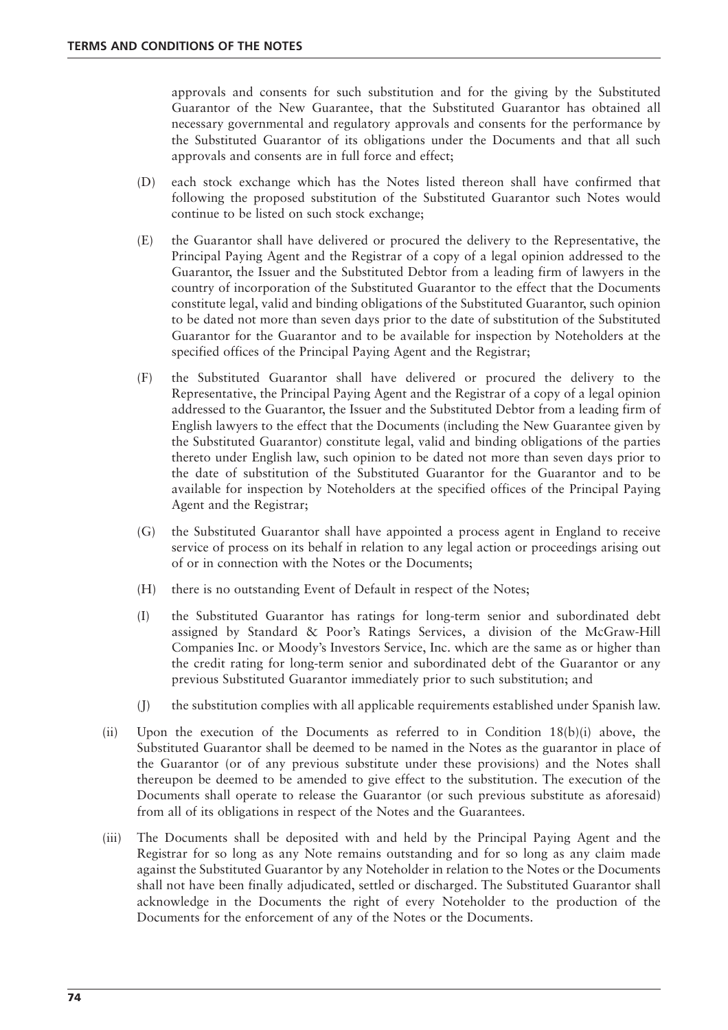approvals and consents for such substitution and for the giving by the Substituted Guarantor of the New Guarantee, that the Substituted Guarantor has obtained all necessary governmental and regulatory approvals and consents for the performance by the Substituted Guarantor of its obligations under the Documents and that all such approvals and consents are in full force and effect;

- (D) each stock exchange which has the Notes listed thereon shall have confirmed that following the proposed substitution of the Substituted Guarantor such Notes would continue to be listed on such stock exchange;
- (E) the Guarantor shall have delivered or procured the delivery to the Representative, the Principal Paying Agent and the Registrar of a copy of a legal opinion addressed to the Guarantor, the Issuer and the Substituted Debtor from a leading firm of lawyers in the country of incorporation of the Substituted Guarantor to the effect that the Documents constitute legal, valid and binding obligations of the Substituted Guarantor, such opinion to be dated not more than seven days prior to the date of substitution of the Substituted Guarantor for the Guarantor and to be available for inspection by Noteholders at the specified offices of the Principal Paying Agent and the Registrar;
- (F) the Substituted Guarantor shall have delivered or procured the delivery to the Representative, the Principal Paying Agent and the Registrar of a copy of a legal opinion addressed to the Guarantor, the Issuer and the Substituted Debtor from a leading firm of English lawyers to the effect that the Documents (including the New Guarantee given by the Substituted Guarantor) constitute legal, valid and binding obligations of the parties thereto under English law, such opinion to be dated not more than seven days prior to the date of substitution of the Substituted Guarantor for the Guarantor and to be available for inspection by Noteholders at the specified offices of the Principal Paying Agent and the Registrar;
- (G) the Substituted Guarantor shall have appointed a process agent in England to receive service of process on its behalf in relation to any legal action or proceedings arising out of or in connection with the Notes or the Documents;
- (H) there is no outstanding Event of Default in respect of the Notes;
- (I) the Substituted Guarantor has ratings for long-term senior and subordinated debt assigned by Standard & Poor's Ratings Services, a division of the McGraw-Hill Companies Inc. or Moody's Investors Service, Inc. which are the same as or higher than the credit rating for long-term senior and subordinated debt of the Guarantor or any previous Substituted Guarantor immediately prior to such substitution; and
- (J) the substitution complies with all applicable requirements established under Spanish law.
- (ii) Upon the execution of the Documents as referred to in Condition 18(b)(i) above, the Substituted Guarantor shall be deemed to be named in the Notes as the guarantor in place of the Guarantor (or of any previous substitute under these provisions) and the Notes shall thereupon be deemed to be amended to give effect to the substitution. The execution of the Documents shall operate to release the Guarantor (or such previous substitute as aforesaid) from all of its obligations in respect of the Notes and the Guarantees.
- (iii) The Documents shall be deposited with and held by the Principal Paying Agent and the Registrar for so long as any Note remains outstanding and for so long as any claim made against the Substituted Guarantor by any Noteholder in relation to the Notes or the Documents shall not have been finally adjudicated, settled or discharged. The Substituted Guarantor shall acknowledge in the Documents the right of every Noteholder to the production of the Documents for the enforcement of any of the Notes or the Documents.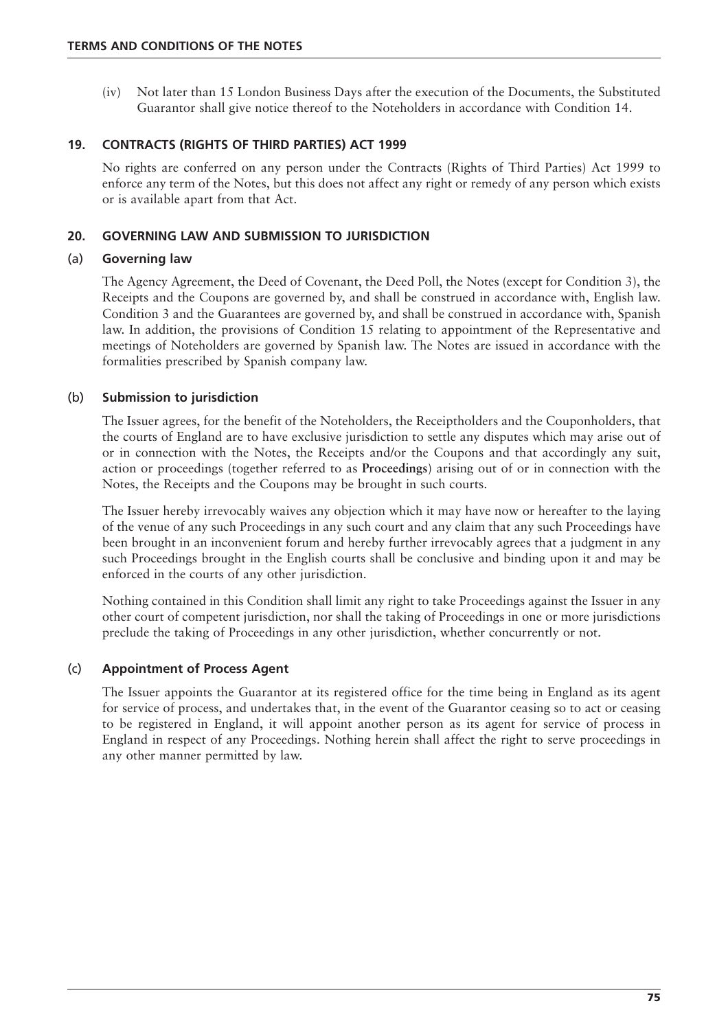(iv) Not later than 15 London Business Days after the execution of the Documents, the Substituted Guarantor shall give notice thereof to the Noteholders in accordance with Condition 14.

## **19. CONTRACTS (RIGHTS OF THIRD PARTIES) ACT 1999**

No rights are conferred on any person under the Contracts (Rights of Third Parties) Act 1999 to enforce any term of the Notes, but this does not affect any right or remedy of any person which exists or is available apart from that Act.

## **20. GOVERNING LAW AND SUBMISSION TO JURISDICTION**

#### (a) **Governing law**

The Agency Agreement, the Deed of Covenant, the Deed Poll, the Notes (except for Condition 3), the Receipts and the Coupons are governed by, and shall be construed in accordance with, English law. Condition 3 and the Guarantees are governed by, and shall be construed in accordance with, Spanish law. In addition, the provisions of Condition 15 relating to appointment of the Representative and meetings of Noteholders are governed by Spanish law. The Notes are issued in accordance with the formalities prescribed by Spanish company law.

## (b) **Submission to jurisdiction**

The Issuer agrees, for the benefit of the Noteholders, the Receiptholders and the Couponholders, that the courts of England are to have exclusive jurisdiction to settle any disputes which may arise out of or in connection with the Notes, the Receipts and/or the Coupons and that accordingly any suit, action or proceedings (together referred to as **Proceedings**) arising out of or in connection with the Notes, the Receipts and the Coupons may be brought in such courts.

The Issuer hereby irrevocably waives any objection which it may have now or hereafter to the laying of the venue of any such Proceedings in any such court and any claim that any such Proceedings have been brought in an inconvenient forum and hereby further irrevocably agrees that a judgment in any such Proceedings brought in the English courts shall be conclusive and binding upon it and may be enforced in the courts of any other jurisdiction.

Nothing contained in this Condition shall limit any right to take Proceedings against the Issuer in any other court of competent jurisdiction, nor shall the taking of Proceedings in one or more jurisdictions preclude the taking of Proceedings in any other jurisdiction, whether concurrently or not.

## (c) **Appointment of Process Agent**

The Issuer appoints the Guarantor at its registered office for the time being in England as its agent for service of process, and undertakes that, in the event of the Guarantor ceasing so to act or ceasing to be registered in England, it will appoint another person as its agent for service of process in England in respect of any Proceedings. Nothing herein shall affect the right to serve proceedings in any other manner permitted by law.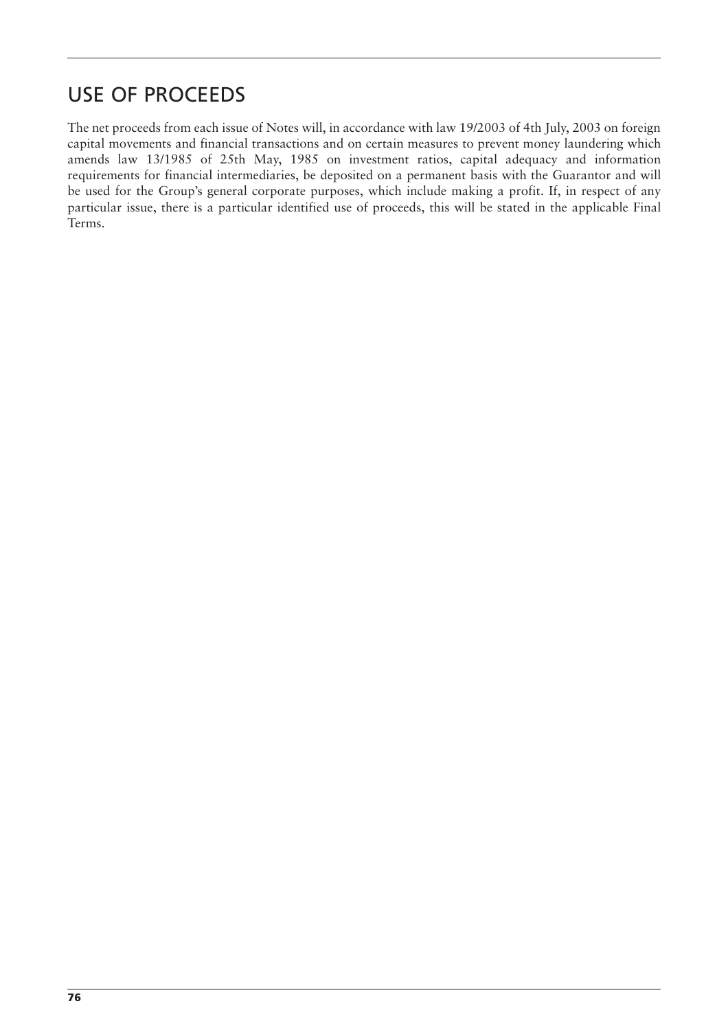## USE OF PROCEEDS

The net proceeds from each issue of Notes will, in accordance with law 19/2003 of 4th July, 2003 on foreign capital movements and financial transactions and on certain measures to prevent money laundering which amends law 13/1985 of 25th May, 1985 on investment ratios, capital adequacy and information requirements for financial intermediaries, be deposited on a permanent basis with the Guarantor and will be used for the Group's general corporate purposes, which include making a profit. If, in respect of any particular issue, there is a particular identified use of proceeds, this will be stated in the applicable Final Terms.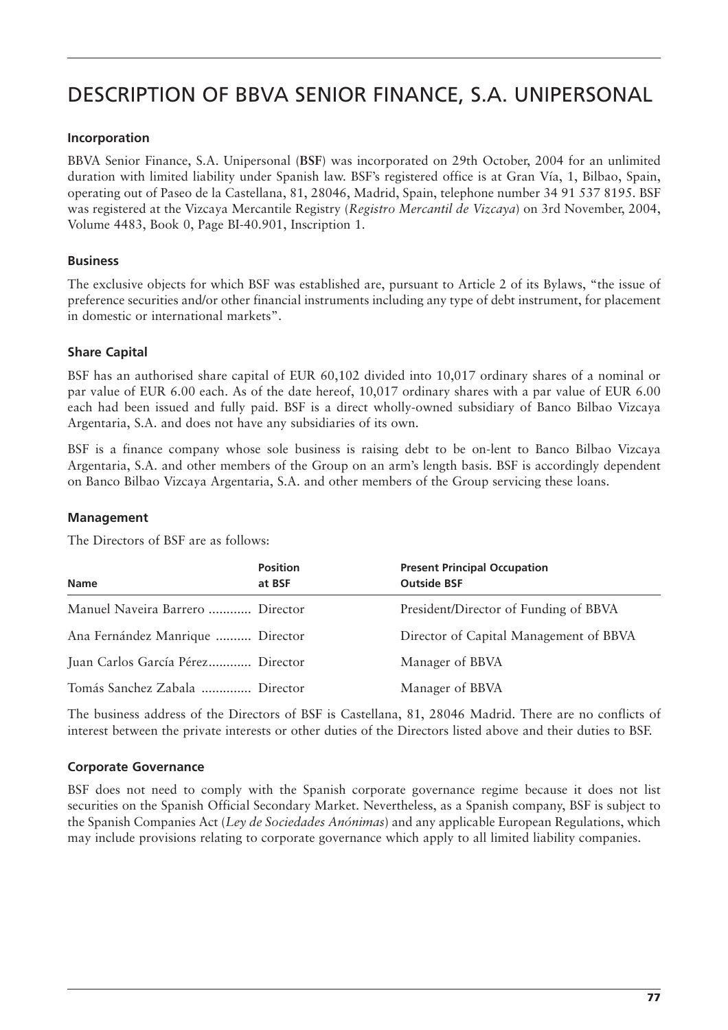# DESCRIPTION OF BBVA SENIOR FINANCE, S.A. UNIPERSONAL

#### **Incorporation**

BBVA Senior Finance, S.A. Unipersonal (**BSF**) was incorporated on 29th October, 2004 for an unlimited duration with limited liability under Spanish law. BSF's registered office is at Gran Vía, 1, Bilbao, Spain, operating out of Paseo de la Castellana, 81, 28046, Madrid, Spain, telephone number 34 91 537 8195. BSF was registered at the Vizcaya Mercantile Registry (*Registro Mercantil de Vizcaya*) on 3rd November, 2004, Volume 4483, Book 0, Page BI-40.901, Inscription 1.

## **Business**

The exclusive objects for which BSF was established are, pursuant to Article 2 of its Bylaws, "the issue of preference securities and/or other financial instruments including any type of debt instrument, for placement in domestic or international markets".

## **Share Capital**

BSF has an authorised share capital of EUR 60,102 divided into 10,017 ordinary shares of a nominal or par value of EUR 6.00 each. As of the date hereof, 10,017 ordinary shares with a par value of EUR 6.00 each had been issued and fully paid. BSF is a direct wholly-owned subsidiary of Banco Bilbao Vizcaya Argentaria, S.A. and does not have any subsidiaries of its own.

BSF is a finance company whose sole business is raising debt to be on-lent to Banco Bilbao Vizcaya Argentaria, S.A. and other members of the Group on an arm's length basis. BSF is accordingly dependent on Banco Bilbao Vizcaya Argentaria, S.A. and other members of the Group servicing these loans.

#### **Management**

The Directors of BSF are as follows:

| <b>Name</b>                       | <b>Position</b><br>at BSF | <b>Present Principal Occupation</b><br><b>Outside BSF</b> |
|-----------------------------------|---------------------------|-----------------------------------------------------------|
| Manuel Naveira Barrero  Director  |                           | President/Director of Funding of BBVA                     |
| Ana Fernández Manrique  Director  |                           | Director of Capital Management of BBVA                    |
| Juan Carlos García Pérez Director |                           | Manager of BBVA                                           |
| Tomás Sanchez Zabala  Director    |                           | Manager of BBVA                                           |

The business address of the Directors of BSF is Castellana, 81, 28046 Madrid. There are no conflicts of interest between the private interests or other duties of the Directors listed above and their duties to BSF.

#### **Corporate Governance**

BSF does not need to comply with the Spanish corporate governance regime because it does not list securities on the Spanish Official Secondary Market. Nevertheless, as a Spanish company, BSF is subject to the Spanish Companies Act (*Ley de Sociedades Anónimas*) and any applicable European Regulations, which may include provisions relating to corporate governance which apply to all limited liability companies.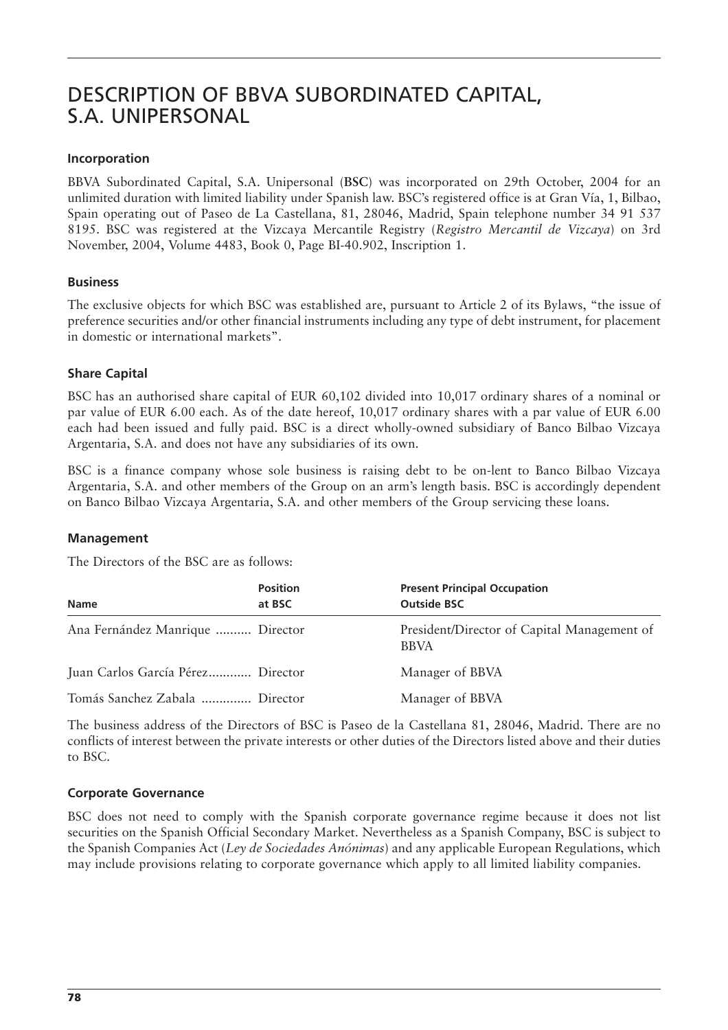## DESCRIPTION OF BBVA SUBORDINATED CAPITAL, S.A. UNIPERSONAL

## **Incorporation**

BBVA Subordinated Capital, S.A. Unipersonal (**BSC**) was incorporated on 29th October, 2004 for an unlimited duration with limited liability under Spanish law. BSC's registered office is at Gran Vía, 1, Bilbao, Spain operating out of Paseo de La Castellana, 81, 28046, Madrid, Spain telephone number 34 91 537 8195. BSC was registered at the Vizcaya Mercantile Registry (*Registro Mercantil de Vizcaya*) on 3rd November, 2004, Volume 4483, Book 0, Page BI-40.902, Inscription 1.

## **Business**

The exclusive objects for which BSC was established are, pursuant to Article 2 of its Bylaws, "the issue of preference securities and/or other financial instruments including any type of debt instrument, for placement in domestic or international markets".

## **Share Capital**

BSC has an authorised share capital of EUR 60,102 divided into 10,017 ordinary shares of a nominal or par value of EUR 6.00 each. As of the date hereof, 10,017 ordinary shares with a par value of EUR 6.00 each had been issued and fully paid. BSC is a direct wholly-owned subsidiary of Banco Bilbao Vizcaya Argentaria, S.A. and does not have any subsidiaries of its own.

BSC is a finance company whose sole business is raising debt to be on-lent to Banco Bilbao Vizcaya Argentaria, S.A. and other members of the Group on an arm's length basis. BSC is accordingly dependent on Banco Bilbao Vizcaya Argentaria, S.A. and other members of the Group servicing these loans.

## **Management**

The Directors of the BSC are as follows:

| <b>Name</b>                       | <b>Position</b><br>at BSC | <b>Present Principal Occupation</b><br><b>Outside BSC</b>  |
|-----------------------------------|---------------------------|------------------------------------------------------------|
| Ana Fernández Manrique  Director  |                           | President/Director of Capital Management of<br><b>BBVA</b> |
| Juan Carlos García Pérez Director |                           | Manager of BBVA                                            |
| Tomás Sanchez Zabala  Director    |                           | Manager of BBVA                                            |

The business address of the Directors of BSC is Paseo de la Castellana 81, 28046, Madrid. There are no conflicts of interest between the private interests or other duties of the Directors listed above and their duties to BSC.

## **Corporate Governance**

BSC does not need to comply with the Spanish corporate governance regime because it does not list securities on the Spanish Official Secondary Market. Nevertheless as a Spanish Company, BSC is subject to the Spanish Companies Act (*Ley de Sociedades Anónimas*) and any applicable European Regulations, which may include provisions relating to corporate governance which apply to all limited liability companies.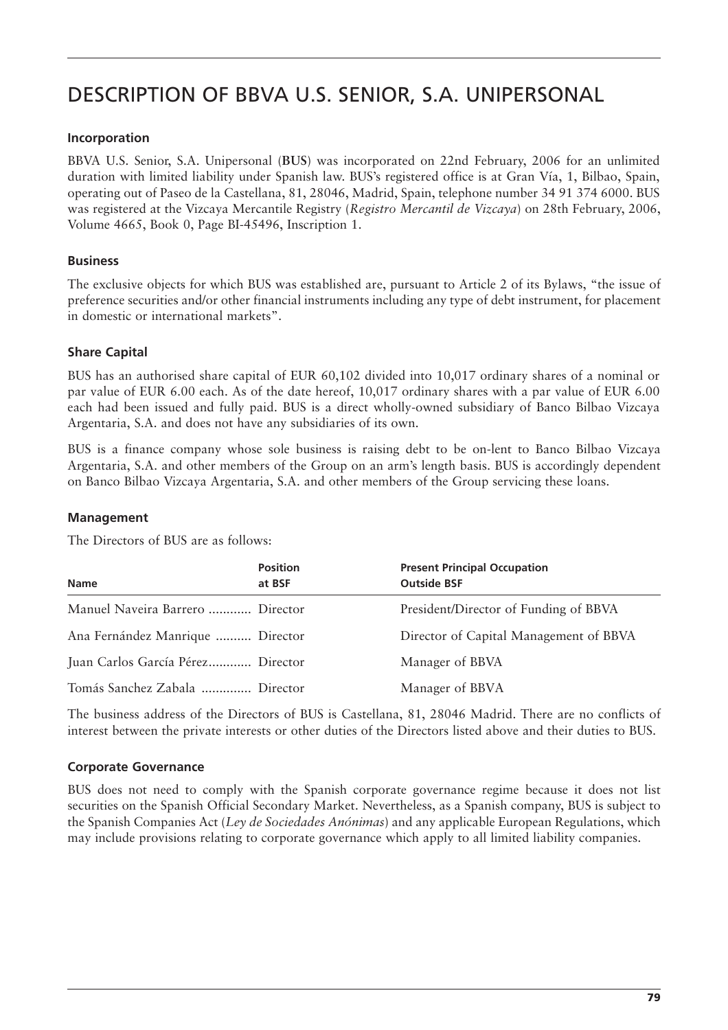# DESCRIPTION OF BBVA U.S. SENIOR, S.A. UNIPERSONAL

## **Incorporation**

BBVA U.S. Senior, S.A. Unipersonal (**BUS**) was incorporated on 22nd February, 2006 for an unlimited duration with limited liability under Spanish law. BUS's registered office is at Gran Vía, 1, Bilbao, Spain, operating out of Paseo de la Castellana, 81, 28046, Madrid, Spain, telephone number 34 91 374 6000. BUS was registered at the Vizcaya Mercantile Registry (*Registro Mercantil de Vizcaya*) on 28th February, 2006, Volume 4665, Book 0, Page BI-45496, Inscription 1.

## **Business**

The exclusive objects for which BUS was established are, pursuant to Article 2 of its Bylaws, "the issue of preference securities and/or other financial instruments including any type of debt instrument, for placement in domestic or international markets".

## **Share Capital**

BUS has an authorised share capital of EUR 60,102 divided into 10,017 ordinary shares of a nominal or par value of EUR 6.00 each. As of the date hereof, 10,017 ordinary shares with a par value of EUR 6.00 each had been issued and fully paid. BUS is a direct wholly-owned subsidiary of Banco Bilbao Vizcaya Argentaria, S.A. and does not have any subsidiaries of its own.

BUS is a finance company whose sole business is raising debt to be on-lent to Banco Bilbao Vizcaya Argentaria, S.A. and other members of the Group on an arm's length basis. BUS is accordingly dependent on Banco Bilbao Vizcaya Argentaria, S.A. and other members of the Group servicing these loans.

#### **Management**

The Directors of BUS are as follows:

| <b>Name</b>                       | <b>Position</b><br>at BSF | <b>Present Principal Occupation</b><br><b>Outside BSF</b> |
|-----------------------------------|---------------------------|-----------------------------------------------------------|
| Manuel Naveira Barrero  Director  |                           | President/Director of Funding of BBVA                     |
| Ana Fernández Manrique  Director  |                           | Director of Capital Management of BBVA                    |
| Juan Carlos García Pérez Director |                           | Manager of BBVA                                           |
| Tomás Sanchez Zabala  Director    |                           | Manager of BBVA                                           |

The business address of the Directors of BUS is Castellana, 81, 28046 Madrid. There are no conflicts of interest between the private interests or other duties of the Directors listed above and their duties to BUS.

## **Corporate Governance**

BUS does not need to comply with the Spanish corporate governance regime because it does not list securities on the Spanish Official Secondary Market. Nevertheless, as a Spanish company, BUS is subject to the Spanish Companies Act (*Ley de Sociedades Anónimas*) and any applicable European Regulations, which may include provisions relating to corporate governance which apply to all limited liability companies.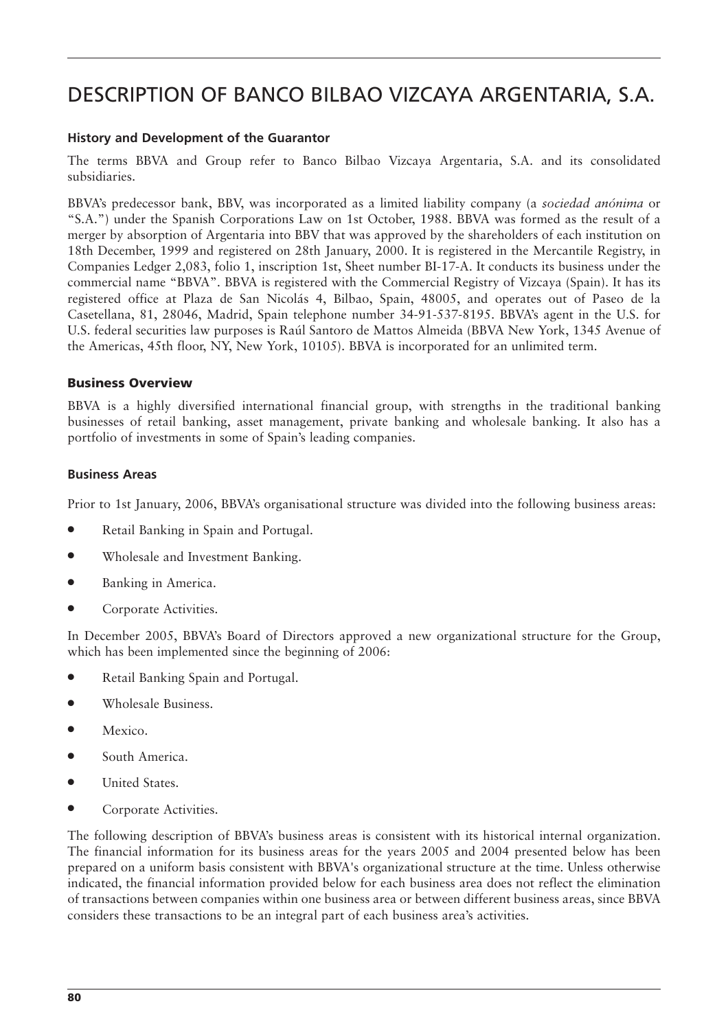# DESCRIPTION OF BANCO BILBAO VIZCAYA ARGENTARIA, S.A.

#### **History and Development of the Guarantor**

The terms BBVA and Group refer to Banco Bilbao Vizcaya Argentaria, S.A. and its consolidated subsidiaries.

BBVA's predecessor bank, BBV, was incorporated as a limited liability company (a *sociedad anónima* or "S.A.") under the Spanish Corporations Law on 1st October, 1988. BBVA was formed as the result of a merger by absorption of Argentaria into BBV that was approved by the shareholders of each institution on 18th December, 1999 and registered on 28th January, 2000. It is registered in the Mercantile Registry, in Companies Ledger 2,083, folio 1, inscription 1st, Sheet number BI-17-A. It conducts its business under the commercial name "BBVA". BBVA is registered with the Commercial Registry of Vizcaya (Spain). It has its registered office at Plaza de San Nicolás 4, Bilbao, Spain, 48005, and operates out of Paseo de la Casetellana, 81, 28046, Madrid, Spain telephone number 34-91-537-8195. BBVA's agent in the U.S. for U.S. federal securities law purposes is Raúl Santoro de Mattos Almeida (BBVA New York, 1345 Avenue of the Americas, 45th floor, NY, New York, 10105). BBVA is incorporated for an unlimited term.

#### **Business Overview**

BBVA is a highly diversified international financial group, with strengths in the traditional banking businesses of retail banking, asset management, private banking and wholesale banking. It also has a portfolio of investments in some of Spain's leading companies.

#### **Business Areas**

Prior to 1st January, 2006, BBVA's organisational structure was divided into the following business areas:

- Retail Banking in Spain and Portugal.
- Wholesale and Investment Banking.
- Banking in America.
- Corporate Activities.

In December 2005, BBVA's Board of Directors approved a new organizational structure for the Group, which has been implemented since the beginning of 2006:

- Retail Banking Spain and Portugal.
- Wholesale Business.
- Mexico.
- South America.
- United States.
- Corporate Activities.

The following description of BBVA's business areas is consistent with its historical internal organization. The financial information for its business areas for the years 2005 and 2004 presented below has been prepared on a uniform basis consistent with BBVA's organizational structure at the time. Unless otherwise indicated, the financial information provided below for each business area does not reflect the elimination of transactions between companies within one business area or between different business areas, since BBVA considers these transactions to be an integral part of each business area's activities.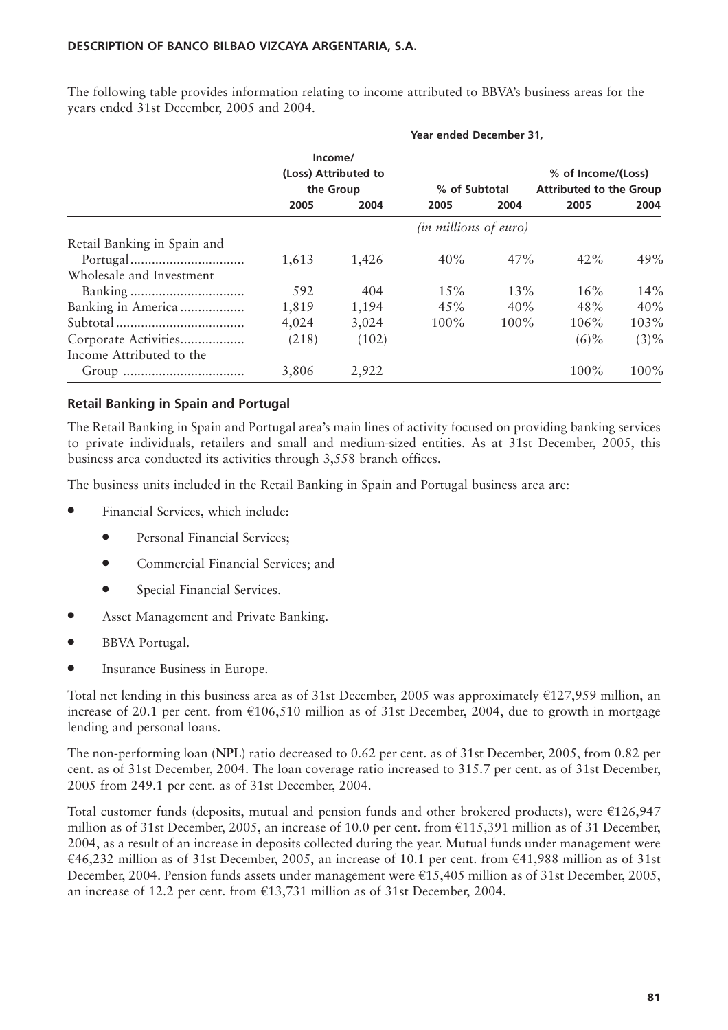**Year ended December 31, Income/ (Loss) Attributed to % of Income/(Loss) the Group % of Subtotal Attributed to the Group 2005 2004 2005 2004 2005 2004** *(in millions of euro)* Retail Banking in Spain and Portugal................................ 1,613 1,426 40% 47% 42% 49% Wholesale and Investment Banking ................................ 592 404 15% 13% 16% 14% Banking in America .................. 1,819 1,194 45% 40% 48% 40% Subtotal .................................... 4,024 3,024 100% 100% 106% 103% Corporate Activities.................. (218) (102) (6)% (3)% Income Attributed to the Group .................................. 3,806 2,922 100% 100%

The following table provides information relating to income attributed to BBVA's business areas for the years ended 31st December, 2005 and 2004.

## **Retail Banking in Spain and Portugal**

The Retail Banking in Spain and Portugal area's main lines of activity focused on providing banking services to private individuals, retailers and small and medium-sized entities. As at 31st December, 2005, this business area conducted its activities through 3,558 branch offices.

The business units included in the Retail Banking in Spain and Portugal business area are:

- Financial Services, which include:
	- Personal Financial Services;
	- Commercial Financial Services; and
	- Special Financial Services.
- Asset Management and Private Banking.
- BBVA Portugal.
- Insurance Business in Europe.

Total net lending in this business area as of 31st December, 2005 was approximately  $\text{\textsterling}127,959$  million, an increase of 20.1 per cent. from €106,510 million as of 31st December, 2004, due to growth in mortgage lending and personal loans.

The non-performing loan (**NPL**) ratio decreased to 0.62 per cent. as of 31st December, 2005, from 0.82 per cent. as of 31st December, 2004. The loan coverage ratio increased to 315.7 per cent. as of 31st December, 2005 from 249.1 per cent. as of 31st December, 2004.

Total customer funds (deposits, mutual and pension funds and other brokered products), were  $\epsilon$ 126,947 million as of 31st December, 2005, an increase of 10.0 per cent. from  $\epsilon$ 115,391 million as of 31 December, 2004, as a result of an increase in deposits collected during the year. Mutual funds under management were €46,232 million as of 31st December, 2005, an increase of 10.1 per cent. from €41,988 million as of 31st December, 2004. Pension funds assets under management were €15,405 million as of 31st December, 2005, an increase of 12.2 per cent. from €13,731 million as of 31st December, 2004.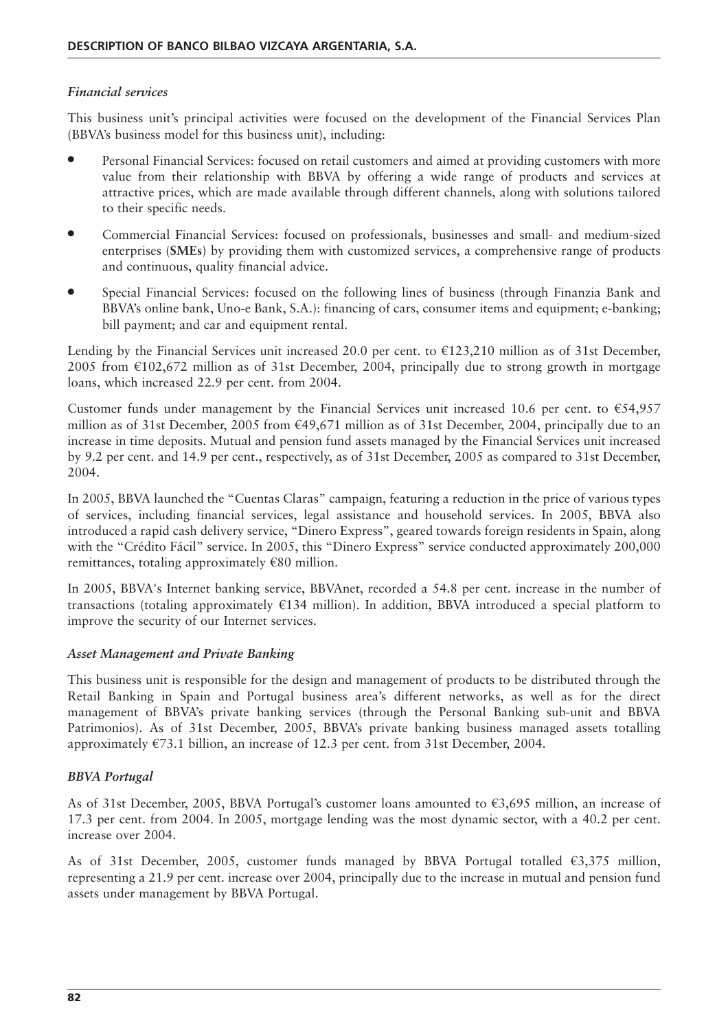#### *Financial services*

This business unit's principal activities were focused on the development of the Financial Services Plan (BBVA's business model for this business unit), including:

- Personal Financial Services: focused on retail customers and aimed at providing customers with more value from their relationship with BBVA by offering a wide range of products and services at attractive prices, which are made available through different channels, along with solutions tailored to their specific needs.
- Commercial Financial Services: focused on professionals, businesses and small- and medium-sized enterprises (**SMEs**) by providing them with customized services, a comprehensive range of products and continuous, quality financial advice.
- Special Financial Services: focused on the following lines of business (through Finanzia Bank and BBVA's online bank, Uno-e Bank, S.A.): financing of cars, consumer items and equipment; e-banking; bill payment; and car and equipment rental.

Lending by the Financial Services unit increased 20.0 per cent. to  $\epsilon$ 123,210 million as of 31st December, 2005 from  $\epsilon$ 102,672 million as of 31st December, 2004, principally due to strong growth in mortgage loans, which increased 22.9 per cent. from 2004.

Customer funds under management by the Financial Services unit increased 10.6 per cent. to  $€54,957$ million as of 31st December, 2005 from €49,671 million as of 31st December, 2004, principally due to an increase in time deposits. Mutual and pension fund assets managed by the Financial Services unit increased by 9.2 per cent. and 14.9 per cent., respectively, as of 31st December, 2005 as compared to 31st December, 2004.

In 2005, BBVA launched the "Cuentas Claras" campaign, featuring a reduction in the price of various types of services, including financial services, legal assistance and household services. In 2005, BBVA also introduced a rapid cash delivery service, "Dinero Express", geared towards foreign residents in Spain, along with the "Crédito Fácil" service. In 2005, this "Dinero Express" service conducted approximately 200,000 remittances, totaling approximately  $€80$  million.

In 2005, BBVA's Internet banking service, BBVAnet, recorded a 54.8 per cent. increase in the number of transactions (totaling approximately €134 million). In addition, BBVA introduced a special platform to improve the security of our Internet services.

#### *Asset Management and Private Banking*

This business unit is responsible for the design and management of products to be distributed through the Retail Banking in Spain and Portugal business area's different networks, as well as for the direct management of BBVA's private banking services (through the Personal Banking sub-unit and BBVA Patrimonios). As of 31st December, 2005, BBVA's private banking business managed assets totalling approximately €73.1 billion, an increase of 12.3 per cent. from 31st December, 2004.

## *BBVA Portugal*

As of 31st December, 2005, BBVA Portugal's customer loans amounted to €3,695 million, an increase of 17.3 per cent. from 2004. In 2005, mortgage lending was the most dynamic sector, with a 40.2 per cent. increase over 2004.

As of 31st December, 2005, customer funds managed by BBVA Portugal totalled €3,375 million, representing a 21.9 per cent. increase over 2004, principally due to the increase in mutual and pension fund assets under management by BBVA Portugal.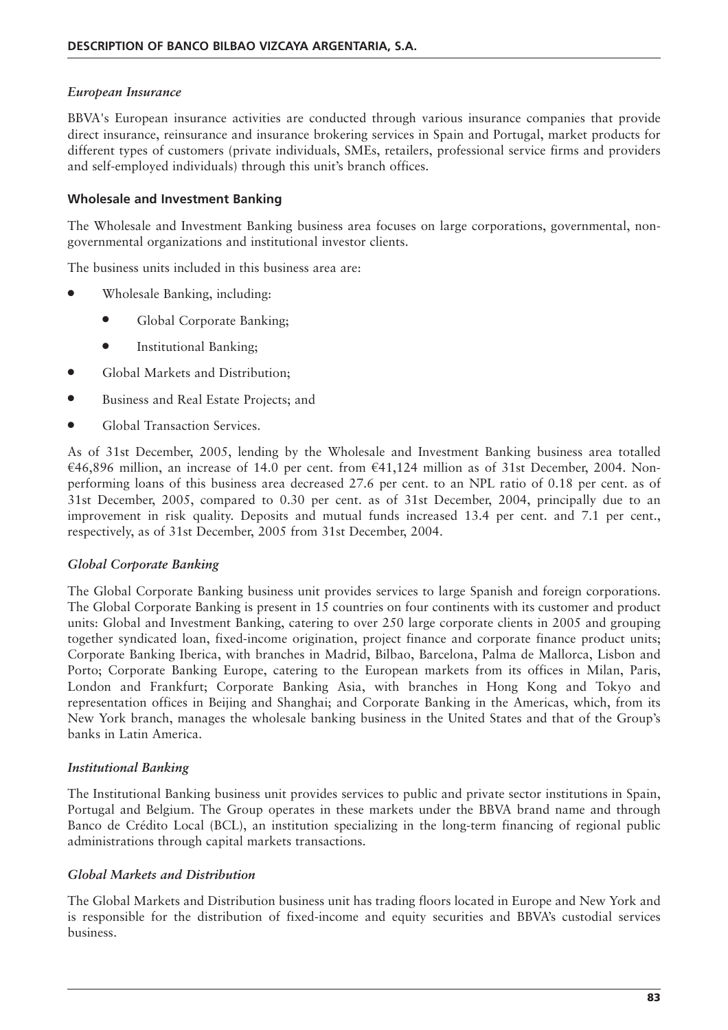#### *European Insurance*

BBVA's European insurance activities are conducted through various insurance companies that provide direct insurance, reinsurance and insurance brokering services in Spain and Portugal, market products for different types of customers (private individuals, SMEs, retailers, professional service firms and providers and self-employed individuals) through this unit's branch offices.

## **Wholesale and Investment Banking**

The Wholesale and Investment Banking business area focuses on large corporations, governmental, nongovernmental organizations and institutional investor clients.

The business units included in this business area are:

- Wholesale Banking, including:
	- Global Corporate Banking;
	- Institutional Banking;
- Global Markets and Distribution;
- Business and Real Estate Projects; and
- Global Transaction Services.

As of 31st December, 2005, lending by the Wholesale and Investment Banking business area totalled €46,896 million, an increase of 14.0 per cent. from €41,124 million as of 31st December, 2004. Nonperforming loans of this business area decreased 27.6 per cent. to an NPL ratio of 0.18 per cent. as of 31st December, 2005, compared to 0.30 per cent. as of 31st December, 2004, principally due to an improvement in risk quality. Deposits and mutual funds increased 13.4 per cent. and 7.1 per cent., respectively, as of 31st December, 2005 from 31st December, 2004.

#### *Global Corporate Banking*

The Global Corporate Banking business unit provides services to large Spanish and foreign corporations. The Global Corporate Banking is present in 15 countries on four continents with its customer and product units: Global and Investment Banking, catering to over 250 large corporate clients in 2005 and grouping together syndicated loan, fixed-income origination, project finance and corporate finance product units; Corporate Banking Iberica, with branches in Madrid, Bilbao, Barcelona, Palma de Mallorca, Lisbon and Porto; Corporate Banking Europe, catering to the European markets from its offices in Milan, Paris, London and Frankfurt; Corporate Banking Asia, with branches in Hong Kong and Tokyo and representation offices in Beijing and Shanghai; and Corporate Banking in the Americas, which, from its New York branch, manages the wholesale banking business in the United States and that of the Group's banks in Latin America.

#### *Institutional Banking*

The Institutional Banking business unit provides services to public and private sector institutions in Spain, Portugal and Belgium. The Group operates in these markets under the BBVA brand name and through Banco de Crédito Local (BCL), an institution specializing in the long-term financing of regional public administrations through capital markets transactions.

#### *Global Markets and Distribution*

The Global Markets and Distribution business unit has trading floors located in Europe and New York and is responsible for the distribution of fixed-income and equity securities and BBVA's custodial services business.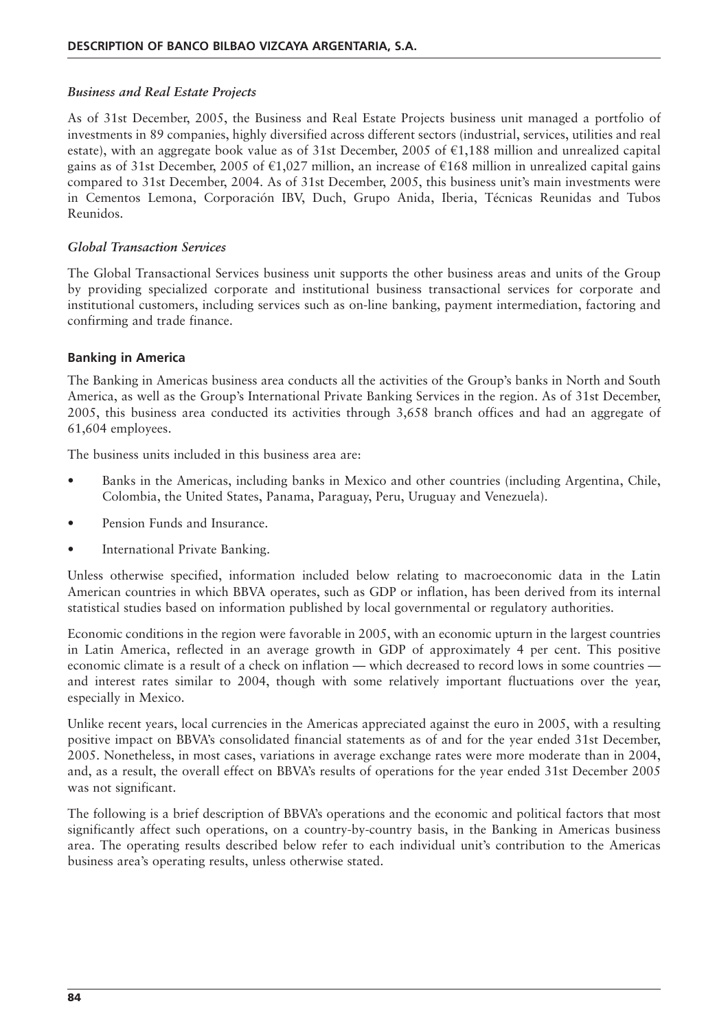#### *Business and Real Estate Projects*

As of 31st December, 2005, the Business and Real Estate Projects business unit managed a portfolio of investments in 89 companies, highly diversified across different sectors (industrial, services, utilities and real estate), with an aggregate book value as of 31st December, 2005 of  $\epsilon$ 1,188 million and unrealized capital gains as of 31st December, 2005 of €1,027 million, an increase of €168 million in unrealized capital gains compared to 31st December, 2004. As of 31st December, 2005, this business unit's main investments were in Cementos Lemona, Corporación IBV, Duch, Grupo Anida, Iberia, Técnicas Reunidas and Tubos Reunidos.

#### *Global Transaction Services*

The Global Transactional Services business unit supports the other business areas and units of the Group by providing specialized corporate and institutional business transactional services for corporate and institutional customers, including services such as on-line banking, payment intermediation, factoring and confirming and trade finance.

#### **Banking in America**

The Banking in Americas business area conducts all the activities of the Group's banks in North and South America, as well as the Group's International Private Banking Services in the region. As of 31st December, 2005, this business area conducted its activities through 3,658 branch offices and had an aggregate of 61,604 employees.

The business units included in this business area are:

- Banks in the Americas, including banks in Mexico and other countries (including Argentina, Chile, Colombia, the United States, Panama, Paraguay, Peru, Uruguay and Venezuela).
- Pension Funds and Insurance.
- International Private Banking.

Unless otherwise specified, information included below relating to macroeconomic data in the Latin American countries in which BBVA operates, such as GDP or inflation, has been derived from its internal statistical studies based on information published by local governmental or regulatory authorities.

Economic conditions in the region were favorable in 2005, with an economic upturn in the largest countries in Latin America, reflected in an average growth in GDP of approximately 4 per cent. This positive economic climate is a result of a check on inflation — which decreased to record lows in some countries and interest rates similar to 2004, though with some relatively important fluctuations over the year, especially in Mexico.

Unlike recent years, local currencies in the Americas appreciated against the euro in 2005, with a resulting positive impact on BBVA's consolidated financial statements as of and for the year ended 31st December, 2005. Nonetheless, in most cases, variations in average exchange rates were more moderate than in 2004, and, as a result, the overall effect on BBVA's results of operations for the year ended 31st December 2005 was not significant.

The following is a brief description of BBVA's operations and the economic and political factors that most significantly affect such operations, on a country-by-country basis, in the Banking in Americas business area. The operating results described below refer to each individual unit's contribution to the Americas business area's operating results, unless otherwise stated.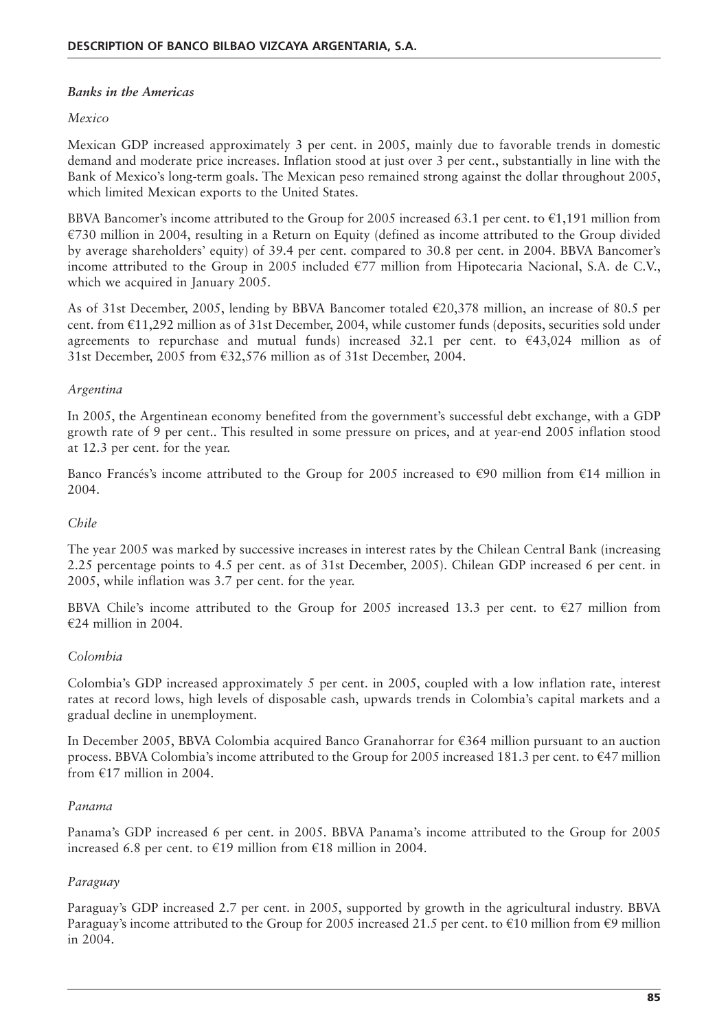## *Banks in the Americas*

## *Mexico*

Mexican GDP increased approximately 3 per cent. in 2005, mainly due to favorable trends in domestic demand and moderate price increases. Inflation stood at just over 3 per cent., substantially in line with the Bank of Mexico's long-term goals. The Mexican peso remained strong against the dollar throughout 2005, which limited Mexican exports to the United States.

BBVA Bancomer's income attributed to the Group for 2005 increased 63.1 per cent. to  $\epsilon$ 1,191 million from €730 million in 2004, resulting in a Return on Equity (defined as income attributed to the Group divided by average shareholders' equity) of 39.4 per cent. compared to 30.8 per cent. in 2004. BBVA Bancomer's income attributed to the Group in 2005 included  $\epsilon$ 77 million from Hipotecaria Nacional, S.A. de C.V., which we acquired in January 2005.

As of 31st December, 2005, lending by BBVA Bancomer totaled €20,378 million, an increase of 80.5 per cent. from €11,292 million as of 31st December, 2004, while customer funds (deposits, securities sold under agreements to repurchase and mutual funds) increased 32.1 per cent. to  $\epsilon$ 43,024 million as of 31st December, 2005 from €32,576 million as of 31st December, 2004.

## *Argentina*

In 2005, the Argentinean economy benefited from the government's successful debt exchange, with a GDP growth rate of 9 per cent.. This resulted in some pressure on prices, and at year-end 2005 inflation stood at 12.3 per cent. for the year.

Banco Francés's income attributed to the Group for 2005 increased to €90 million from €14 million in 2004.

## *Chile*

The year 2005 was marked by successive increases in interest rates by the Chilean Central Bank (increasing 2.25 percentage points to 4.5 per cent. as of 31st December, 2005). Chilean GDP increased 6 per cent. in 2005, while inflation was 3.7 per cent. for the year.

BBVA Chile's income attributed to the Group for 2005 increased 13.3 per cent. to  $\epsilon$ 27 million from €24 million in 2004.

## *Colombia*

Colombia's GDP increased approximately 5 per cent. in 2005, coupled with a low inflation rate, interest rates at record lows, high levels of disposable cash, upwards trends in Colombia's capital markets and a gradual decline in unemployment.

In December 2005, BBVA Colombia acquired Banco Granahorrar for €364 million pursuant to an auction process. BBVA Colombia's income attributed to the Group for 2005 increased 181.3 per cent. to €47 million from  $£17$  million in 2004.

## *Panama*

Panama's GDP increased 6 per cent. in 2005. BBVA Panama's income attributed to the Group for 2005 increased 6.8 per cent. to €19 million from €18 million in 2004.

## *Paraguay*

Paraguay's GDP increased 2.7 per cent. in 2005, supported by growth in the agricultural industry. BBVA Paraguay's income attributed to the Group for 2005 increased 21.5 per cent. to  $\epsilon$ 10 million from  $\epsilon$ 9 million in 2004.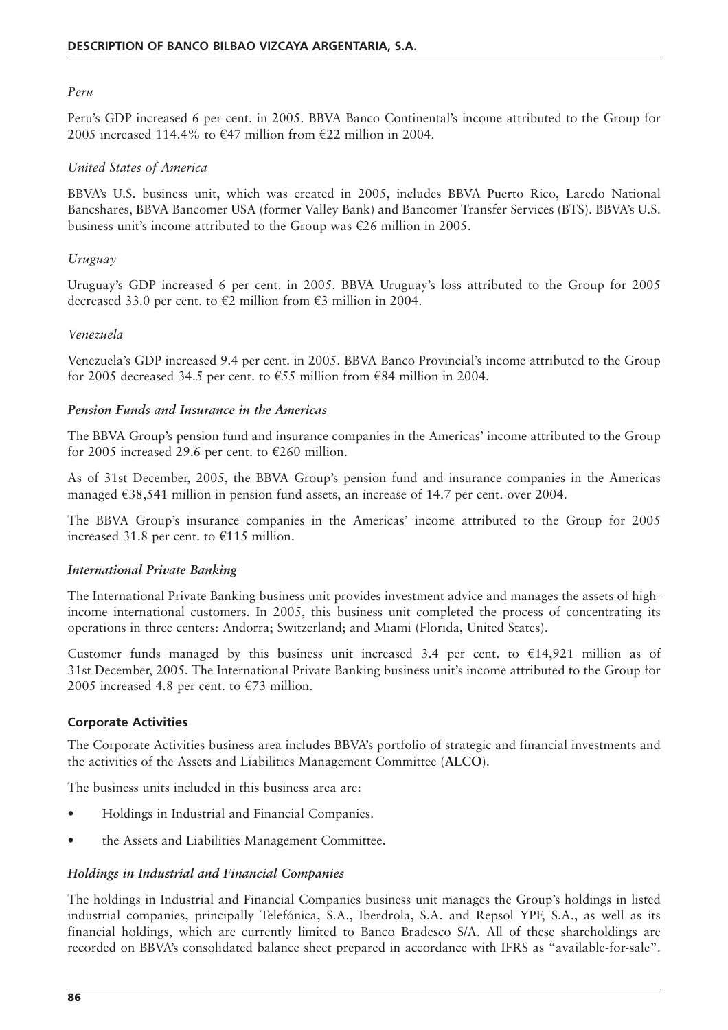#### *Peru*

Peru's GDP increased 6 per cent. in 2005. BBVA Banco Continental's income attributed to the Group for 2005 increased 114.4% to  $\epsilon$ 47 million from  $\epsilon$ 22 million in 2004.

## *United States of America*

BBVA's U.S. business unit, which was created in 2005, includes BBVA Puerto Rico, Laredo National Bancshares, BBVA Bancomer USA (former Valley Bank) and Bancomer Transfer Services (BTS). BBVA's U.S. business unit's income attributed to the Group was €26 million in 2005.

#### *Uruguay*

Uruguay's GDP increased 6 per cent. in 2005. BBVA Uruguay's loss attributed to the Group for 2005 decreased 33.0 per cent. to  $\epsilon$ 2 million from  $\epsilon$ 3 million in 2004.

#### *Venezuela*

Venezuela's GDP increased 9.4 per cent. in 2005. BBVA Banco Provincial's income attributed to the Group for 2005 decreased 34.5 per cent. to  $\epsilon$ 55 million from  $\epsilon$ 84 million in 2004.

#### *Pension Funds and Insurance in the Americas*

The BBVA Group's pension fund and insurance companies in the Americas' income attributed to the Group for 2005 increased 29.6 per cent. to  $\epsilon$ 260 million.

As of 31st December, 2005, the BBVA Group's pension fund and insurance companies in the Americas managed €38,541 million in pension fund assets, an increase of 14.7 per cent. over 2004.

The BBVA Group's insurance companies in the Americas' income attributed to the Group for 2005 increased 31.8 per cent. to €115 million.

#### *International Private Banking*

The International Private Banking business unit provides investment advice and manages the assets of highincome international customers. In 2005, this business unit completed the process of concentrating its operations in three centers: Andorra; Switzerland; and Miami (Florida, United States).

Customer funds managed by this business unit increased 3.4 per cent. to  $\epsilon$ 14,921 million as of 31st December, 2005. The International Private Banking business unit's income attributed to the Group for 2005 increased 4.8 per cent. to  $\epsilon$ 73 million.

## **Corporate Activities**

The Corporate Activities business area includes BBVA's portfolio of strategic and financial investments and the activities of the Assets and Liabilities Management Committee (**ALCO**).

The business units included in this business area are:

- Holdings in Industrial and Financial Companies.
- the Assets and Liabilities Management Committee.

## *Holdings in Industrial and Financial Companies*

The holdings in Industrial and Financial Companies business unit manages the Group's holdings in listed industrial companies, principally Telefónica, S.A., Iberdrola, S.A. and Repsol YPF, S.A., as well as its financial holdings, which are currently limited to Banco Bradesco S/A. All of these shareholdings are recorded on BBVA's consolidated balance sheet prepared in accordance with IFRS as "available-for-sale".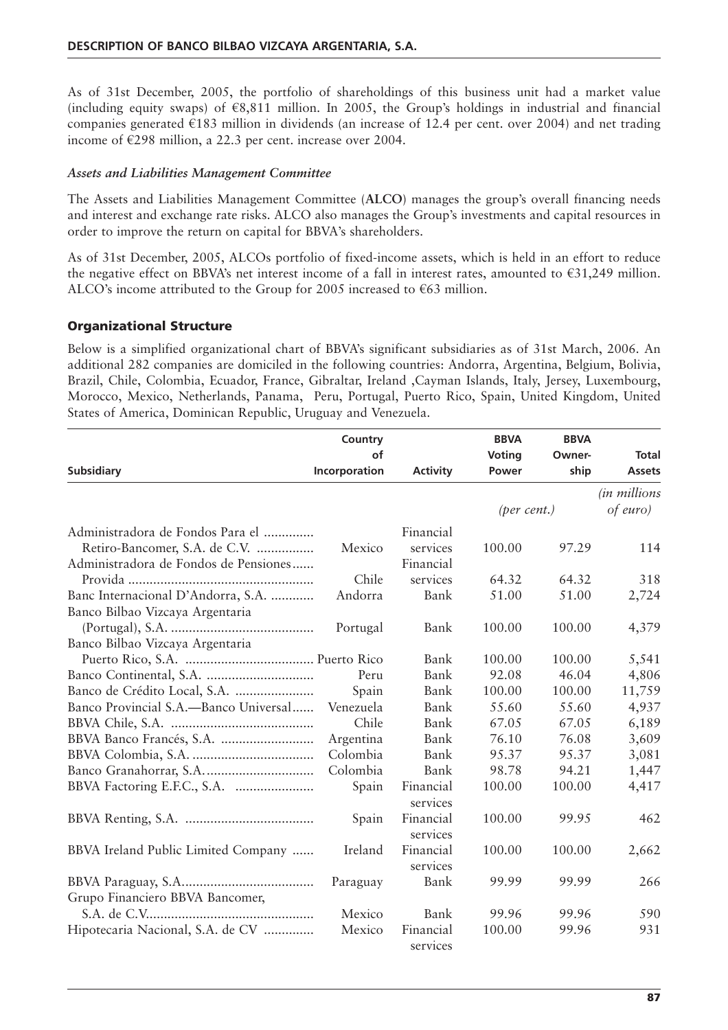As of 31st December, 2005, the portfolio of shareholdings of this business unit had a market value (including equity swaps) of  $\epsilon$ 8,811 million. In 2005, the Group's holdings in industrial and financial companies generated €183 million in dividends (an increase of 12.4 per cent. over 2004) and net trading income of €298 million, a 22.3 per cent. increase over 2004.

## *Assets and Liabilities Management Committee*

The Assets and Liabilities Management Committee (**ALCO**) manages the group's overall financing needs and interest and exchange rate risks. ALCO also manages the Group's investments and capital resources in order to improve the return on capital for BBVA's shareholders.

As of 31st December, 2005, ALCOs portfolio of fixed-income assets, which is held in an effort to reduce the negative effect on BBVA's net interest income of a fall in interest rates, amounted to  $\epsilon$ 31,249 million. ALCO's income attributed to the Group for 2005 increased to  $€63$  million.

## **Organizational Structure**

Below is a simplified organizational chart of BBVA's significant subsidiaries as of 31st March, 2006. An additional 282 companies are domiciled in the following countries: Andorra, Argentina, Belgium, Bolivia, Brazil, Chile, Colombia, Ecuador, France, Gibraltar, Ireland ,Cayman Islands, Italy, Jersey, Luxembourg, Morocco, Mexico, Netherlands, Panama, Peru, Portugal, Puerto Rico, Spain, United Kingdom, United States of America, Dominican Republic, Uruguay and Venezuela.

|                                       | Country       |                 | <b>BBVA</b> | <b>BBVA</b> |                       |
|---------------------------------------|---------------|-----------------|-------------|-------------|-----------------------|
|                                       | of            |                 | Voting      | Owner-      | Total                 |
| <b>Subsidiary</b>                     | Incorporation | <b>Activity</b> | Power       | ship        | <b>Assets</b>         |
|                                       |               |                 |             |             | <i>(in millions</i> ) |
|                                       |               |                 | (per cent.) |             | of euro)              |
| Administradora de Fondos Para el      |               | Financial       |             |             |                       |
| Retiro-Bancomer, S.A. de C.V.         | Mexico        | services        | 100.00      | 97.29       | 114                   |
| Administradora de Fondos de Pensiones |               | Financial       |             |             |                       |
|                                       | Chile         | services        | 64.32       | 64.32       | 318                   |
| Banc Internacional D'Andorra, S.A.    | Andorra       | Bank            | 51.00       | 51.00       | 2,724                 |
| Banco Bilbao Vizcaya Argentaria       |               |                 |             |             |                       |
|                                       | Portugal      | Bank            | 100.00      | 100.00      | 4,379                 |
| Banco Bilbao Vizcaya Argentaria       |               |                 |             |             |                       |
|                                       |               | Bank            | 100.00      | 100.00      | 5,541                 |
|                                       | Peru          | Bank            | 92.08       | 46.04       | 4,806                 |
|                                       | Spain         | Bank            | 100.00      | 100.00      | 11,759                |
| Banco Provincial S.A.—Banco Universal | Venezuela     | Bank            | 55.60       | 55.60       | 4,937                 |
|                                       | Chile         | Bank            | 67.05       | 67.05       | 6,189                 |
|                                       | Argentina     | Bank            | 76.10       | 76.08       | 3,609                 |
|                                       | Colombia      | Bank            | 95.37       | 95.37       | 3,081                 |
|                                       | Colombia      | Bank            | 98.78       | 94.21       | 1,447                 |
|                                       | Spain         | Financial       | 100.00      | 100.00      | 4,417                 |
|                                       |               | services        |             |             |                       |
|                                       | Spain         | Financial       | 100.00      | 99.95       | 462                   |
|                                       |               | services        |             |             |                       |
| BBVA Ireland Public Limited Company   | Ireland       | Financial       | 100.00      | 100.00      | 2,662                 |
|                                       |               | services        |             |             |                       |
|                                       | Paraguay      | Bank            | 99.99       | 99.99       | 266                   |
| Grupo Financiero BBVA Bancomer,       |               |                 |             |             |                       |
|                                       | Mexico        | Bank            | 99.96       | 99.96       | 590                   |
| Hipotecaria Nacional, S.A. de CV      | Mexico        | Financial       | 100.00      | 99.96       | 931                   |
|                                       |               | services        |             |             |                       |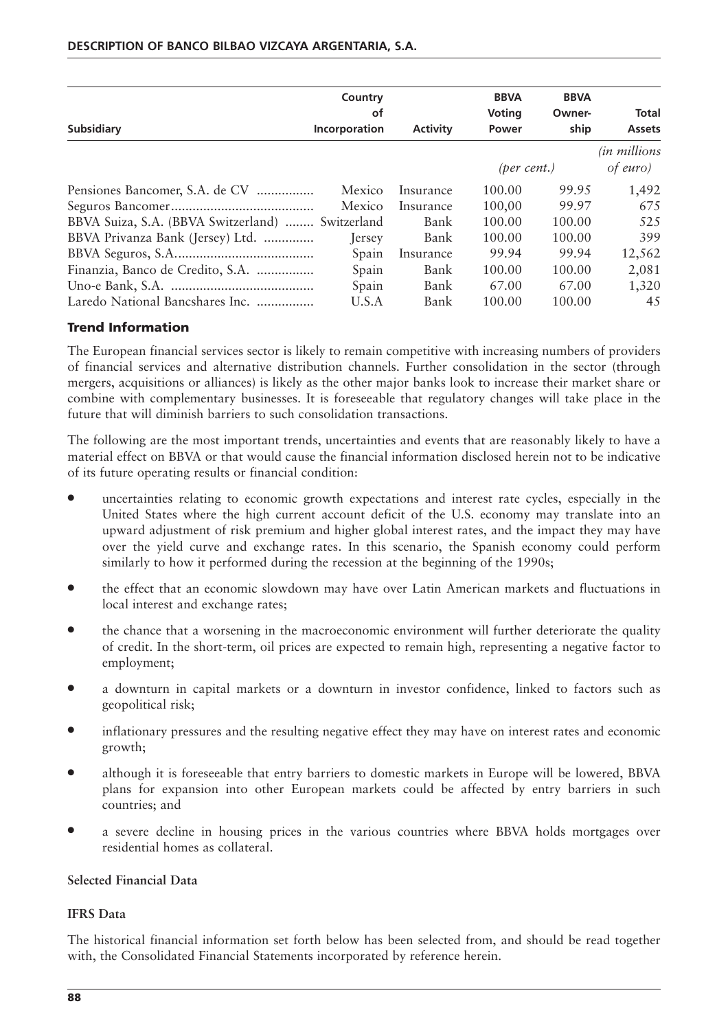|                                                  | Country       |                 | <b>BBVA</b>     | <b>BBVA</b> |                       |
|--------------------------------------------------|---------------|-----------------|-----------------|-------------|-----------------------|
|                                                  | οf            |                 | <b>Voting</b>   | Owner-      | Total                 |
| <b>Subsidiary</b>                                | Incorporation | <b>Activity</b> | Power           | ship        | <b>Assets</b>         |
|                                                  |               |                 |                 |             | <i>(in millions</i> ) |
|                                                  |               |                 | $(per \ cent.)$ |             | of euro)              |
| Pensiones Bancomer, S.A. de CV                   | Mexico        | Insurance       | 100.00          | 99.95       | 1,492                 |
|                                                  | Mexico        | Insurance       | 100,00          | 99.97       | 675                   |
| BBVA Suiza, S.A. (BBVA Switzerland)  Switzerland |               | Bank            | 100.00          | 100.00      | 525                   |
| BBVA Privanza Bank (Jersey) Ltd.                 | Jersey        | Bank            | 100.00          | 100.00      | 399                   |
|                                                  | Spain         | Insurance       | 99.94           | 99.94       | 12,562                |
| Finanzia, Banco de Credito, S.A.                 | Spain         | Bank            | 100.00          | 100.00      | 2,081                 |
|                                                  | Spain         | Bank            | 67.00           | 67.00       | 1,320                 |
| Laredo National Bancshares Inc.                  | U.S.A         | Bank            | 100.00          | 100.00      | 45                    |

## **Trend Information**

The European financial services sector is likely to remain competitive with increasing numbers of providers of financial services and alternative distribution channels. Further consolidation in the sector (through mergers, acquisitions or alliances) is likely as the other major banks look to increase their market share or combine with complementary businesses. It is foreseeable that regulatory changes will take place in the future that will diminish barriers to such consolidation transactions.

The following are the most important trends, uncertainties and events that are reasonably likely to have a material effect on BBVA or that would cause the financial information disclosed herein not to be indicative of its future operating results or financial condition:

- uncertainties relating to economic growth expectations and interest rate cycles, especially in the United States where the high current account deficit of the U.S. economy may translate into an upward adjustment of risk premium and higher global interest rates, and the impact they may have over the yield curve and exchange rates. In this scenario, the Spanish economy could perform similarly to how it performed during the recession at the beginning of the 1990s;
- the effect that an economic slowdown may have over Latin American markets and fluctuations in local interest and exchange rates;
- the chance that a worsening in the macroeconomic environment will further deteriorate the quality of credit. In the short-term, oil prices are expected to remain high, representing a negative factor to employment;
- a downturn in capital markets or a downturn in investor confidence, linked to factors such as geopolitical risk;
- inflationary pressures and the resulting negative effect they may have on interest rates and economic growth;
- although it is foreseeable that entry barriers to domestic markets in Europe will be lowered, BBVA plans for expansion into other European markets could be affected by entry barriers in such countries; and
- a severe decline in housing prices in the various countries where BBVA holds mortgages over residential homes as collateral.

#### **Selected Financial Data**

#### **IFRS Data**

The historical financial information set forth below has been selected from, and should be read together with, the Consolidated Financial Statements incorporated by reference herein.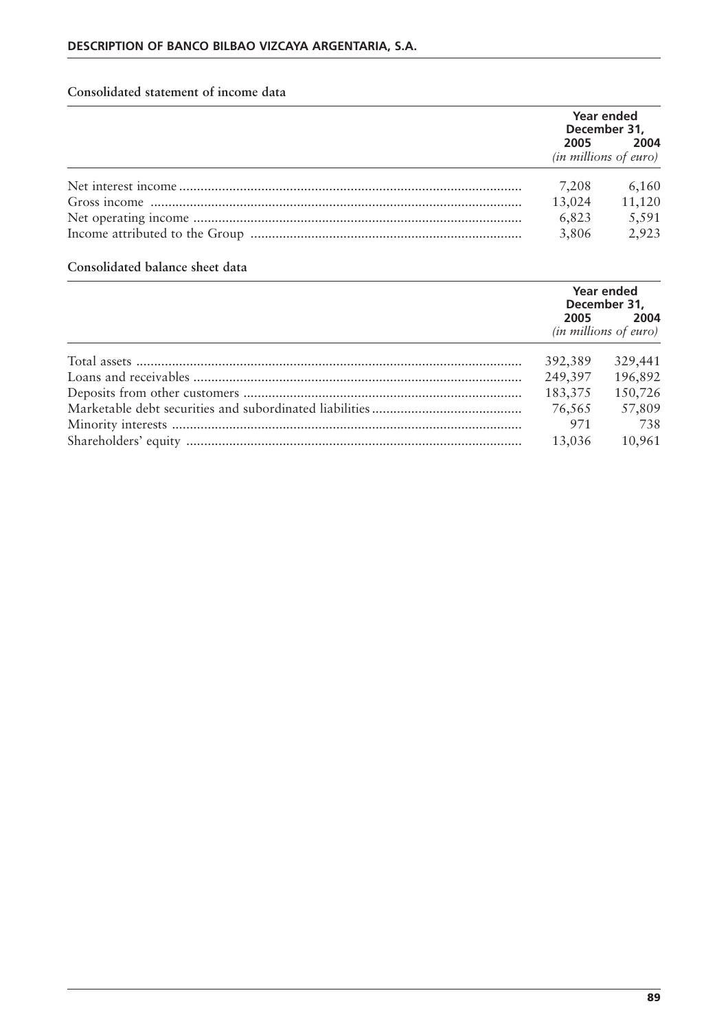## **Consolidated statement of income data**

|                                                     | Year ended<br>December 31, |  |
|-----------------------------------------------------|----------------------------|--|
| 2005 — 2005<br>2004<br><i>(in millions of euro)</i> |                            |  |
| 7,208                                               | 6,160                      |  |
| 13,024                                              | 11,120                     |  |
| 6,823                                               | 5,591                      |  |
| 3,806                                               | 2,923                      |  |

## **Consolidated balance sheet data**

| Year ended<br>December 31,                   |         |
|----------------------------------------------|---------|
| 2005<br>2004<br><i>(in millions of euro)</i> |         |
| 392,389                                      | 329,441 |
| 249,397                                      | 196,892 |
| 183,375                                      | 150,726 |
| 76,565                                       | 57,809  |
| 971                                          | 738     |
| 13.036                                       | 10,961  |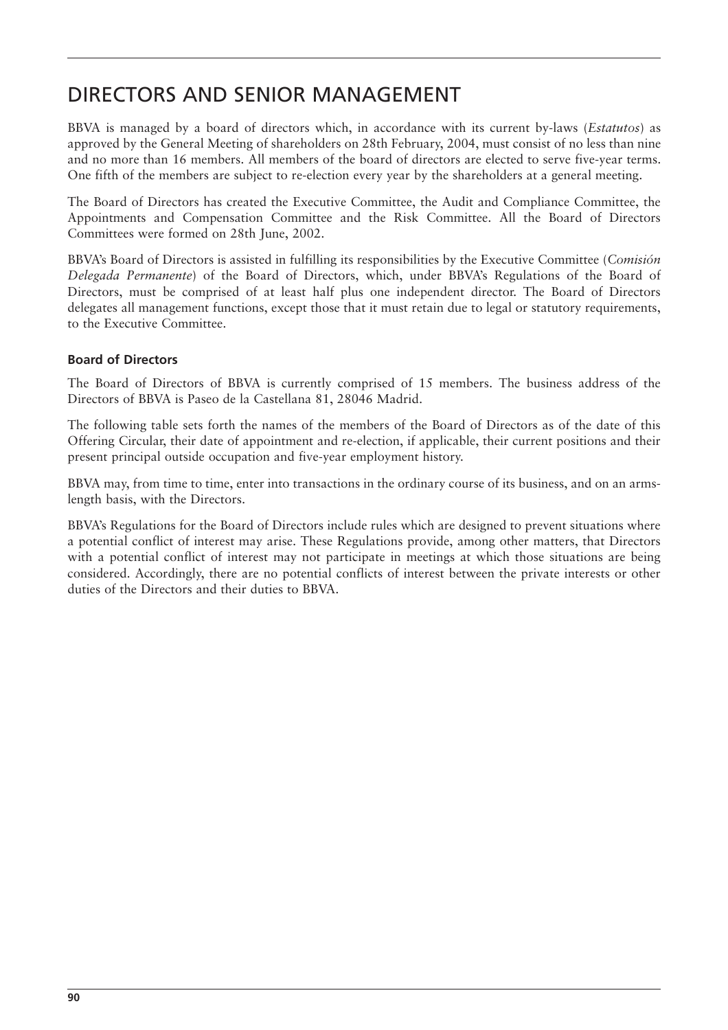## DIRECTORS AND SENIOR MANAGEMENT

BBVA is managed by a board of directors which, in accordance with its current by-laws (*Estatutos*) as approved by the General Meeting of shareholders on 28th February, 2004, must consist of no less than nine and no more than 16 members. All members of the board of directors are elected to serve five-year terms. One fifth of the members are subject to re-election every year by the shareholders at a general meeting.

The Board of Directors has created the Executive Committee, the Audit and Compliance Committee, the Appointments and Compensation Committee and the Risk Committee. All the Board of Directors Committees were formed on 28th June, 2002.

BBVA's Board of Directors is assisted in fulfilling its responsibilities by the Executive Committee (*Comisión Delegada Permanente*) of the Board of Directors, which, under BBVA's Regulations of the Board of Directors, must be comprised of at least half plus one independent director. The Board of Directors delegates all management functions, except those that it must retain due to legal or statutory requirements, to the Executive Committee.

## **Board of Directors**

The Board of Directors of BBVA is currently comprised of 15 members. The business address of the Directors of BBVA is Paseo de la Castellana 81, 28046 Madrid.

The following table sets forth the names of the members of the Board of Directors as of the date of this Offering Circular, their date of appointment and re-election, if applicable, their current positions and their present principal outside occupation and five-year employment history.

BBVA may, from time to time, enter into transactions in the ordinary course of its business, and on an armslength basis, with the Directors.

BBVA's Regulations for the Board of Directors include rules which are designed to prevent situations where a potential conflict of interest may arise. These Regulations provide, among other matters, that Directors with a potential conflict of interest may not participate in meetings at which those situations are being considered. Accordingly, there are no potential conflicts of interest between the private interests or other duties of the Directors and their duties to BBVA.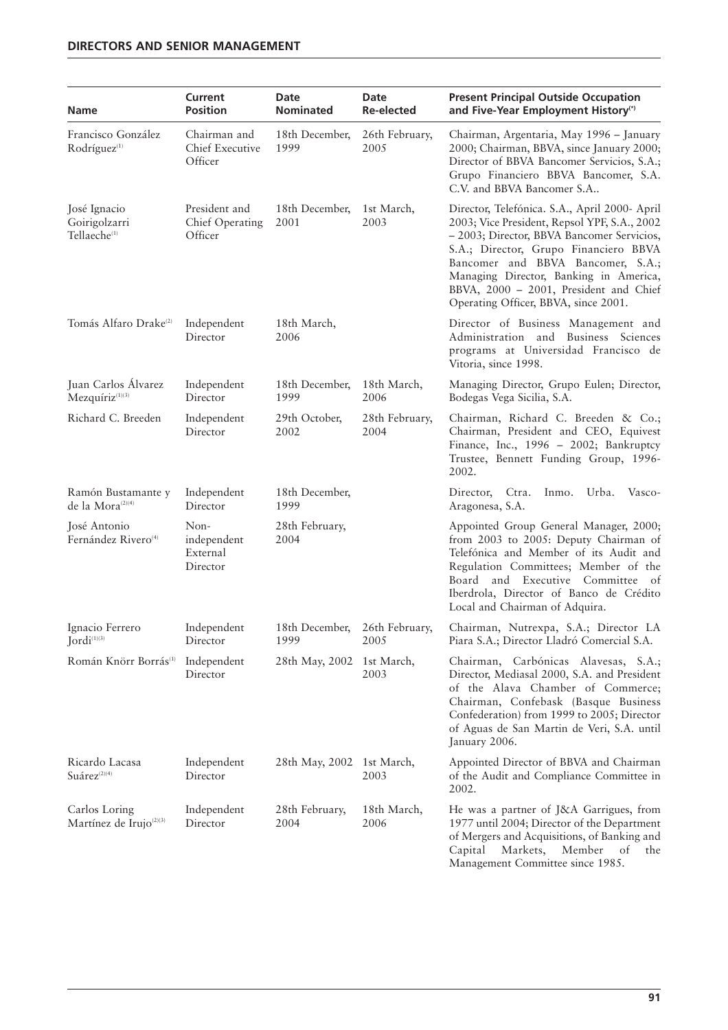| Name                                                      | Current<br><b>Position</b>                  | Date<br><b>Nominated</b>              | Date<br><b>Re-elected</b>                                                                                                                   | <b>Present Principal Outside Occupation</b><br>and Five-Year Employment History <sup>(*)</sup>                                                                                                                                                                                                                                                        |
|-----------------------------------------------------------|---------------------------------------------|---------------------------------------|---------------------------------------------------------------------------------------------------------------------------------------------|-------------------------------------------------------------------------------------------------------------------------------------------------------------------------------------------------------------------------------------------------------------------------------------------------------------------------------------------------------|
| Francisco González<br>Rodríguez <sup>(1)</sup>            | Chairman and<br>Chief Executive<br>Officer  | 18th December,<br>1999                | 26th February,<br>2005                                                                                                                      | Chairman, Argentaria, May 1996 - January<br>2000; Chairman, BBVA, since January 2000;<br>Director of BBVA Bancomer Servicios, S.A.;<br>Grupo Financiero BBVA Bancomer, S.A.<br>C.V. and BBVA Bancomer S.A                                                                                                                                             |
| José Ignacio<br>Goirigolzarri<br>Tellaeche <sup>(1)</sup> | President and<br>Chief Operating<br>Officer | 18th December,<br>2001                | 1st March,<br>2003                                                                                                                          | Director, Telefónica. S.A., April 2000- April<br>2003; Vice President, Repsol YPF, S.A., 2002<br>- 2003; Director, BBVA Bancomer Servicios,<br>S.A.; Director, Grupo Financiero BBVA<br>Bancomer and BBVA Bancomer, S.A.;<br>Managing Director, Banking in America,<br>BBVA, 2000 - 2001, President and Chief<br>Operating Officer, BBVA, since 2001. |
| Tomás Alfaro Drake <sup>(2)</sup>                         | Independent<br>Director                     | 18th March,<br>2006                   | Director of Business Management and<br>Administration and Business Sciences<br>programs at Universidad Francisco de<br>Vitoria, since 1998. |                                                                                                                                                                                                                                                                                                                                                       |
| Juan Carlos Álvarez<br>$Mez$ quíri $z^{(1)(3)}$           | Independent<br>Director                     | 18th December,<br>1999                | 18th March,<br>2006                                                                                                                         | Managing Director, Grupo Eulen; Director,<br>Bodegas Vega Sicilia, S.A.                                                                                                                                                                                                                                                                               |
| Richard C. Breeden                                        | Independent<br>Director                     | 29th October,<br>2002                 | 28th February,<br>2004                                                                                                                      | Chairman, Richard C. Breeden & Co.;<br>Chairman, President and CEO, Equivest<br>Finance, Inc., 1996 - 2002; Bankruptcy<br>Trustee, Bennett Funding Group, 1996-<br>2002.                                                                                                                                                                              |
| Ramón Bustamante y<br>de la Mora <sup>(2)(4)</sup>        | Independent<br>Director                     | 18th December,<br>1999                |                                                                                                                                             | Director, Ctra.<br>Inmo.<br>Urba.<br>Vasco-<br>Aragonesa, S.A.                                                                                                                                                                                                                                                                                        |
| José Antonio<br>Fernández Rivero <sup>(4)</sup>           | Non-<br>independent<br>External<br>Director | 28th February,<br>2004                |                                                                                                                                             | Appointed Group General Manager, 2000;<br>from 2003 to 2005: Deputy Chairman of<br>Telefónica and Member of its Audit and<br>Regulation Committees; Member of the<br>Board and Executive Committee of<br>Iberdrola, Director of Banco de Crédito<br>Local and Chairman of Adquira.                                                                    |
| Ignacio Ferrero<br>$Jordi^{\scriptscriptstyle (1)(3)}$    | Independent<br>Director                     | 18th December, 26th February,<br>1999 | 2005                                                                                                                                        | Chairman, Nutrexpa, S.A.; Director LA<br>Piara S.A.; Director Lladró Comercial S.A.                                                                                                                                                                                                                                                                   |
| Román Knörr Borrás <sup>(1)</sup>                         | Independent<br>Director                     | 28th May, 2002                        | 1st March,<br>2003                                                                                                                          | Chairman, Carbónicas Alavesas, S.A.;<br>Director, Mediasal 2000, S.A. and President<br>of the Alava Chamber of Commerce;<br>Chairman, Confebask (Basque Business<br>Confederation) from 1999 to 2005; Director<br>of Aguas de San Martin de Veri, S.A. until<br>January 2006.                                                                         |
| Ricardo Lacasa<br>$Su\acute{a}$ rez $(2)(4)$              | Independent<br>Director                     | 28th May, 2002 1st March,             | 2003                                                                                                                                        | Appointed Director of BBVA and Chairman<br>of the Audit and Compliance Committee in<br>2002.                                                                                                                                                                                                                                                          |
| Carlos Loring<br>Martínez de Irujo <sup>(2)(3)</sup>      | Independent<br>Director                     | 28th February,<br>2004                | 18th March,<br>2006                                                                                                                         | He was a partner of J&A Garrigues, from<br>1977 until 2004; Director of the Department<br>of Mergers and Acquisitions, of Banking and<br>Capital<br>Markets,<br>Member<br>of<br>the<br>Management Committee since 1985.                                                                                                                               |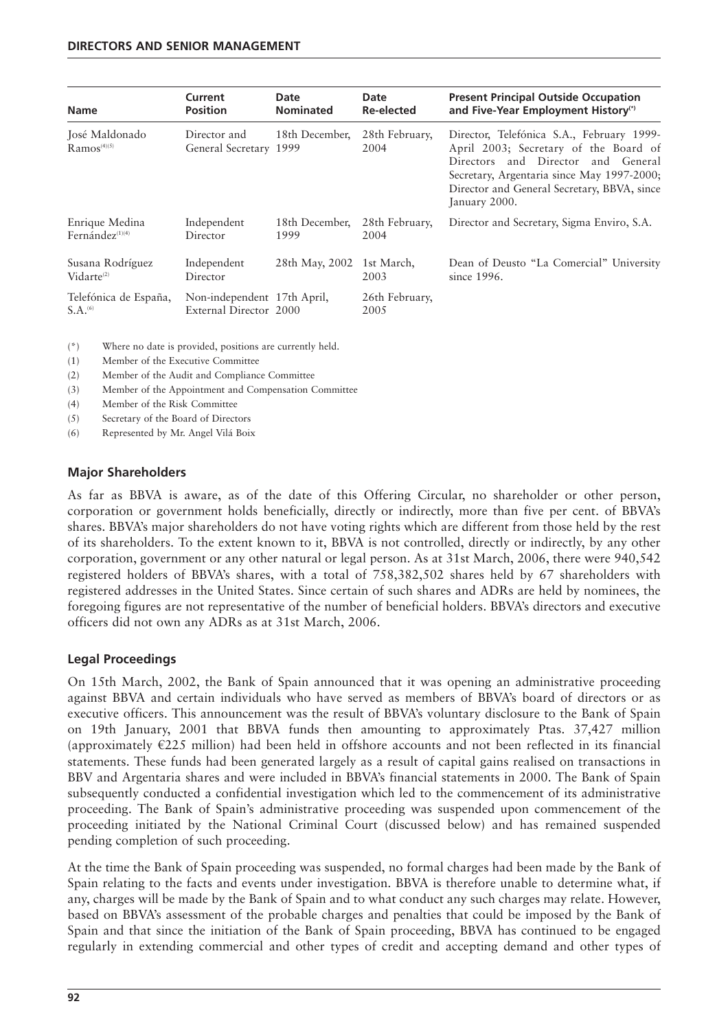| <b>Name</b>                                    | Current                                               | Date             | Date                   | <b>Present Principal Outside Occupation</b>                                                                                                                                                                                            |
|------------------------------------------------|-------------------------------------------------------|------------------|------------------------|----------------------------------------------------------------------------------------------------------------------------------------------------------------------------------------------------------------------------------------|
|                                                | <b>Position</b>                                       | <b>Nominated</b> | <b>Re-elected</b>      | and Five-Year Employment History <sup>(*)</sup>                                                                                                                                                                                        |
| José Maldonado<br>$Ramos^{(4)(5)}$             | Director and<br>General Secretary 1999                | 18th December,   | 28th February,<br>2004 | Director, Telefónica S.A., February 1999-<br>April 2003; Secretary of the Board of<br>Directors and Director and General<br>Secretary, Argentaria since May 1997-2000;<br>Director and General Secretary, BBVA, since<br>January 2000. |
| Enrique Medina                                 | Independent                                           | 18th December,   | 28th February,         | Director and Secretary, Sigma Enviro, S.A.                                                                                                                                                                                             |
| Fernández <sup>(1)(4)</sup>                    | Director                                              | 1999             | 2004                   |                                                                                                                                                                                                                                        |
| Susana Rodríguez                               | Independent                                           | 28th May, 2002   | 1st March,             | Dean of Deusto "La Comercial" University                                                                                                                                                                                               |
| $Vidarte^{(2)}$                                | Director                                              |                  | 2003                   | since 1996.                                                                                                                                                                                                                            |
| Telefónica de España,<br>$S.A.$ <sup>(6)</sup> | Non-independent 17th April,<br>External Director 2000 |                  | 26th February,<br>2005 |                                                                                                                                                                                                                                        |

(\*) Where no date is provided, positions are currently held.

(1) Member of the Executive Committee

(2) Member of the Audit and Compliance Committee

(3) Member of the Appointment and Compensation Committee

(4) Member of the Risk Committee

(5) Secretary of the Board of Directors

(6) Represented by Mr. Angel Vilá Boix

#### **Major Shareholders**

As far as BBVA is aware, as of the date of this Offering Circular, no shareholder or other person, corporation or government holds beneficially, directly or indirectly, more than five per cent. of BBVA's shares. BBVA's major shareholders do not have voting rights which are different from those held by the rest of its shareholders. To the extent known to it, BBVA is not controlled, directly or indirectly, by any other corporation, government or any other natural or legal person. As at 31st March, 2006, there were 940,542 registered holders of BBVA's shares, with a total of 758,382,502 shares held by 67 shareholders with registered addresses in the United States. Since certain of such shares and ADRs are held by nominees, the foregoing figures are not representative of the number of beneficial holders. BBVA's directors and executive officers did not own any ADRs as at 31st March, 2006.

#### **Legal Proceedings**

On 15th March, 2002, the Bank of Spain announced that it was opening an administrative proceeding against BBVA and certain individuals who have served as members of BBVA's board of directors or as executive officers. This announcement was the result of BBVA's voluntary disclosure to the Bank of Spain on 19th January, 2001 that BBVA funds then amounting to approximately Ptas. 37,427 million (approximately  $E225$  million) had been held in offshore accounts and not been reflected in its financial statements. These funds had been generated largely as a result of capital gains realised on transactions in BBV and Argentaria shares and were included in BBVA's financial statements in 2000. The Bank of Spain subsequently conducted a confidential investigation which led to the commencement of its administrative proceeding. The Bank of Spain's administrative proceeding was suspended upon commencement of the proceeding initiated by the National Criminal Court (discussed below) and has remained suspended pending completion of such proceeding.

At the time the Bank of Spain proceeding was suspended, no formal charges had been made by the Bank of Spain relating to the facts and events under investigation. BBVA is therefore unable to determine what, if any, charges will be made by the Bank of Spain and to what conduct any such charges may relate. However, based on BBVA's assessment of the probable charges and penalties that could be imposed by the Bank of Spain and that since the initiation of the Bank of Spain proceeding, BBVA has continued to be engaged regularly in extending commercial and other types of credit and accepting demand and other types of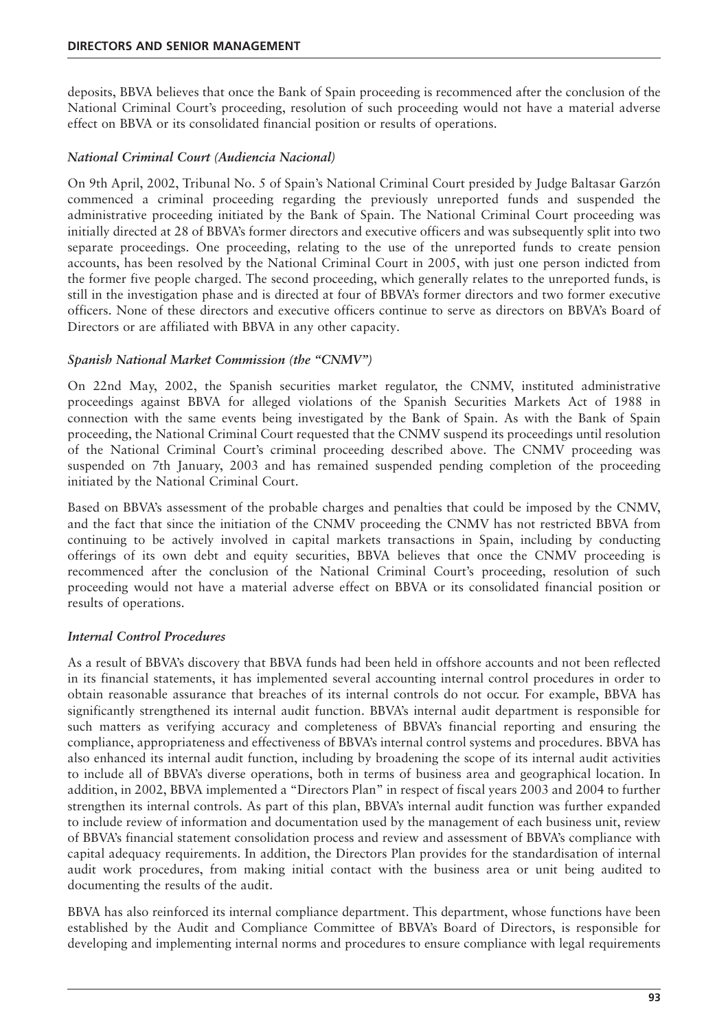deposits, BBVA believes that once the Bank of Spain proceeding is recommenced after the conclusion of the National Criminal Court's proceeding, resolution of such proceeding would not have a material adverse effect on BBVA or its consolidated financial position or results of operations.

## *National Criminal Court (Audiencia Nacional)*

On 9th April, 2002, Tribunal No. 5 of Spain's National Criminal Court presided by Judge Baltasar Garzón commenced a criminal proceeding regarding the previously unreported funds and suspended the administrative proceeding initiated by the Bank of Spain. The National Criminal Court proceeding was initially directed at 28 of BBVA's former directors and executive officers and was subsequently split into two separate proceedings. One proceeding, relating to the use of the unreported funds to create pension accounts, has been resolved by the National Criminal Court in 2005, with just one person indicted from the former five people charged. The second proceeding, which generally relates to the unreported funds, is still in the investigation phase and is directed at four of BBVA's former directors and two former executive officers. None of these directors and executive officers continue to serve as directors on BBVA's Board of Directors or are affiliated with BBVA in any other capacity.

## *Spanish National Market Commission (the "CNMV")*

On 22nd May, 2002, the Spanish securities market regulator, the CNMV, instituted administrative proceedings against BBVA for alleged violations of the Spanish Securities Markets Act of 1988 in connection with the same events being investigated by the Bank of Spain. As with the Bank of Spain proceeding, the National Criminal Court requested that the CNMV suspend its proceedings until resolution of the National Criminal Court's criminal proceeding described above. The CNMV proceeding was suspended on 7th January, 2003 and has remained suspended pending completion of the proceeding initiated by the National Criminal Court.

Based on BBVA's assessment of the probable charges and penalties that could be imposed by the CNMV, and the fact that since the initiation of the CNMV proceeding the CNMV has not restricted BBVA from continuing to be actively involved in capital markets transactions in Spain, including by conducting offerings of its own debt and equity securities, BBVA believes that once the CNMV proceeding is recommenced after the conclusion of the National Criminal Court's proceeding, resolution of such proceeding would not have a material adverse effect on BBVA or its consolidated financial position or results of operations.

## *Internal Control Procedures*

As a result of BBVA's discovery that BBVA funds had been held in offshore accounts and not been reflected in its financial statements, it has implemented several accounting internal control procedures in order to obtain reasonable assurance that breaches of its internal controls do not occur. For example, BBVA has significantly strengthened its internal audit function. BBVA's internal audit department is responsible for such matters as verifying accuracy and completeness of BBVA's financial reporting and ensuring the compliance, appropriateness and effectiveness of BBVA's internal control systems and procedures. BBVA has also enhanced its internal audit function, including by broadening the scope of its internal audit activities to include all of BBVA's diverse operations, both in terms of business area and geographical location. In addition, in 2002, BBVA implemented a "Directors Plan" in respect of fiscal years 2003 and 2004 to further strengthen its internal controls. As part of this plan, BBVA's internal audit function was further expanded to include review of information and documentation used by the management of each business unit, review of BBVA's financial statement consolidation process and review and assessment of BBVA's compliance with capital adequacy requirements. In addition, the Directors Plan provides for the standardisation of internal audit work procedures, from making initial contact with the business area or unit being audited to documenting the results of the audit.

BBVA has also reinforced its internal compliance department. This department, whose functions have been established by the Audit and Compliance Committee of BBVA's Board of Directors, is responsible for developing and implementing internal norms and procedures to ensure compliance with legal requirements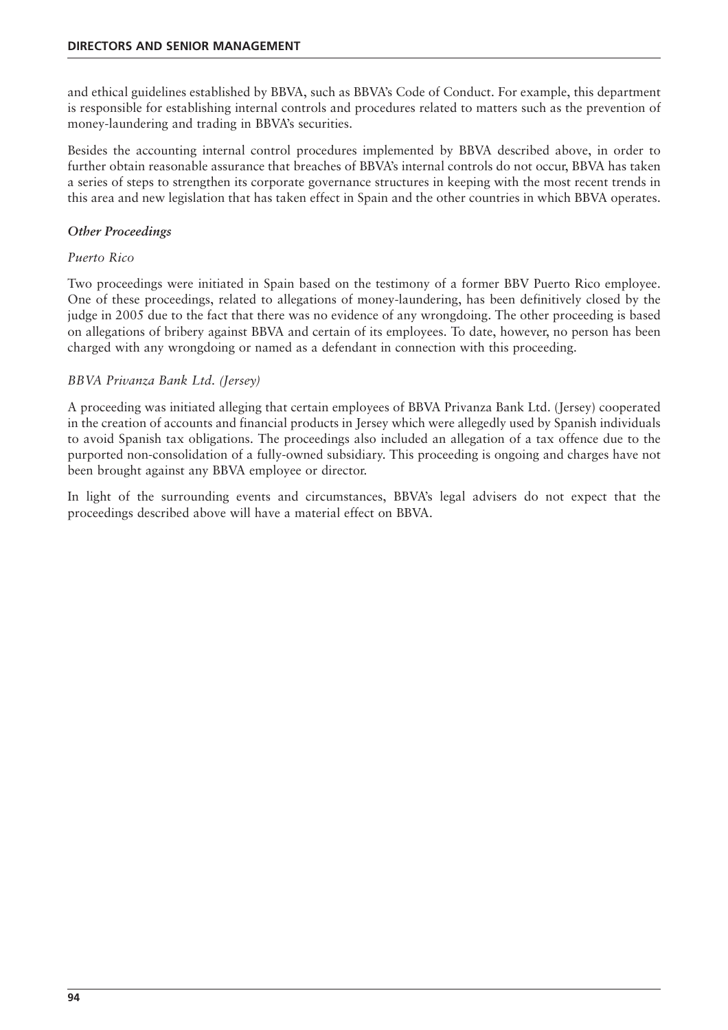and ethical guidelines established by BBVA, such as BBVA's Code of Conduct. For example, this department is responsible for establishing internal controls and procedures related to matters such as the prevention of money-laundering and trading in BBVA's securities.

Besides the accounting internal control procedures implemented by BBVA described above, in order to further obtain reasonable assurance that breaches of BBVA's internal controls do not occur, BBVA has taken a series of steps to strengthen its corporate governance structures in keeping with the most recent trends in this area and new legislation that has taken effect in Spain and the other countries in which BBVA operates.

#### *Other Proceedings*

#### *Puerto Rico*

Two proceedings were initiated in Spain based on the testimony of a former BBV Puerto Rico employee. One of these proceedings, related to allegations of money-laundering, has been definitively closed by the judge in 2005 due to the fact that there was no evidence of any wrongdoing. The other proceeding is based on allegations of bribery against BBVA and certain of its employees. To date, however, no person has been charged with any wrongdoing or named as a defendant in connection with this proceeding.

## *BBVA Privanza Bank Ltd. (Jersey)*

A proceeding was initiated alleging that certain employees of BBVA Privanza Bank Ltd. (Jersey) cooperated in the creation of accounts and financial products in Jersey which were allegedly used by Spanish individuals to avoid Spanish tax obligations. The proceedings also included an allegation of a tax offence due to the purported non-consolidation of a fully-owned subsidiary. This proceeding is ongoing and charges have not been brought against any BBVA employee or director.

In light of the surrounding events and circumstances, BBVA's legal advisers do not expect that the proceedings described above will have a material effect on BBVA.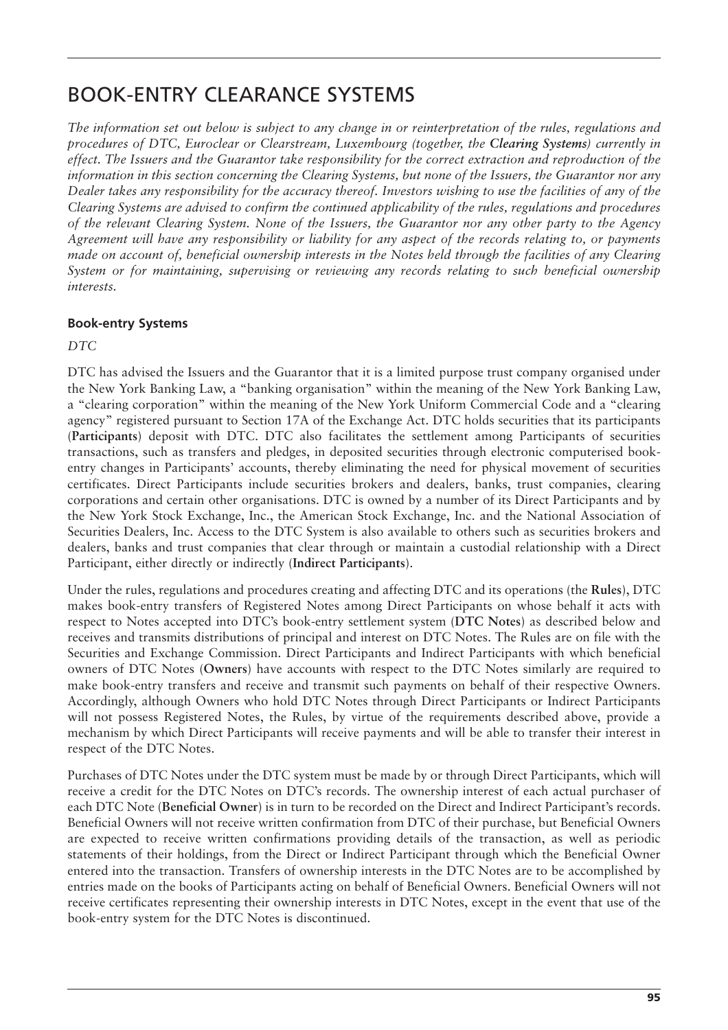## BOOK-ENTRY CLEARANCE SYSTEMS

*The information set out below is subject to any change in or reinterpretation of the rules, regulations and procedures of DTC, Euroclear or Clearstream, Luxembourg (together, the Clearing Systems) currently in effect. The Issuers and the Guarantor take responsibility for the correct extraction and reproduction of the information in this section concerning the Clearing Systems, but none of the Issuers, the Guarantor nor any Dealer takes any responsibility for the accuracy thereof. Investors wishing to use the facilities of any of the Clearing Systems are advised to confirm the continued applicability of the rules, regulations and procedures of the relevant Clearing System. None of the Issuers, the Guarantor nor any other party to the Agency Agreement will have any responsibility or liability for any aspect of the records relating to, or payments made on account of, beneficial ownership interests in the Notes held through the facilities of any Clearing System or for maintaining, supervising or reviewing any records relating to such beneficial ownership interests.*

## **Book-entry Systems**

*DTC*

DTC has advised the Issuers and the Guarantor that it is a limited purpose trust company organised under the New York Banking Law, a "banking organisation" within the meaning of the New York Banking Law, a "clearing corporation" within the meaning of the New York Uniform Commercial Code and a "clearing agency" registered pursuant to Section 17A of the Exchange Act. DTC holds securities that its participants (**Participants**) deposit with DTC. DTC also facilitates the settlement among Participants of securities transactions, such as transfers and pledges, in deposited securities through electronic computerised bookentry changes in Participants' accounts, thereby eliminating the need for physical movement of securities certificates. Direct Participants include securities brokers and dealers, banks, trust companies, clearing corporations and certain other organisations. DTC is owned by a number of its Direct Participants and by the New York Stock Exchange, Inc., the American Stock Exchange, Inc. and the National Association of Securities Dealers, Inc. Access to the DTC System is also available to others such as securities brokers and dealers, banks and trust companies that clear through or maintain a custodial relationship with a Direct Participant, either directly or indirectly (**Indirect Participants**).

Under the rules, regulations and procedures creating and affecting DTC and its operations (the **Rules**), DTC makes book-entry transfers of Registered Notes among Direct Participants on whose behalf it acts with respect to Notes accepted into DTC's book-entry settlement system (**DTC Notes**) as described below and receives and transmits distributions of principal and interest on DTC Notes. The Rules are on file with the Securities and Exchange Commission. Direct Participants and Indirect Participants with which beneficial owners of DTC Notes (**Owners**) have accounts with respect to the DTC Notes similarly are required to make book-entry transfers and receive and transmit such payments on behalf of their respective Owners. Accordingly, although Owners who hold DTC Notes through Direct Participants or Indirect Participants will not possess Registered Notes, the Rules, by virtue of the requirements described above, provide a mechanism by which Direct Participants will receive payments and will be able to transfer their interest in respect of the DTC Notes.

Purchases of DTC Notes under the DTC system must be made by or through Direct Participants, which will receive a credit for the DTC Notes on DTC's records. The ownership interest of each actual purchaser of each DTC Note (**Beneficial Owner**) is in turn to be recorded on the Direct and Indirect Participant's records. Beneficial Owners will not receive written confirmation from DTC of their purchase, but Beneficial Owners are expected to receive written confirmations providing details of the transaction, as well as periodic statements of their holdings, from the Direct or Indirect Participant through which the Beneficial Owner entered into the transaction. Transfers of ownership interests in the DTC Notes are to be accomplished by entries made on the books of Participants acting on behalf of Beneficial Owners. Beneficial Owners will not receive certificates representing their ownership interests in DTC Notes, except in the event that use of the book-entry system for the DTC Notes is discontinued.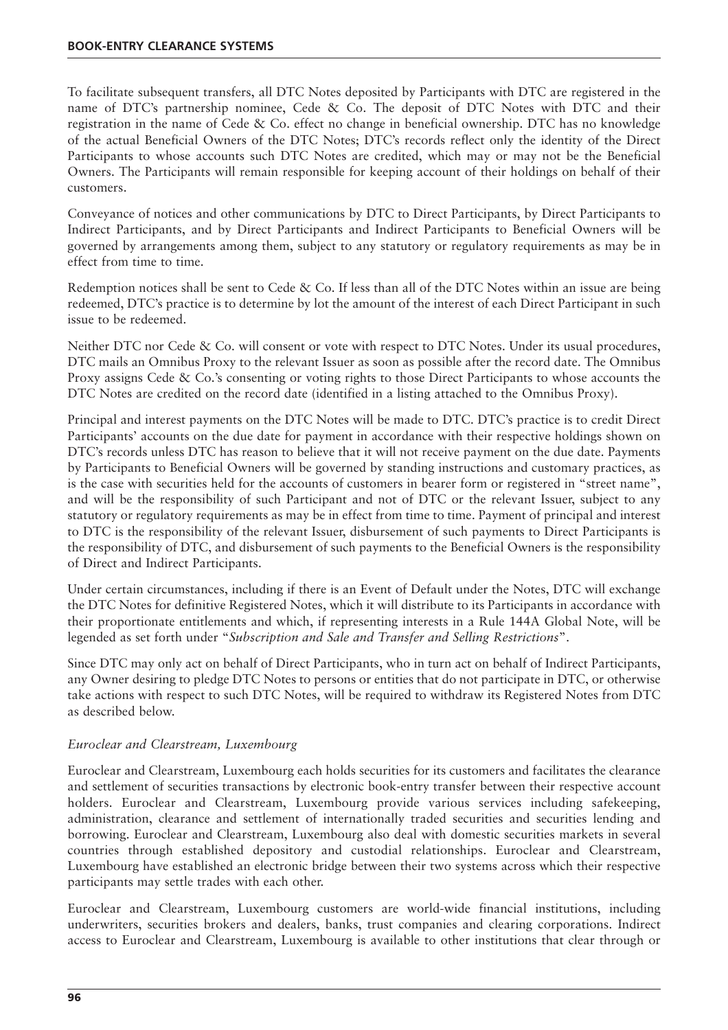To facilitate subsequent transfers, all DTC Notes deposited by Participants with DTC are registered in the name of DTC's partnership nominee, Cede & Co. The deposit of DTC Notes with DTC and their registration in the name of Cede & Co. effect no change in beneficial ownership. DTC has no knowledge of the actual Beneficial Owners of the DTC Notes; DTC's records reflect only the identity of the Direct Participants to whose accounts such DTC Notes are credited, which may or may not be the Beneficial Owners. The Participants will remain responsible for keeping account of their holdings on behalf of their customers.

Conveyance of notices and other communications by DTC to Direct Participants, by Direct Participants to Indirect Participants, and by Direct Participants and Indirect Participants to Beneficial Owners will be governed by arrangements among them, subject to any statutory or regulatory requirements as may be in effect from time to time.

Redemption notices shall be sent to Cede & Co. If less than all of the DTC Notes within an issue are being redeemed, DTC's practice is to determine by lot the amount of the interest of each Direct Participant in such issue to be redeemed.

Neither DTC nor Cede & Co. will consent or vote with respect to DTC Notes. Under its usual procedures, DTC mails an Omnibus Proxy to the relevant Issuer as soon as possible after the record date. The Omnibus Proxy assigns Cede & Co.'s consenting or voting rights to those Direct Participants to whose accounts the DTC Notes are credited on the record date (identified in a listing attached to the Omnibus Proxy).

Principal and interest payments on the DTC Notes will be made to DTC. DTC's practice is to credit Direct Participants' accounts on the due date for payment in accordance with their respective holdings shown on DTC's records unless DTC has reason to believe that it will not receive payment on the due date. Payments by Participants to Beneficial Owners will be governed by standing instructions and customary practices, as is the case with securities held for the accounts of customers in bearer form or registered in "street name", and will be the responsibility of such Participant and not of DTC or the relevant Issuer, subject to any statutory or regulatory requirements as may be in effect from time to time. Payment of principal and interest to DTC is the responsibility of the relevant Issuer, disbursement of such payments to Direct Participants is the responsibility of DTC, and disbursement of such payments to the Beneficial Owners is the responsibility of Direct and Indirect Participants.

Under certain circumstances, including if there is an Event of Default under the Notes, DTC will exchange the DTC Notes for definitive Registered Notes, which it will distribute to its Participants in accordance with their proportionate entitlements and which, if representing interests in a Rule 144A Global Note, will be legended as set forth under "*Subscription and Sale and Transfer and Selling Restrictions*".

Since DTC may only act on behalf of Direct Participants, who in turn act on behalf of Indirect Participants, any Owner desiring to pledge DTC Notes to persons or entities that do not participate in DTC, or otherwise take actions with respect to such DTC Notes, will be required to withdraw its Registered Notes from DTC as described below.

## *Euroclear and Clearstream, Luxembourg*

Euroclear and Clearstream, Luxembourg each holds securities for its customers and facilitates the clearance and settlement of securities transactions by electronic book-entry transfer between their respective account holders. Euroclear and Clearstream, Luxembourg provide various services including safekeeping, administration, clearance and settlement of internationally traded securities and securities lending and borrowing. Euroclear and Clearstream, Luxembourg also deal with domestic securities markets in several countries through established depository and custodial relationships. Euroclear and Clearstream, Luxembourg have established an electronic bridge between their two systems across which their respective participants may settle trades with each other.

Euroclear and Clearstream, Luxembourg customers are world-wide financial institutions, including underwriters, securities brokers and dealers, banks, trust companies and clearing corporations. Indirect access to Euroclear and Clearstream, Luxembourg is available to other institutions that clear through or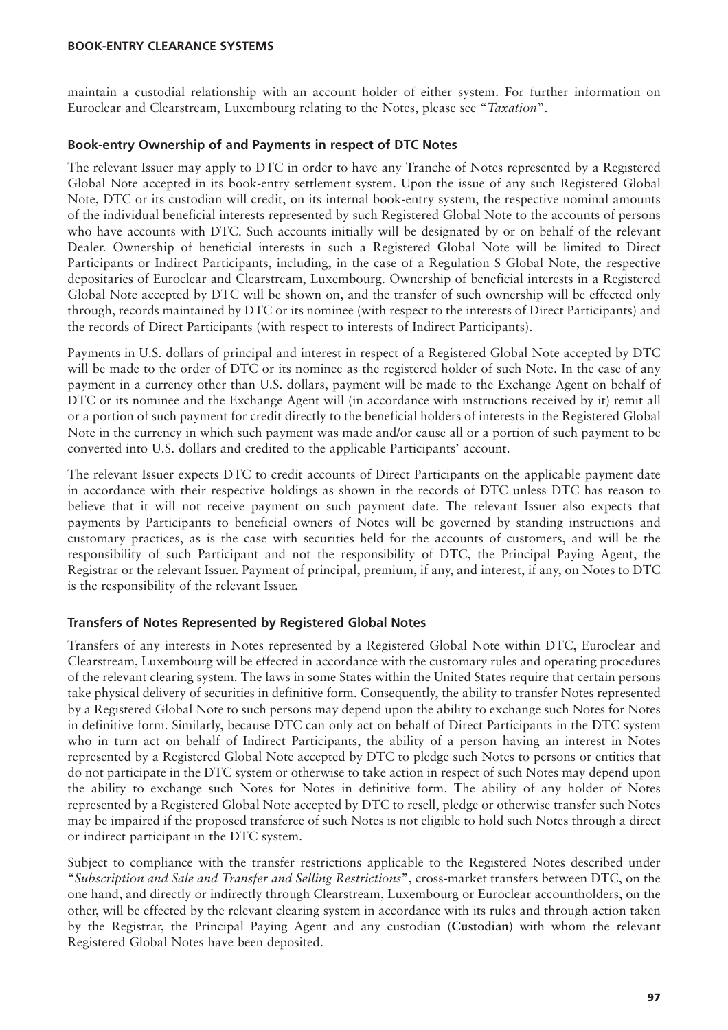maintain a custodial relationship with an account holder of either system. For further information on Euroclear and Clearstream, Luxembourg relating to the Notes, please see "*Taxation*".

## **Book-entry Ownership of and Payments in respect of DTC Notes**

The relevant Issuer may apply to DTC in order to have any Tranche of Notes represented by a Registered Global Note accepted in its book-entry settlement system. Upon the issue of any such Registered Global Note, DTC or its custodian will credit, on its internal book-entry system, the respective nominal amounts of the individual beneficial interests represented by such Registered Global Note to the accounts of persons who have accounts with DTC. Such accounts initially will be designated by or on behalf of the relevant Dealer. Ownership of beneficial interests in such a Registered Global Note will be limited to Direct Participants or Indirect Participants, including, in the case of a Regulation S Global Note, the respective depositaries of Euroclear and Clearstream, Luxembourg. Ownership of beneficial interests in a Registered Global Note accepted by DTC will be shown on, and the transfer of such ownership will be effected only through, records maintained by DTC or its nominee (with respect to the interests of Direct Participants) and the records of Direct Participants (with respect to interests of Indirect Participants).

Payments in U.S. dollars of principal and interest in respect of a Registered Global Note accepted by DTC will be made to the order of DTC or its nominee as the registered holder of such Note. In the case of any payment in a currency other than U.S. dollars, payment will be made to the Exchange Agent on behalf of DTC or its nominee and the Exchange Agent will (in accordance with instructions received by it) remit all or a portion of such payment for credit directly to the beneficial holders of interests in the Registered Global Note in the currency in which such payment was made and/or cause all or a portion of such payment to be converted into U.S. dollars and credited to the applicable Participants' account.

The relevant Issuer expects DTC to credit accounts of Direct Participants on the applicable payment date in accordance with their respective holdings as shown in the records of DTC unless DTC has reason to believe that it will not receive payment on such payment date. The relevant Issuer also expects that payments by Participants to beneficial owners of Notes will be governed by standing instructions and customary practices, as is the case with securities held for the accounts of customers, and will be the responsibility of such Participant and not the responsibility of DTC, the Principal Paying Agent, the Registrar or the relevant Issuer. Payment of principal, premium, if any, and interest, if any, on Notes to DTC is the responsibility of the relevant Issuer.

## **Transfers of Notes Represented by Registered Global Notes**

Transfers of any interests in Notes represented by a Registered Global Note within DTC, Euroclear and Clearstream, Luxembourg will be effected in accordance with the customary rules and operating procedures of the relevant clearing system. The laws in some States within the United States require that certain persons take physical delivery of securities in definitive form. Consequently, the ability to transfer Notes represented by a Registered Global Note to such persons may depend upon the ability to exchange such Notes for Notes in definitive form. Similarly, because DTC can only act on behalf of Direct Participants in the DTC system who in turn act on behalf of Indirect Participants, the ability of a person having an interest in Notes represented by a Registered Global Note accepted by DTC to pledge such Notes to persons or entities that do not participate in the DTC system or otherwise to take action in respect of such Notes may depend upon the ability to exchange such Notes for Notes in definitive form. The ability of any holder of Notes represented by a Registered Global Note accepted by DTC to resell, pledge or otherwise transfer such Notes may be impaired if the proposed transferee of such Notes is not eligible to hold such Notes through a direct or indirect participant in the DTC system.

Subject to compliance with the transfer restrictions applicable to the Registered Notes described under "*Subscription and Sale and Transfer and Selling Restrictions*", cross-market transfers between DTC, on the one hand, and directly or indirectly through Clearstream, Luxembourg or Euroclear accountholders, on the other, will be effected by the relevant clearing system in accordance with its rules and through action taken by the Registrar, the Principal Paying Agent and any custodian (**Custodian**) with whom the relevant Registered Global Notes have been deposited.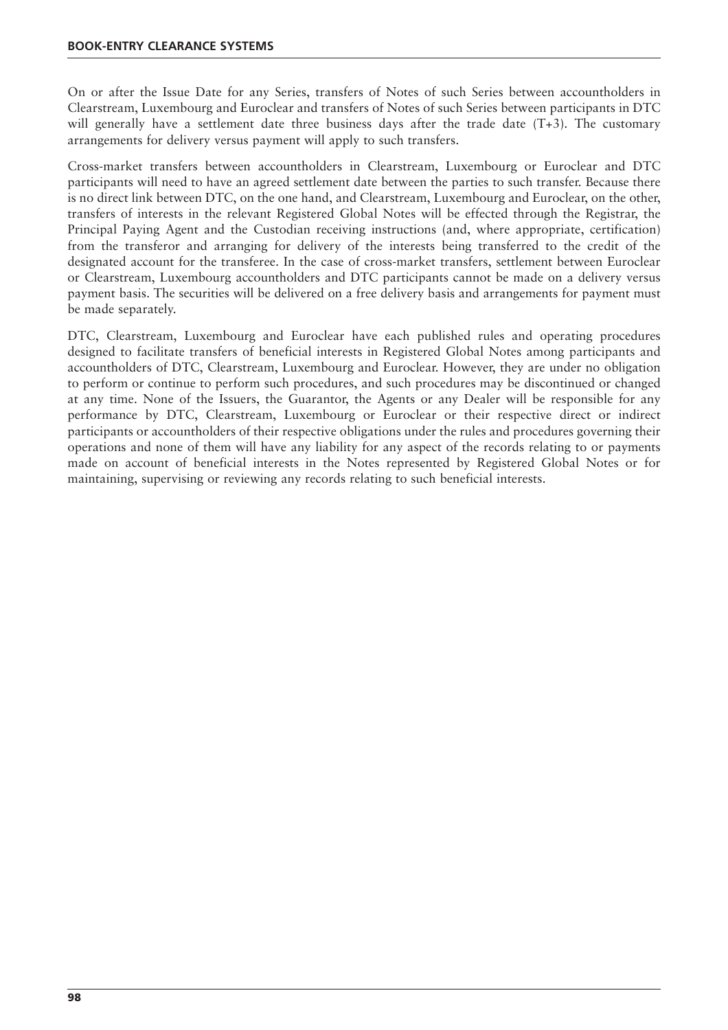On or after the Issue Date for any Series, transfers of Notes of such Series between accountholders in Clearstream, Luxembourg and Euroclear and transfers of Notes of such Series between participants in DTC will generally have a settlement date three business days after the trade date (T+3). The customary arrangements for delivery versus payment will apply to such transfers.

Cross-market transfers between accountholders in Clearstream, Luxembourg or Euroclear and DTC participants will need to have an agreed settlement date between the parties to such transfer. Because there is no direct link between DTC, on the one hand, and Clearstream, Luxembourg and Euroclear, on the other, transfers of interests in the relevant Registered Global Notes will be effected through the Registrar, the Principal Paying Agent and the Custodian receiving instructions (and, where appropriate, certification) from the transferor and arranging for delivery of the interests being transferred to the credit of the designated account for the transferee. In the case of cross-market transfers, settlement between Euroclear or Clearstream, Luxembourg accountholders and DTC participants cannot be made on a delivery versus payment basis. The securities will be delivered on a free delivery basis and arrangements for payment must be made separately.

DTC, Clearstream, Luxembourg and Euroclear have each published rules and operating procedures designed to facilitate transfers of beneficial interests in Registered Global Notes among participants and accountholders of DTC, Clearstream, Luxembourg and Euroclear. However, they are under no obligation to perform or continue to perform such procedures, and such procedures may be discontinued or changed at any time. None of the Issuers, the Guarantor, the Agents or any Dealer will be responsible for any performance by DTC, Clearstream, Luxembourg or Euroclear or their respective direct or indirect participants or accountholders of their respective obligations under the rules and procedures governing their operations and none of them will have any liability for any aspect of the records relating to or payments made on account of beneficial interests in the Notes represented by Registered Global Notes or for maintaining, supervising or reviewing any records relating to such beneficial interests.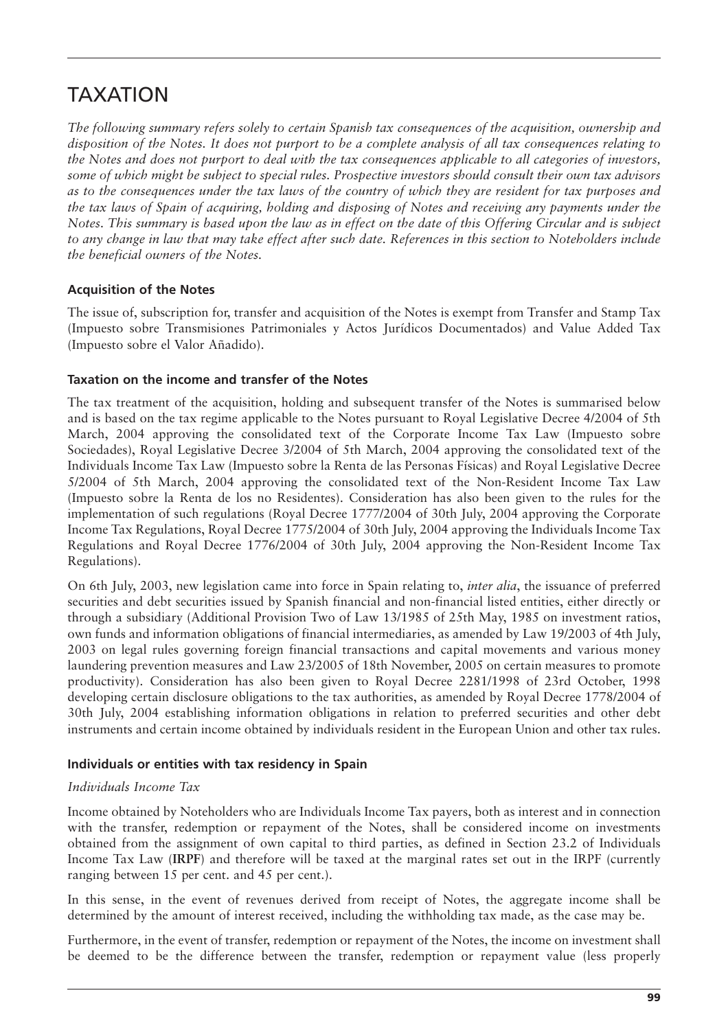## TAXATION

*The following summary refers solely to certain Spanish tax consequences of the acquisition, ownership and disposition of the Notes. It does not purport to be a complete analysis of all tax consequences relating to the Notes and does not purport to deal with the tax consequences applicable to all categories of investors, some of which might be subject to special rules. Prospective investors should consult their own tax advisors as to the consequences under the tax laws of the country of which they are resident for tax purposes and the tax laws of Spain of acquiring, holding and disposing of Notes and receiving any payments under the Notes. This summary is based upon the law as in effect on the date of this Offering Circular and is subject to any change in law that may take effect after such date. References in this section to Noteholders include the beneficial owners of the Notes.*

## **Acquisition of the Notes**

The issue of, subscription for, transfer and acquisition of the Notes is exempt from Transfer and Stamp Tax (Impuesto sobre Transmisiones Patrimoniales y Actos Jurídicos Documentados) and Value Added Tax (Impuesto sobre el Valor Añadido).

## **Taxation on the income and transfer of the Notes**

The tax treatment of the acquisition, holding and subsequent transfer of the Notes is summarised below and is based on the tax regime applicable to the Notes pursuant to Royal Legislative Decree 4/2004 of 5th March, 2004 approving the consolidated text of the Corporate Income Tax Law (Impuesto sobre Sociedades), Royal Legislative Decree 3/2004 of 5th March, 2004 approving the consolidated text of the Individuals Income Tax Law (Impuesto sobre la Renta de las Personas Físicas) and Royal Legislative Decree 5/2004 of 5th March, 2004 approving the consolidated text of the Non-Resident Income Tax Law (Impuesto sobre la Renta de los no Residentes). Consideration has also been given to the rules for the implementation of such regulations (Royal Decree 1777/2004 of 30th July, 2004 approving the Corporate Income Tax Regulations, Royal Decree 1775/2004 of 30th July, 2004 approving the Individuals Income Tax Regulations and Royal Decree 1776/2004 of 30th July, 2004 approving the Non-Resident Income Tax Regulations).

On 6th July, 2003, new legislation came into force in Spain relating to, *inter alia*, the issuance of preferred securities and debt securities issued by Spanish financial and non-financial listed entities, either directly or through a subsidiary (Additional Provision Two of Law 13/1985 of 25th May, 1985 on investment ratios, own funds and information obligations of financial intermediaries, as amended by Law 19/2003 of 4th July, 2003 on legal rules governing foreign financial transactions and capital movements and various money laundering prevention measures and Law 23/2005 of 18th November, 2005 on certain measures to promote productivity). Consideration has also been given to Royal Decree 2281/1998 of 23rd October, 1998 developing certain disclosure obligations to the tax authorities, as amended by Royal Decree 1778/2004 of 30th July, 2004 establishing information obligations in relation to preferred securities and other debt instruments and certain income obtained by individuals resident in the European Union and other tax rules.

## **Individuals or entities with tax residency in Spain**

## *Individuals Income Tax*

Income obtained by Noteholders who are Individuals Income Tax payers, both as interest and in connection with the transfer, redemption or repayment of the Notes, shall be considered income on investments obtained from the assignment of own capital to third parties, as defined in Section 23.2 of Individuals Income Tax Law (**IRPF**) and therefore will be taxed at the marginal rates set out in the IRPF (currently ranging between 15 per cent. and 45 per cent.).

In this sense, in the event of revenues derived from receipt of Notes, the aggregate income shall be determined by the amount of interest received, including the withholding tax made, as the case may be.

Furthermore, in the event of transfer, redemption or repayment of the Notes, the income on investment shall be deemed to be the difference between the transfer, redemption or repayment value (less properly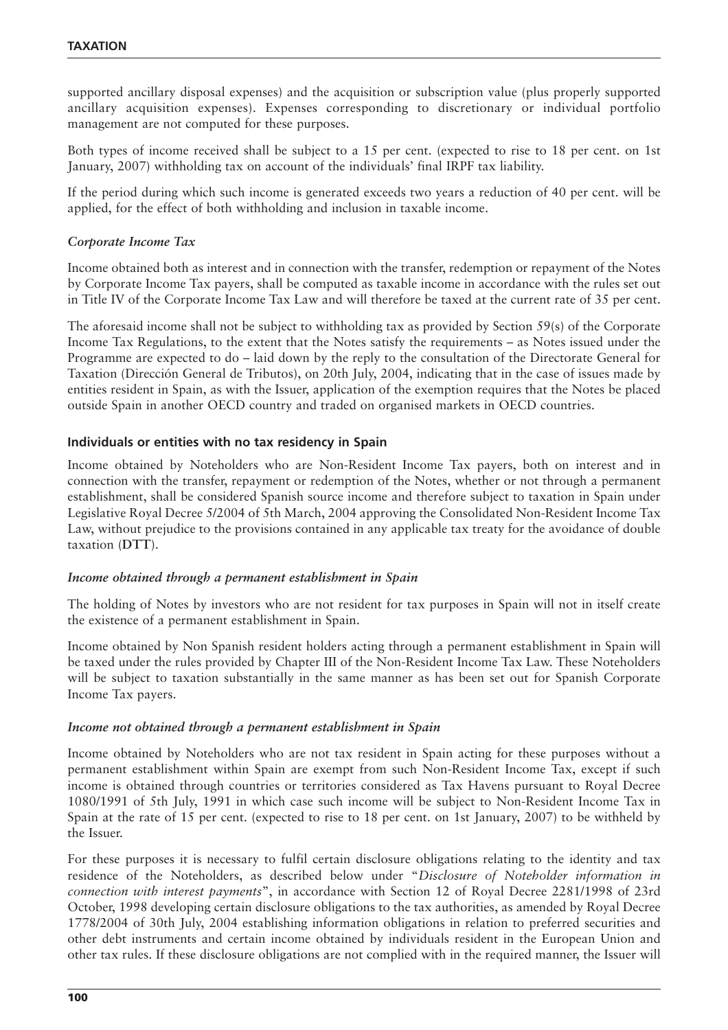supported ancillary disposal expenses) and the acquisition or subscription value (plus properly supported ancillary acquisition expenses). Expenses corresponding to discretionary or individual portfolio management are not computed for these purposes.

Both types of income received shall be subject to a 15 per cent. (expected to rise to 18 per cent. on 1st January, 2007) withholding tax on account of the individuals' final IRPF tax liability.

If the period during which such income is generated exceeds two years a reduction of 40 per cent. will be applied, for the effect of both withholding and inclusion in taxable income.

#### *Corporate Income Tax*

Income obtained both as interest and in connection with the transfer, redemption or repayment of the Notes by Corporate Income Tax payers, shall be computed as taxable income in accordance with the rules set out in Title IV of the Corporate Income Tax Law and will therefore be taxed at the current rate of 35 per cent.

The aforesaid income shall not be subject to withholding tax as provided by Section 59(s) of the Corporate Income Tax Regulations, to the extent that the Notes satisfy the requirements – as Notes issued under the Programme are expected to do – laid down by the reply to the consultation of the Directorate General for Taxation (Dirección General de Tributos), on 20th July, 2004, indicating that in the case of issues made by entities resident in Spain, as with the Issuer, application of the exemption requires that the Notes be placed outside Spain in another OECD country and traded on organised markets in OECD countries.

#### **Individuals or entities with no tax residency in Spain**

Income obtained by Noteholders who are Non-Resident Income Tax payers, both on interest and in connection with the transfer, repayment or redemption of the Notes, whether or not through a permanent establishment, shall be considered Spanish source income and therefore subject to taxation in Spain under Legislative Royal Decree 5/2004 of 5th March, 2004 approving the Consolidated Non-Resident Income Tax Law, without prejudice to the provisions contained in any applicable tax treaty for the avoidance of double taxation (**DTT**).

#### *Income obtained through a permanent establishment in Spain*

The holding of Notes by investors who are not resident for tax purposes in Spain will not in itself create the existence of a permanent establishment in Spain.

Income obtained by Non Spanish resident holders acting through a permanent establishment in Spain will be taxed under the rules provided by Chapter III of the Non-Resident Income Tax Law. These Noteholders will be subject to taxation substantially in the same manner as has been set out for Spanish Corporate Income Tax payers.

#### *Income not obtained through a permanent establishment in Spain*

Income obtained by Noteholders who are not tax resident in Spain acting for these purposes without a permanent establishment within Spain are exempt from such Non-Resident Income Tax, except if such income is obtained through countries or territories considered as Tax Havens pursuant to Royal Decree 1080/1991 of 5th July, 1991 in which case such income will be subject to Non-Resident Income Tax in Spain at the rate of 15 per cent. (expected to rise to 18 per cent. on 1st January, 2007) to be withheld by the Issuer.

For these purposes it is necessary to fulfil certain disclosure obligations relating to the identity and tax residence of the Noteholders, as described below under "*Disclosure of Noteholder information in connection with interest payments*", in accordance with Section 12 of Royal Decree 2281/1998 of 23rd October, 1998 developing certain disclosure obligations to the tax authorities, as amended by Royal Decree 1778/2004 of 30th July, 2004 establishing information obligations in relation to preferred securities and other debt instruments and certain income obtained by individuals resident in the European Union and other tax rules. If these disclosure obligations are not complied with in the required manner, the Issuer will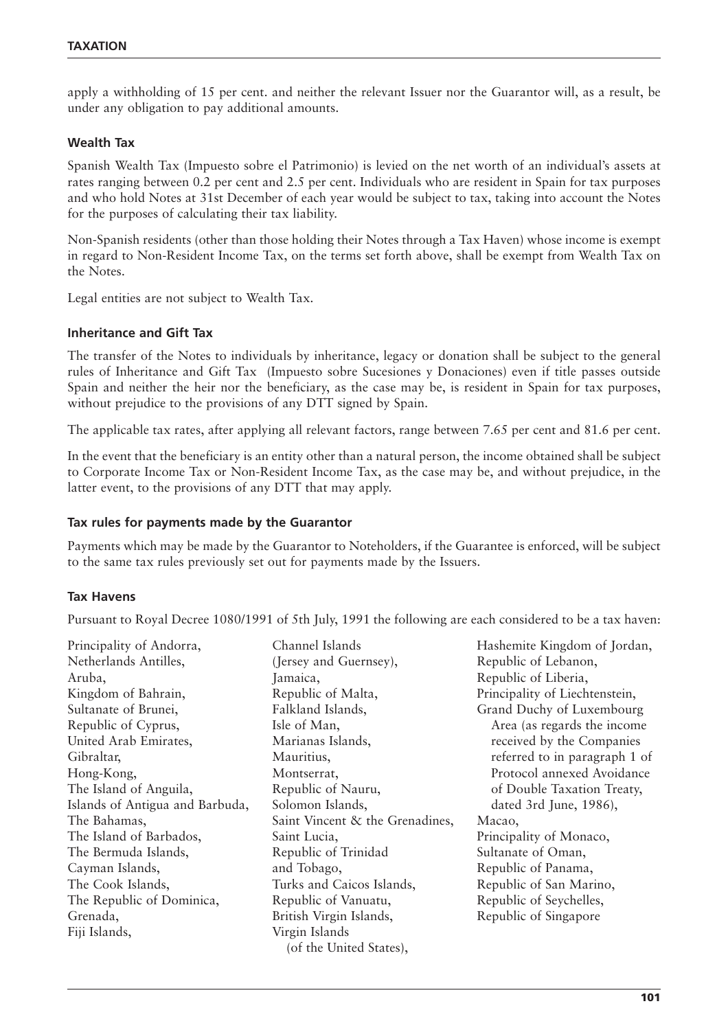apply a withholding of 15 per cent. and neither the relevant Issuer nor the Guarantor will, as a result, be under any obligation to pay additional amounts.

## **Wealth Tax**

Spanish Wealth Tax (Impuesto sobre el Patrimonio) is levied on the net worth of an individual's assets at rates ranging between 0.2 per cent and 2.5 per cent. Individuals who are resident in Spain for tax purposes and who hold Notes at 31st December of each year would be subject to tax, taking into account the Notes for the purposes of calculating their tax liability.

Non-Spanish residents (other than those holding their Notes through a Tax Haven) whose income is exempt in regard to Non-Resident Income Tax, on the terms set forth above, shall be exempt from Wealth Tax on the Notes.

Legal entities are not subject to Wealth Tax.

#### **Inheritance and Gift Tax**

The transfer of the Notes to individuals by inheritance, legacy or donation shall be subject to the general rules of Inheritance and Gift Tax (Impuesto sobre Sucesiones y Donaciones) even if title passes outside Spain and neither the heir nor the beneficiary, as the case may be, is resident in Spain for tax purposes, without prejudice to the provisions of any DTT signed by Spain.

The applicable tax rates, after applying all relevant factors, range between 7.65 per cent and 81.6 per cent.

In the event that the beneficiary is an entity other than a natural person, the income obtained shall be subject to Corporate Income Tax or Non-Resident Income Tax, as the case may be, and without prejudice, in the latter event, to the provisions of any DTT that may apply.

#### **Tax rules for payments made by the Guarantor**

Payments which may be made by the Guarantor to Noteholders, if the Guarantee is enforced, will be subject to the same tax rules previously set out for payments made by the Issuers.

#### **Tax Havens**

Pursuant to Royal Decree 1080/1991 of 5th July, 1991 the following are each considered to be a tax haven:

| Principality of Andorra,        | Channel Islands                 | Hashemite Kingdom of Jordan,   |
|---------------------------------|---------------------------------|--------------------------------|
| Netherlands Antilles,           | (Jersey and Guernsey),          | Republic of Lebanon,           |
| Aruba,                          | Jamaica,                        | Republic of Liberia,           |
| Kingdom of Bahrain,             | Republic of Malta,              | Principality of Liechtenstein, |
| Sultanate of Brunei,            | Falkland Islands,               | Grand Duchy of Luxembourg      |
| Republic of Cyprus,             | Isle of Man,                    | Area (as regards the income    |
| United Arab Emirates,           | Marianas Islands,               | received by the Companies      |
| Gibraltar,                      | Mauritius,                      | referred to in paragraph 1 of  |
| Hong-Kong,                      | Montserrat,                     | Protocol annexed Avoidance     |
| The Island of Anguila,          | Republic of Nauru,              | of Double Taxation Treaty,     |
| Islands of Antigua and Barbuda, | Solomon Islands,                | dated 3rd June, 1986),         |
| The Bahamas,                    | Saint Vincent & the Grenadines, | Macao,                         |
| The Island of Barbados,         | Saint Lucia,                    | Principality of Monaco,        |
| The Bermuda Islands,            | Republic of Trinidad            | Sultanate of Oman,             |
| Cayman Islands,                 | and Tobago,                     | Republic of Panama,            |
| The Cook Islands,               | Turks and Caicos Islands,       | Republic of San Marino,        |
| The Republic of Dominica,       | Republic of Vanuatu,            | Republic of Seychelles,        |
| Grenada,                        | British Virgin Islands,         | Republic of Singapore          |
| Fiji Islands,                   | Virgin Islands                  |                                |
|                                 | (of the United States),         |                                |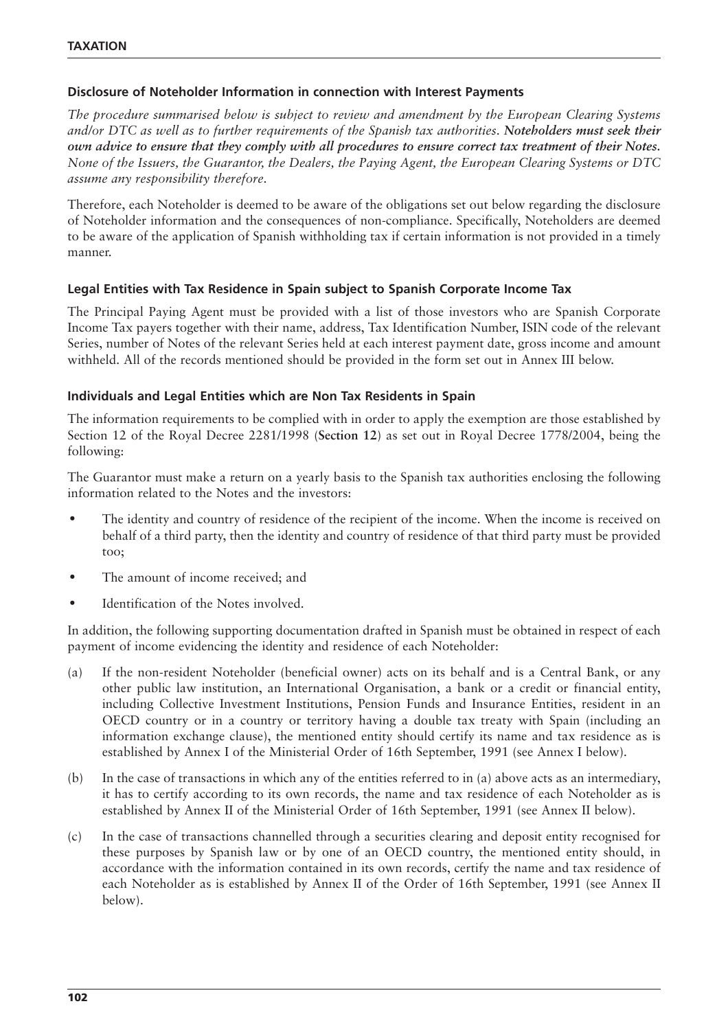## **Disclosure of Noteholder Information in connection with Interest Payments**

*The procedure summarised below is subject to review and amendment by the European Clearing Systems and/or DTC as well as to further requirements of the Spanish tax authorities. Noteholders must seek their own advice to ensure that they comply with all procedures to ensure correct tax treatment of their Notes. None of the Issuers, the Guarantor, the Dealers, the Paying Agent, the European Clearing Systems or DTC assume any responsibility therefore.*

Therefore, each Noteholder is deemed to be aware of the obligations set out below regarding the disclosure of Noteholder information and the consequences of non-compliance. Specifically, Noteholders are deemed to be aware of the application of Spanish withholding tax if certain information is not provided in a timely manner.

## **Legal Entities with Tax Residence in Spain subject to Spanish Corporate Income Tax**

The Principal Paying Agent must be provided with a list of those investors who are Spanish Corporate Income Tax payers together with their name, address, Tax Identification Number, ISIN code of the relevant Series, number of Notes of the relevant Series held at each interest payment date, gross income and amount withheld. All of the records mentioned should be provided in the form set out in Annex III below.

#### **Individuals and Legal Entities which are Non Tax Residents in Spain**

The information requirements to be complied with in order to apply the exemption are those established by Section 12 of the Royal Decree 2281/1998 (**Section 12**) as set out in Royal Decree 1778/2004, being the following:

The Guarantor must make a return on a yearly basis to the Spanish tax authorities enclosing the following information related to the Notes and the investors:

- The identity and country of residence of the recipient of the income. When the income is received on behalf of a third party, then the identity and country of residence of that third party must be provided too;
- The amount of income received; and
- Identification of the Notes involved.

In addition, the following supporting documentation drafted in Spanish must be obtained in respect of each payment of income evidencing the identity and residence of each Noteholder:

- (a) If the non-resident Noteholder (beneficial owner) acts on its behalf and is a Central Bank, or any other public law institution, an International Organisation, a bank or a credit or financial entity, including Collective Investment Institutions, Pension Funds and Insurance Entities, resident in an OECD country or in a country or territory having a double tax treaty with Spain (including an information exchange clause), the mentioned entity should certify its name and tax residence as is established by Annex I of the Ministerial Order of 16th September, 1991 (see Annex I below).
- (b) In the case of transactions in which any of the entities referred to in (a) above acts as an intermediary, it has to certify according to its own records, the name and tax residence of each Noteholder as is established by Annex II of the Ministerial Order of 16th September, 1991 (see Annex II below).
- (c) In the case of transactions channelled through a securities clearing and deposit entity recognised for these purposes by Spanish law or by one of an OECD country, the mentioned entity should, in accordance with the information contained in its own records, certify the name and tax residence of each Noteholder as is established by Annex II of the Order of 16th September, 1991 (see Annex II below).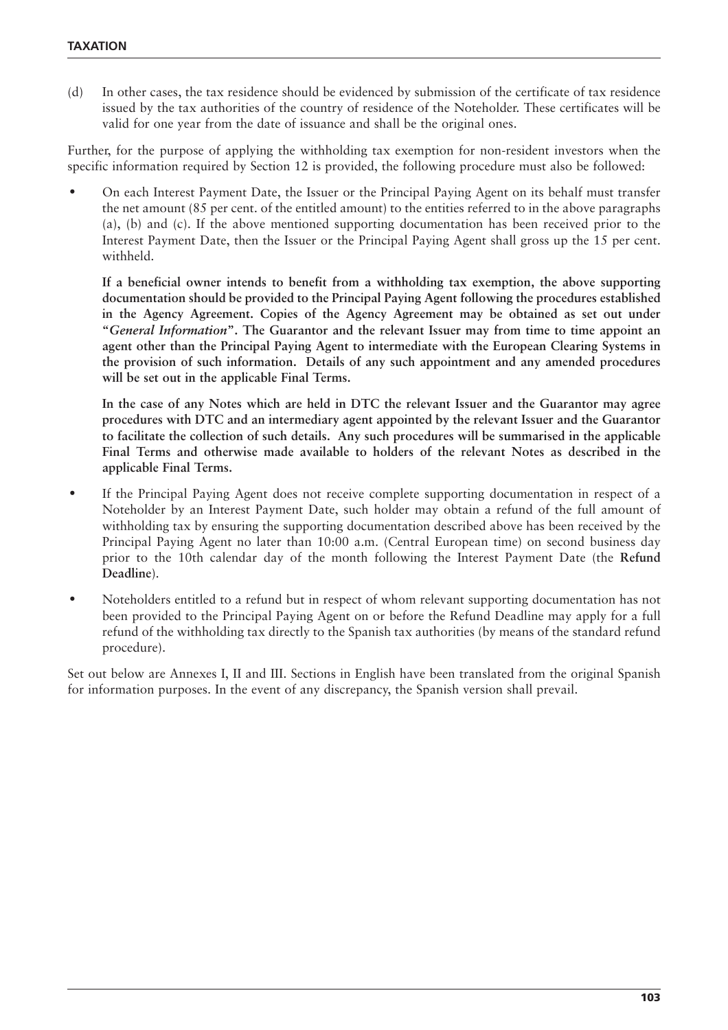(d) In other cases, the tax residence should be evidenced by submission of the certificate of tax residence issued by the tax authorities of the country of residence of the Noteholder. These certificates will be valid for one year from the date of issuance and shall be the original ones.

Further, for the purpose of applying the withholding tax exemption for non-resident investors when the specific information required by Section 12 is provided, the following procedure must also be followed:

• On each Interest Payment Date, the Issuer or the Principal Paying Agent on its behalf must transfer the net amount (85 per cent. of the entitled amount) to the entities referred to in the above paragraphs (a), (b) and (c). If the above mentioned supporting documentation has been received prior to the Interest Payment Date, then the Issuer or the Principal Paying Agent shall gross up the 15 per cent. withheld.

**If a beneficial owner intends to benefit from a withholding tax exemption, the above supporting documentation should be provided to the Principal Paying Agent following the procedures established in the Agency Agreement. Copies of the Agency Agreement may be obtained as set out under "***General Information***". The Guarantor and the relevant Issuer may from time to time appoint an agent other than the Principal Paying Agent to intermediate with the European Clearing Systems in the provision of such information. Details of any such appointment and any amended procedures will be set out in the applicable Final Terms.**

**In the case of any Notes which are held in DTC the relevant Issuer and the Guarantor may agree procedures with DTC and an intermediary agent appointed by the relevant Issuer and the Guarantor to facilitate the collection of such details. Any such procedures will be summarised in the applicable Final Terms and otherwise made available to holders of the relevant Notes as described in the applicable Final Terms.**

- If the Principal Paying Agent does not receive complete supporting documentation in respect of a Noteholder by an Interest Payment Date, such holder may obtain a refund of the full amount of withholding tax by ensuring the supporting documentation described above has been received by the Principal Paying Agent no later than 10:00 a.m. (Central European time) on second business day prior to the 10th calendar day of the month following the Interest Payment Date (the **Refund Deadline**).
- Noteholders entitled to a refund but in respect of whom relevant supporting documentation has not been provided to the Principal Paying Agent on or before the Refund Deadline may apply for a full refund of the withholding tax directly to the Spanish tax authorities (by means of the standard refund procedure).

Set out below are Annexes I, II and III. Sections in English have been translated from the original Spanish for information purposes. In the event of any discrepancy, the Spanish version shall prevail.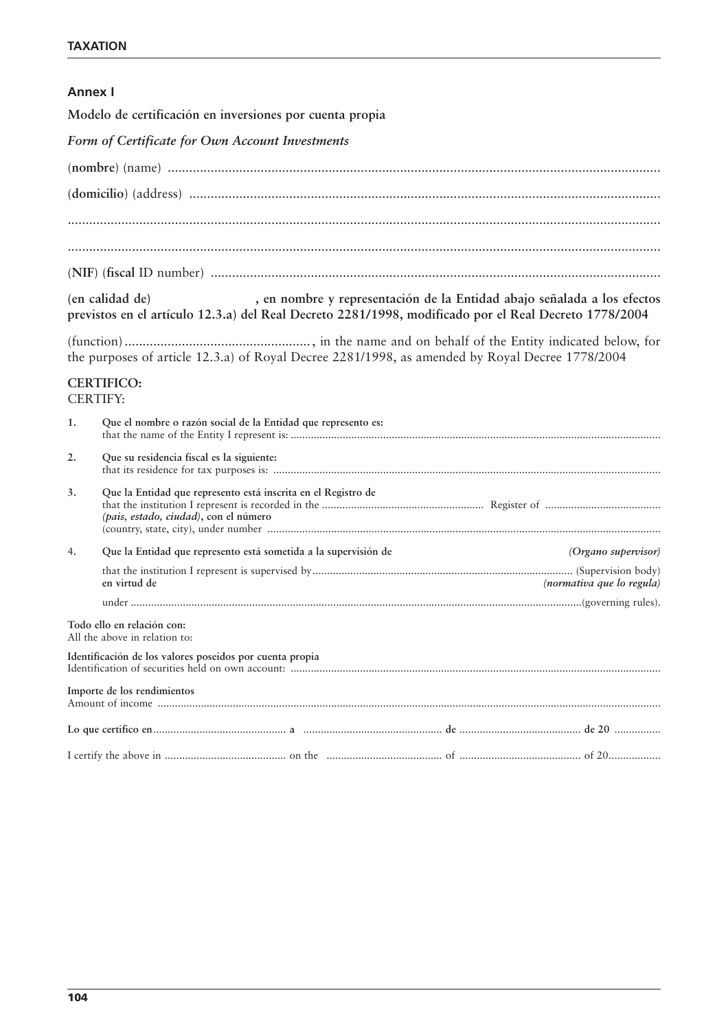## **Annex I**

**Modelo de certificación en inversiones por cuenta propia**

*Form of Certificate for Own Account Investments*

|    | (en calidad de)<br>, en nombre y representación de la Entidad abajo señalada a los efectos<br>previstos en el artículo 12.3.a) del Real Decreto 2281/1998, modificado por el Real Decreto 1778/2004 |                           |
|----|-----------------------------------------------------------------------------------------------------------------------------------------------------------------------------------------------------|---------------------------|
|    | the purposes of article 12.3.a) of Royal Decree 2281/1998, as amended by Royal Decree 1778/2004                                                                                                     |                           |
|    | <b>CERTIFICO:</b><br><b>CERTIFY:</b>                                                                                                                                                                |                           |
| 1. | Que el nombre o razón social de la Entidad que represento es:                                                                                                                                       |                           |
| 2. | Que su residencia fiscal es la siguiente:                                                                                                                                                           |                           |
| 3. | Que la Entidad que represento está inscrita en el Registro de<br>(pais, estado, ciudad), con el número                                                                                              |                           |
| 4. | Que la Entidad que represento está sometida a la supervisión de                                                                                                                                     | (Organo supervisor)       |
|    | en virtud de                                                                                                                                                                                        | (normativa que lo regula) |
|    |                                                                                                                                                                                                     |                           |
|    | Todo ello en relación con:<br>All the above in relation to:                                                                                                                                         |                           |
|    | Identificación de los valores poseidos por cuenta propia                                                                                                                                            |                           |
|    | Importe de los rendimientos                                                                                                                                                                         |                           |
|    |                                                                                                                                                                                                     |                           |
|    |                                                                                                                                                                                                     |                           |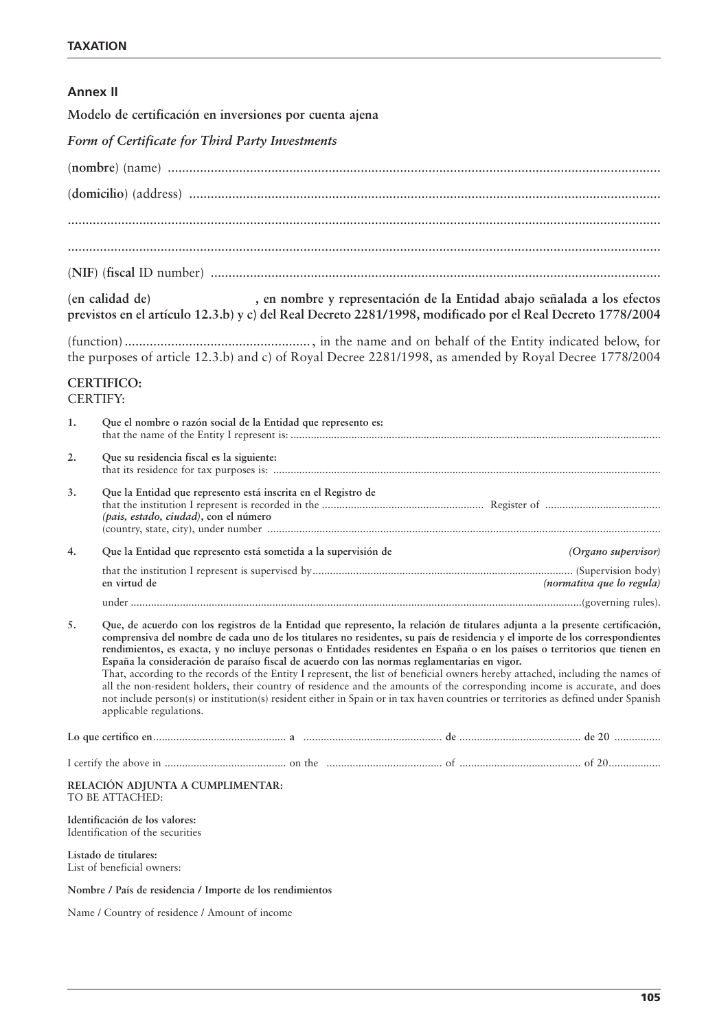## **Annex II**

**Modelo de certificación en inversiones por cuenta ajena**

|  |  |  |  |  |  |  | Form of Certificate for Third Party Investments |
|--|--|--|--|--|--|--|-------------------------------------------------|
|--|--|--|--|--|--|--|-------------------------------------------------|

**(en calidad de) , en nombre y representación de la Entidad abajo señalada a los efectos previstos en el artículo 12.3.b) y c) del Real Decreto 2281/1998, modificado por el Real Decreto 1778/2004**

(function) ...................................................., in the name and on behalf of the Entity indicated below, for the purposes of article 12.3.b) and c) of Royal Decree 2281/1998, as amended by Royal Decree 1778/2004

#### **CERTIFICO:** CERTIFY:

| 1. | Que el nombre o razón social de la Entidad que represento es:                                                                                                                                                                                                                                                                                                                                                                                                                                                                                                                                                                                                                                                                                                                                                                                                                                                                   |
|----|---------------------------------------------------------------------------------------------------------------------------------------------------------------------------------------------------------------------------------------------------------------------------------------------------------------------------------------------------------------------------------------------------------------------------------------------------------------------------------------------------------------------------------------------------------------------------------------------------------------------------------------------------------------------------------------------------------------------------------------------------------------------------------------------------------------------------------------------------------------------------------------------------------------------------------|
| 2. | Que su residencia fiscal es la siguiente:                                                                                                                                                                                                                                                                                                                                                                                                                                                                                                                                                                                                                                                                                                                                                                                                                                                                                       |
| 3. | Que la Entidad que represento está inscrita en el Registro de<br>(pais, estado, ciudad), con el número                                                                                                                                                                                                                                                                                                                                                                                                                                                                                                                                                                                                                                                                                                                                                                                                                          |
| 4. | Que la Entidad que represento está sometida a la supervisión de<br>(Organo supervisor)                                                                                                                                                                                                                                                                                                                                                                                                                                                                                                                                                                                                                                                                                                                                                                                                                                          |
|    | en virtud de<br>(normativa que lo regula)                                                                                                                                                                                                                                                                                                                                                                                                                                                                                                                                                                                                                                                                                                                                                                                                                                                                                       |
|    |                                                                                                                                                                                                                                                                                                                                                                                                                                                                                                                                                                                                                                                                                                                                                                                                                                                                                                                                 |
| 5. | Que, de acuerdo con los registros de la Entidad que represento, la relación de titulares adjunta a la presente certificación,<br>comprensiva del nombre de cada uno de los titulares no residentes, su país de residencia y el importe de los correspondientes<br>rendimientos, es exacta, y no incluye personas o Entidades residentes en España o en los países o territorios que tienen en<br>España la consideración de paraíso fiscal de acuerdo con las normas reglamentarias en vigor.<br>That, according to the records of the Entity I represent, the list of beneficial owners hereby attached, including the names of<br>all the non-resident holders, their country of residence and the amounts of the corresponding income is accurate, and does<br>not include person(s) or institution(s) resident either in Spain or in tax haven countries or territories as defined under Spanish<br>applicable regulations. |
|    |                                                                                                                                                                                                                                                                                                                                                                                                                                                                                                                                                                                                                                                                                                                                                                                                                                                                                                                                 |
|    |                                                                                                                                                                                                                                                                                                                                                                                                                                                                                                                                                                                                                                                                                                                                                                                                                                                                                                                                 |
|    | RELACIÓN ADJUNTA A CUMPLIMENTAR:<br>TO BE ATTACHED:                                                                                                                                                                                                                                                                                                                                                                                                                                                                                                                                                                                                                                                                                                                                                                                                                                                                             |
|    | Identificación de los valores:<br>Identification of the securities                                                                                                                                                                                                                                                                                                                                                                                                                                                                                                                                                                                                                                                                                                                                                                                                                                                              |
|    | Listado de titulares:<br>List of beneficial owners:                                                                                                                                                                                                                                                                                                                                                                                                                                                                                                                                                                                                                                                                                                                                                                                                                                                                             |

**Nombre / País de residencia / Importe de los rendimientos**

Name / Country of residence / Amount of income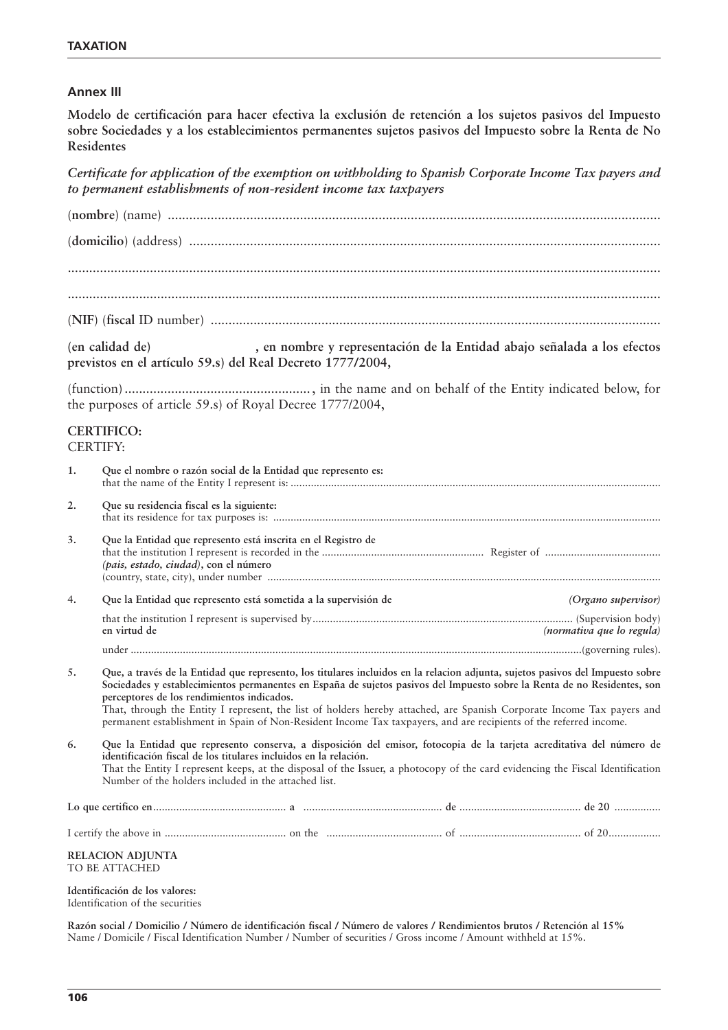#### **Annex III**

**Modelo de certificación para hacer efectiva la exclusión de retención a los sujetos pasivos del Impuesto sobre Sociedades y a los establecimientos permanentes sujetos pasivos del Impuesto sobre la Renta de No Residentes** 

*Certificate for application of the exemption on withholding to Spanish Corporate Income Tax payers and to permanent establishments of non-resident income tax taxpayers* 

|    | (en calidad de)<br>, en nombre y representación de la Entidad abajo señalada a los efectos<br>previstos en el artículo 59.s) del Real Decreto 1777/2004,                                                                                                                                                                                                                                                                                                                                                                                                |                           |  |  |
|----|---------------------------------------------------------------------------------------------------------------------------------------------------------------------------------------------------------------------------------------------------------------------------------------------------------------------------------------------------------------------------------------------------------------------------------------------------------------------------------------------------------------------------------------------------------|---------------------------|--|--|
|    | the purposes of article 59.s) of Royal Decree 1777/2004,                                                                                                                                                                                                                                                                                                                                                                                                                                                                                                |                           |  |  |
|    | <b>CERTIFICO:</b><br><b>CERTIFY:</b>                                                                                                                                                                                                                                                                                                                                                                                                                                                                                                                    |                           |  |  |
| 1. | Que el nombre o razón social de la Entidad que represento es:                                                                                                                                                                                                                                                                                                                                                                                                                                                                                           |                           |  |  |
| 2. | Que su residencia fiscal es la siguiente:                                                                                                                                                                                                                                                                                                                                                                                                                                                                                                               |                           |  |  |
| 3. | Que la Entidad que represento está inscrita en el Registro de<br>(pais, estado, ciudad), con el número                                                                                                                                                                                                                                                                                                                                                                                                                                                  |                           |  |  |
| 4. | Que la Entidad que represento está sometida a la supervisión de                                                                                                                                                                                                                                                                                                                                                                                                                                                                                         | (Organo supervisor)       |  |  |
|    | en virtud de                                                                                                                                                                                                                                                                                                                                                                                                                                                                                                                                            | (normativa que lo regula) |  |  |
|    |                                                                                                                                                                                                                                                                                                                                                                                                                                                                                                                                                         |                           |  |  |
| 5. | Que, a través de la Entidad que represento, los titulares incluidos en la relacion adjunta, sujetos pasivos del Impuesto sobre<br>Sociedades y establecimientos permanentes en España de sujetos pasivos del Impuesto sobre la Renta de no Residentes, son<br>perceptores de los rendimientos indicados.<br>That, through the Entity I represent, the list of holders hereby attached, are Spanish Corporate Income Tax payers and<br>permanent establishment in Spain of Non-Resident Income Tax taxpayers, and are recipients of the referred income. |                           |  |  |
| 6. | Que la Entidad que represento conserva, a disposición del emisor, fotocopia de la tarjeta acreditativa del número de<br>identificación fiscal de los titulares incluidos en la relación.<br>That the Entity I represent keeps, at the disposal of the Issuer, a photocopy of the card evidencing the Fiscal Identification<br>Number of the holders included in the attached list.                                                                                                                                                                      |                           |  |  |
|    |                                                                                                                                                                                                                                                                                                                                                                                                                                                                                                                                                         |                           |  |  |
|    |                                                                                                                                                                                                                                                                                                                                                                                                                                                                                                                                                         |                           |  |  |
|    | <b>RELACION ADJUNTA</b><br>TO BE ATTACHED                                                                                                                                                                                                                                                                                                                                                                                                                                                                                                               |                           |  |  |
|    | Identificación de los valores:<br>Identification of the securities                                                                                                                                                                                                                                                                                                                                                                                                                                                                                      |                           |  |  |

**Razón social / Domicilio / Número de identificación fiscal / Número de valores / Rendimientos brutos / Retención al 15%** Name / Domicile / Fiscal Identification Number / Number of securities / Gross income / Amount withheld at 15%.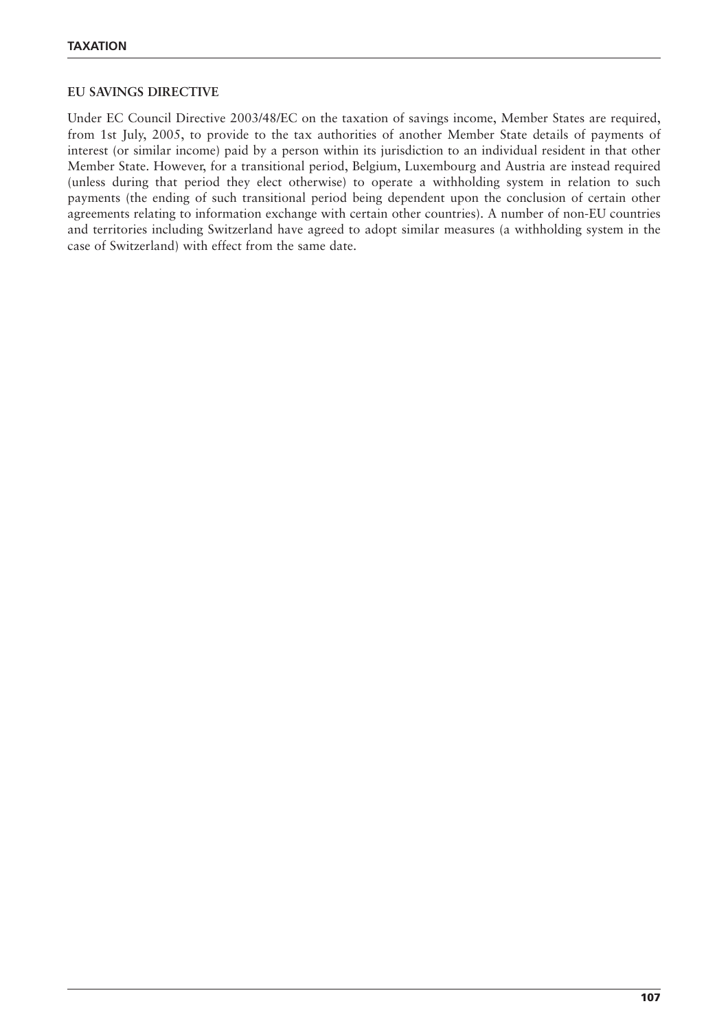#### **EU SAVINGS DIRECTIVE**

Under EC Council Directive 2003/48/EC on the taxation of savings income, Member States are required, from 1st July, 2005, to provide to the tax authorities of another Member State details of payments of interest (or similar income) paid by a person within its jurisdiction to an individual resident in that other Member State. However, for a transitional period, Belgium, Luxembourg and Austria are instead required (unless during that period they elect otherwise) to operate a withholding system in relation to such payments (the ending of such transitional period being dependent upon the conclusion of certain other agreements relating to information exchange with certain other countries). A number of non-EU countries and territories including Switzerland have agreed to adopt similar measures (a withholding system in the case of Switzerland) with effect from the same date.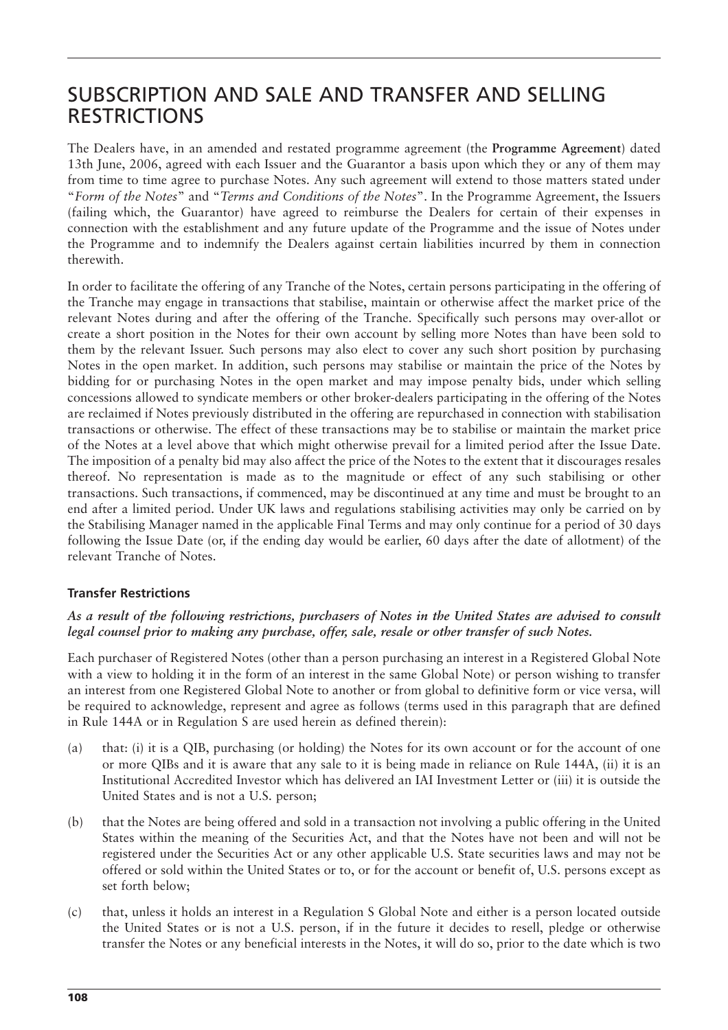## SUBSCRIPTION AND SALE AND TRANSFER AND SELLING RESTRICTIONS

The Dealers have, in an amended and restated programme agreement (the **Programme Agreement**) dated 13th June, 2006, agreed with each Issuer and the Guarantor a basis upon which they or any of them may from time to time agree to purchase Notes. Any such agreement will extend to those matters stated under "*Form of the Notes*" and "*Terms and Conditions of the Notes*". In the Programme Agreement, the Issuers (failing which, the Guarantor) have agreed to reimburse the Dealers for certain of their expenses in connection with the establishment and any future update of the Programme and the issue of Notes under the Programme and to indemnify the Dealers against certain liabilities incurred by them in connection therewith.

In order to facilitate the offering of any Tranche of the Notes, certain persons participating in the offering of the Tranche may engage in transactions that stabilise, maintain or otherwise affect the market price of the relevant Notes during and after the offering of the Tranche. Specifically such persons may over-allot or create a short position in the Notes for their own account by selling more Notes than have been sold to them by the relevant Issuer. Such persons may also elect to cover any such short position by purchasing Notes in the open market. In addition, such persons may stabilise or maintain the price of the Notes by bidding for or purchasing Notes in the open market and may impose penalty bids, under which selling concessions allowed to syndicate members or other broker-dealers participating in the offering of the Notes are reclaimed if Notes previously distributed in the offering are repurchased in connection with stabilisation transactions or otherwise. The effect of these transactions may be to stabilise or maintain the market price of the Notes at a level above that which might otherwise prevail for a limited period after the Issue Date. The imposition of a penalty bid may also affect the price of the Notes to the extent that it discourages resales thereof. No representation is made as to the magnitude or effect of any such stabilising or other transactions. Such transactions, if commenced, may be discontinued at any time and must be brought to an end after a limited period. Under UK laws and regulations stabilising activities may only be carried on by the Stabilising Manager named in the applicable Final Terms and may only continue for a period of 30 days following the Issue Date (or, if the ending day would be earlier, 60 days after the date of allotment) of the relevant Tranche of Notes.

## **Transfer Restrictions**

## *As a result of the following restrictions, purchasers of Notes in the United States are advised to consult legal counsel prior to making any purchase, offer, sale, resale or other transfer of such Notes.*

Each purchaser of Registered Notes (other than a person purchasing an interest in a Registered Global Note with a view to holding it in the form of an interest in the same Global Note) or person wishing to transfer an interest from one Registered Global Note to another or from global to definitive form or vice versa, will be required to acknowledge, represent and agree as follows (terms used in this paragraph that are defined in Rule 144A or in Regulation S are used herein as defined therein):

- (a) that: (i) it is a QIB, purchasing (or holding) the Notes for its own account or for the account of one or more QIBs and it is aware that any sale to it is being made in reliance on Rule 144A, (ii) it is an Institutional Accredited Investor which has delivered an IAI Investment Letter or (iii) it is outside the United States and is not a U.S. person;
- (b) that the Notes are being offered and sold in a transaction not involving a public offering in the United States within the meaning of the Securities Act, and that the Notes have not been and will not be registered under the Securities Act or any other applicable U.S. State securities laws and may not be offered or sold within the United States or to, or for the account or benefit of, U.S. persons except as set forth below;
- (c) that, unless it holds an interest in a Regulation S Global Note and either is a person located outside the United States or is not a U.S. person, if in the future it decides to resell, pledge or otherwise transfer the Notes or any beneficial interests in the Notes, it will do so, prior to the date which is two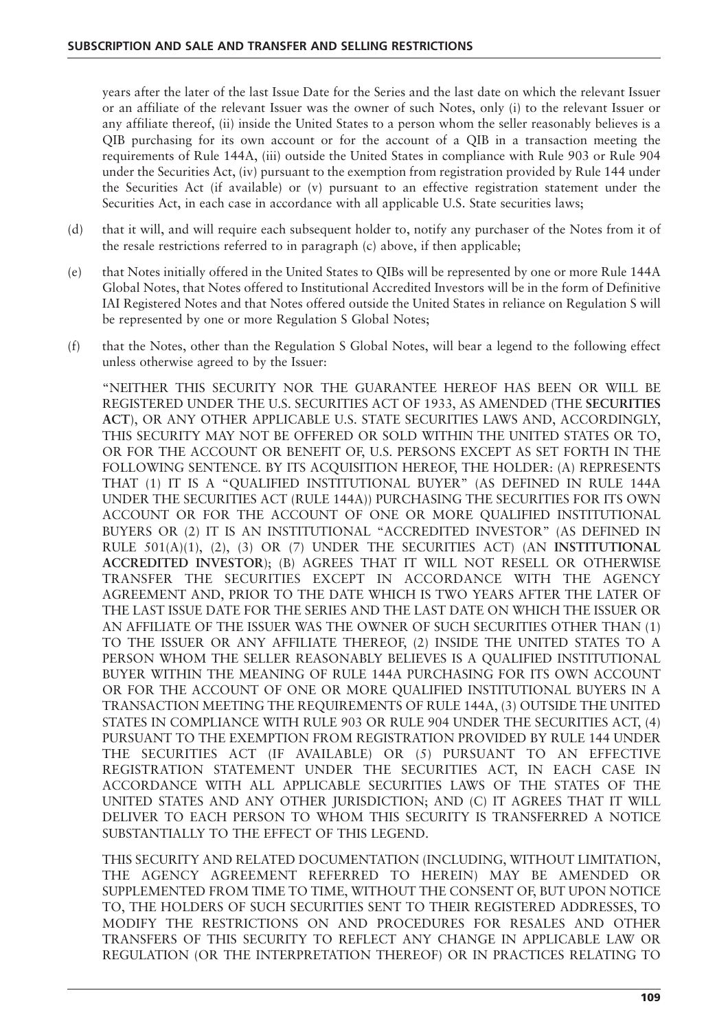years after the later of the last Issue Date for the Series and the last date on which the relevant Issuer or an affiliate of the relevant Issuer was the owner of such Notes, only (i) to the relevant Issuer or any affiliate thereof, (ii) inside the United States to a person whom the seller reasonably believes is a QIB purchasing for its own account or for the account of a QIB in a transaction meeting the requirements of Rule 144A, (iii) outside the United States in compliance with Rule 903 or Rule 904 under the Securities Act, (iv) pursuant to the exemption from registration provided by Rule 144 under the Securities Act (if available) or (v) pursuant to an effective registration statement under the Securities Act, in each case in accordance with all applicable U.S. State securities laws;

- (d) that it will, and will require each subsequent holder to, notify any purchaser of the Notes from it of the resale restrictions referred to in paragraph (c) above, if then applicable;
- (e) that Notes initially offered in the United States to QIBs will be represented by one or more Rule 144A Global Notes, that Notes offered to Institutional Accredited Investors will be in the form of Definitive IAI Registered Notes and that Notes offered outside the United States in reliance on Regulation S will be represented by one or more Regulation S Global Notes;
- (f) that the Notes, other than the Regulation S Global Notes, will bear a legend to the following effect unless otherwise agreed to by the Issuer:

"NEITHER THIS SECURITY NOR THE GUARANTEE HEREOF HAS BEEN OR WILL BE REGISTERED UNDER THE U.S. SECURITIES ACT OF 1933, AS AMENDED (THE **SECURITIES ACT**), OR ANY OTHER APPLICABLE U.S. STATE SECURITIES LAWS AND, ACCORDINGLY, THIS SECURITY MAY NOT BE OFFERED OR SOLD WITHIN THE UNITED STATES OR TO, OR FOR THE ACCOUNT OR BENEFIT OF, U.S. PERSONS EXCEPT AS SET FORTH IN THE FOLLOWING SENTENCE. BY ITS ACQUISITION HEREOF, THE HOLDER: (A) REPRESENTS THAT (1) IT IS A "QUALIFIED INSTITUTIONAL BUYER" (AS DEFINED IN RULE 144A UNDER THE SECURITIES ACT (RULE 144A)) PURCHASING THE SECURITIES FOR ITS OWN ACCOUNT OR FOR THE ACCOUNT OF ONE OR MORE QUALIFIED INSTITUTIONAL BUYERS OR (2) IT IS AN INSTITUTIONAL "ACCREDITED INVESTOR" (AS DEFINED IN RULE 501(A)(1), (2), (3) OR (7) UNDER THE SECURITIES ACT) (AN **INSTITUTIONAL ACCREDITED INVESTOR**); (B) AGREES THAT IT WILL NOT RESELL OR OTHERWISE TRANSFER THE SECURITIES EXCEPT IN ACCORDANCE WITH THE AGENCY AGREEMENT AND, PRIOR TO THE DATE WHICH IS TWO YEARS AFTER THE LATER OF THE LAST ISSUE DATE FOR THE SERIES AND THE LAST DATE ON WHICH THE ISSUER OR AN AFFILIATE OF THE ISSUER WAS THE OWNER OF SUCH SECURITIES OTHER THAN (1) TO THE ISSUER OR ANY AFFILIATE THEREOF, (2) INSIDE THE UNITED STATES TO A PERSON WHOM THE SELLER REASONABLY BELIEVES IS A QUALIFIED INSTITUTIONAL BUYER WITHIN THE MEANING OF RULE 144A PURCHASING FOR ITS OWN ACCOUNT OR FOR THE ACCOUNT OF ONE OR MORE QUALIFIED INSTITUTIONAL BUYERS IN A TRANSACTION MEETING THE REQUIREMENTS OF RULE 144A, (3) OUTSIDE THE UNITED STATES IN COMPLIANCE WITH RULE 903 OR RULE 904 UNDER THE SECURITIES ACT, (4) PURSUANT TO THE EXEMPTION FROM REGISTRATION PROVIDED BY RULE 144 UNDER THE SECURITIES ACT (IF AVAILABLE) OR (5) PURSUANT TO AN EFFECTIVE REGISTRATION STATEMENT UNDER THE SECURITIES ACT, IN EACH CASE IN ACCORDANCE WITH ALL APPLICABLE SECURITIES LAWS OF THE STATES OF THE UNITED STATES AND ANY OTHER JURISDICTION; AND (C) IT AGREES THAT IT WILL DELIVER TO EACH PERSON TO WHOM THIS SECURITY IS TRANSFERRED A NOTICE SUBSTANTIALLY TO THE EFFECT OF THIS LEGEND.

THIS SECURITY AND RELATED DOCUMENTATION (INCLUDING, WITHOUT LIMITATION, THE AGENCY AGREEMENT REFERRED TO HEREIN) MAY BE AMENDED OR SUPPLEMENTED FROM TIME TO TIME, WITHOUT THE CONSENT OF, BUT UPON NOTICE TO, THE HOLDERS OF SUCH SECURITIES SENT TO THEIR REGISTERED ADDRESSES, TO MODIFY THE RESTRICTIONS ON AND PROCEDURES FOR RESALES AND OTHER TRANSFERS OF THIS SECURITY TO REFLECT ANY CHANGE IN APPLICABLE LAW OR REGULATION (OR THE INTERPRETATION THEREOF) OR IN PRACTICES RELATING TO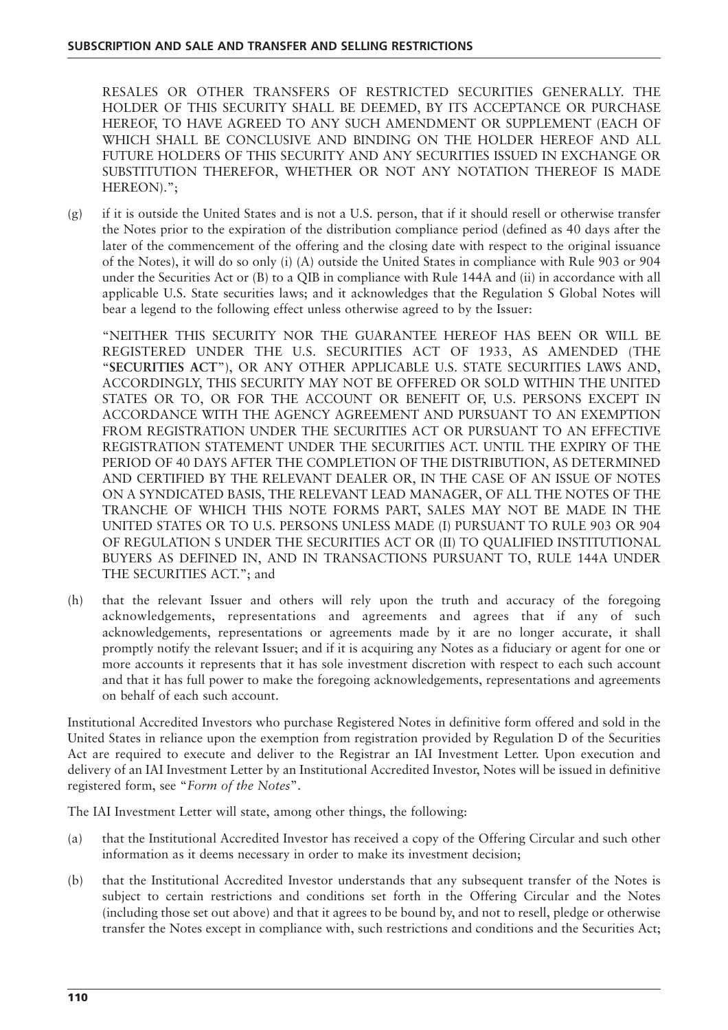RESALES OR OTHER TRANSFERS OF RESTRICTED SECURITIES GENERALLY. THE HOLDER OF THIS SECURITY SHALL BE DEEMED, BY ITS ACCEPTANCE OR PURCHASE HEREOF, TO HAVE AGREED TO ANY SUCH AMENDMENT OR SUPPLEMENT (EACH OF WHICH SHALL BE CONCLUSIVE AND BINDING ON THE HOLDER HEREOF AND ALL FUTURE HOLDERS OF THIS SECURITY AND ANY SECURITIES ISSUED IN EXCHANGE OR SUBSTITUTION THEREFOR, WHETHER OR NOT ANY NOTATION THEREOF IS MADE HEREON).";

(g) if it is outside the United States and is not a U.S. person, that if it should resell or otherwise transfer the Notes prior to the expiration of the distribution compliance period (defined as 40 days after the later of the commencement of the offering and the closing date with respect to the original issuance of the Notes), it will do so only (i) (A) outside the United States in compliance with Rule 903 or 904 under the Securities Act or (B) to a QIB in compliance with Rule 144A and (ii) in accordance with all applicable U.S. State securities laws; and it acknowledges that the Regulation S Global Notes will bear a legend to the following effect unless otherwise agreed to by the Issuer:

"NEITHER THIS SECURITY NOR THE GUARANTEE HEREOF HAS BEEN OR WILL BE REGISTERED UNDER THE U.S. SECURITIES ACT OF 1933, AS AMENDED (THE "**SECURITIES ACT**"), OR ANY OTHER APPLICABLE U.S. STATE SECURITIES LAWS AND, ACCORDINGLY, THIS SECURITY MAY NOT BE OFFERED OR SOLD WITHIN THE UNITED STATES OR TO, OR FOR THE ACCOUNT OR BENEFIT OF, U.S. PERSONS EXCEPT IN ACCORDANCE WITH THE AGENCY AGREEMENT AND PURSUANT TO AN EXEMPTION FROM REGISTRATION UNDER THE SECURITIES ACT OR PURSUANT TO AN EFFECTIVE REGISTRATION STATEMENT UNDER THE SECURITIES ACT. UNTIL THE EXPIRY OF THE PERIOD OF 40 DAYS AFTER THE COMPLETION OF THE DISTRIBUTION, AS DETERMINED AND CERTIFIED BY THE RELEVANT DEALER OR, IN THE CASE OF AN ISSUE OF NOTES ON A SYNDICATED BASIS, THE RELEVANT LEAD MANAGER, OF ALL THE NOTES OF THE TRANCHE OF WHICH THIS NOTE FORMS PART, SALES MAY NOT BE MADE IN THE UNITED STATES OR TO U.S. PERSONS UNLESS MADE (I) PURSUANT TO RULE 903 OR 904 OF REGULATION S UNDER THE SECURITIES ACT OR (II) TO QUALIFIED INSTITUTIONAL BUYERS AS DEFINED IN, AND IN TRANSACTIONS PURSUANT TO, RULE 144A UNDER THE SECURITIES ACT."; and

(h) that the relevant Issuer and others will rely upon the truth and accuracy of the foregoing acknowledgements, representations and agreements and agrees that if any of such acknowledgements, representations or agreements made by it are no longer accurate, it shall promptly notify the relevant Issuer; and if it is acquiring any Notes as a fiduciary or agent for one or more accounts it represents that it has sole investment discretion with respect to each such account and that it has full power to make the foregoing acknowledgements, representations and agreements on behalf of each such account.

Institutional Accredited Investors who purchase Registered Notes in definitive form offered and sold in the United States in reliance upon the exemption from registration provided by Regulation D of the Securities Act are required to execute and deliver to the Registrar an IAI Investment Letter. Upon execution and delivery of an IAI Investment Letter by an Institutional Accredited Investor, Notes will be issued in definitive registered form, see "*Form of the Notes*".

The IAI Investment Letter will state, among other things, the following:

- (a) that the Institutional Accredited Investor has received a copy of the Offering Circular and such other information as it deems necessary in order to make its investment decision;
- (b) that the Institutional Accredited Investor understands that any subsequent transfer of the Notes is subject to certain restrictions and conditions set forth in the Offering Circular and the Notes (including those set out above) and that it agrees to be bound by, and not to resell, pledge or otherwise transfer the Notes except in compliance with, such restrictions and conditions and the Securities Act;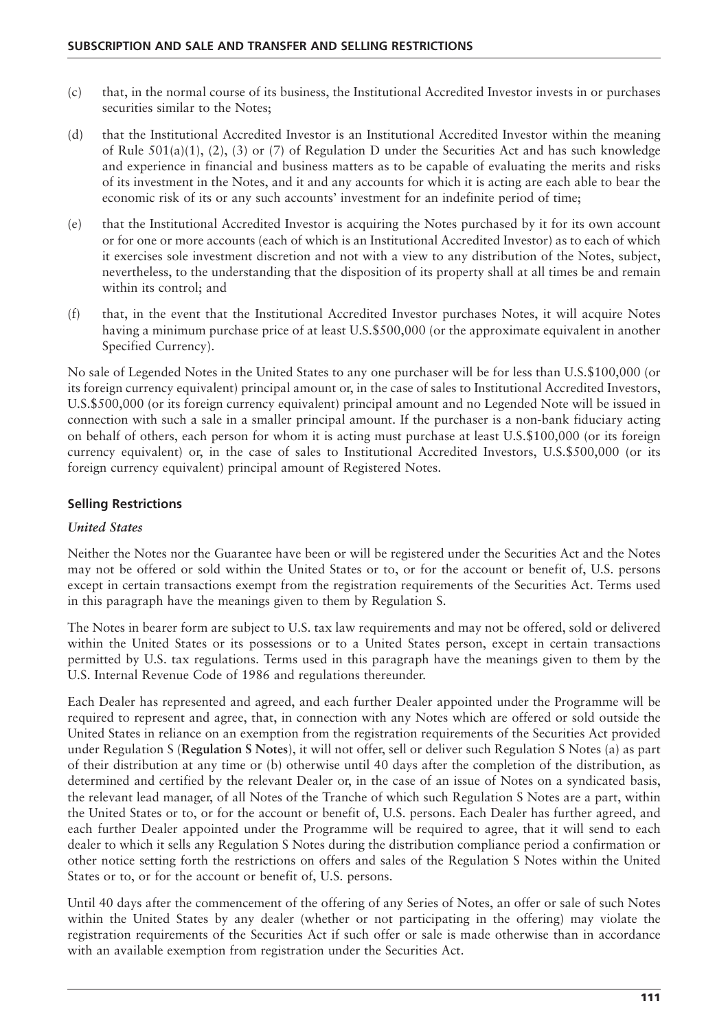- (c) that, in the normal course of its business, the Institutional Accredited Investor invests in or purchases securities similar to the Notes;
- (d) that the Institutional Accredited Investor is an Institutional Accredited Investor within the meaning of Rule  $501(a)(1)$ , (2), (3) or (7) of Regulation D under the Securities Act and has such knowledge and experience in financial and business matters as to be capable of evaluating the merits and risks of its investment in the Notes, and it and any accounts for which it is acting are each able to bear the economic risk of its or any such accounts' investment for an indefinite period of time;
- (e) that the Institutional Accredited Investor is acquiring the Notes purchased by it for its own account or for one or more accounts (each of which is an Institutional Accredited Investor) as to each of which it exercises sole investment discretion and not with a view to any distribution of the Notes, subject, nevertheless, to the understanding that the disposition of its property shall at all times be and remain within its control; and
- (f) that, in the event that the Institutional Accredited Investor purchases Notes, it will acquire Notes having a minimum purchase price of at least U.S.\$500,000 (or the approximate equivalent in another Specified Currency).

No sale of Legended Notes in the United States to any one purchaser will be for less than U.S.\$100,000 (or its foreign currency equivalent) principal amount or, in the case of sales to Institutional Accredited Investors, U.S.\$500,000 (or its foreign currency equivalent) principal amount and no Legended Note will be issued in connection with such a sale in a smaller principal amount. If the purchaser is a non-bank fiduciary acting on behalf of others, each person for whom it is acting must purchase at least U.S.\$100,000 (or its foreign currency equivalent) or, in the case of sales to Institutional Accredited Investors, U.S.\$500,000 (or its foreign currency equivalent) principal amount of Registered Notes.

#### **Selling Restrictions**

#### *United States*

Neither the Notes nor the Guarantee have been or will be registered under the Securities Act and the Notes may not be offered or sold within the United States or to, or for the account or benefit of, U.S. persons except in certain transactions exempt from the registration requirements of the Securities Act. Terms used in this paragraph have the meanings given to them by Regulation S.

The Notes in bearer form are subject to U.S. tax law requirements and may not be offered, sold or delivered within the United States or its possessions or to a United States person, except in certain transactions permitted by U.S. tax regulations. Terms used in this paragraph have the meanings given to them by the U.S. Internal Revenue Code of 1986 and regulations thereunder.

Each Dealer has represented and agreed, and each further Dealer appointed under the Programme will be required to represent and agree, that, in connection with any Notes which are offered or sold outside the United States in reliance on an exemption from the registration requirements of the Securities Act provided under Regulation S (**Regulation S Notes**), it will not offer, sell or deliver such Regulation S Notes (a) as part of their distribution at any time or (b) otherwise until 40 days after the completion of the distribution, as determined and certified by the relevant Dealer or, in the case of an issue of Notes on a syndicated basis, the relevant lead manager, of all Notes of the Tranche of which such Regulation S Notes are a part, within the United States or to, or for the account or benefit of, U.S. persons. Each Dealer has further agreed, and each further Dealer appointed under the Programme will be required to agree, that it will send to each dealer to which it sells any Regulation S Notes during the distribution compliance period a confirmation or other notice setting forth the restrictions on offers and sales of the Regulation S Notes within the United States or to, or for the account or benefit of, U.S. persons.

Until 40 days after the commencement of the offering of any Series of Notes, an offer or sale of such Notes within the United States by any dealer (whether or not participating in the offering) may violate the registration requirements of the Securities Act if such offer or sale is made otherwise than in accordance with an available exemption from registration under the Securities Act.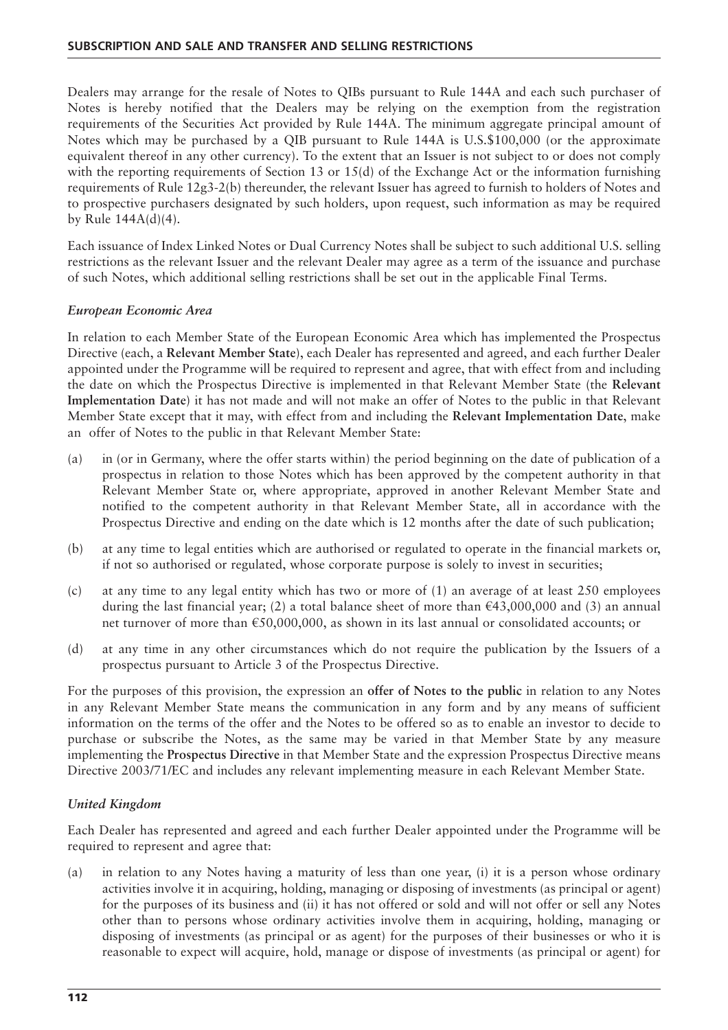Dealers may arrange for the resale of Notes to QIBs pursuant to Rule 144A and each such purchaser of Notes is hereby notified that the Dealers may be relying on the exemption from the registration requirements of the Securities Act provided by Rule 144A. The minimum aggregate principal amount of Notes which may be purchased by a QIB pursuant to Rule 144A is U.S.\$100,000 (or the approximate equivalent thereof in any other currency). To the extent that an Issuer is not subject to or does not comply with the reporting requirements of Section 13 or 15(d) of the Exchange Act or the information furnishing requirements of Rule 12g3-2(b) thereunder, the relevant Issuer has agreed to furnish to holders of Notes and to prospective purchasers designated by such holders, upon request, such information as may be required by Rule  $144A(d)(4)$ .

Each issuance of Index Linked Notes or Dual Currency Notes shall be subject to such additional U.S. selling restrictions as the relevant Issuer and the relevant Dealer may agree as a term of the issuance and purchase of such Notes, which additional selling restrictions shall be set out in the applicable Final Terms.

#### *European Economic Area*

In relation to each Member State of the European Economic Area which has implemented the Prospectus Directive (each, a **Relevant Member State**), each Dealer has represented and agreed, and each further Dealer appointed under the Programme will be required to represent and agree, that with effect from and including the date on which the Prospectus Directive is implemented in that Relevant Member State (the **Relevant Implementation Date**) it has not made and will not make an offer of Notes to the public in that Relevant Member State except that it may, with effect from and including the **Relevant Implementation Date**, make an offer of Notes to the public in that Relevant Member State:

- (a) in (or in Germany, where the offer starts within) the period beginning on the date of publication of a prospectus in relation to those Notes which has been approved by the competent authority in that Relevant Member State or, where appropriate, approved in another Relevant Member State and notified to the competent authority in that Relevant Member State, all in accordance with the Prospectus Directive and ending on the date which is 12 months after the date of such publication;
- (b) at any time to legal entities which are authorised or regulated to operate in the financial markets or, if not so authorised or regulated, whose corporate purpose is solely to invest in securities;
- (c) at any time to any legal entity which has two or more of (1) an average of at least 250 employees during the last financial year; (2) a total balance sheet of more than  $\epsilon$ 43,000,000 and (3) an annual net turnover of more than €50,000,000, as shown in its last annual or consolidated accounts; or
- (d) at any time in any other circumstances which do not require the publication by the Issuers of a prospectus pursuant to Article 3 of the Prospectus Directive.

For the purposes of this provision, the expression an **offer of Notes to the public** in relation to any Notes in any Relevant Member State means the communication in any form and by any means of sufficient information on the terms of the offer and the Notes to be offered so as to enable an investor to decide to purchase or subscribe the Notes, as the same may be varied in that Member State by any measure implementing the **Prospectus Directive** in that Member State and the expression Prospectus Directive means Directive 2003/71/EC and includes any relevant implementing measure in each Relevant Member State.

#### *United Kingdom*

Each Dealer has represented and agreed and each further Dealer appointed under the Programme will be required to represent and agree that:

(a) in relation to any Notes having a maturity of less than one year, (i) it is a person whose ordinary activities involve it in acquiring, holding, managing or disposing of investments (as principal or agent) for the purposes of its business and (ii) it has not offered or sold and will not offer or sell any Notes other than to persons whose ordinary activities involve them in acquiring, holding, managing or disposing of investments (as principal or as agent) for the purposes of their businesses or who it is reasonable to expect will acquire, hold, manage or dispose of investments (as principal or agent) for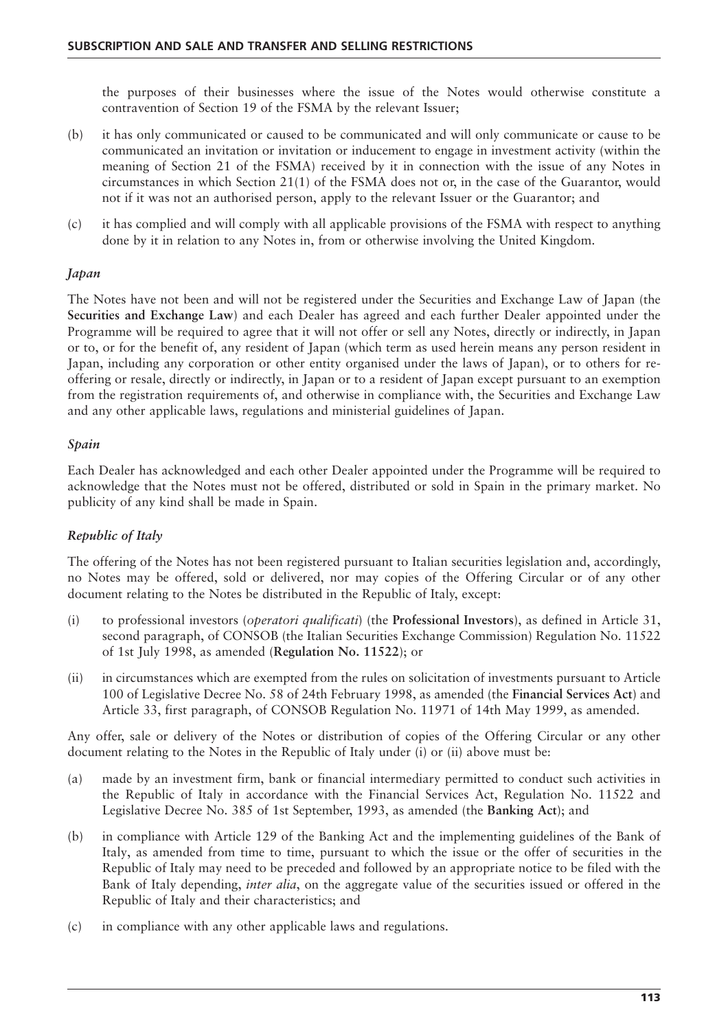the purposes of their businesses where the issue of the Notes would otherwise constitute a contravention of Section 19 of the FSMA by the relevant Issuer;

- (b) it has only communicated or caused to be communicated and will only communicate or cause to be communicated an invitation or invitation or inducement to engage in investment activity (within the meaning of Section 21 of the FSMA) received by it in connection with the issue of any Notes in circumstances in which Section 21(1) of the FSMA does not or, in the case of the Guarantor, would not if it was not an authorised person, apply to the relevant Issuer or the Guarantor; and
- (c) it has complied and will comply with all applicable provisions of the FSMA with respect to anything done by it in relation to any Notes in, from or otherwise involving the United Kingdom.

#### *Japan*

The Notes have not been and will not be registered under the Securities and Exchange Law of Japan (the **Securities and Exchange Law**) and each Dealer has agreed and each further Dealer appointed under the Programme will be required to agree that it will not offer or sell any Notes, directly or indirectly, in Japan or to, or for the benefit of, any resident of Japan (which term as used herein means any person resident in Japan, including any corporation or other entity organised under the laws of Japan), or to others for reoffering or resale, directly or indirectly, in Japan or to a resident of Japan except pursuant to an exemption from the registration requirements of, and otherwise in compliance with, the Securities and Exchange Law and any other applicable laws, regulations and ministerial guidelines of Japan.

#### *Spain*

Each Dealer has acknowledged and each other Dealer appointed under the Programme will be required to acknowledge that the Notes must not be offered, distributed or sold in Spain in the primary market. No publicity of any kind shall be made in Spain.

#### *Republic of Italy*

The offering of the Notes has not been registered pursuant to Italian securities legislation and, accordingly, no Notes may be offered, sold or delivered, nor may copies of the Offering Circular or of any other document relating to the Notes be distributed in the Republic of Italy, except:

- (i) to professional investors (*operatori qualificati*) (the **Professional Investors**), as defined in Article 31, second paragraph, of CONSOB (the Italian Securities Exchange Commission) Regulation No. 11522 of 1st July 1998, as amended (**Regulation No. 11522**); or
- (ii) in circumstances which are exempted from the rules on solicitation of investments pursuant to Article 100 of Legislative Decree No. 58 of 24th February 1998, as amended (the **Financial Services Act**) and Article 33, first paragraph, of CONSOB Regulation No. 11971 of 14th May 1999, as amended.

Any offer, sale or delivery of the Notes or distribution of copies of the Offering Circular or any other document relating to the Notes in the Republic of Italy under (i) or (ii) above must be:

- (a) made by an investment firm, bank or financial intermediary permitted to conduct such activities in the Republic of Italy in accordance with the Financial Services Act, Regulation No. 11522 and Legislative Decree No. 385 of 1st September, 1993, as amended (the **Banking Act**); and
- (b) in compliance with Article 129 of the Banking Act and the implementing guidelines of the Bank of Italy, as amended from time to time, pursuant to which the issue or the offer of securities in the Republic of Italy may need to be preceded and followed by an appropriate notice to be filed with the Bank of Italy depending, *inter alia*, on the aggregate value of the securities issued or offered in the Republic of Italy and their characteristics; and
- (c) in compliance with any other applicable laws and regulations.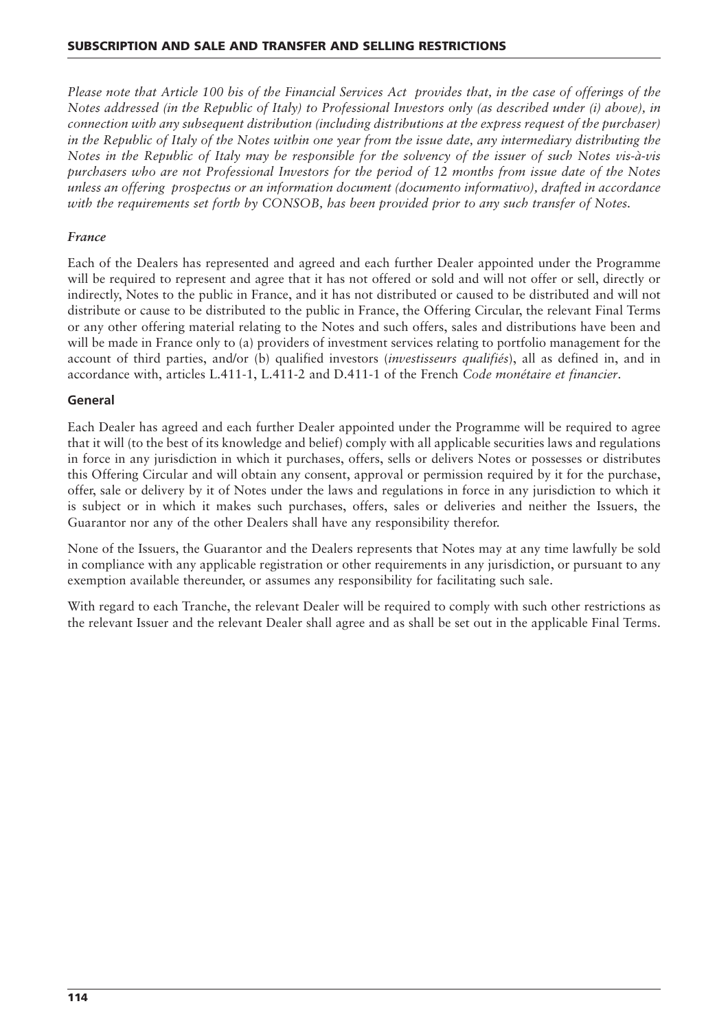*Please note that Article 100 bis of the Financial Services Act provides that, in the case of offerings of the Notes addressed (in the Republic of Italy) to Professional Investors only (as described under (i) above), in connection with any subsequent distribution (including distributions at the express request of the purchaser) in the Republic of Italy of the Notes within one year from the issue date, any intermediary distributing the Notes in the Republic of Italy may be responsible for the solvency of the issuer of such Notes vis-à-vis purchasers who are not Professional Investors for the period of 12 months from issue date of the Notes unless an offering prospectus or an information document (documento informativo), drafted in accordance with the requirements set forth by CONSOB, has been provided prior to any such transfer of Notes.*

#### *France*

Each of the Dealers has represented and agreed and each further Dealer appointed under the Programme will be required to represent and agree that it has not offered or sold and will not offer or sell, directly or indirectly, Notes to the public in France, and it has not distributed or caused to be distributed and will not distribute or cause to be distributed to the public in France, the Offering Circular, the relevant Final Terms or any other offering material relating to the Notes and such offers, sales and distributions have been and will be made in France only to (a) providers of investment services relating to portfolio management for the account of third parties, and/or (b) qualified investors (*investisseurs qualifiés*), all as defined in, and in accordance with, articles L.411-1, L.411-2 and D.411-1 of the French *Code monétaire et financier*.

#### **General**

Each Dealer has agreed and each further Dealer appointed under the Programme will be required to agree that it will (to the best of its knowledge and belief) comply with all applicable securities laws and regulations in force in any jurisdiction in which it purchases, offers, sells or delivers Notes or possesses or distributes this Offering Circular and will obtain any consent, approval or permission required by it for the purchase, offer, sale or delivery by it of Notes under the laws and regulations in force in any jurisdiction to which it is subject or in which it makes such purchases, offers, sales or deliveries and neither the Issuers, the Guarantor nor any of the other Dealers shall have any responsibility therefor.

None of the Issuers, the Guarantor and the Dealers represents that Notes may at any time lawfully be sold in compliance with any applicable registration or other requirements in any jurisdiction, or pursuant to any exemption available thereunder, or assumes any responsibility for facilitating such sale.

With regard to each Tranche, the relevant Dealer will be required to comply with such other restrictions as the relevant Issuer and the relevant Dealer shall agree and as shall be set out in the applicable Final Terms.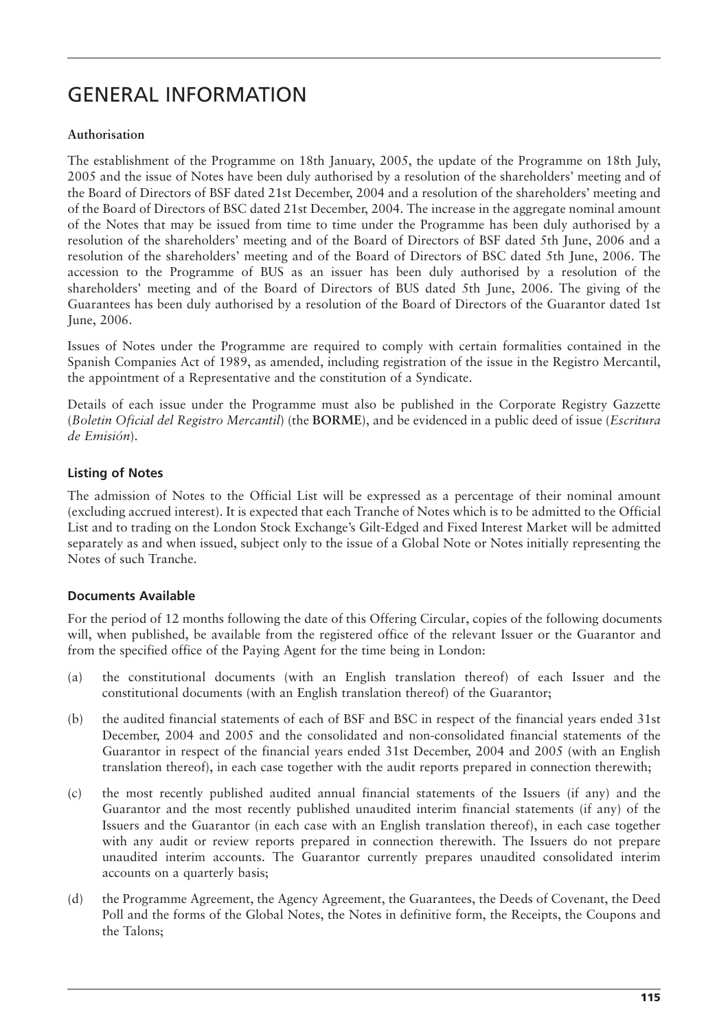# GENERAL INFORMATION

#### **Authorisation**

The establishment of the Programme on 18th January, 2005, the update of the Programme on 18th July, 2005 and the issue of Notes have been duly authorised by a resolution of the shareholders' meeting and of the Board of Directors of BSF dated 21st December, 2004 and a resolution of the shareholders' meeting and of the Board of Directors of BSC dated 21st December, 2004. The increase in the aggregate nominal amount of the Notes that may be issued from time to time under the Programme has been duly authorised by a resolution of the shareholders' meeting and of the Board of Directors of BSF dated 5th June, 2006 and a resolution of the shareholders' meeting and of the Board of Directors of BSC dated 5th June, 2006. The accession to the Programme of BUS as an issuer has been duly authorised by a resolution of the shareholders' meeting and of the Board of Directors of BUS dated 5th June, 2006. The giving of the Guarantees has been duly authorised by a resolution of the Board of Directors of the Guarantor dated 1st June, 2006.

Issues of Notes under the Programme are required to comply with certain formalities contained in the Spanish Companies Act of 1989, as amended, including registration of the issue in the Registro Mercantil, the appointment of a Representative and the constitution of a Syndicate.

Details of each issue under the Programme must also be published in the Corporate Registry Gazzette (*Boletin Oficial del Registro Mercantil*) (the **BORME**), and be evidenced in a public deed of issue (*Escritura de Emisión*).

### **Listing of Notes**

The admission of Notes to the Official List will be expressed as a percentage of their nominal amount (excluding accrued interest). It is expected that each Tranche of Notes which is to be admitted to the Official List and to trading on the London Stock Exchange's Gilt-Edged and Fixed Interest Market will be admitted separately as and when issued, subject only to the issue of a Global Note or Notes initially representing the Notes of such Tranche.

#### **Documents Available**

For the period of 12 months following the date of this Offering Circular, copies of the following documents will, when published, be available from the registered office of the relevant Issuer or the Guarantor and from the specified office of the Paying Agent for the time being in London:

- (a) the constitutional documents (with an English translation thereof) of each Issuer and the constitutional documents (with an English translation thereof) of the Guarantor;
- (b) the audited financial statements of each of BSF and BSC in respect of the financial years ended 31st December, 2004 and 2005 and the consolidated and non-consolidated financial statements of the Guarantor in respect of the financial years ended 31st December, 2004 and 2005 (with an English translation thereof), in each case together with the audit reports prepared in connection therewith;
- (c) the most recently published audited annual financial statements of the Issuers (if any) and the Guarantor and the most recently published unaudited interim financial statements (if any) of the Issuers and the Guarantor (in each case with an English translation thereof), in each case together with any audit or review reports prepared in connection therewith. The Issuers do not prepare unaudited interim accounts. The Guarantor currently prepares unaudited consolidated interim accounts on a quarterly basis;
- (d) the Programme Agreement, the Agency Agreement, the Guarantees, the Deeds of Covenant, the Deed Poll and the forms of the Global Notes, the Notes in definitive form, the Receipts, the Coupons and the Talons;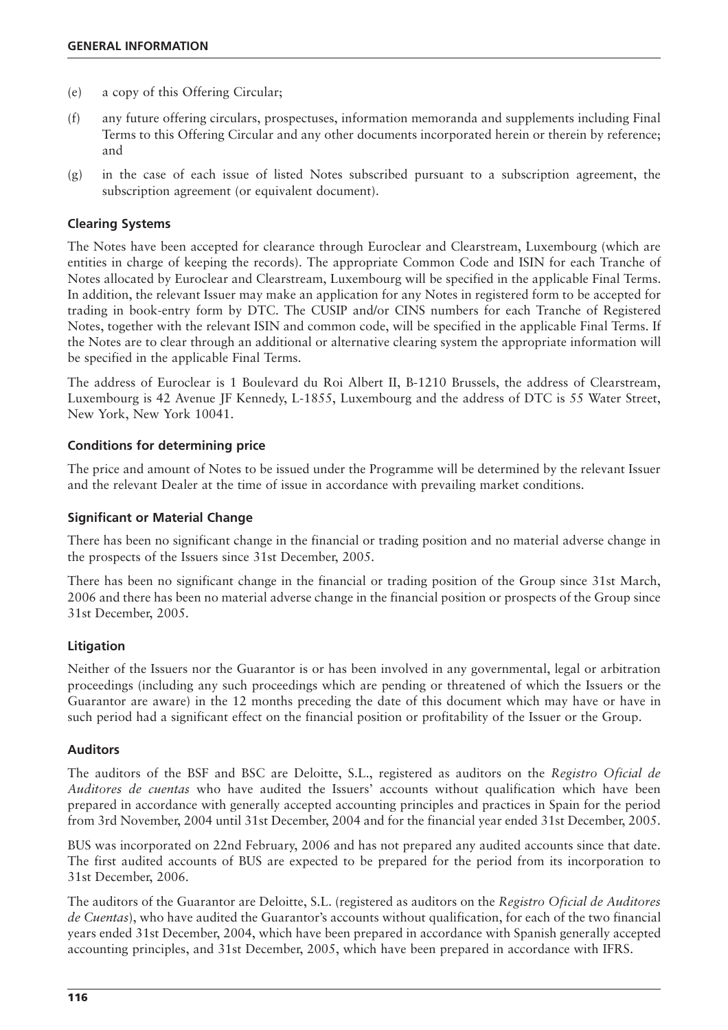- (e) a copy of this Offering Circular;
- (f) any future offering circulars, prospectuses, information memoranda and supplements including Final Terms to this Offering Circular and any other documents incorporated herein or therein by reference; and
- (g) in the case of each issue of listed Notes subscribed pursuant to a subscription agreement, the subscription agreement (or equivalent document).

#### **Clearing Systems**

The Notes have been accepted for clearance through Euroclear and Clearstream, Luxembourg (which are entities in charge of keeping the records). The appropriate Common Code and ISIN for each Tranche of Notes allocated by Euroclear and Clearstream, Luxembourg will be specified in the applicable Final Terms. In addition, the relevant Issuer may make an application for any Notes in registered form to be accepted for trading in book-entry form by DTC. The CUSIP and/or CINS numbers for each Tranche of Registered Notes, together with the relevant ISIN and common code, will be specified in the applicable Final Terms. If the Notes are to clear through an additional or alternative clearing system the appropriate information will be specified in the applicable Final Terms.

The address of Euroclear is 1 Boulevard du Roi Albert II, B-1210 Brussels, the address of Clearstream, Luxembourg is 42 Avenue JF Kennedy, L-1855, Luxembourg and the address of DTC is 55 Water Street, New York, New York 10041.

#### **Conditions for determining price**

The price and amount of Notes to be issued under the Programme will be determined by the relevant Issuer and the relevant Dealer at the time of issue in accordance with prevailing market conditions.

#### **Significant or Material Change**

There has been no significant change in the financial or trading position and no material adverse change in the prospects of the Issuers since 31st December, 2005.

There has been no significant change in the financial or trading position of the Group since 31st March, 2006 and there has been no material adverse change in the financial position or prospects of the Group since 31st December, 2005.

#### **Litigation**

Neither of the Issuers nor the Guarantor is or has been involved in any governmental, legal or arbitration proceedings (including any such proceedings which are pending or threatened of which the Issuers or the Guarantor are aware) in the 12 months preceding the date of this document which may have or have in such period had a significant effect on the financial position or profitability of the Issuer or the Group.

#### **Auditors**

The auditors of the BSF and BSC are Deloitte, S.L., registered as auditors on the *Registro Oficial de Auditores de cuentas* who have audited the Issuers' accounts without qualification which have been prepared in accordance with generally accepted accounting principles and practices in Spain for the period from 3rd November, 2004 until 31st December, 2004 and for the financial year ended 31st December, 2005.

BUS was incorporated on 22nd February, 2006 and has not prepared any audited accounts since that date. The first audited accounts of BUS are expected to be prepared for the period from its incorporation to 31st December, 2006.

The auditors of the Guarantor are Deloitte, S.L. (registered as auditors on the *Registro Oficial de Auditores de Cuentas*), who have audited the Guarantor's accounts without qualification, for each of the two financial years ended 31st December, 2004, which have been prepared in accordance with Spanish generally accepted accounting principles, and 31st December, 2005, which have been prepared in accordance with IFRS.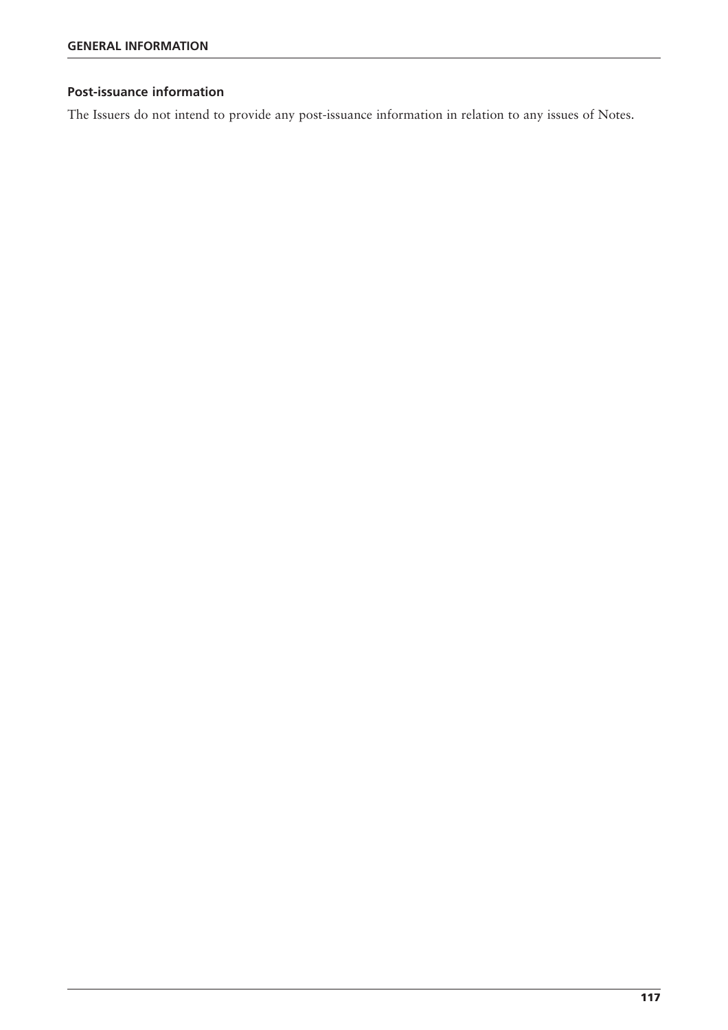#### **Post-issuance information**

The Issuers do not intend to provide any post-issuance information in relation to any issues of Notes.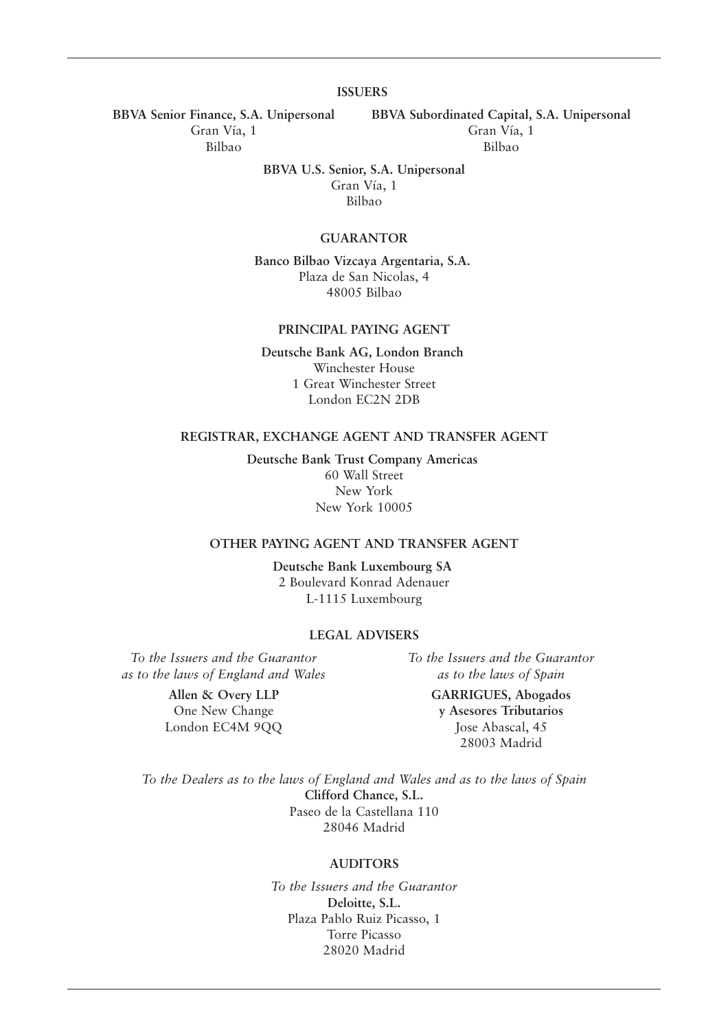#### **ISSUERS**

**BBVA Senior Finance, S.A. Unipersonal BBVA Subordinated Capital, S.A. Unipersonal** Gran Vía, 1 Gran Vía, 1

Bilbao Bilbao

**BBVA U.S. Senior, S.A. Unipersonal** Gran Vía, 1 Bilbao

#### **GUARANTOR**

**Banco Bilbao Vizcaya Argentaria, S.A.** Plaza de San Nicolas, 4 48005 Bilbao

#### **PRINCIPAL PAYING AGENT**

**Deutsche Bank AG, London Branch** Winchester House 1 Great Winchester Street London EC2N 2DB

#### **REGISTRAR, EXCHANGE AGENT AND TRANSFER AGENT**

**Deutsche Bank Trust Company Americas** 60 Wall Street New York New York 10005

#### **OTHER PAYING AGENT AND TRANSFER AGENT**

**Deutsche Bank Luxembourg SA** 2 Boulevard Konrad Adenauer L-1115 Luxembourg

#### **LEGAL ADVISERS**

*To the Issuers and the Guarantor To the Issuers and the Guarantor as to the laws of England and Wales as to the laws of Spain*

**Allen & Overy LLP GARRIGUES, Abogados** One New Change **y Asesores Tributarios** London EC4M 9QQ Jose Abascal, 45 28003 Madrid

*To the Dealers as to the laws of England and Wales and as to the laws of Spain* **Clifford Chance, S.L.** Paseo de la Castellana 110 28046 Madrid

#### **AUDITORS**

*To the Issuers and the Guarantor*  **Deloitte, S.L.** Plaza Pablo Ruiz Picasso, 1 Torre Picasso 28020 Madrid